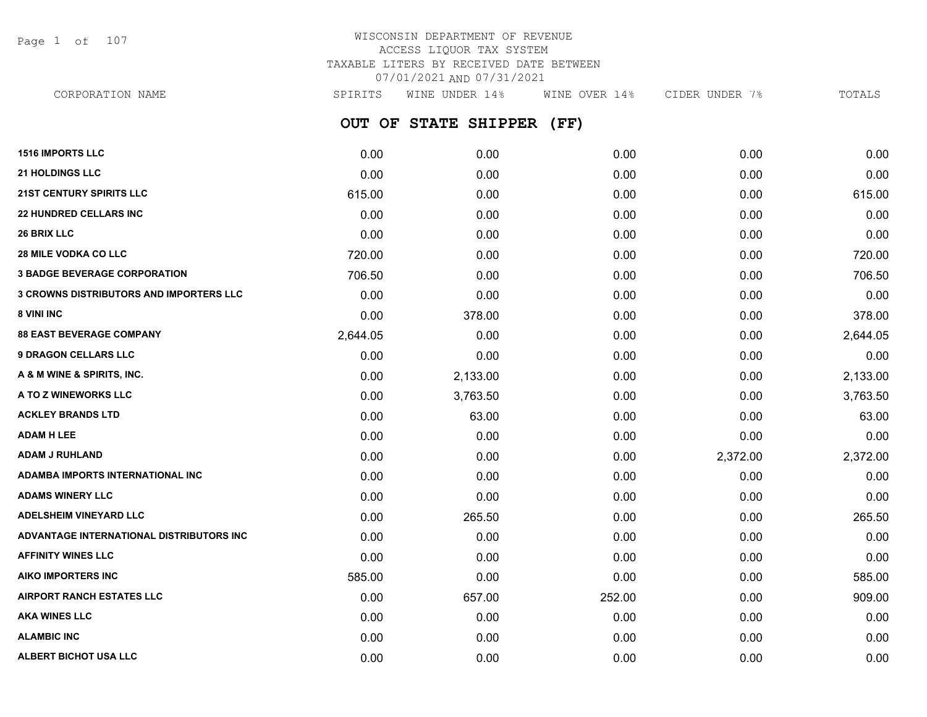Page 1 of 107

# WISCONSIN DEPARTMENT OF REVENUE ACCESS LIQUOR TAX SYSTEM TAXABLE LITERS BY RECEIVED DATE BETWEEN 07/01/2021 AND 07/31/2021

**OUT OF STATE SHIPPER (FF) 1516 IMPORTS LLC** 0.00 0.00 0.00 0.00 0.00 **21 HOLDINGS LLC** 0.00 0.00 0.00 0.00 0.00 **21ST CENTURY SPIRITS LLC** 615.00 0.00 0.00 0.00 615.00 **22 HUNDRED CELLARS INC** 0.00 0.00 0.00 0.00 0.00 **26 BRIX LLC** 0.00 0.00 0.00 0.00 0.00 **28 MILE VODKA CO LLC** 720.00 0.00 0.00 0.00 720.00 **3 BADGE BEVERAGE CORPORATION** 706.50 0.00 0.00 0.00 706.50 **3 CROWNS DISTRIBUTORS AND IMPORTERS LLC** 0.00 0.00 0.00 0.00 0.00 **8 VINI INC** 6.00 **378.00 0.00 0.00 0.00 0.00 0.00 0.00 0.00 378.00 0.00 378.00 88 EAST BEVERAGE COMPANY** 2,644.05 0.00 0.00 0.00 2,644.05 **9 DRAGON CELLARS LLC** 0.00 0.00 0.00 0.00 0.00 **A & M WINE & SPIRITS, INC.** 0.00 2,133.00 0.00 0.00 2,133.00 **A TO Z WINEWORKS LLC** 0.00 3,763.50 0.00 0.00 3,763.50 **ACKLEY BRANDS LTD** 0.00 63.00 0.00 0.00 63.00 **ADAM H LEE** 0.00 0.00 0.00 0.00 0.00 **ADAM J RUHLAND** 0.00 0.00 0.00 2,372.00 2,372.00 **ADAMBA IMPORTS INTERNATIONAL INC** 0.00 0.00 0.00 0.00 0.00 **ADAMS WINERY LLC** 0.00 0.00 0.00 0.00 0.00 **ADELSHEIM VINEYARD LLC** 0.00 265.50 0.00 0.00 265.50 **ADVANTAGE INTERNATIONAL DISTRIBUTORS INC** 0.00 0.00 0.00 0.00 0.00 **AFFINITY WINES LLC** 0.00 0.00 0.00 0.00 0.00 **AIKO IMPORTERS INC** 585.00 0.00 0.00 0.00 585.00 **AIRPORT RANCH ESTATES LLC** 0.00 657.00 252.00 0.00 909.00 CORPORATION NAME SPIRITS WINE UNDER 14% WINE OVER 14% CIDER UNDER 7% TOTALS

**AKA WINES LLC** 0.00 0.00 0.00 0.00 0.00 **ALAMBIC INC** 0.00 0.00 0.00 0.00 0.00 **ALBERT BICHOT USA LLC** 0.00 0.00 0.00 0.00 0.00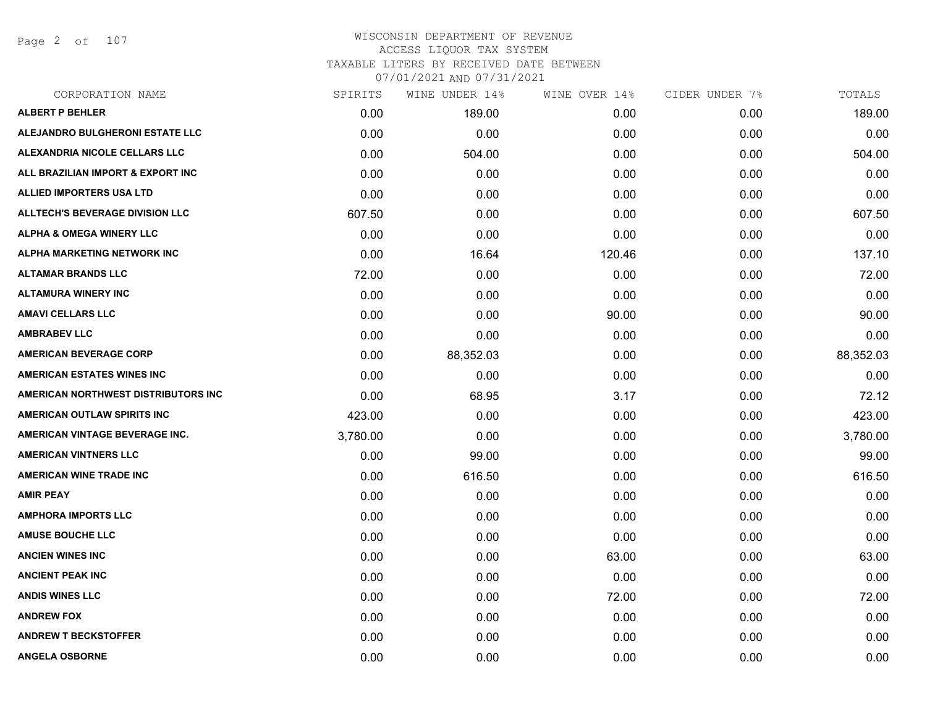Page 2 of 107

| CORPORATION NAME                       | SPIRITS  | WINE UNDER 14% | WINE OVER 14% | CIDER UNDER 7% | TOTALS    |
|----------------------------------------|----------|----------------|---------------|----------------|-----------|
| <b>ALBERT P BEHLER</b>                 | 0.00     | 189.00         | 0.00          | 0.00           | 189.00    |
| ALEJANDRO BULGHERONI ESTATE LLC        | 0.00     | 0.00           | 0.00          | 0.00           | 0.00      |
| ALEXANDRIA NICOLE CELLARS LLC          | 0.00     | 504.00         | 0.00          | 0.00           | 504.00    |
| ALL BRAZILIAN IMPORT & EXPORT INC      | 0.00     | 0.00           | 0.00          | 0.00           | 0.00      |
| <b>ALLIED IMPORTERS USA LTD</b>        | 0.00     | 0.00           | 0.00          | 0.00           | 0.00      |
| <b>ALLTECH'S BEVERAGE DIVISION LLC</b> | 607.50   | 0.00           | 0.00          | 0.00           | 607.50    |
| <b>ALPHA &amp; OMEGA WINERY LLC</b>    | 0.00     | 0.00           | 0.00          | 0.00           | 0.00      |
| <b>ALPHA MARKETING NETWORK INC</b>     | 0.00     | 16.64          | 120.46        | 0.00           | 137.10    |
| <b>ALTAMAR BRANDS LLC</b>              | 72.00    | 0.00           | 0.00          | 0.00           | 72.00     |
| <b>ALTAMURA WINERY INC</b>             | 0.00     | 0.00           | 0.00          | 0.00           | 0.00      |
| <b>AMAVI CELLARS LLC</b>               | 0.00     | 0.00           | 90.00         | 0.00           | 90.00     |
| <b>AMBRABEV LLC</b>                    | 0.00     | 0.00           | 0.00          | 0.00           | 0.00      |
| <b>AMERICAN BEVERAGE CORP</b>          | 0.00     | 88,352.03      | 0.00          | 0.00           | 88,352.03 |
| <b>AMERICAN ESTATES WINES INC</b>      | 0.00     | 0.00           | 0.00          | 0.00           | 0.00      |
| AMERICAN NORTHWEST DISTRIBUTORS INC    | 0.00     | 68.95          | 3.17          | 0.00           | 72.12     |
| AMERICAN OUTLAW SPIRITS INC            | 423.00   | 0.00           | 0.00          | 0.00           | 423.00    |
| AMERICAN VINTAGE BEVERAGE INC.         | 3,780.00 | 0.00           | 0.00          | 0.00           | 3,780.00  |
| <b>AMERICAN VINTNERS LLC</b>           | 0.00     | 99.00          | 0.00          | 0.00           | 99.00     |
| <b>AMERICAN WINE TRADE INC</b>         | 0.00     | 616.50         | 0.00          | 0.00           | 616.50    |
| <b>AMIR PEAY</b>                       | 0.00     | 0.00           | 0.00          | 0.00           | 0.00      |
| <b>AMPHORA IMPORTS LLC</b>             | 0.00     | 0.00           | 0.00          | 0.00           | 0.00      |
| <b>AMUSE BOUCHE LLC</b>                | 0.00     | 0.00           | 0.00          | 0.00           | 0.00      |
| <b>ANCIEN WINES INC</b>                | 0.00     | 0.00           | 63.00         | 0.00           | 63.00     |
| <b>ANCIENT PEAK INC</b>                | 0.00     | 0.00           | 0.00          | 0.00           | 0.00      |
| <b>ANDIS WINES LLC</b>                 | 0.00     | 0.00           | 72.00         | 0.00           | 72.00     |
| <b>ANDREW FOX</b>                      | 0.00     | 0.00           | 0.00          | 0.00           | 0.00      |
| <b>ANDREW T BECKSTOFFER</b>            | 0.00     | 0.00           | 0.00          | 0.00           | 0.00      |
| <b>ANGELA OSBORNE</b>                  | 0.00     | 0.00           | 0.00          | 0.00           | 0.00      |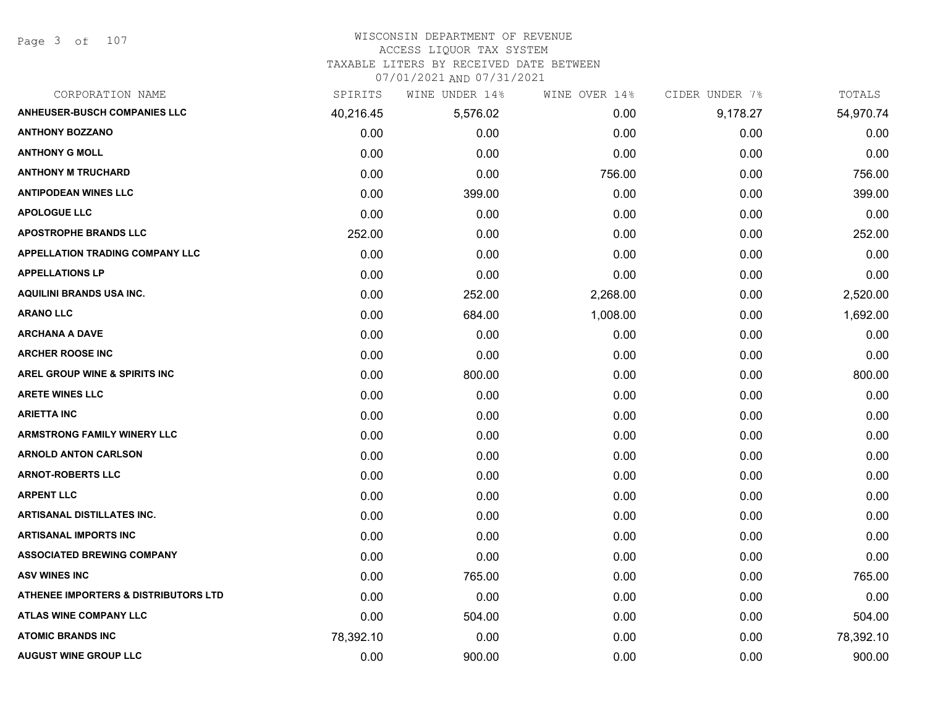Page 3 of 107

# WISCONSIN DEPARTMENT OF REVENUE

ACCESS LIQUOR TAX SYSTEM

TAXABLE LITERS BY RECEIVED DATE BETWEEN

| CORPORATION NAME                                | SPIRITS   | WINE UNDER 14% | WINE OVER 14% | CIDER UNDER 7% | TOTALS    |
|-------------------------------------------------|-----------|----------------|---------------|----------------|-----------|
| <b>ANHEUSER-BUSCH COMPANIES LLC</b>             | 40,216.45 | 5,576.02       | 0.00          | 9,178.27       | 54,970.74 |
| <b>ANTHONY BOZZANO</b>                          | 0.00      | 0.00           | 0.00          | 0.00           | 0.00      |
| <b>ANTHONY G MOLL</b>                           | 0.00      | 0.00           | 0.00          | 0.00           | 0.00      |
| <b>ANTHONY M TRUCHARD</b>                       | 0.00      | 0.00           | 756.00        | 0.00           | 756.00    |
| <b>ANTIPODEAN WINES LLC</b>                     | 0.00      | 399.00         | 0.00          | 0.00           | 399.00    |
| <b>APOLOGUE LLC</b>                             | 0.00      | 0.00           | 0.00          | 0.00           | 0.00      |
| <b>APOSTROPHE BRANDS LLC</b>                    | 252.00    | 0.00           | 0.00          | 0.00           | 252.00    |
| <b>APPELLATION TRADING COMPANY LLC</b>          | 0.00      | 0.00           | 0.00          | 0.00           | 0.00      |
| <b>APPELLATIONS LP</b>                          | 0.00      | 0.00           | 0.00          | 0.00           | 0.00      |
| <b>AQUILINI BRANDS USA INC.</b>                 | 0.00      | 252.00         | 2,268.00      | 0.00           | 2,520.00  |
| <b>ARANO LLC</b>                                | 0.00      | 684.00         | 1,008.00      | 0.00           | 1,692.00  |
| <b>ARCHANA A DAVE</b>                           | 0.00      | 0.00           | 0.00          | 0.00           | 0.00      |
| <b>ARCHER ROOSE INC</b>                         | 0.00      | 0.00           | 0.00          | 0.00           | 0.00      |
| <b>AREL GROUP WINE &amp; SPIRITS INC</b>        | 0.00      | 800.00         | 0.00          | 0.00           | 800.00    |
| <b>ARETE WINES LLC</b>                          | 0.00      | 0.00           | 0.00          | 0.00           | 0.00      |
| <b>ARIETTA INC</b>                              | 0.00      | 0.00           | 0.00          | 0.00           | 0.00      |
| <b>ARMSTRONG FAMILY WINERY LLC</b>              | 0.00      | 0.00           | 0.00          | 0.00           | 0.00      |
| <b>ARNOLD ANTON CARLSON</b>                     | 0.00      | 0.00           | 0.00          | 0.00           | 0.00      |
| <b>ARNOT-ROBERTS LLC</b>                        | 0.00      | 0.00           | 0.00          | 0.00           | 0.00      |
| <b>ARPENT LLC</b>                               | 0.00      | 0.00           | 0.00          | 0.00           | 0.00      |
| <b>ARTISANAL DISTILLATES INC.</b>               | 0.00      | 0.00           | 0.00          | 0.00           | 0.00      |
| <b>ARTISANAL IMPORTS INC</b>                    | 0.00      | 0.00           | 0.00          | 0.00           | 0.00      |
| <b>ASSOCIATED BREWING COMPANY</b>               | 0.00      | 0.00           | 0.00          | 0.00           | 0.00      |
| <b>ASV WINES INC</b>                            | 0.00      | 765.00         | 0.00          | 0.00           | 765.00    |
| <b>ATHENEE IMPORTERS &amp; DISTRIBUTORS LTD</b> | 0.00      | 0.00           | 0.00          | 0.00           | 0.00      |
| <b>ATLAS WINE COMPANY LLC</b>                   | 0.00      | 504.00         | 0.00          | 0.00           | 504.00    |
| <b>ATOMIC BRANDS INC</b>                        | 78,392.10 | 0.00           | 0.00          | 0.00           | 78,392.10 |
| <b>AUGUST WINE GROUP LLC</b>                    | 0.00      | 900.00         | 0.00          | 0.00           | 900.00    |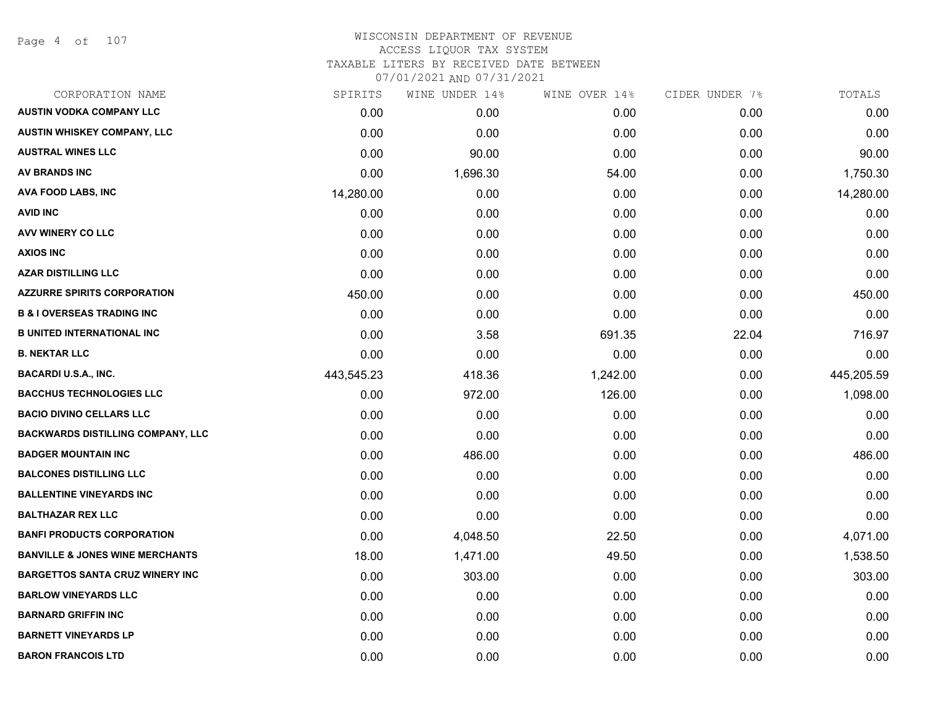Page 4 of 107

#### WISCONSIN DEPARTMENT OF REVENUE ACCESS LIQUOR TAX SYSTEM TAXABLE LITERS BY RECEIVED DATE BETWEEN

| CORPORATION NAME                           | SPIRITS    | WINE UNDER 14% | WINE OVER 14% | CIDER UNDER 7% | TOTALS     |
|--------------------------------------------|------------|----------------|---------------|----------------|------------|
| <b>AUSTIN VODKA COMPANY LLC</b>            | 0.00       | 0.00           | 0.00          | 0.00           | 0.00       |
| AUSTIN WHISKEY COMPANY, LLC                | 0.00       | 0.00           | 0.00          | 0.00           | 0.00       |
| <b>AUSTRAL WINES LLC</b>                   | 0.00       | 90.00          | 0.00          | 0.00           | 90.00      |
| <b>AV BRANDS INC</b>                       | 0.00       | 1,696.30       | 54.00         | 0.00           | 1,750.30   |
| <b>AVA FOOD LABS, INC</b>                  | 14,280.00  | 0.00           | 0.00          | 0.00           | 14,280.00  |
| <b>AVID INC</b>                            | 0.00       | 0.00           | 0.00          | 0.00           | 0.00       |
| AVV WINERY CO LLC                          | 0.00       | 0.00           | 0.00          | 0.00           | 0.00       |
| <b>AXIOS INC</b>                           | 0.00       | 0.00           | 0.00          | 0.00           | 0.00       |
| <b>AZAR DISTILLING LLC</b>                 | 0.00       | 0.00           | 0.00          | 0.00           | 0.00       |
| <b>AZZURRE SPIRITS CORPORATION</b>         | 450.00     | 0.00           | 0.00          | 0.00           | 450.00     |
| <b>B &amp; I OVERSEAS TRADING INC</b>      | 0.00       | 0.00           | 0.00          | 0.00           | 0.00       |
| <b>B UNITED INTERNATIONAL INC</b>          | 0.00       | 3.58           | 691.35        | 22.04          | 716.97     |
| <b>B. NEKTAR LLC</b>                       | 0.00       | 0.00           | 0.00          | 0.00           | 0.00       |
| <b>BACARDI U.S.A., INC.</b>                | 443,545.23 | 418.36         | 1,242.00      | 0.00           | 445,205.59 |
| <b>BACCHUS TECHNOLOGIES LLC</b>            | 0.00       | 972.00         | 126.00        | 0.00           | 1,098.00   |
| <b>BACIO DIVINO CELLARS LLC</b>            | 0.00       | 0.00           | 0.00          | 0.00           | 0.00       |
| <b>BACKWARDS DISTILLING COMPANY, LLC</b>   | 0.00       | 0.00           | 0.00          | 0.00           | 0.00       |
| <b>BADGER MOUNTAIN INC</b>                 | 0.00       | 486.00         | 0.00          | 0.00           | 486.00     |
| <b>BALCONES DISTILLING LLC</b>             | 0.00       | 0.00           | 0.00          | 0.00           | 0.00       |
| <b>BALLENTINE VINEYARDS INC</b>            | 0.00       | 0.00           | 0.00          | 0.00           | 0.00       |
| <b>BALTHAZAR REX LLC</b>                   | 0.00       | 0.00           | 0.00          | 0.00           | 0.00       |
| <b>BANFI PRODUCTS CORPORATION</b>          | 0.00       | 4,048.50       | 22.50         | 0.00           | 4,071.00   |
| <b>BANVILLE &amp; JONES WINE MERCHANTS</b> | 18.00      | 1,471.00       | 49.50         | 0.00           | 1,538.50   |
| <b>BARGETTOS SANTA CRUZ WINERY INC</b>     | 0.00       | 303.00         | 0.00          | 0.00           | 303.00     |
| <b>BARLOW VINEYARDS LLC</b>                | 0.00       | 0.00           | 0.00          | 0.00           | 0.00       |
| <b>BARNARD GRIFFIN INC</b>                 | 0.00       | 0.00           | 0.00          | 0.00           | 0.00       |
| <b>BARNETT VINEYARDS LP</b>                | 0.00       | 0.00           | 0.00          | 0.00           | 0.00       |
| <b>BARON FRANCOIS LTD</b>                  | 0.00       | 0.00           | 0.00          | 0.00           | 0.00       |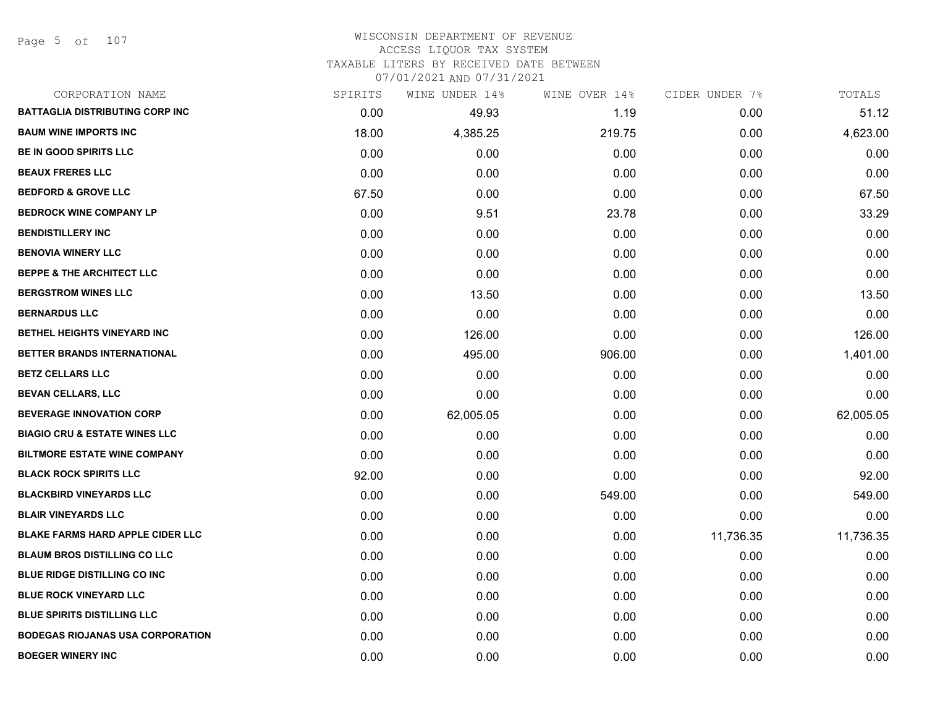Page 5 of 107

## WISCONSIN DEPARTMENT OF REVENUE ACCESS LIQUOR TAX SYSTEM TAXABLE LITERS BY RECEIVED DATE BETWEEN

| CORPORATION NAME                         | SPIRITS | WINE UNDER 14% | WINE OVER 14% | CIDER UNDER 7% | TOTALS    |
|------------------------------------------|---------|----------------|---------------|----------------|-----------|
| <b>BATTAGLIA DISTRIBUTING CORP INC</b>   | 0.00    | 49.93          | 1.19          | 0.00           | 51.12     |
| <b>BAUM WINE IMPORTS INC</b>             | 18.00   | 4,385.25       | 219.75        | 0.00           | 4,623.00  |
| BE IN GOOD SPIRITS LLC                   | 0.00    | 0.00           | 0.00          | 0.00           | 0.00      |
| <b>BEAUX FRERES LLC</b>                  | 0.00    | 0.00           | 0.00          | 0.00           | 0.00      |
| <b>BEDFORD &amp; GROVE LLC</b>           | 67.50   | 0.00           | 0.00          | 0.00           | 67.50     |
| <b>BEDROCK WINE COMPANY LP</b>           | 0.00    | 9.51           | 23.78         | 0.00           | 33.29     |
| <b>BENDISTILLERY INC</b>                 | 0.00    | 0.00           | 0.00          | 0.00           | 0.00      |
| <b>BENOVIA WINERY LLC</b>                | 0.00    | 0.00           | 0.00          | 0.00           | 0.00      |
| <b>BEPPE &amp; THE ARCHITECT LLC</b>     | 0.00    | 0.00           | 0.00          | 0.00           | 0.00      |
| <b>BERGSTROM WINES LLC</b>               | 0.00    | 13.50          | 0.00          | 0.00           | 13.50     |
| <b>BERNARDUS LLC</b>                     | 0.00    | 0.00           | 0.00          | 0.00           | 0.00      |
| BETHEL HEIGHTS VINEYARD INC              | 0.00    | 126.00         | 0.00          | 0.00           | 126.00    |
| BETTER BRANDS INTERNATIONAL              | 0.00    | 495.00         | 906.00        | 0.00           | 1,401.00  |
| <b>BETZ CELLARS LLC</b>                  | 0.00    | 0.00           | 0.00          | 0.00           | 0.00      |
| <b>BEVAN CELLARS, LLC</b>                | 0.00    | 0.00           | 0.00          | 0.00           | 0.00      |
| <b>BEVERAGE INNOVATION CORP</b>          | 0.00    | 62,005.05      | 0.00          | 0.00           | 62,005.05 |
| <b>BIAGIO CRU &amp; ESTATE WINES LLC</b> | 0.00    | 0.00           | 0.00          | 0.00           | 0.00      |
| <b>BILTMORE ESTATE WINE COMPANY</b>      | 0.00    | 0.00           | 0.00          | 0.00           | 0.00      |
| <b>BLACK ROCK SPIRITS LLC</b>            | 92.00   | 0.00           | 0.00          | 0.00           | 92.00     |
| <b>BLACKBIRD VINEYARDS LLC</b>           | 0.00    | 0.00           | 549.00        | 0.00           | 549.00    |
| <b>BLAIR VINEYARDS LLC</b>               | 0.00    | 0.00           | 0.00          | 0.00           | 0.00      |
| <b>BLAKE FARMS HARD APPLE CIDER LLC</b>  | 0.00    | 0.00           | 0.00          | 11,736.35      | 11,736.35 |
| <b>BLAUM BROS DISTILLING CO LLC</b>      | 0.00    | 0.00           | 0.00          | 0.00           | 0.00      |
| <b>BLUE RIDGE DISTILLING CO INC</b>      | 0.00    | 0.00           | 0.00          | 0.00           | 0.00      |
| <b>BLUE ROCK VINEYARD LLC</b>            | 0.00    | 0.00           | 0.00          | 0.00           | 0.00      |
| <b>BLUE SPIRITS DISTILLING LLC</b>       | 0.00    | 0.00           | 0.00          | 0.00           | 0.00      |
| <b>BODEGAS RIOJANAS USA CORPORATION</b>  | 0.00    | 0.00           | 0.00          | 0.00           | 0.00      |
| <b>BOEGER WINERY INC</b>                 | 0.00    | 0.00           | 0.00          | 0.00           | 0.00      |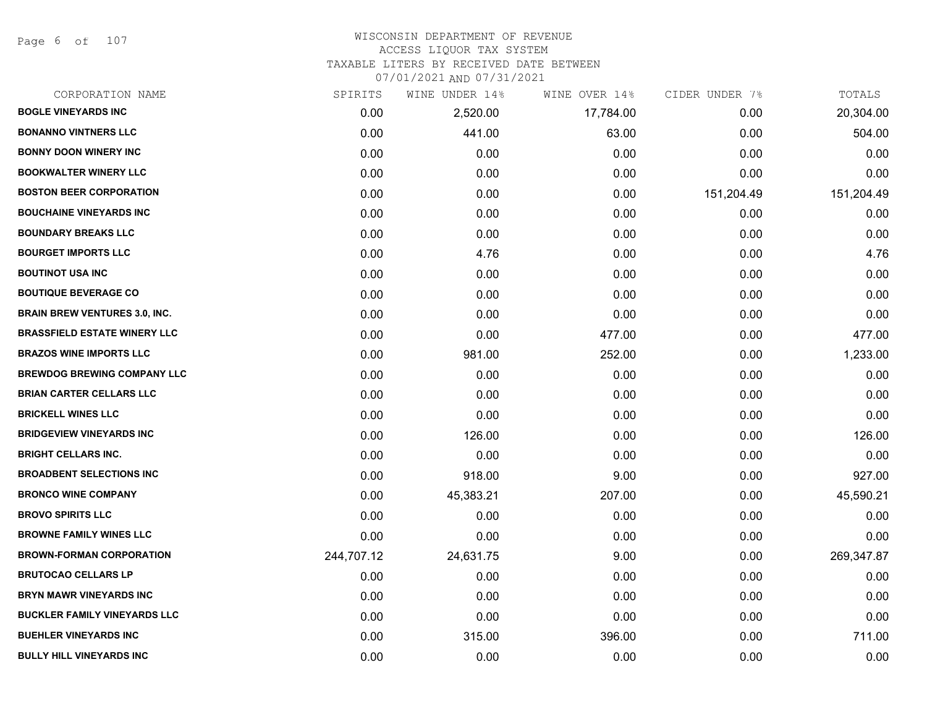Page 6 of 107

# WISCONSIN DEPARTMENT OF REVENUE ACCESS LIQUOR TAX SYSTEM TAXABLE LITERS BY RECEIVED DATE BETWEEN

| CORPORATION NAME                     | SPIRITS    | WINE UNDER 14% | WINE OVER 14% | CIDER UNDER 7% | TOTALS     |
|--------------------------------------|------------|----------------|---------------|----------------|------------|
| <b>BOGLE VINEYARDS INC</b>           | 0.00       | 2,520.00       | 17,784.00     | 0.00           | 20,304.00  |
| <b>BONANNO VINTNERS LLC</b>          | 0.00       | 441.00         | 63.00         | 0.00           | 504.00     |
| <b>BONNY DOON WINERY INC</b>         | 0.00       | 0.00           | 0.00          | 0.00           | 0.00       |
| <b>BOOKWALTER WINERY LLC</b>         | 0.00       | 0.00           | 0.00          | 0.00           | 0.00       |
| <b>BOSTON BEER CORPORATION</b>       | 0.00       | 0.00           | 0.00          | 151,204.49     | 151,204.49 |
| <b>BOUCHAINE VINEYARDS INC</b>       | 0.00       | 0.00           | 0.00          | 0.00           | 0.00       |
| <b>BOUNDARY BREAKS LLC</b>           | 0.00       | 0.00           | 0.00          | 0.00           | 0.00       |
| <b>BOURGET IMPORTS LLC</b>           | 0.00       | 4.76           | 0.00          | 0.00           | 4.76       |
| <b>BOUTINOT USA INC</b>              | 0.00       | 0.00           | 0.00          | 0.00           | 0.00       |
| <b>BOUTIQUE BEVERAGE CO</b>          | 0.00       | 0.00           | 0.00          | 0.00           | 0.00       |
| <b>BRAIN BREW VENTURES 3.0, INC.</b> | 0.00       | 0.00           | 0.00          | 0.00           | 0.00       |
| <b>BRASSFIELD ESTATE WINERY LLC</b>  | 0.00       | 0.00           | 477.00        | 0.00           | 477.00     |
| <b>BRAZOS WINE IMPORTS LLC</b>       | 0.00       | 981.00         | 252.00        | 0.00           | 1,233.00   |
| <b>BREWDOG BREWING COMPANY LLC</b>   | 0.00       | 0.00           | 0.00          | 0.00           | 0.00       |
| <b>BRIAN CARTER CELLARS LLC</b>      | 0.00       | 0.00           | 0.00          | 0.00           | 0.00       |
| <b>BRICKELL WINES LLC</b>            | 0.00       | 0.00           | 0.00          | 0.00           | 0.00       |
| <b>BRIDGEVIEW VINEYARDS INC</b>      | 0.00       | 126.00         | 0.00          | 0.00           | 126.00     |
| <b>BRIGHT CELLARS INC.</b>           | 0.00       | 0.00           | 0.00          | 0.00           | 0.00       |
| <b>BROADBENT SELECTIONS INC</b>      | 0.00       | 918.00         | 9.00          | 0.00           | 927.00     |
| <b>BRONCO WINE COMPANY</b>           | 0.00       | 45,383.21      | 207.00        | 0.00           | 45,590.21  |
| <b>BROVO SPIRITS LLC</b>             | 0.00       | 0.00           | 0.00          | 0.00           | 0.00       |
| <b>BROWNE FAMILY WINES LLC</b>       | 0.00       | 0.00           | 0.00          | 0.00           | 0.00       |
| <b>BROWN-FORMAN CORPORATION</b>      | 244,707.12 | 24,631.75      | 9.00          | 0.00           | 269,347.87 |
| <b>BRUTOCAO CELLARS LP</b>           | 0.00       | 0.00           | 0.00          | 0.00           | 0.00       |
| <b>BRYN MAWR VINEYARDS INC</b>       | 0.00       | 0.00           | 0.00          | 0.00           | 0.00       |
| <b>BUCKLER FAMILY VINEYARDS LLC</b>  | 0.00       | 0.00           | 0.00          | 0.00           | 0.00       |
| <b>BUEHLER VINEYARDS INC</b>         | 0.00       | 315.00         | 396.00        | 0.00           | 711.00     |
| <b>BULLY HILL VINEYARDS INC</b>      | 0.00       | 0.00           | 0.00          | 0.00           | 0.00       |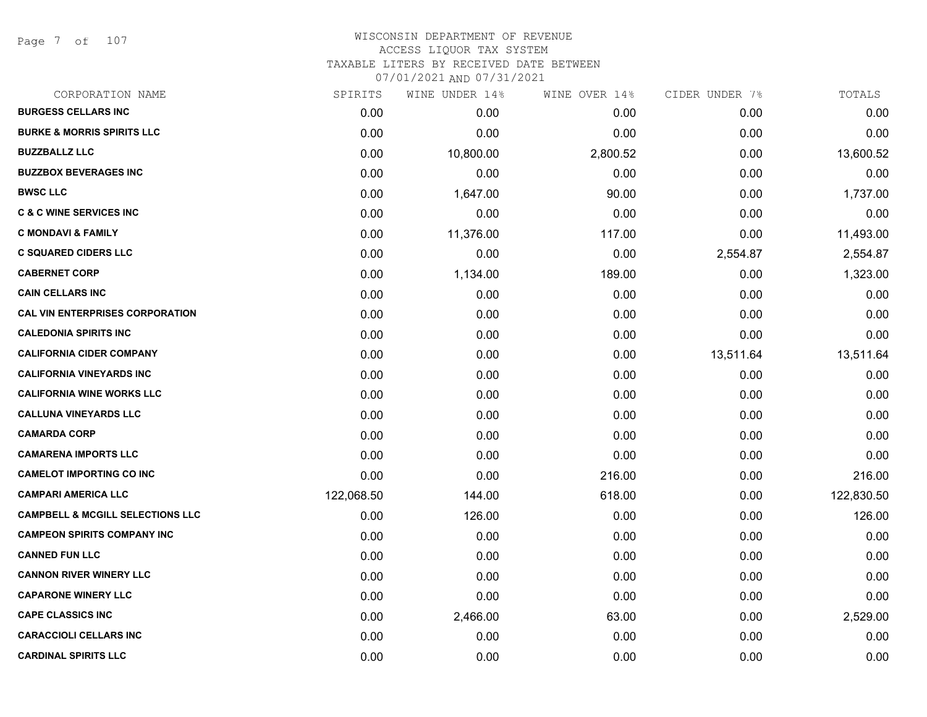Page 7 of 107

| CORPORATION NAME                            | SPIRITS    | WINE UNDER 14% | WINE OVER 14% | CIDER UNDER 7% | TOTALS     |
|---------------------------------------------|------------|----------------|---------------|----------------|------------|
| <b>BURGESS CELLARS INC</b>                  | 0.00       | 0.00           | 0.00          | 0.00           | 0.00       |
| <b>BURKE &amp; MORRIS SPIRITS LLC</b>       | 0.00       | 0.00           | 0.00          | 0.00           | 0.00       |
| <b>BUZZBALLZ LLC</b>                        | 0.00       | 10,800.00      | 2,800.52      | 0.00           | 13,600.52  |
| <b>BUZZBOX BEVERAGES INC</b>                | 0.00       | 0.00           | 0.00          | 0.00           | 0.00       |
| <b>BWSC LLC</b>                             | 0.00       | 1,647.00       | 90.00         | 0.00           | 1,737.00   |
| <b>C &amp; C WINE SERVICES INC</b>          | 0.00       | 0.00           | 0.00          | 0.00           | 0.00       |
| <b>C MONDAVI &amp; FAMILY</b>               | 0.00       | 11,376.00      | 117.00        | 0.00           | 11,493.00  |
| <b>C SQUARED CIDERS LLC</b>                 | 0.00       | 0.00           | 0.00          | 2,554.87       | 2,554.87   |
| <b>CABERNET CORP</b>                        | 0.00       | 1,134.00       | 189.00        | 0.00           | 1,323.00   |
| <b>CAIN CELLARS INC</b>                     | 0.00       | 0.00           | 0.00          | 0.00           | 0.00       |
| <b>CAL VIN ENTERPRISES CORPORATION</b>      | 0.00       | 0.00           | 0.00          | 0.00           | 0.00       |
| <b>CALEDONIA SPIRITS INC</b>                | 0.00       | 0.00           | 0.00          | 0.00           | 0.00       |
| <b>CALIFORNIA CIDER COMPANY</b>             | 0.00       | 0.00           | 0.00          | 13,511.64      | 13,511.64  |
| <b>CALIFORNIA VINEYARDS INC</b>             | 0.00       | 0.00           | 0.00          | 0.00           | 0.00       |
| <b>CALIFORNIA WINE WORKS LLC</b>            | 0.00       | 0.00           | 0.00          | 0.00           | 0.00       |
| <b>CALLUNA VINEYARDS LLC</b>                | 0.00       | 0.00           | 0.00          | 0.00           | 0.00       |
| <b>CAMARDA CORP</b>                         | 0.00       | 0.00           | 0.00          | 0.00           | 0.00       |
| <b>CAMARENA IMPORTS LLC</b>                 | 0.00       | 0.00           | 0.00          | 0.00           | 0.00       |
| <b>CAMELOT IMPORTING CO INC</b>             | 0.00       | 0.00           | 216.00        | 0.00           | 216.00     |
| <b>CAMPARI AMERICA LLC</b>                  | 122,068.50 | 144.00         | 618.00        | 0.00           | 122,830.50 |
| <b>CAMPBELL &amp; MCGILL SELECTIONS LLC</b> | 0.00       | 126.00         | 0.00          | 0.00           | 126.00     |
| <b>CAMPEON SPIRITS COMPANY INC</b>          | 0.00       | 0.00           | 0.00          | 0.00           | 0.00       |
| <b>CANNED FUN LLC</b>                       | 0.00       | 0.00           | 0.00          | 0.00           | 0.00       |
| <b>CANNON RIVER WINERY LLC</b>              | 0.00       | 0.00           | 0.00          | 0.00           | 0.00       |
| <b>CAPARONE WINERY LLC</b>                  | 0.00       | 0.00           | 0.00          | 0.00           | 0.00       |
| <b>CAPE CLASSICS INC</b>                    | 0.00       | 2,466.00       | 63.00         | 0.00           | 2,529.00   |
| <b>CARACCIOLI CELLARS INC</b>               | 0.00       | 0.00           | 0.00          | 0.00           | 0.00       |
| <b>CARDINAL SPIRITS LLC</b>                 | 0.00       | 0.00           | 0.00          | 0.00           | 0.00       |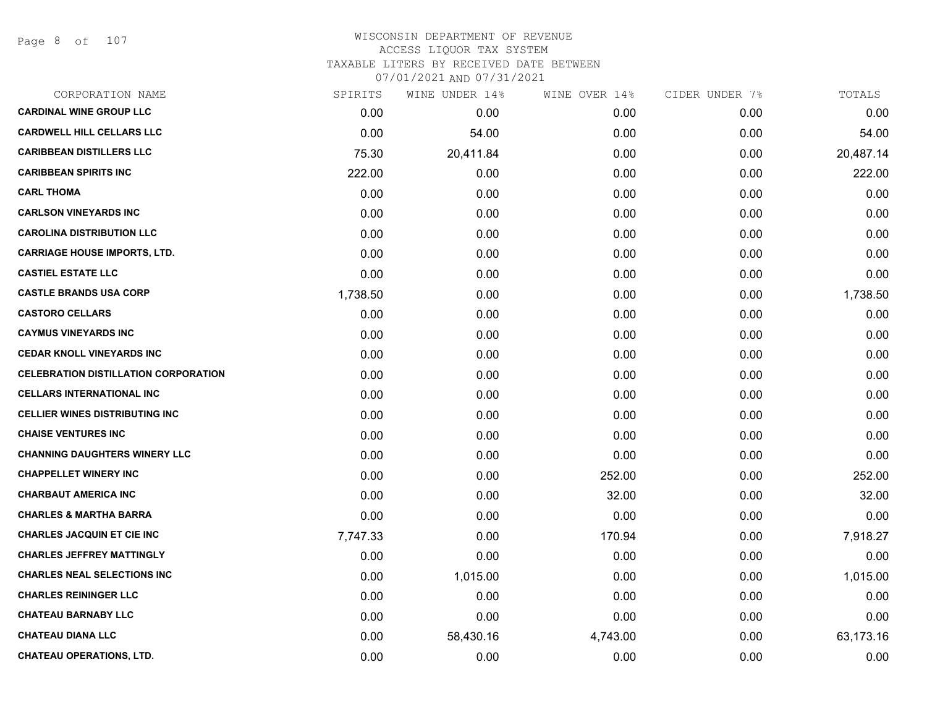Page 8 of 107

#### WISCONSIN DEPARTMENT OF REVENUE ACCESS LIQUOR TAX SYSTEM TAXABLE LITERS BY RECEIVED DATE BETWEEN

| CORPORATION NAME                            | SPIRITS  | WINE UNDER 14% | WINE OVER 14% | CIDER UNDER 7% | TOTALS    |
|---------------------------------------------|----------|----------------|---------------|----------------|-----------|
| <b>CARDINAL WINE GROUP LLC</b>              | 0.00     | 0.00           | 0.00          | 0.00           | 0.00      |
| <b>CARDWELL HILL CELLARS LLC</b>            | 0.00     | 54.00          | 0.00          | 0.00           | 54.00     |
| <b>CARIBBEAN DISTILLERS LLC</b>             | 75.30    | 20,411.84      | 0.00          | 0.00           | 20,487.14 |
| <b>CARIBBEAN SPIRITS INC</b>                | 222.00   | 0.00           | 0.00          | 0.00           | 222.00    |
| <b>CARL THOMA</b>                           | 0.00     | 0.00           | 0.00          | 0.00           | 0.00      |
| <b>CARLSON VINEYARDS INC</b>                | 0.00     | 0.00           | 0.00          | 0.00           | 0.00      |
| <b>CAROLINA DISTRIBUTION LLC</b>            | 0.00     | 0.00           | 0.00          | 0.00           | 0.00      |
| <b>CARRIAGE HOUSE IMPORTS, LTD.</b>         | 0.00     | 0.00           | 0.00          | 0.00           | 0.00      |
| <b>CASTIEL ESTATE LLC</b>                   | 0.00     | 0.00           | 0.00          | 0.00           | 0.00      |
| <b>CASTLE BRANDS USA CORP</b>               | 1,738.50 | 0.00           | 0.00          | 0.00           | 1,738.50  |
| <b>CASTORO CELLARS</b>                      | 0.00     | 0.00           | 0.00          | 0.00           | 0.00      |
| <b>CAYMUS VINEYARDS INC</b>                 | 0.00     | 0.00           | 0.00          | 0.00           | 0.00      |
| <b>CEDAR KNOLL VINEYARDS INC</b>            | 0.00     | 0.00           | 0.00          | 0.00           | 0.00      |
| <b>CELEBRATION DISTILLATION CORPORATION</b> | 0.00     | 0.00           | 0.00          | 0.00           | 0.00      |
| <b>CELLARS INTERNATIONAL INC</b>            | 0.00     | 0.00           | 0.00          | 0.00           | 0.00      |
| <b>CELLIER WINES DISTRIBUTING INC</b>       | 0.00     | 0.00           | 0.00          | 0.00           | 0.00      |
| <b>CHAISE VENTURES INC</b>                  | 0.00     | 0.00           | 0.00          | 0.00           | 0.00      |
| <b>CHANNING DAUGHTERS WINERY LLC</b>        | 0.00     | 0.00           | 0.00          | 0.00           | 0.00      |
| <b>CHAPPELLET WINERY INC</b>                | 0.00     | 0.00           | 252.00        | 0.00           | 252.00    |
| <b>CHARBAUT AMERICA INC</b>                 | 0.00     | 0.00           | 32.00         | 0.00           | 32.00     |
| <b>CHARLES &amp; MARTHA BARRA</b>           | 0.00     | 0.00           | 0.00          | 0.00           | 0.00      |
| <b>CHARLES JACQUIN ET CIE INC</b>           | 7,747.33 | 0.00           | 170.94        | 0.00           | 7,918.27  |
| <b>CHARLES JEFFREY MATTINGLY</b>            | 0.00     | 0.00           | 0.00          | 0.00           | 0.00      |
| <b>CHARLES NEAL SELECTIONS INC</b>          | 0.00     | 1,015.00       | 0.00          | 0.00           | 1,015.00  |
| <b>CHARLES REININGER LLC</b>                | 0.00     | 0.00           | 0.00          | 0.00           | 0.00      |
| <b>CHATEAU BARNABY LLC</b>                  | 0.00     | 0.00           | 0.00          | 0.00           | 0.00      |
| <b>CHATEAU DIANA LLC</b>                    | 0.00     | 58,430.16      | 4,743.00      | 0.00           | 63,173.16 |
| <b>CHATEAU OPERATIONS, LTD.</b>             | 0.00     | 0.00           | 0.00          | 0.00           | 0.00      |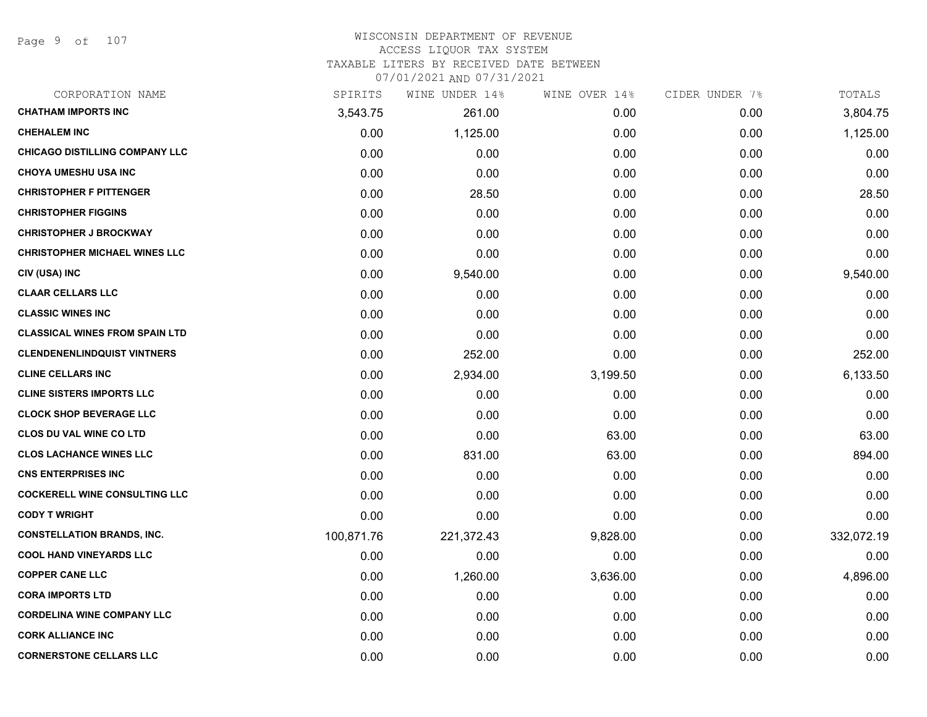Page 9 of 107

#### WISCONSIN DEPARTMENT OF REVENUE ACCESS LIQUOR TAX SYSTEM TAXABLE LITERS BY RECEIVED DATE BETWEEN

| CORPORATION NAME                      | SPIRITS    | WINE UNDER 14% | WINE OVER 14% | CIDER UNDER 7% | TOTALS     |
|---------------------------------------|------------|----------------|---------------|----------------|------------|
| <b>CHATHAM IMPORTS INC</b>            | 3,543.75   | 261.00         | 0.00          | 0.00           | 3,804.75   |
| <b>CHEHALEM INC</b>                   | 0.00       | 1,125.00       | 0.00          | 0.00           | 1,125.00   |
| <b>CHICAGO DISTILLING COMPANY LLC</b> | 0.00       | 0.00           | 0.00          | 0.00           | 0.00       |
| <b>CHOYA UMESHU USA INC</b>           | 0.00       | 0.00           | 0.00          | 0.00           | 0.00       |
| <b>CHRISTOPHER F PITTENGER</b>        | 0.00       | 28.50          | 0.00          | 0.00           | 28.50      |
| <b>CHRISTOPHER FIGGINS</b>            | 0.00       | 0.00           | 0.00          | 0.00           | 0.00       |
| <b>CHRISTOPHER J BROCKWAY</b>         | 0.00       | 0.00           | 0.00          | 0.00           | 0.00       |
| <b>CHRISTOPHER MICHAEL WINES LLC</b>  | 0.00       | 0.00           | 0.00          | 0.00           | 0.00       |
| CIV (USA) INC                         | 0.00       | 9,540.00       | 0.00          | 0.00           | 9,540.00   |
| <b>CLAAR CELLARS LLC</b>              | 0.00       | 0.00           | 0.00          | 0.00           | 0.00       |
| <b>CLASSIC WINES INC</b>              | 0.00       | 0.00           | 0.00          | 0.00           | 0.00       |
| <b>CLASSICAL WINES FROM SPAIN LTD</b> | 0.00       | 0.00           | 0.00          | 0.00           | 0.00       |
| <b>CLENDENENLINDQUIST VINTNERS</b>    | 0.00       | 252.00         | 0.00          | 0.00           | 252.00     |
| <b>CLINE CELLARS INC</b>              | 0.00       | 2,934.00       | 3,199.50      | 0.00           | 6,133.50   |
| <b>CLINE SISTERS IMPORTS LLC</b>      | 0.00       | 0.00           | 0.00          | 0.00           | 0.00       |
| <b>CLOCK SHOP BEVERAGE LLC</b>        | 0.00       | 0.00           | 0.00          | 0.00           | 0.00       |
| <b>CLOS DU VAL WINE CO LTD</b>        | 0.00       | 0.00           | 63.00         | 0.00           | 63.00      |
| <b>CLOS LACHANCE WINES LLC</b>        | 0.00       | 831.00         | 63.00         | 0.00           | 894.00     |
| <b>CNS ENTERPRISES INC</b>            | 0.00       | 0.00           | 0.00          | 0.00           | 0.00       |
| <b>COCKERELL WINE CONSULTING LLC</b>  | 0.00       | 0.00           | 0.00          | 0.00           | 0.00       |
| <b>CODY T WRIGHT</b>                  | 0.00       | 0.00           | 0.00          | 0.00           | 0.00       |
| <b>CONSTELLATION BRANDS, INC.</b>     | 100,871.76 | 221,372.43     | 9,828.00      | 0.00           | 332,072.19 |
| <b>COOL HAND VINEYARDS LLC</b>        | 0.00       | 0.00           | 0.00          | 0.00           | 0.00       |
| <b>COPPER CANE LLC</b>                | 0.00       | 1,260.00       | 3,636.00      | 0.00           | 4,896.00   |
| <b>CORA IMPORTS LTD</b>               | 0.00       | 0.00           | 0.00          | 0.00           | 0.00       |
| <b>CORDELINA WINE COMPANY LLC</b>     | 0.00       | 0.00           | 0.00          | 0.00           | 0.00       |
| <b>CORK ALLIANCE INC</b>              | 0.00       | 0.00           | 0.00          | 0.00           | 0.00       |
| <b>CORNERSTONE CELLARS LLC</b>        | 0.00       | 0.00           | 0.00          | 0.00           | 0.00       |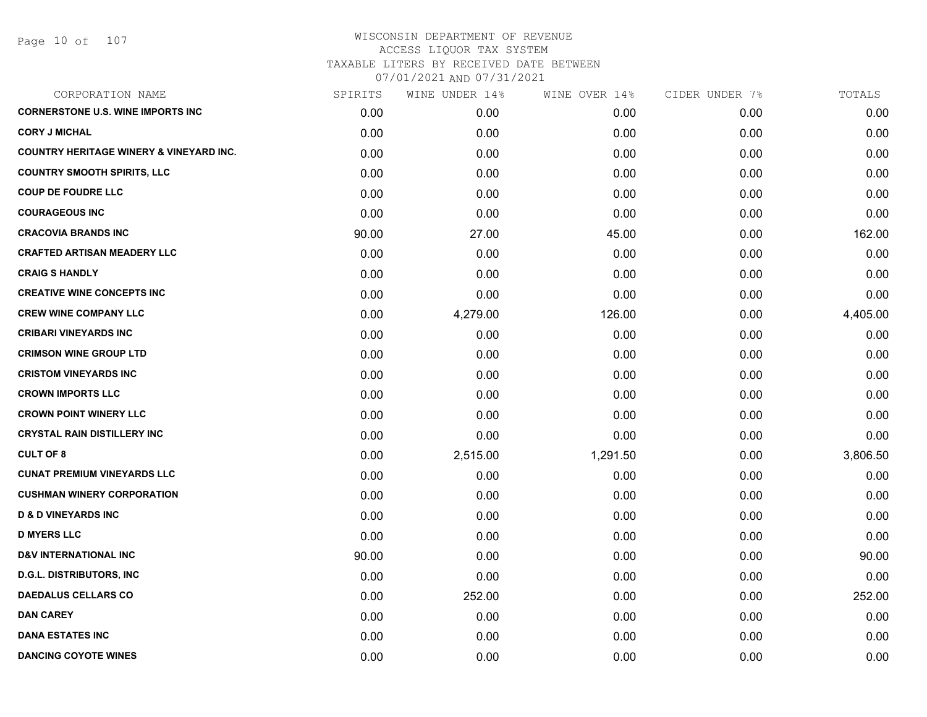| CORPORATION NAME                                   | SPIRITS | WINE UNDER 14% | WINE OVER 14% | CIDER UNDER 7% | TOTALS   |
|----------------------------------------------------|---------|----------------|---------------|----------------|----------|
| <b>CORNERSTONE U.S. WINE IMPORTS INC</b>           | 0.00    | 0.00           | 0.00          | 0.00           | 0.00     |
| <b>CORY J MICHAL</b>                               | 0.00    | 0.00           | 0.00          | 0.00           | 0.00     |
| <b>COUNTRY HERITAGE WINERY &amp; VINEYARD INC.</b> | 0.00    | 0.00           | 0.00          | 0.00           | 0.00     |
| <b>COUNTRY SMOOTH SPIRITS, LLC</b>                 | 0.00    | 0.00           | 0.00          | 0.00           | 0.00     |
| <b>COUP DE FOUDRE LLC</b>                          | 0.00    | 0.00           | 0.00          | 0.00           | 0.00     |
| <b>COURAGEOUS INC</b>                              | 0.00    | 0.00           | 0.00          | 0.00           | 0.00     |
| <b>CRACOVIA BRANDS INC</b>                         | 90.00   | 27.00          | 45.00         | 0.00           | 162.00   |
| <b>CRAFTED ARTISAN MEADERY LLC</b>                 | 0.00    | 0.00           | 0.00          | 0.00           | 0.00     |
| <b>CRAIG S HANDLY</b>                              | 0.00    | 0.00           | 0.00          | 0.00           | 0.00     |
| <b>CREATIVE WINE CONCEPTS INC</b>                  | 0.00    | 0.00           | 0.00          | 0.00           | 0.00     |
| <b>CREW WINE COMPANY LLC</b>                       | 0.00    | 4,279.00       | 126.00        | 0.00           | 4,405.00 |
| <b>CRIBARI VINEYARDS INC</b>                       | 0.00    | 0.00           | 0.00          | 0.00           | 0.00     |
| <b>CRIMSON WINE GROUP LTD</b>                      | 0.00    | 0.00           | 0.00          | 0.00           | 0.00     |
| <b>CRISTOM VINEYARDS INC</b>                       | 0.00    | 0.00           | 0.00          | 0.00           | 0.00     |
| <b>CROWN IMPORTS LLC</b>                           | 0.00    | 0.00           | 0.00          | 0.00           | 0.00     |
| <b>CROWN POINT WINERY LLC</b>                      | 0.00    | 0.00           | 0.00          | 0.00           | 0.00     |
| <b>CRYSTAL RAIN DISTILLERY INC</b>                 | 0.00    | 0.00           | 0.00          | 0.00           | 0.00     |
| <b>CULT OF 8</b>                                   | 0.00    | 2,515.00       | 1,291.50      | 0.00           | 3,806.50 |
| <b>CUNAT PREMIUM VINEYARDS LLC</b>                 | 0.00    | 0.00           | 0.00          | 0.00           | 0.00     |
| <b>CUSHMAN WINERY CORPORATION</b>                  | 0.00    | 0.00           | 0.00          | 0.00           | 0.00     |
| <b>D &amp; D VINEYARDS INC</b>                     | 0.00    | 0.00           | 0.00          | 0.00           | 0.00     |
| <b>D MYERS LLC</b>                                 | 0.00    | 0.00           | 0.00          | 0.00           | 0.00     |
| <b>D&amp;V INTERNATIONAL INC</b>                   | 90.00   | 0.00           | 0.00          | 0.00           | 90.00    |
| <b>D.G.L. DISTRIBUTORS, INC.</b>                   | 0.00    | 0.00           | 0.00          | 0.00           | 0.00     |
| <b>DAEDALUS CELLARS CO</b>                         | 0.00    | 252.00         | 0.00          | 0.00           | 252.00   |
| <b>DAN CAREY</b>                                   | 0.00    | 0.00           | 0.00          | 0.00           | 0.00     |
| <b>DANA ESTATES INC</b>                            | 0.00    | 0.00           | 0.00          | 0.00           | 0.00     |
| <b>DANCING COYOTE WINES</b>                        | 0.00    | 0.00           | 0.00          | 0.00           | 0.00     |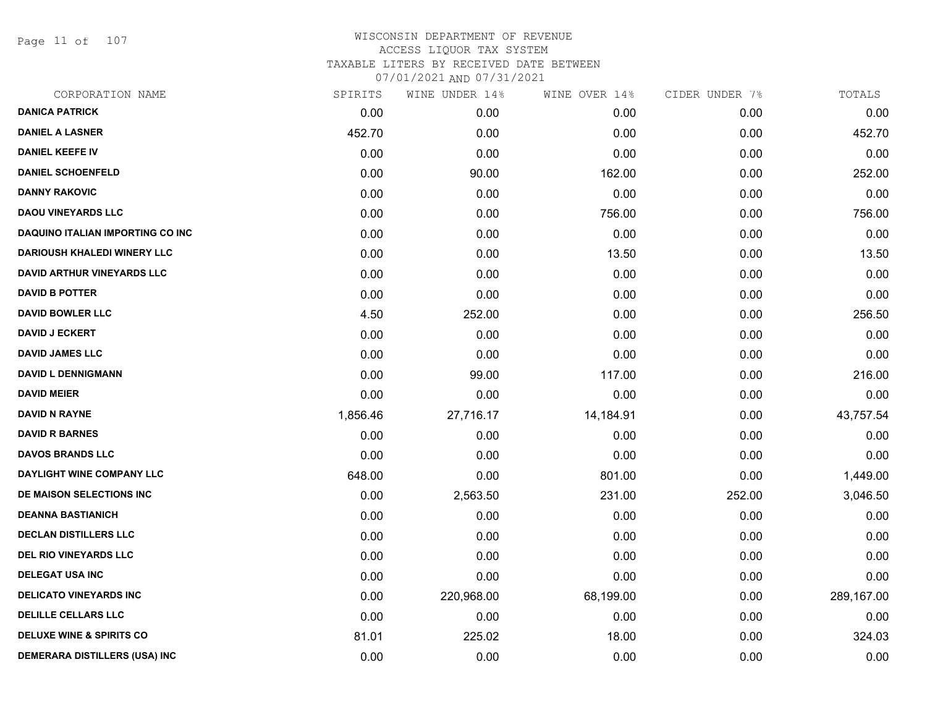Page 11 of 107

| SPIRITS  | WINE UNDER 14% | WINE OVER 14% | CIDER UNDER 7% | TOTALS     |
|----------|----------------|---------------|----------------|------------|
| 0.00     | 0.00           | 0.00          | 0.00           | 0.00       |
| 452.70   | 0.00           | 0.00          | 0.00           | 452.70     |
| 0.00     | 0.00           | 0.00          | 0.00           | 0.00       |
| 0.00     | 90.00          | 162.00        | 0.00           | 252.00     |
| 0.00     | 0.00           | 0.00          | 0.00           | 0.00       |
| 0.00     | 0.00           | 756.00        | 0.00           | 756.00     |
| 0.00     | 0.00           | 0.00          | 0.00           | 0.00       |
| 0.00     | 0.00           | 13.50         | 0.00           | 13.50      |
| 0.00     | 0.00           | 0.00          | 0.00           | 0.00       |
| 0.00     | 0.00           | 0.00          | 0.00           | 0.00       |
| 4.50     | 252.00         | 0.00          | 0.00           | 256.50     |
| 0.00     | 0.00           | 0.00          | 0.00           | 0.00       |
| 0.00     | 0.00           | 0.00          | 0.00           | 0.00       |
| 0.00     | 99.00          | 117.00        | 0.00           | 216.00     |
| 0.00     | 0.00           | 0.00          | 0.00           | 0.00       |
| 1,856.46 | 27,716.17      | 14,184.91     | 0.00           | 43,757.54  |
| 0.00     | 0.00           | 0.00          | 0.00           | 0.00       |
| 0.00     | 0.00           | 0.00          | 0.00           | 0.00       |
| 648.00   | 0.00           | 801.00        | 0.00           | 1,449.00   |
| 0.00     | 2,563.50       | 231.00        | 252.00         | 3,046.50   |
| 0.00     | 0.00           | 0.00          | 0.00           | 0.00       |
| 0.00     | 0.00           | 0.00          | 0.00           | 0.00       |
| 0.00     | 0.00           | 0.00          | 0.00           | 0.00       |
| 0.00     | 0.00           | 0.00          | 0.00           | 0.00       |
| 0.00     | 220,968.00     | 68,199.00     | 0.00           | 289,167.00 |
| 0.00     | 0.00           | 0.00          | 0.00           | 0.00       |
| 81.01    | 225.02         | 18.00         | 0.00           | 324.03     |
| 0.00     | 0.00           | 0.00          | 0.00           | 0.00       |
|          |                |               |                |            |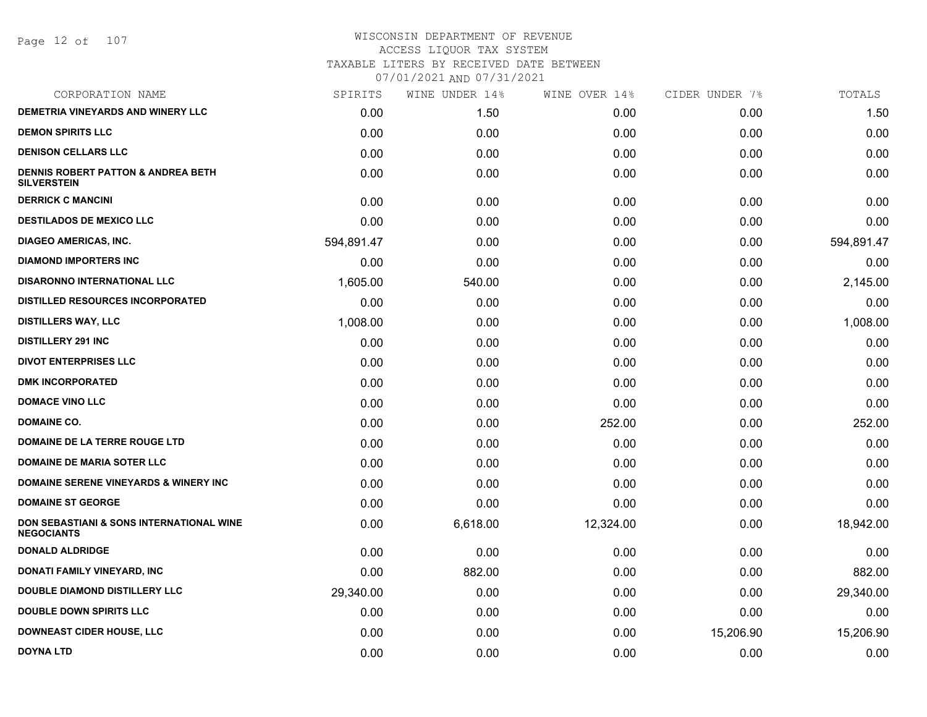Page 12 of 107

| SPIRITS    | WINE UNDER 14% | WINE OVER 14% | CIDER UNDER 7% | TOTALS     |
|------------|----------------|---------------|----------------|------------|
| 0.00       | 1.50           | 0.00          | 0.00           | 1.50       |
| 0.00       | 0.00           | 0.00          | 0.00           | 0.00       |
| 0.00       | 0.00           | 0.00          | 0.00           | 0.00       |
| 0.00       | 0.00           | 0.00          | 0.00           | 0.00       |
| 0.00       | 0.00           | 0.00          | 0.00           | 0.00       |
| 0.00       | 0.00           | 0.00          | 0.00           | 0.00       |
| 594,891.47 | 0.00           | 0.00          | 0.00           | 594,891.47 |
| 0.00       | 0.00           | 0.00          | 0.00           | 0.00       |
| 1,605.00   | 540.00         | 0.00          | 0.00           | 2,145.00   |
| 0.00       | 0.00           | 0.00          | 0.00           | 0.00       |
| 1,008.00   | 0.00           | 0.00          | 0.00           | 1,008.00   |
| 0.00       | 0.00           | 0.00          | 0.00           | 0.00       |
| 0.00       | 0.00           | 0.00          | 0.00           | 0.00       |
| 0.00       | 0.00           | 0.00          | 0.00           | 0.00       |
| 0.00       | 0.00           | 0.00          | 0.00           | 0.00       |
| 0.00       | 0.00           | 252.00        | 0.00           | 252.00     |
| 0.00       | 0.00           | 0.00          | 0.00           | 0.00       |
| 0.00       | 0.00           | 0.00          | 0.00           | 0.00       |
| 0.00       | 0.00           | 0.00          | 0.00           | 0.00       |
| 0.00       | 0.00           | 0.00          | 0.00           | 0.00       |
| 0.00       | 6,618.00       | 12,324.00     | 0.00           | 18,942.00  |
| 0.00       | 0.00           | 0.00          | 0.00           | 0.00       |
| 0.00       | 882.00         | 0.00          | 0.00           | 882.00     |
| 29,340.00  | 0.00           | 0.00          | 0.00           | 29,340.00  |
| 0.00       | 0.00           | 0.00          | 0.00           | 0.00       |
| 0.00       | 0.00           | 0.00          | 15,206.90      | 15,206.90  |
| 0.00       | 0.00           | 0.00          | 0.00           | 0.00       |
|            |                |               |                |            |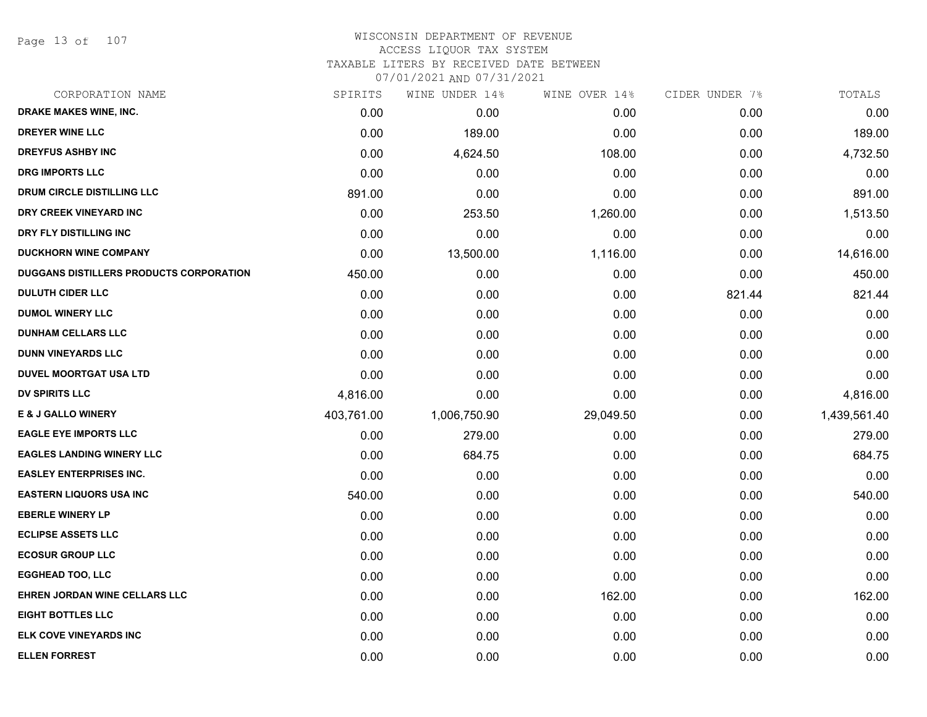Page 13 of 107

#### WISCONSIN DEPARTMENT OF REVENUE ACCESS LIQUOR TAX SYSTEM TAXABLE LITERS BY RECEIVED DATE BETWEEN

| CORPORATION NAME                               | SPIRITS    | WINE UNDER 14% | WINE OVER 14% | CIDER UNDER 7% | TOTALS       |
|------------------------------------------------|------------|----------------|---------------|----------------|--------------|
| DRAKE MAKES WINE, INC.                         | 0.00       | 0.00           | 0.00          | 0.00           | 0.00         |
| <b>DREYER WINE LLC</b>                         | 0.00       | 189.00         | 0.00          | 0.00           | 189.00       |
| <b>DREYFUS ASHBY INC</b>                       | 0.00       | 4,624.50       | 108.00        | 0.00           | 4,732.50     |
| <b>DRG IMPORTS LLC</b>                         | 0.00       | 0.00           | 0.00          | 0.00           | 0.00         |
| <b>DRUM CIRCLE DISTILLING LLC</b>              | 891.00     | 0.00           | 0.00          | 0.00           | 891.00       |
| DRY CREEK VINEYARD INC                         | 0.00       | 253.50         | 1,260.00      | 0.00           | 1,513.50     |
| DRY FLY DISTILLING INC                         | 0.00       | 0.00           | 0.00          | 0.00           | 0.00         |
| <b>DUCKHORN WINE COMPANY</b>                   | 0.00       | 13,500.00      | 1,116.00      | 0.00           | 14,616.00    |
| <b>DUGGANS DISTILLERS PRODUCTS CORPORATION</b> | 450.00     | 0.00           | 0.00          | 0.00           | 450.00       |
| <b>DULUTH CIDER LLC</b>                        | 0.00       | 0.00           | 0.00          | 821.44         | 821.44       |
| <b>DUMOL WINERY LLC</b>                        | 0.00       | 0.00           | 0.00          | 0.00           | 0.00         |
| <b>DUNHAM CELLARS LLC</b>                      | 0.00       | 0.00           | 0.00          | 0.00           | 0.00         |
| <b>DUNN VINEYARDS LLC</b>                      | 0.00       | 0.00           | 0.00          | 0.00           | 0.00         |
| <b>DUVEL MOORTGAT USA LTD</b>                  | 0.00       | 0.00           | 0.00          | 0.00           | 0.00         |
| <b>DV SPIRITS LLC</b>                          | 4,816.00   | 0.00           | 0.00          | 0.00           | 4,816.00     |
| <b>E &amp; J GALLO WINERY</b>                  | 403,761.00 | 1,006,750.90   | 29,049.50     | 0.00           | 1,439,561.40 |
| <b>EAGLE EYE IMPORTS LLC</b>                   | 0.00       | 279.00         | 0.00          | 0.00           | 279.00       |
| <b>EAGLES LANDING WINERY LLC</b>               | 0.00       | 684.75         | 0.00          | 0.00           | 684.75       |
| <b>EASLEY ENTERPRISES INC.</b>                 | 0.00       | 0.00           | 0.00          | 0.00           | 0.00         |
| <b>EASTERN LIQUORS USA INC</b>                 | 540.00     | 0.00           | 0.00          | 0.00           | 540.00       |
| <b>EBERLE WINERY LP</b>                        | 0.00       | 0.00           | 0.00          | 0.00           | 0.00         |
| <b>ECLIPSE ASSETS LLC</b>                      | 0.00       | 0.00           | 0.00          | 0.00           | 0.00         |
| <b>ECOSUR GROUP LLC</b>                        | 0.00       | 0.00           | 0.00          | 0.00           | 0.00         |
| <b>EGGHEAD TOO, LLC</b>                        | 0.00       | 0.00           | 0.00          | 0.00           | 0.00         |
| EHREN JORDAN WINE CELLARS LLC                  | 0.00       | 0.00           | 162.00        | 0.00           | 162.00       |
| <b>EIGHT BOTTLES LLC</b>                       | 0.00       | 0.00           | 0.00          | 0.00           | 0.00         |
| <b>ELK COVE VINEYARDS INC</b>                  | 0.00       | 0.00           | 0.00          | 0.00           | 0.00         |
| <b>ELLEN FORREST</b>                           | 0.00       | 0.00           | 0.00          | 0.00           | 0.00         |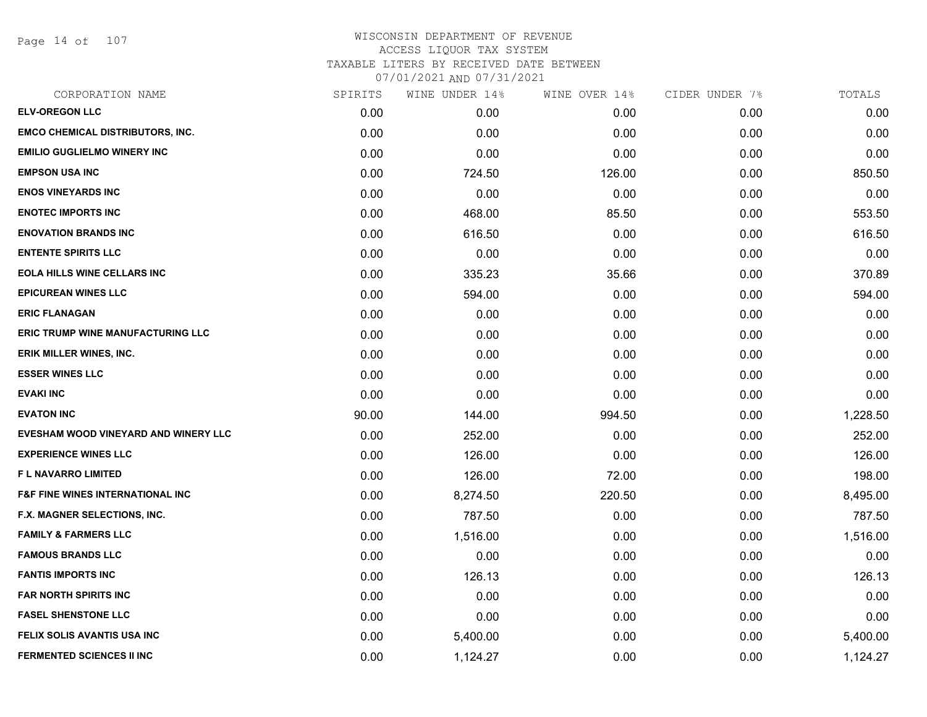Page 14 of 107

| CORPORATION NAME                            | SPIRITS | WINE UNDER 14% | WINE OVER 14% | CIDER UNDER 7% | TOTALS   |
|---------------------------------------------|---------|----------------|---------------|----------------|----------|
| <b>ELV-OREGON LLC</b>                       | 0.00    | 0.00           | 0.00          | 0.00           | 0.00     |
| <b>EMCO CHEMICAL DISTRIBUTORS, INC.</b>     | 0.00    | 0.00           | 0.00          | 0.00           | 0.00     |
| <b>EMILIO GUGLIELMO WINERY INC</b>          | 0.00    | 0.00           | 0.00          | 0.00           | 0.00     |
| <b>EMPSON USA INC</b>                       | 0.00    | 724.50         | 126.00        | 0.00           | 850.50   |
| <b>ENOS VINEYARDS INC</b>                   | 0.00    | 0.00           | 0.00          | 0.00           | 0.00     |
| <b>ENOTEC IMPORTS INC</b>                   | 0.00    | 468.00         | 85.50         | 0.00           | 553.50   |
| <b>ENOVATION BRANDS INC</b>                 | 0.00    | 616.50         | 0.00          | 0.00           | 616.50   |
| <b>ENTENTE SPIRITS LLC</b>                  | 0.00    | 0.00           | 0.00          | 0.00           | 0.00     |
| <b>EOLA HILLS WINE CELLARS INC</b>          | 0.00    | 335.23         | 35.66         | 0.00           | 370.89   |
| <b>EPICUREAN WINES LLC</b>                  | 0.00    | 594.00         | 0.00          | 0.00           | 594.00   |
| <b>ERIC FLANAGAN</b>                        | 0.00    | 0.00           | 0.00          | 0.00           | 0.00     |
| <b>ERIC TRUMP WINE MANUFACTURING LLC</b>    | 0.00    | 0.00           | 0.00          | 0.00           | 0.00     |
| <b>ERIK MILLER WINES, INC.</b>              | 0.00    | 0.00           | 0.00          | 0.00           | 0.00     |
| <b>ESSER WINES LLC</b>                      | 0.00    | 0.00           | 0.00          | 0.00           | 0.00     |
| <b>EVAKI INC</b>                            | 0.00    | 0.00           | 0.00          | 0.00           | 0.00     |
| <b>EVATON INC</b>                           | 90.00   | 144.00         | 994.50        | 0.00           | 1,228.50 |
| EVESHAM WOOD VINEYARD AND WINERY LLC        | 0.00    | 252.00         | 0.00          | 0.00           | 252.00   |
| <b>EXPERIENCE WINES LLC</b>                 | 0.00    | 126.00         | 0.00          | 0.00           | 126.00   |
| F L NAVARRO LIMITED                         | 0.00    | 126.00         | 72.00         | 0.00           | 198.00   |
| <b>F&amp;F FINE WINES INTERNATIONAL INC</b> | 0.00    | 8,274.50       | 220.50        | 0.00           | 8,495.00 |
| F.X. MAGNER SELECTIONS, INC.                | 0.00    | 787.50         | 0.00          | 0.00           | 787.50   |
| <b>FAMILY &amp; FARMERS LLC</b>             | 0.00    | 1,516.00       | 0.00          | 0.00           | 1,516.00 |
| <b>FAMOUS BRANDS LLC</b>                    | 0.00    | 0.00           | 0.00          | 0.00           | 0.00     |
| <b>FANTIS IMPORTS INC</b>                   | 0.00    | 126.13         | 0.00          | 0.00           | 126.13   |
| <b>FAR NORTH SPIRITS INC</b>                | 0.00    | 0.00           | 0.00          | 0.00           | 0.00     |
| <b>FASEL SHENSTONE LLC</b>                  | 0.00    | 0.00           | 0.00          | 0.00           | 0.00     |
| FELIX SOLIS AVANTIS USA INC                 | 0.00    | 5,400.00       | 0.00          | 0.00           | 5,400.00 |
| <b>FERMENTED SCIENCES II INC</b>            | 0.00    | 1,124.27       | 0.00          | 0.00           | 1,124.27 |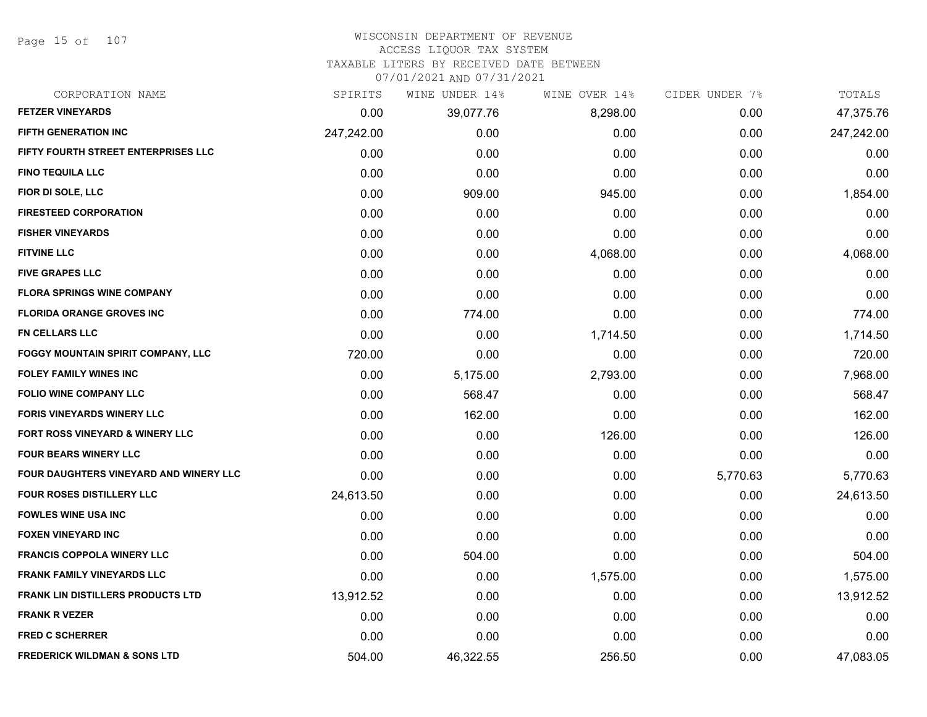Page 15 of 107

# WISCONSIN DEPARTMENT OF REVENUE

## ACCESS LIQUOR TAX SYSTEM

TAXABLE LITERS BY RECEIVED DATE BETWEEN

| CORPORATION NAME                          | SPIRITS    | WINE UNDER 14% | WINE OVER 14% | CIDER UNDER 7% | TOTALS     |
|-------------------------------------------|------------|----------------|---------------|----------------|------------|
| <b>FETZER VINEYARDS</b>                   | 0.00       | 39,077.76      | 8,298.00      | 0.00           | 47,375.76  |
| <b>FIFTH GENERATION INC</b>               | 247,242.00 | 0.00           | 0.00          | 0.00           | 247,242.00 |
| FIFTY FOURTH STREET ENTERPRISES LLC       | 0.00       | 0.00           | 0.00          | 0.00           | 0.00       |
| <b>FINO TEQUILA LLC</b>                   | 0.00       | 0.00           | 0.00          | 0.00           | 0.00       |
| FIOR DI SOLE, LLC                         | 0.00       | 909.00         | 945.00        | 0.00           | 1,854.00   |
| <b>FIRESTEED CORPORATION</b>              | 0.00       | 0.00           | 0.00          | 0.00           | 0.00       |
| <b>FISHER VINEYARDS</b>                   | 0.00       | 0.00           | 0.00          | 0.00           | 0.00       |
| <b>FITVINE LLC</b>                        | 0.00       | 0.00           | 4,068.00      | 0.00           | 4,068.00   |
| <b>FIVE GRAPES LLC</b>                    | 0.00       | 0.00           | 0.00          | 0.00           | 0.00       |
| <b>FLORA SPRINGS WINE COMPANY</b>         | 0.00       | 0.00           | 0.00          | 0.00           | 0.00       |
| <b>FLORIDA ORANGE GROVES INC</b>          | 0.00       | 774.00         | 0.00          | 0.00           | 774.00     |
| <b>FN CELLARS LLC</b>                     | 0.00       | 0.00           | 1,714.50      | 0.00           | 1,714.50   |
| <b>FOGGY MOUNTAIN SPIRIT COMPANY, LLC</b> | 720.00     | 0.00           | 0.00          | 0.00           | 720.00     |
| <b>FOLEY FAMILY WINES INC</b>             | 0.00       | 5,175.00       | 2,793.00      | 0.00           | 7,968.00   |
| <b>FOLIO WINE COMPANY LLC</b>             | 0.00       | 568.47         | 0.00          | 0.00           | 568.47     |
| <b>FORIS VINEYARDS WINERY LLC</b>         | 0.00       | 162.00         | 0.00          | 0.00           | 162.00     |
| FORT ROSS VINEYARD & WINERY LLC           | 0.00       | 0.00           | 126.00        | 0.00           | 126.00     |
| <b>FOUR BEARS WINERY LLC</b>              | 0.00       | 0.00           | 0.00          | 0.00           | 0.00       |
| FOUR DAUGHTERS VINEYARD AND WINERY LLC    | 0.00       | 0.00           | 0.00          | 5,770.63       | 5,770.63   |
| <b>FOUR ROSES DISTILLERY LLC</b>          | 24,613.50  | 0.00           | 0.00          | 0.00           | 24,613.50  |
| <b>FOWLES WINE USA INC</b>                | 0.00       | 0.00           | 0.00          | 0.00           | 0.00       |
| <b>FOXEN VINEYARD INC</b>                 | 0.00       | 0.00           | 0.00          | 0.00           | 0.00       |
| <b>FRANCIS COPPOLA WINERY LLC</b>         | 0.00       | 504.00         | 0.00          | 0.00           | 504.00     |
| FRANK FAMILY VINEYARDS LLC                | 0.00       | 0.00           | 1,575.00      | 0.00           | 1,575.00   |
| <b>FRANK LIN DISTILLERS PRODUCTS LTD</b>  | 13,912.52  | 0.00           | 0.00          | 0.00           | 13,912.52  |
| <b>FRANK R VEZER</b>                      | 0.00       | 0.00           | 0.00          | 0.00           | 0.00       |
| <b>FRED C SCHERRER</b>                    | 0.00       | 0.00           | 0.00          | 0.00           | 0.00       |
| <b>FREDERICK WILDMAN &amp; SONS LTD</b>   | 504.00     | 46,322.55      | 256.50        | 0.00           | 47,083.05  |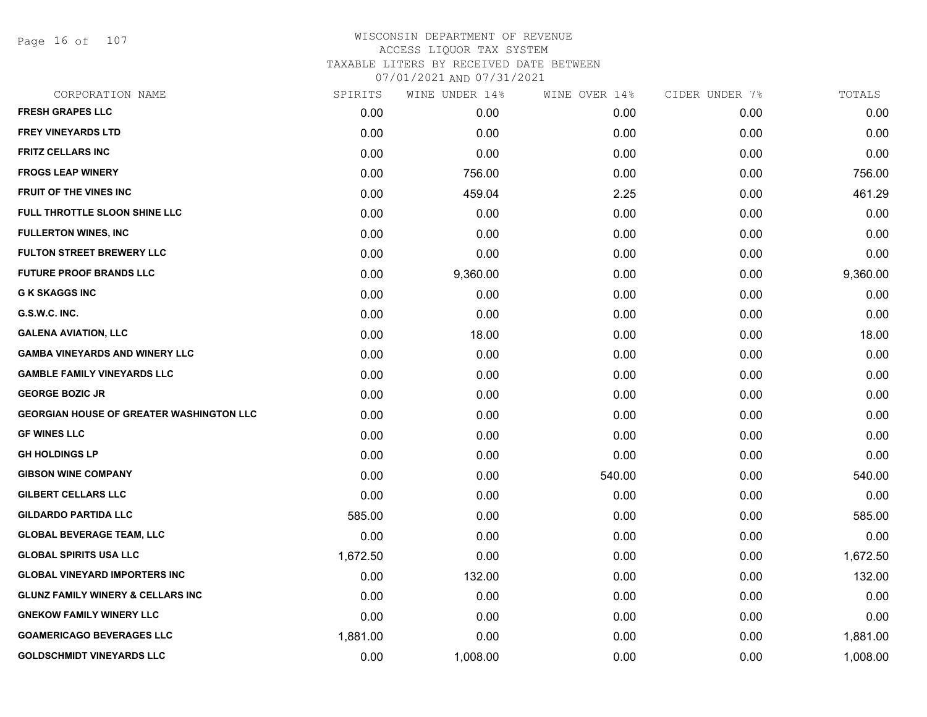Page 16 of 107

| CORPORATION NAME                                | SPIRITS  | WINE UNDER 14% | WINE OVER 14% | CIDER UNDER 7% | TOTALS   |
|-------------------------------------------------|----------|----------------|---------------|----------------|----------|
| <b>FRESH GRAPES LLC</b>                         | 0.00     | 0.00           | 0.00          | 0.00           | 0.00     |
| <b>FREY VINEYARDS LTD</b>                       | 0.00     | 0.00           | 0.00          | 0.00           | 0.00     |
| <b>FRITZ CELLARS INC</b>                        | 0.00     | 0.00           | 0.00          | 0.00           | 0.00     |
| <b>FROGS LEAP WINERY</b>                        | 0.00     | 756.00         | 0.00          | 0.00           | 756.00   |
| <b>FRUIT OF THE VINES INC</b>                   | 0.00     | 459.04         | 2.25          | 0.00           | 461.29   |
| FULL THROTTLE SLOON SHINE LLC                   | 0.00     | 0.00           | 0.00          | 0.00           | 0.00     |
| <b>FULLERTON WINES, INC</b>                     | 0.00     | 0.00           | 0.00          | 0.00           | 0.00     |
| <b>FULTON STREET BREWERY LLC</b>                | 0.00     | 0.00           | 0.00          | 0.00           | 0.00     |
| <b>FUTURE PROOF BRANDS LLC</b>                  | 0.00     | 9,360.00       | 0.00          | 0.00           | 9,360.00 |
| <b>G K SKAGGS INC</b>                           | 0.00     | 0.00           | 0.00          | 0.00           | 0.00     |
| G.S.W.C. INC.                                   | 0.00     | 0.00           | 0.00          | 0.00           | 0.00     |
| <b>GALENA AVIATION, LLC</b>                     | 0.00     | 18.00          | 0.00          | 0.00           | 18.00    |
| <b>GAMBA VINEYARDS AND WINERY LLC</b>           | 0.00     | 0.00           | 0.00          | 0.00           | 0.00     |
| <b>GAMBLE FAMILY VINEYARDS LLC</b>              | 0.00     | 0.00           | 0.00          | 0.00           | 0.00     |
| <b>GEORGE BOZIC JR</b>                          | 0.00     | 0.00           | 0.00          | 0.00           | 0.00     |
| <b>GEORGIAN HOUSE OF GREATER WASHINGTON LLC</b> | 0.00     | 0.00           | 0.00          | 0.00           | 0.00     |
| <b>GF WINES LLC</b>                             | 0.00     | 0.00           | 0.00          | 0.00           | 0.00     |
| <b>GH HOLDINGS LP</b>                           | 0.00     | 0.00           | 0.00          | 0.00           | 0.00     |
| <b>GIBSON WINE COMPANY</b>                      | 0.00     | 0.00           | 540.00        | 0.00           | 540.00   |
| <b>GILBERT CELLARS LLC</b>                      | 0.00     | 0.00           | 0.00          | 0.00           | 0.00     |
| <b>GILDARDO PARTIDA LLC</b>                     | 585.00   | 0.00           | 0.00          | 0.00           | 585.00   |
| <b>GLOBAL BEVERAGE TEAM, LLC</b>                | 0.00     | 0.00           | 0.00          | 0.00           | 0.00     |
| <b>GLOBAL SPIRITS USA LLC</b>                   | 1,672.50 | 0.00           | 0.00          | 0.00           | 1,672.50 |
| <b>GLOBAL VINEYARD IMPORTERS INC</b>            | 0.00     | 132.00         | 0.00          | 0.00           | 132.00   |
| <b>GLUNZ FAMILY WINERY &amp; CELLARS INC</b>    | 0.00     | 0.00           | 0.00          | 0.00           | 0.00     |
| <b>GNEKOW FAMILY WINERY LLC</b>                 | 0.00     | 0.00           | 0.00          | 0.00           | 0.00     |
| <b>GOAMERICAGO BEVERAGES LLC</b>                | 1,881.00 | 0.00           | 0.00          | 0.00           | 1,881.00 |
| <b>GOLDSCHMIDT VINEYARDS LLC</b>                | 0.00     | 1,008.00       | 0.00          | 0.00           | 1,008.00 |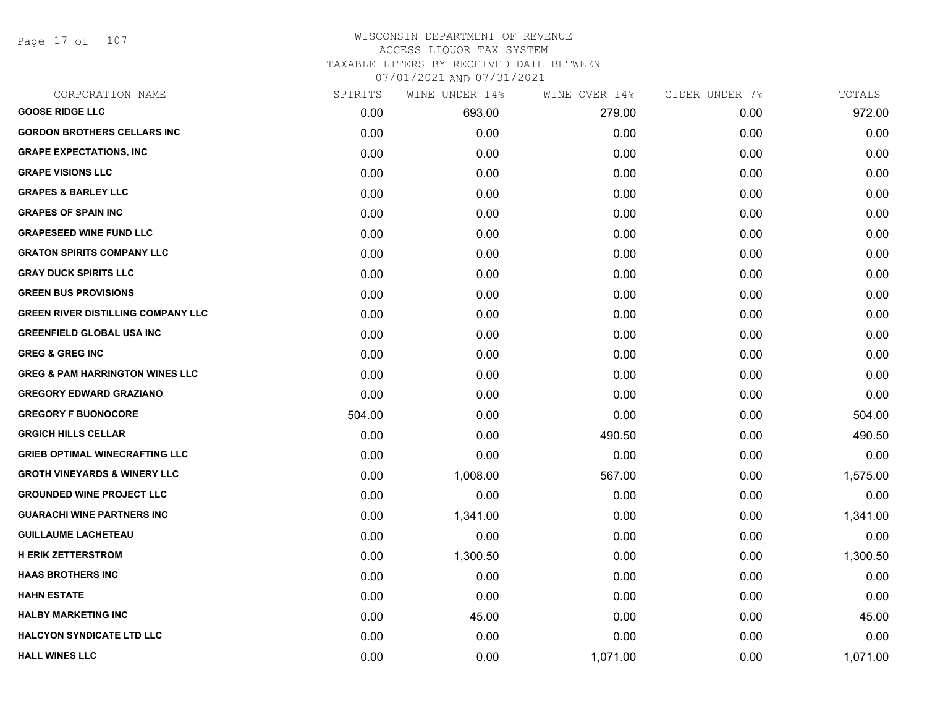Page 17 of 107

#### WISCONSIN DEPARTMENT OF REVENUE ACCESS LIQUOR TAX SYSTEM TAXABLE LITERS BY RECEIVED DATE BETWEEN

| CORPORATION NAME                           | SPIRITS | WINE UNDER 14% | WINE OVER 14% | CIDER UNDER 7% | TOTALS   |
|--------------------------------------------|---------|----------------|---------------|----------------|----------|
| <b>GOOSE RIDGE LLC</b>                     | 0.00    | 693.00         | 279.00        | 0.00           | 972.00   |
| <b>GORDON BROTHERS CELLARS INC</b>         | 0.00    | 0.00           | 0.00          | 0.00           | 0.00     |
| <b>GRAPE EXPECTATIONS, INC</b>             | 0.00    | 0.00           | 0.00          | 0.00           | 0.00     |
| <b>GRAPE VISIONS LLC</b>                   | 0.00    | 0.00           | 0.00          | 0.00           | 0.00     |
| <b>GRAPES &amp; BARLEY LLC</b>             | 0.00    | 0.00           | 0.00          | 0.00           | 0.00     |
| <b>GRAPES OF SPAIN INC</b>                 | 0.00    | 0.00           | 0.00          | 0.00           | 0.00     |
| <b>GRAPESEED WINE FUND LLC</b>             | 0.00    | 0.00           | 0.00          | 0.00           | 0.00     |
| <b>GRATON SPIRITS COMPANY LLC</b>          | 0.00    | 0.00           | 0.00          | 0.00           | 0.00     |
| <b>GRAY DUCK SPIRITS LLC</b>               | 0.00    | 0.00           | 0.00          | 0.00           | 0.00     |
| <b>GREEN BUS PROVISIONS</b>                | 0.00    | 0.00           | 0.00          | 0.00           | 0.00     |
| <b>GREEN RIVER DISTILLING COMPANY LLC</b>  | 0.00    | 0.00           | 0.00          | 0.00           | 0.00     |
| <b>GREENFIELD GLOBAL USA INC</b>           | 0.00    | 0.00           | 0.00          | 0.00           | 0.00     |
| <b>GREG &amp; GREG INC</b>                 | 0.00    | 0.00           | 0.00          | 0.00           | 0.00     |
| <b>GREG &amp; PAM HARRINGTON WINES LLC</b> | 0.00    | 0.00           | 0.00          | 0.00           | 0.00     |
| <b>GREGORY EDWARD GRAZIANO</b>             | 0.00    | 0.00           | 0.00          | 0.00           | 0.00     |
| <b>GREGORY F BUONOCORE</b>                 | 504.00  | 0.00           | 0.00          | 0.00           | 504.00   |
| <b>GRGICH HILLS CELLAR</b>                 | 0.00    | 0.00           | 490.50        | 0.00           | 490.50   |
| <b>GRIEB OPTIMAL WINECRAFTING LLC</b>      | 0.00    | 0.00           | 0.00          | 0.00           | 0.00     |
| <b>GROTH VINEYARDS &amp; WINERY LLC</b>    | 0.00    | 1,008.00       | 567.00        | 0.00           | 1,575.00 |
| <b>GROUNDED WINE PROJECT LLC</b>           | 0.00    | 0.00           | 0.00          | 0.00           | 0.00     |
| <b>GUARACHI WINE PARTNERS INC</b>          | 0.00    | 1,341.00       | 0.00          | 0.00           | 1,341.00 |
| <b>GUILLAUME LACHETEAU</b>                 | 0.00    | 0.00           | 0.00          | 0.00           | 0.00     |
| <b>H ERIK ZETTERSTROM</b>                  | 0.00    | 1,300.50       | 0.00          | 0.00           | 1,300.50 |
| <b>HAAS BROTHERS INC</b>                   | 0.00    | 0.00           | 0.00          | 0.00           | 0.00     |
| <b>HAHN ESTATE</b>                         | 0.00    | 0.00           | 0.00          | 0.00           | 0.00     |
| <b>HALBY MARKETING INC</b>                 | 0.00    | 45.00          | 0.00          | 0.00           | 45.00    |
| <b>HALCYON SYNDICATE LTD LLC</b>           | 0.00    | 0.00           | 0.00          | 0.00           | 0.00     |
| <b>HALL WINES LLC</b>                      | 0.00    | 0.00           | 1,071.00      | 0.00           | 1,071.00 |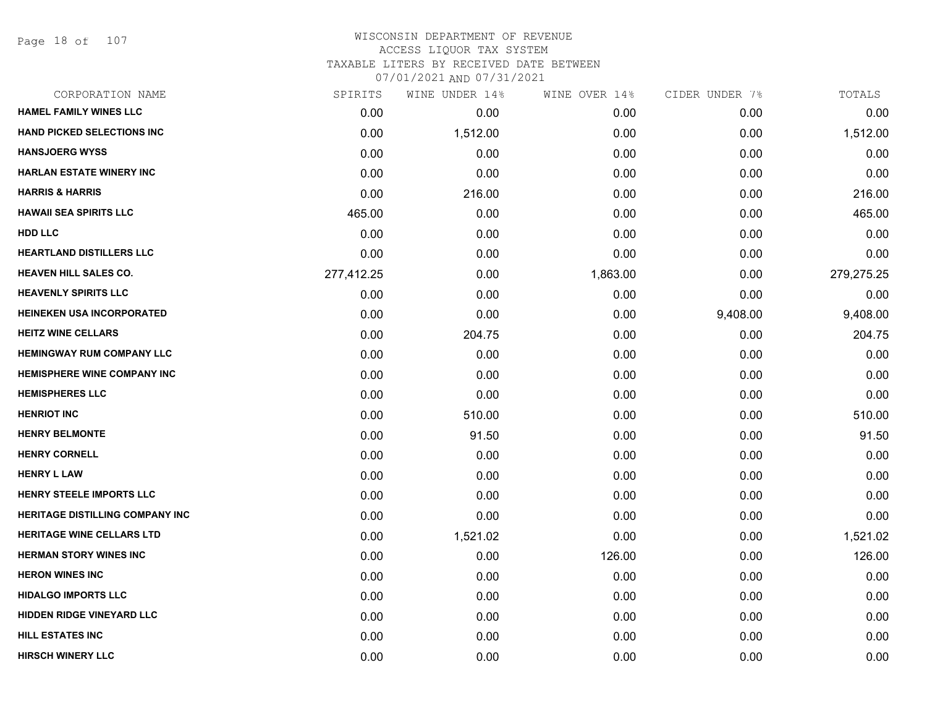Page 18 of 107

#### WISCONSIN DEPARTMENT OF REVENUE ACCESS LIQUOR TAX SYSTEM TAXABLE LITERS BY RECEIVED DATE BETWEEN

| CORPORATION NAME                       | SPIRITS    | WINE UNDER 14% | WINE OVER 14% | CIDER UNDER 7% | TOTALS     |
|----------------------------------------|------------|----------------|---------------|----------------|------------|
| <b>HAMEL FAMILY WINES LLC</b>          | 0.00       | 0.00           | 0.00          | 0.00           | 0.00       |
| HAND PICKED SELECTIONS INC             | 0.00       | 1,512.00       | 0.00          | 0.00           | 1,512.00   |
| <b>HANSJOERG WYSS</b>                  | 0.00       | 0.00           | 0.00          | 0.00           | 0.00       |
| <b>HARLAN ESTATE WINERY INC</b>        | 0.00       | 0.00           | 0.00          | 0.00           | 0.00       |
| <b>HARRIS &amp; HARRIS</b>             | 0.00       | 216.00         | 0.00          | 0.00           | 216.00     |
| <b>HAWAII SEA SPIRITS LLC</b>          | 465.00     | 0.00           | 0.00          | 0.00           | 465.00     |
| <b>HDD LLC</b>                         | 0.00       | 0.00           | 0.00          | 0.00           | 0.00       |
| <b>HEARTLAND DISTILLERS LLC</b>        | 0.00       | 0.00           | 0.00          | 0.00           | 0.00       |
| <b>HEAVEN HILL SALES CO.</b>           | 277,412.25 | 0.00           | 1,863.00      | 0.00           | 279,275.25 |
| <b>HEAVENLY SPIRITS LLC</b>            | 0.00       | 0.00           | 0.00          | 0.00           | 0.00       |
| HEINEKEN USA INCORPORATED              | 0.00       | 0.00           | 0.00          | 9,408.00       | 9,408.00   |
| <b>HEITZ WINE CELLARS</b>              | 0.00       | 204.75         | 0.00          | 0.00           | 204.75     |
| <b>HEMINGWAY RUM COMPANY LLC</b>       | 0.00       | 0.00           | 0.00          | 0.00           | 0.00       |
| HEMISPHERE WINE COMPANY INC            | 0.00       | 0.00           | 0.00          | 0.00           | 0.00       |
| <b>HEMISPHERES LLC</b>                 | 0.00       | 0.00           | 0.00          | 0.00           | 0.00       |
| <b>HENRIOT INC</b>                     | 0.00       | 510.00         | 0.00          | 0.00           | 510.00     |
| <b>HENRY BELMONTE</b>                  | 0.00       | 91.50          | 0.00          | 0.00           | 91.50      |
| <b>HENRY CORNELL</b>                   | 0.00       | 0.00           | 0.00          | 0.00           | 0.00       |
| <b>HENRY L LAW</b>                     | 0.00       | 0.00           | 0.00          | 0.00           | 0.00       |
| HENRY STEELE IMPORTS LLC               | 0.00       | 0.00           | 0.00          | 0.00           | 0.00       |
| <b>HERITAGE DISTILLING COMPANY INC</b> | 0.00       | 0.00           | 0.00          | 0.00           | 0.00       |
| <b>HERITAGE WINE CELLARS LTD</b>       | 0.00       | 1,521.02       | 0.00          | 0.00           | 1,521.02   |
| <b>HERMAN STORY WINES INC</b>          | 0.00       | 0.00           | 126.00        | 0.00           | 126.00     |
| <b>HERON WINES INC</b>                 | 0.00       | 0.00           | 0.00          | 0.00           | 0.00       |
| <b>HIDALGO IMPORTS LLC</b>             | 0.00       | 0.00           | 0.00          | 0.00           | 0.00       |
| <b>HIDDEN RIDGE VINEYARD LLC</b>       | 0.00       | 0.00           | 0.00          | 0.00           | 0.00       |
| <b>HILL ESTATES INC</b>                | 0.00       | 0.00           | 0.00          | 0.00           | 0.00       |
| <b>HIRSCH WINERY LLC</b>               | 0.00       | 0.00           | 0.00          | 0.00           | 0.00       |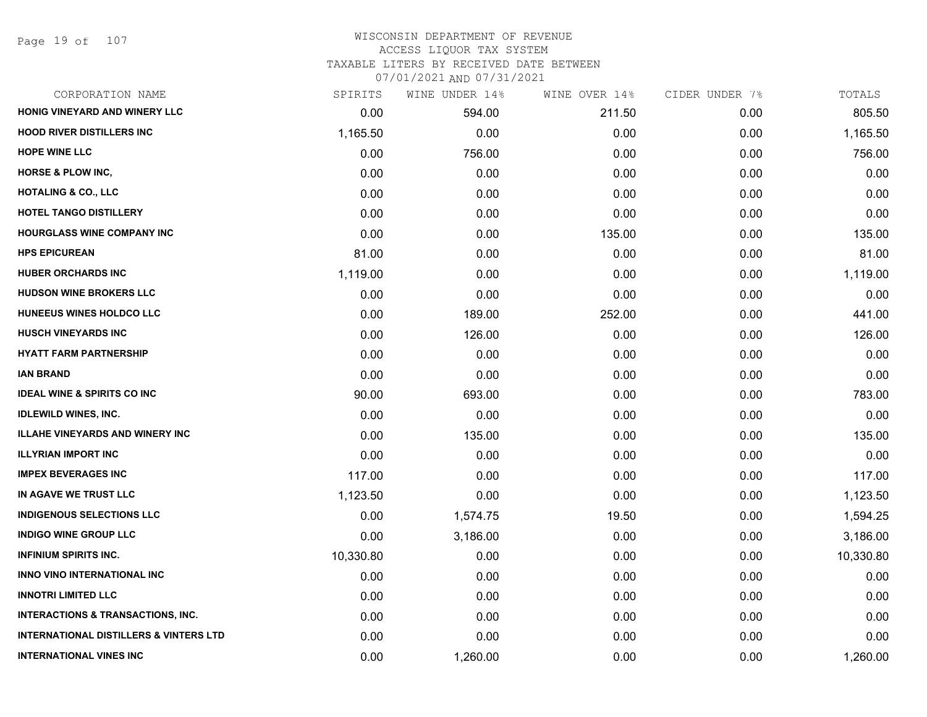Page 19 of 107

#### WISCONSIN DEPARTMENT OF REVENUE ACCESS LIQUOR TAX SYSTEM TAXABLE LITERS BY RECEIVED DATE BETWEEN

| CORPORATION NAME                                  | SPIRITS   | WINE UNDER 14% | WINE OVER 14% | CIDER UNDER 7% | TOTALS    |
|---------------------------------------------------|-----------|----------------|---------------|----------------|-----------|
| HONIG VINEYARD AND WINERY LLC                     | 0.00      | 594.00         | 211.50        | 0.00           | 805.50    |
| <b>HOOD RIVER DISTILLERS INC</b>                  | 1,165.50  | 0.00           | 0.00          | 0.00           | 1,165.50  |
| <b>HOPE WINE LLC</b>                              | 0.00      | 756.00         | 0.00          | 0.00           | 756.00    |
| <b>HORSE &amp; PLOW INC,</b>                      | 0.00      | 0.00           | 0.00          | 0.00           | 0.00      |
| <b>HOTALING &amp; CO., LLC</b>                    | 0.00      | 0.00           | 0.00          | 0.00           | 0.00      |
| HOTEL TANGO DISTILLERY                            | 0.00      | 0.00           | 0.00          | 0.00           | 0.00      |
| <b>HOURGLASS WINE COMPANY INC</b>                 | 0.00      | 0.00           | 135.00        | 0.00           | 135.00    |
| <b>HPS EPICUREAN</b>                              | 81.00     | 0.00           | 0.00          | 0.00           | 81.00     |
| <b>HUBER ORCHARDS INC</b>                         | 1,119.00  | 0.00           | 0.00          | 0.00           | 1,119.00  |
| <b>HUDSON WINE BROKERS LLC</b>                    | 0.00      | 0.00           | 0.00          | 0.00           | 0.00      |
| HUNEEUS WINES HOLDCO LLC                          | 0.00      | 189.00         | 252.00        | 0.00           | 441.00    |
| <b>HUSCH VINEYARDS INC</b>                        | 0.00      | 126.00         | 0.00          | 0.00           | 126.00    |
| <b>HYATT FARM PARTNERSHIP</b>                     | 0.00      | 0.00           | 0.00          | 0.00           | 0.00      |
| <b>IAN BRAND</b>                                  | 0.00      | 0.00           | 0.00          | 0.00           | 0.00      |
| <b>IDEAL WINE &amp; SPIRITS CO INC</b>            | 90.00     | 693.00         | 0.00          | 0.00           | 783.00    |
| <b>IDLEWILD WINES, INC.</b>                       | 0.00      | 0.00           | 0.00          | 0.00           | 0.00      |
| <b>ILLAHE VINEYARDS AND WINERY INC</b>            | 0.00      | 135.00         | 0.00          | 0.00           | 135.00    |
| <b>ILLYRIAN IMPORT INC</b>                        | 0.00      | 0.00           | 0.00          | 0.00           | 0.00      |
| <b>IMPEX BEVERAGES INC</b>                        | 117.00    | 0.00           | 0.00          | 0.00           | 117.00    |
| IN AGAVE WE TRUST LLC                             | 1,123.50  | 0.00           | 0.00          | 0.00           | 1,123.50  |
| <b>INDIGENOUS SELECTIONS LLC</b>                  | 0.00      | 1,574.75       | 19.50         | 0.00           | 1,594.25  |
| <b>INDIGO WINE GROUP LLC</b>                      | 0.00      | 3,186.00       | 0.00          | 0.00           | 3,186.00  |
| <b>INFINIUM SPIRITS INC.</b>                      | 10,330.80 | 0.00           | 0.00          | 0.00           | 10,330.80 |
| INNO VINO INTERNATIONAL INC                       | 0.00      | 0.00           | 0.00          | 0.00           | 0.00      |
| <b>INNOTRI LIMITED LLC</b>                        | 0.00      | 0.00           | 0.00          | 0.00           | 0.00      |
| <b>INTERACTIONS &amp; TRANSACTIONS, INC.</b>      | 0.00      | 0.00           | 0.00          | 0.00           | 0.00      |
| <b>INTERNATIONAL DISTILLERS &amp; VINTERS LTD</b> | 0.00      | 0.00           | 0.00          | 0.00           | 0.00      |
| <b>INTERNATIONAL VINES INC</b>                    | 0.00      | 1,260.00       | 0.00          | 0.00           | 1,260.00  |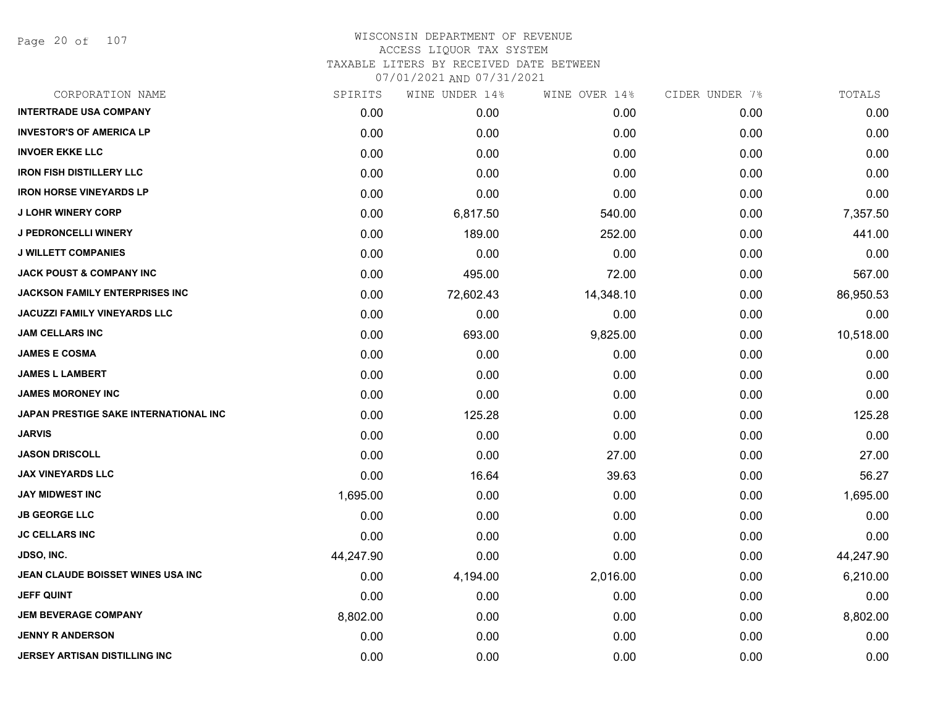Page 20 of 107

| CORPORATION NAME                       | SPIRITS   | WINE UNDER 14% | WINE OVER 14% | CIDER UNDER 7% | TOTALS    |
|----------------------------------------|-----------|----------------|---------------|----------------|-----------|
| <b>INTERTRADE USA COMPANY</b>          | 0.00      | 0.00           | 0.00          | 0.00           | 0.00      |
| <b>INVESTOR'S OF AMERICA LP</b>        | 0.00      | 0.00           | 0.00          | 0.00           | 0.00      |
| <b>INVOER EKKE LLC</b>                 | 0.00      | 0.00           | 0.00          | 0.00           | 0.00      |
| <b>IRON FISH DISTILLERY LLC</b>        | 0.00      | 0.00           | 0.00          | 0.00           | 0.00      |
| <b>IRON HORSE VINEYARDS LP</b>         | 0.00      | 0.00           | 0.00          | 0.00           | 0.00      |
| <b>J LOHR WINERY CORP</b>              | 0.00      | 6,817.50       | 540.00        | 0.00           | 7,357.50  |
| <b>J PEDRONCELLI WINERY</b>            | 0.00      | 189.00         | 252.00        | 0.00           | 441.00    |
| <b>J WILLETT COMPANIES</b>             | 0.00      | 0.00           | 0.00          | 0.00           | 0.00      |
| <b>JACK POUST &amp; COMPANY INC</b>    | 0.00      | 495.00         | 72.00         | 0.00           | 567.00    |
| <b>JACKSON FAMILY ENTERPRISES INC.</b> | 0.00      | 72,602.43      | 14,348.10     | 0.00           | 86,950.53 |
| <b>JACUZZI FAMILY VINEYARDS LLC</b>    | 0.00      | 0.00           | 0.00          | 0.00           | 0.00      |
| <b>JAM CELLARS INC</b>                 | 0.00      | 693.00         | 9,825.00      | 0.00           | 10,518.00 |
| <b>JAMES E COSMA</b>                   | 0.00      | 0.00           | 0.00          | 0.00           | 0.00      |
| <b>JAMES L LAMBERT</b>                 | 0.00      | 0.00           | 0.00          | 0.00           | 0.00      |
| <b>JAMES MORONEY INC</b>               | 0.00      | 0.00           | 0.00          | 0.00           | 0.00      |
| JAPAN PRESTIGE SAKE INTERNATIONAL INC  | 0.00      | 125.28         | 0.00          | 0.00           | 125.28    |
| <b>JARVIS</b>                          | 0.00      | 0.00           | 0.00          | 0.00           | 0.00      |
| <b>JASON DRISCOLL</b>                  | 0.00      | 0.00           | 27.00         | 0.00           | 27.00     |
| <b>JAX VINEYARDS LLC</b>               | 0.00      | 16.64          | 39.63         | 0.00           | 56.27     |
| <b>JAY MIDWEST INC</b>                 | 1,695.00  | 0.00           | 0.00          | 0.00           | 1,695.00  |
| <b>JB GEORGE LLC</b>                   | 0.00      | 0.00           | 0.00          | 0.00           | 0.00      |
| <b>JC CELLARS INC</b>                  | 0.00      | 0.00           | 0.00          | 0.00           | 0.00      |
| <b>JDSO, INC.</b>                      | 44,247.90 | 0.00           | 0.00          | 0.00           | 44,247.90 |
| JEAN CLAUDE BOISSET WINES USA INC      | 0.00      | 4,194.00       | 2,016.00      | 0.00           | 6,210.00  |
| <b>JEFF QUINT</b>                      | 0.00      | 0.00           | 0.00          | 0.00           | 0.00      |
| <b>JEM BEVERAGE COMPANY</b>            | 8,802.00  | 0.00           | 0.00          | 0.00           | 8,802.00  |
| <b>JENNY R ANDERSON</b>                | 0.00      | 0.00           | 0.00          | 0.00           | 0.00      |
| <b>JERSEY ARTISAN DISTILLING INC</b>   | 0.00      | 0.00           | 0.00          | 0.00           | 0.00      |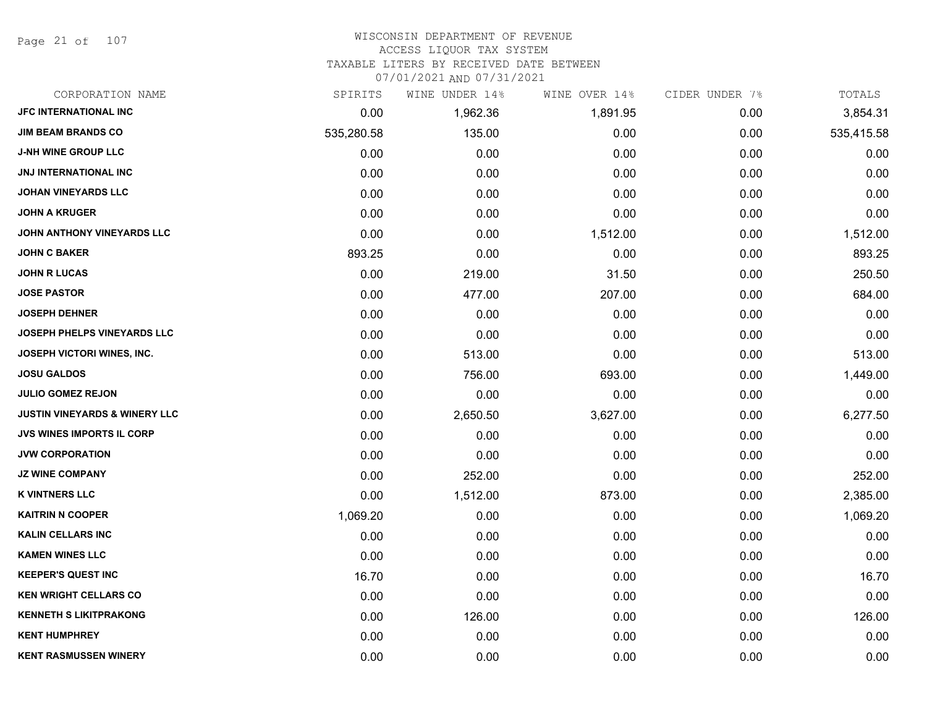Page 21 of 107

#### WISCONSIN DEPARTMENT OF REVENUE

#### ACCESS LIQUOR TAX SYSTEM

TAXABLE LITERS BY RECEIVED DATE BETWEEN

| CORPORATION NAME                         | SPIRITS    | WINE UNDER 14% | WINE OVER 14% | CIDER UNDER 7% | TOTALS     |
|------------------------------------------|------------|----------------|---------------|----------------|------------|
| JFC INTERNATIONAL INC                    | 0.00       | 1,962.36       | 1,891.95      | 0.00           | 3,854.31   |
| <b>JIM BEAM BRANDS CO</b>                | 535,280.58 | 135.00         | 0.00          | 0.00           | 535,415.58 |
| J-NH WINE GROUP LLC                      | 0.00       | 0.00           | 0.00          | 0.00           | 0.00       |
| <b>JNJ INTERNATIONAL INC</b>             | 0.00       | 0.00           | 0.00          | 0.00           | 0.00       |
| <b>JOHAN VINEYARDS LLC</b>               | 0.00       | 0.00           | 0.00          | 0.00           | 0.00       |
| <b>JOHN A KRUGER</b>                     | 0.00       | 0.00           | 0.00          | 0.00           | 0.00       |
| JOHN ANTHONY VINEYARDS LLC               | 0.00       | 0.00           | 1,512.00      | 0.00           | 1,512.00   |
| <b>JOHN C BAKER</b>                      | 893.25     | 0.00           | 0.00          | 0.00           | 893.25     |
| <b>JOHN R LUCAS</b>                      | 0.00       | 219.00         | 31.50         | 0.00           | 250.50     |
| <b>JOSE PASTOR</b>                       | 0.00       | 477.00         | 207.00        | 0.00           | 684.00     |
| <b>JOSEPH DEHNER</b>                     | 0.00       | 0.00           | 0.00          | 0.00           | 0.00       |
| JOSEPH PHELPS VINEYARDS LLC              | 0.00       | 0.00           | 0.00          | 0.00           | 0.00       |
| JOSEPH VICTORI WINES, INC.               | 0.00       | 513.00         | 0.00          | 0.00           | 513.00     |
| <b>JOSU GALDOS</b>                       | 0.00       | 756.00         | 693.00        | 0.00           | 1,449.00   |
| <b>JULIO GOMEZ REJON</b>                 | 0.00       | 0.00           | 0.00          | 0.00           | 0.00       |
| <b>JUSTIN VINEYARDS &amp; WINERY LLC</b> | 0.00       | 2,650.50       | 3,627.00      | 0.00           | 6,277.50   |
| <b>JVS WINES IMPORTS IL CORP</b>         | 0.00       | 0.00           | 0.00          | 0.00           | 0.00       |
| <b>JVW CORPORATION</b>                   | 0.00       | 0.00           | 0.00          | 0.00           | 0.00       |
| <b>JZ WINE COMPANY</b>                   | 0.00       | 252.00         | 0.00          | 0.00           | 252.00     |
| <b>K VINTNERS LLC</b>                    | 0.00       | 1,512.00       | 873.00        | 0.00           | 2,385.00   |
| <b>KAITRIN N COOPER</b>                  | 1,069.20   | 0.00           | 0.00          | 0.00           | 1,069.20   |
| <b>KALIN CELLARS INC</b>                 | 0.00       | 0.00           | 0.00          | 0.00           | 0.00       |
| <b>KAMEN WINES LLC</b>                   | 0.00       | 0.00           | 0.00          | 0.00           | 0.00       |
| <b>KEEPER'S QUEST INC</b>                | 16.70      | 0.00           | 0.00          | 0.00           | 16.70      |
| <b>KEN WRIGHT CELLARS CO</b>             | 0.00       | 0.00           | 0.00          | 0.00           | 0.00       |
| <b>KENNETH S LIKITPRAKONG</b>            | 0.00       | 126.00         | 0.00          | 0.00           | 126.00     |
| <b>KENT HUMPHREY</b>                     | 0.00       | 0.00           | 0.00          | 0.00           | 0.00       |
| <b>KENT RASMUSSEN WINERY</b>             | 0.00       | 0.00           | 0.00          | 0.00           | 0.00       |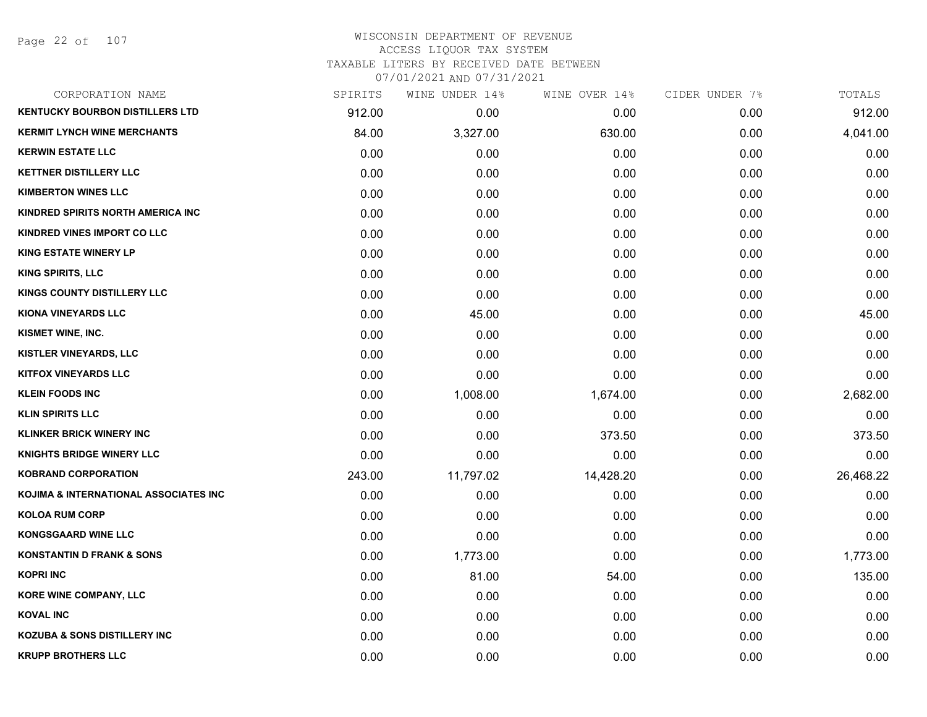Page 22 of 107

# WISCONSIN DEPARTMENT OF REVENUE ACCESS LIQUOR TAX SYSTEM TAXABLE LITERS BY RECEIVED DATE BETWEEN

| CORPORATION NAME                        | SPIRITS | WINE UNDER 14% | WINE OVER 14% | CIDER UNDER 7% | TOTALS    |
|-----------------------------------------|---------|----------------|---------------|----------------|-----------|
| <b>KENTUCKY BOURBON DISTILLERS LTD</b>  | 912.00  | 0.00           | 0.00          | 0.00           | 912.00    |
| <b>KERMIT LYNCH WINE MERCHANTS</b>      | 84.00   | 3,327.00       | 630.00        | 0.00           | 4,041.00  |
| <b>KERWIN ESTATE LLC</b>                | 0.00    | 0.00           | 0.00          | 0.00           | 0.00      |
| <b>KETTNER DISTILLERY LLC</b>           | 0.00    | 0.00           | 0.00          | 0.00           | 0.00      |
| <b>KIMBERTON WINES LLC</b>              | 0.00    | 0.00           | 0.00          | 0.00           | 0.00      |
| KINDRED SPIRITS NORTH AMERICA INC       | 0.00    | 0.00           | 0.00          | 0.00           | 0.00      |
| KINDRED VINES IMPORT CO LLC             | 0.00    | 0.00           | 0.00          | 0.00           | 0.00      |
| <b>KING ESTATE WINERY LP</b>            | 0.00    | 0.00           | 0.00          | 0.00           | 0.00      |
| <b>KING SPIRITS, LLC</b>                | 0.00    | 0.00           | 0.00          | 0.00           | 0.00      |
| <b>KINGS COUNTY DISTILLERY LLC</b>      | 0.00    | 0.00           | 0.00          | 0.00           | 0.00      |
| <b>KIONA VINEYARDS LLC</b>              | 0.00    | 45.00          | 0.00          | 0.00           | 45.00     |
| KISMET WINE, INC.                       | 0.00    | 0.00           | 0.00          | 0.00           | 0.00      |
| KISTLER VINEYARDS, LLC                  | 0.00    | 0.00           | 0.00          | 0.00           | 0.00      |
| <b>KITFOX VINEYARDS LLC</b>             | 0.00    | 0.00           | 0.00          | 0.00           | 0.00      |
| <b>KLEIN FOODS INC</b>                  | 0.00    | 1,008.00       | 1,674.00      | 0.00           | 2,682.00  |
| <b>KLIN SPIRITS LLC</b>                 | 0.00    | 0.00           | 0.00          | 0.00           | 0.00      |
| <b>KLINKER BRICK WINERY INC</b>         | 0.00    | 0.00           | 373.50        | 0.00           | 373.50    |
| <b>KNIGHTS BRIDGE WINERY LLC</b>        | 0.00    | 0.00           | 0.00          | 0.00           | 0.00      |
| <b>KOBRAND CORPORATION</b>              | 243.00  | 11,797.02      | 14,428.20     | 0.00           | 26,468.22 |
| KOJIMA & INTERNATIONAL ASSOCIATES INC   | 0.00    | 0.00           | 0.00          | 0.00           | 0.00      |
| <b>KOLOA RUM CORP</b>                   | 0.00    | 0.00           | 0.00          | 0.00           | 0.00      |
| <b>KONGSGAARD WINE LLC</b>              | 0.00    | 0.00           | 0.00          | 0.00           | 0.00      |
| <b>KONSTANTIN D FRANK &amp; SONS</b>    | 0.00    | 1,773.00       | 0.00          | 0.00           | 1,773.00  |
| <b>KOPRI INC</b>                        | 0.00    | 81.00          | 54.00         | 0.00           | 135.00    |
| <b>KORE WINE COMPANY, LLC</b>           | 0.00    | 0.00           | 0.00          | 0.00           | 0.00      |
| <b>KOVAL INC</b>                        | 0.00    | 0.00           | 0.00          | 0.00           | 0.00      |
| <b>KOZUBA &amp; SONS DISTILLERY INC</b> | 0.00    | 0.00           | 0.00          | 0.00           | 0.00      |
| <b>KRUPP BROTHERS LLC</b>               | 0.00    | 0.00           | 0.00          | 0.00           | 0.00      |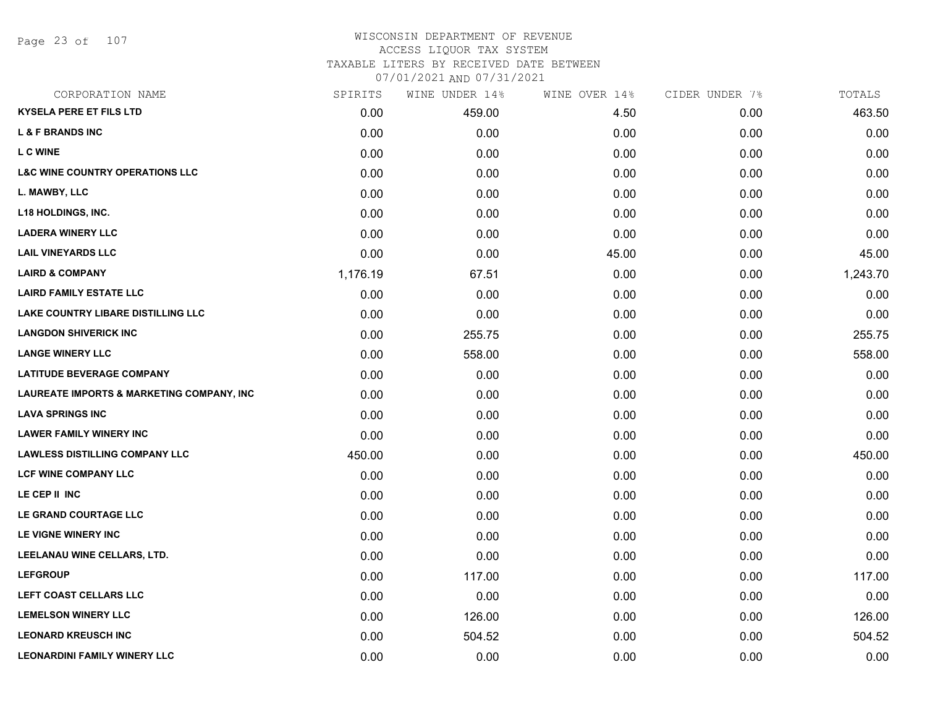Page 23 of 107

## WISCONSIN DEPARTMENT OF REVENUE ACCESS LIQUOR TAX SYSTEM

TAXABLE LITERS BY RECEIVED DATE BETWEEN

| CORPORATION NAME                                     | SPIRITS  | WINE UNDER 14% | WINE OVER 14% | CIDER UNDER 7% | TOTALS   |
|------------------------------------------------------|----------|----------------|---------------|----------------|----------|
| <b>KYSELA PERE ET FILS LTD</b>                       | 0.00     | 459.00         | 4.50          | 0.00           | 463.50   |
| <b>L &amp; F BRANDS INC</b>                          | 0.00     | 0.00           | 0.00          | 0.00           | 0.00     |
| <b>LC WINE</b>                                       | 0.00     | 0.00           | 0.00          | 0.00           | 0.00     |
| <b>L&amp;C WINE COUNTRY OPERATIONS LLC</b>           | 0.00     | 0.00           | 0.00          | 0.00           | 0.00     |
| L. MAWBY, LLC                                        | 0.00     | 0.00           | 0.00          | 0.00           | 0.00     |
| <b>L18 HOLDINGS, INC.</b>                            | 0.00     | 0.00           | 0.00          | 0.00           | 0.00     |
| <b>LADERA WINERY LLC</b>                             | 0.00     | 0.00           | 0.00          | 0.00           | 0.00     |
| <b>LAIL VINEYARDS LLC</b>                            | 0.00     | 0.00           | 45.00         | 0.00           | 45.00    |
| <b>LAIRD &amp; COMPANY</b>                           | 1,176.19 | 67.51          | 0.00          | 0.00           | 1,243.70 |
| <b>LAIRD FAMILY ESTATE LLC</b>                       | 0.00     | 0.00           | 0.00          | 0.00           | 0.00     |
| LAKE COUNTRY LIBARE DISTILLING LLC                   | 0.00     | 0.00           | 0.00          | 0.00           | 0.00     |
| <b>LANGDON SHIVERICK INC</b>                         | 0.00     | 255.75         | 0.00          | 0.00           | 255.75   |
| <b>LANGE WINERY LLC</b>                              | 0.00     | 558.00         | 0.00          | 0.00           | 558.00   |
| <b>LATITUDE BEVERAGE COMPANY</b>                     | 0.00     | 0.00           | 0.00          | 0.00           | 0.00     |
| <b>LAUREATE IMPORTS &amp; MARKETING COMPANY, INC</b> | 0.00     | 0.00           | 0.00          | 0.00           | 0.00     |
| <b>LAVA SPRINGS INC</b>                              | 0.00     | 0.00           | 0.00          | 0.00           | 0.00     |
| <b>LAWER FAMILY WINERY INC</b>                       | 0.00     | 0.00           | 0.00          | 0.00           | 0.00     |
| <b>LAWLESS DISTILLING COMPANY LLC</b>                | 450.00   | 0.00           | 0.00          | 0.00           | 450.00   |
| LCF WINE COMPANY LLC                                 | 0.00     | 0.00           | 0.00          | 0.00           | 0.00     |
| LE CEP II INC                                        | 0.00     | 0.00           | 0.00          | 0.00           | 0.00     |
| LE GRAND COURTAGE LLC                                | 0.00     | 0.00           | 0.00          | 0.00           | 0.00     |
| LE VIGNE WINERY INC                                  | 0.00     | 0.00           | 0.00          | 0.00           | 0.00     |
| LEELANAU WINE CELLARS, LTD.                          | 0.00     | 0.00           | 0.00          | 0.00           | 0.00     |
| <b>LEFGROUP</b>                                      | 0.00     | 117.00         | 0.00          | 0.00           | 117.00   |
| LEFT COAST CELLARS LLC                               | 0.00     | 0.00           | 0.00          | 0.00           | 0.00     |
| <b>LEMELSON WINERY LLC</b>                           | 0.00     | 126.00         | 0.00          | 0.00           | 126.00   |
| <b>LEONARD KREUSCH INC</b>                           | 0.00     | 504.52         | 0.00          | 0.00           | 504.52   |
| <b>LEONARDINI FAMILY WINERY LLC</b>                  | 0.00     | 0.00           | 0.00          | 0.00           | 0.00     |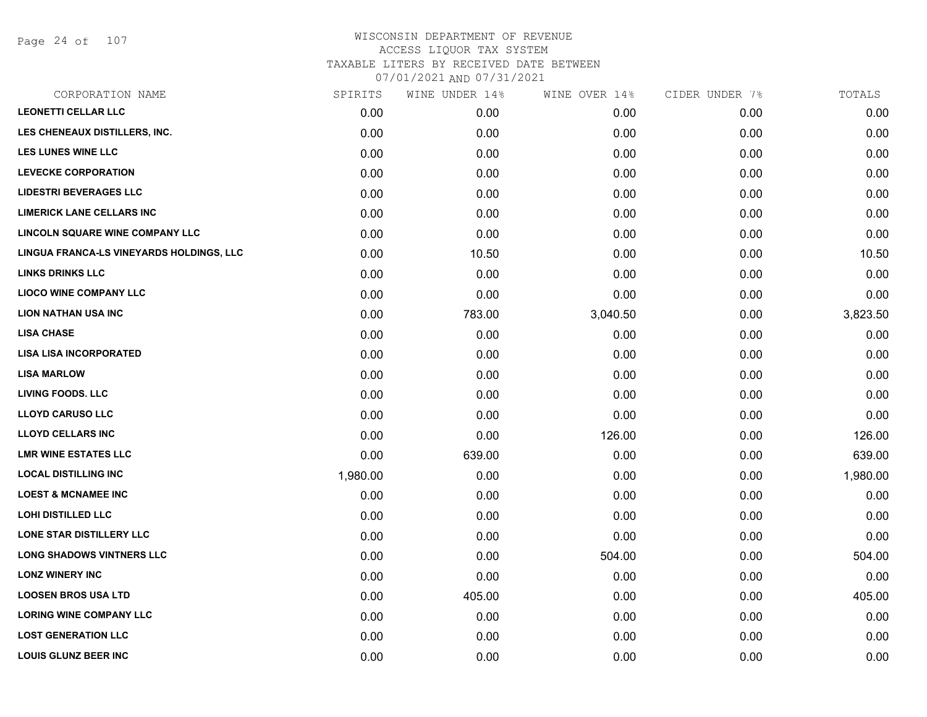Page 24 of 107

# WISCONSIN DEPARTMENT OF REVENUE ACCESS LIQUOR TAX SYSTEM TAXABLE LITERS BY RECEIVED DATE BETWEEN

| CORPORATION NAME                         | SPIRITS  | WINE UNDER 14% | WINE OVER 14% | CIDER UNDER 7% | TOTALS   |
|------------------------------------------|----------|----------------|---------------|----------------|----------|
| <b>LEONETTI CELLAR LLC</b>               | 0.00     | 0.00           | 0.00          | 0.00           | 0.00     |
| LES CHENEAUX DISTILLERS, INC.            | 0.00     | 0.00           | 0.00          | 0.00           | 0.00     |
| <b>LES LUNES WINE LLC</b>                | 0.00     | 0.00           | 0.00          | 0.00           | 0.00     |
| <b>LEVECKE CORPORATION</b>               | 0.00     | 0.00           | 0.00          | 0.00           | 0.00     |
| <b>LIDESTRI BEVERAGES LLC</b>            | 0.00     | 0.00           | 0.00          | 0.00           | 0.00     |
| <b>LIMERICK LANE CELLARS INC</b>         | 0.00     | 0.00           | 0.00          | 0.00           | 0.00     |
| <b>LINCOLN SQUARE WINE COMPANY LLC</b>   | 0.00     | 0.00           | 0.00          | 0.00           | 0.00     |
| LINGUA FRANCA-LS VINEYARDS HOLDINGS, LLC | 0.00     | 10.50          | 0.00          | 0.00           | 10.50    |
| <b>LINKS DRINKS LLC</b>                  | 0.00     | 0.00           | 0.00          | 0.00           | 0.00     |
| <b>LIOCO WINE COMPANY LLC</b>            | 0.00     | 0.00           | 0.00          | 0.00           | 0.00     |
| <b>LION NATHAN USA INC</b>               | 0.00     | 783.00         | 3,040.50      | 0.00           | 3,823.50 |
| <b>LISA CHASE</b>                        | 0.00     | 0.00           | 0.00          | 0.00           | 0.00     |
| <b>LISA LISA INCORPORATED</b>            | 0.00     | 0.00           | 0.00          | 0.00           | 0.00     |
| <b>LISA MARLOW</b>                       | 0.00     | 0.00           | 0.00          | 0.00           | 0.00     |
| <b>LIVING FOODS. LLC</b>                 | 0.00     | 0.00           | 0.00          | 0.00           | 0.00     |
| <b>LLOYD CARUSO LLC</b>                  | 0.00     | 0.00           | 0.00          | 0.00           | 0.00     |
| <b>LLOYD CELLARS INC</b>                 | 0.00     | 0.00           | 126.00        | 0.00           | 126.00   |
| <b>LMR WINE ESTATES LLC</b>              | 0.00     | 639.00         | 0.00          | 0.00           | 639.00   |
| <b>LOCAL DISTILLING INC</b>              | 1,980.00 | 0.00           | 0.00          | 0.00           | 1,980.00 |
| <b>LOEST &amp; MCNAMEE INC</b>           | 0.00     | 0.00           | 0.00          | 0.00           | 0.00     |
| <b>LOHI DISTILLED LLC</b>                | 0.00     | 0.00           | 0.00          | 0.00           | 0.00     |
| <b>LONE STAR DISTILLERY LLC</b>          | 0.00     | 0.00           | 0.00          | 0.00           | 0.00     |
| <b>LONG SHADOWS VINTNERS LLC</b>         | 0.00     | 0.00           | 504.00        | 0.00           | 504.00   |
| <b>LONZ WINERY INC</b>                   | 0.00     | 0.00           | 0.00          | 0.00           | 0.00     |
| <b>LOOSEN BROS USA LTD</b>               | 0.00     | 405.00         | 0.00          | 0.00           | 405.00   |
| <b>LORING WINE COMPANY LLC</b>           | 0.00     | 0.00           | 0.00          | 0.00           | 0.00     |
| <b>LOST GENERATION LLC</b>               | 0.00     | 0.00           | 0.00          | 0.00           | 0.00     |
| <b>LOUIS GLUNZ BEER INC</b>              | 0.00     | 0.00           | 0.00          | 0.00           | 0.00     |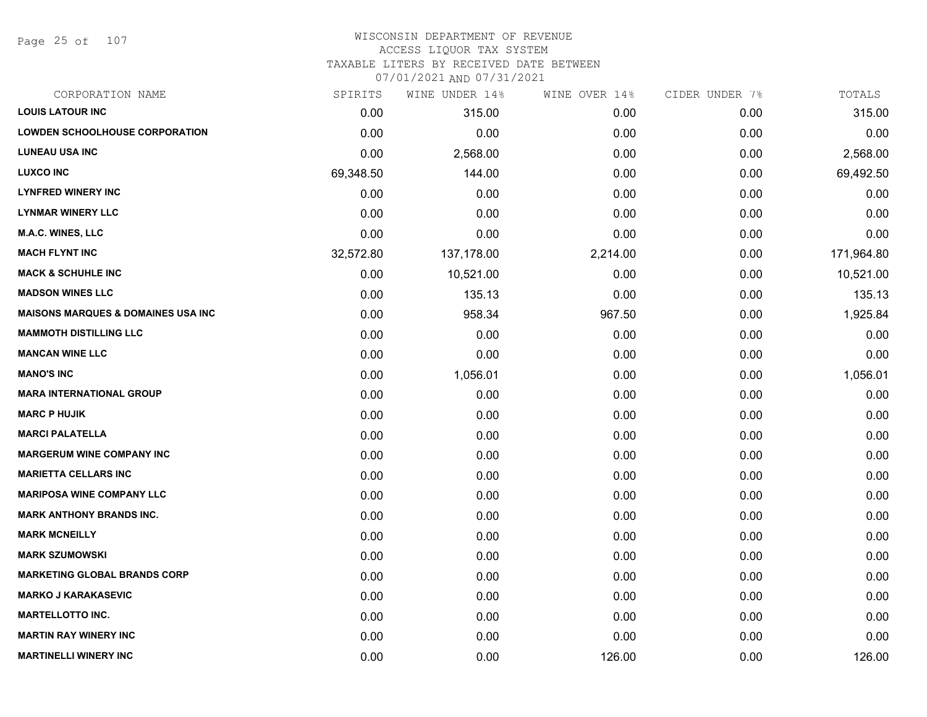Page 25 of 107

#### WISCONSIN DEPARTMENT OF REVENUE ACCESS LIQUOR TAX SYSTEM

TAXABLE LITERS BY RECEIVED DATE BETWEEN

| CORPORATION NAME                               | SPIRITS   | WINE UNDER 14% | WINE OVER 14% | CIDER UNDER 7% | TOTALS     |
|------------------------------------------------|-----------|----------------|---------------|----------------|------------|
| <b>LOUIS LATOUR INC</b>                        | 0.00      | 315.00         | 0.00          | 0.00           | 315.00     |
| <b>LOWDEN SCHOOLHOUSE CORPORATION</b>          | 0.00      | 0.00           | 0.00          | 0.00           | 0.00       |
| <b>LUNEAU USA INC</b>                          | 0.00      | 2,568.00       | 0.00          | 0.00           | 2,568.00   |
| <b>LUXCO INC</b>                               | 69,348.50 | 144.00         | 0.00          | 0.00           | 69,492.50  |
| <b>LYNFRED WINERY INC</b>                      | 0.00      | 0.00           | 0.00          | 0.00           | 0.00       |
| <b>LYNMAR WINERY LLC</b>                       | 0.00      | 0.00           | 0.00          | 0.00           | 0.00       |
| M.A.C. WINES, LLC                              | 0.00      | 0.00           | 0.00          | 0.00           | 0.00       |
| <b>MACH FLYNT INC</b>                          | 32,572.80 | 137,178.00     | 2,214.00      | 0.00           | 171,964.80 |
| <b>MACK &amp; SCHUHLE INC</b>                  | 0.00      | 10,521.00      | 0.00          | 0.00           | 10,521.00  |
| <b>MADSON WINES LLC</b>                        | 0.00      | 135.13         | 0.00          | 0.00           | 135.13     |
| <b>MAISONS MARQUES &amp; DOMAINES USA INC.</b> | 0.00      | 958.34         | 967.50        | 0.00           | 1,925.84   |
| <b>MAMMOTH DISTILLING LLC</b>                  | 0.00      | 0.00           | 0.00          | 0.00           | 0.00       |
| <b>MANCAN WINE LLC</b>                         | 0.00      | 0.00           | 0.00          | 0.00           | 0.00       |
| <b>MANO'S INC</b>                              | 0.00      | 1,056.01       | 0.00          | 0.00           | 1,056.01   |
| <b>MARA INTERNATIONAL GROUP</b>                | 0.00      | 0.00           | 0.00          | 0.00           | 0.00       |
| <b>MARC P HUJIK</b>                            | 0.00      | 0.00           | 0.00          | 0.00           | 0.00       |
| <b>MARCI PALATELLA</b>                         | 0.00      | 0.00           | 0.00          | 0.00           | 0.00       |
| <b>MARGERUM WINE COMPANY INC</b>               | 0.00      | 0.00           | 0.00          | 0.00           | 0.00       |
| <b>MARIETTA CELLARS INC</b>                    | 0.00      | 0.00           | 0.00          | 0.00           | 0.00       |
| <b>MARIPOSA WINE COMPANY LLC</b>               | 0.00      | 0.00           | 0.00          | 0.00           | 0.00       |
| <b>MARK ANTHONY BRANDS INC.</b>                | 0.00      | 0.00           | 0.00          | 0.00           | 0.00       |
| <b>MARK MCNEILLY</b>                           | 0.00      | 0.00           | 0.00          | 0.00           | 0.00       |
| <b>MARK SZUMOWSKI</b>                          | 0.00      | 0.00           | 0.00          | 0.00           | 0.00       |
| <b>MARKETING GLOBAL BRANDS CORP</b>            | 0.00      | 0.00           | 0.00          | 0.00           | 0.00       |
| <b>MARKO J KARAKASEVIC</b>                     | 0.00      | 0.00           | 0.00          | 0.00           | 0.00       |
| <b>MARTELLOTTO INC.</b>                        | 0.00      | 0.00           | 0.00          | 0.00           | 0.00       |
| <b>MARTIN RAY WINERY INC</b>                   | 0.00      | 0.00           | 0.00          | 0.00           | 0.00       |
| <b>MARTINELLI WINERY INC</b>                   | 0.00      | 0.00           | 126.00        | 0.00           | 126.00     |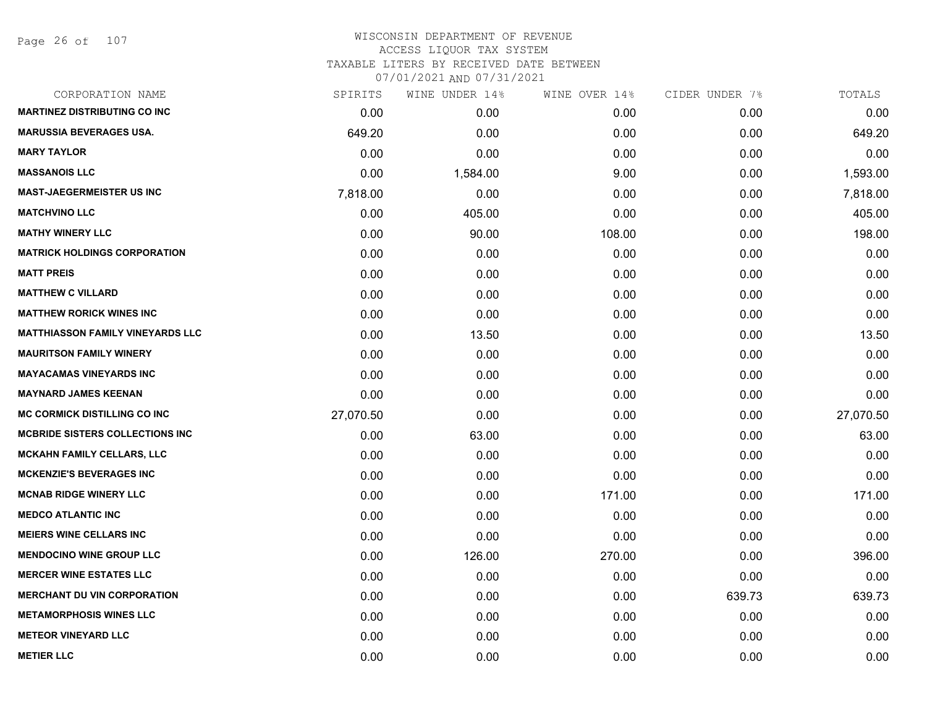Page 26 of 107

# WISCONSIN DEPARTMENT OF REVENUE ACCESS LIQUOR TAX SYSTEM

TAXABLE LITERS BY RECEIVED DATE BETWEEN

| CORPORATION NAME                        | SPIRITS   | WINE UNDER 14% | WINE OVER 14% | CIDER UNDER 7% | TOTALS    |
|-----------------------------------------|-----------|----------------|---------------|----------------|-----------|
| <b>MARTINEZ DISTRIBUTING CO INC</b>     | 0.00      | 0.00           | 0.00          | 0.00           | 0.00      |
| <b>MARUSSIA BEVERAGES USA.</b>          | 649.20    | 0.00           | 0.00          | 0.00           | 649.20    |
| <b>MARY TAYLOR</b>                      | 0.00      | 0.00           | 0.00          | 0.00           | 0.00      |
| <b>MASSANOIS LLC</b>                    | 0.00      | 1,584.00       | 9.00          | 0.00           | 1,593.00  |
| <b>MAST-JAEGERMEISTER US INC</b>        | 7,818.00  | 0.00           | 0.00          | 0.00           | 7,818.00  |
| <b>MATCHVINO LLC</b>                    | 0.00      | 405.00         | 0.00          | 0.00           | 405.00    |
| <b>MATHY WINERY LLC</b>                 | 0.00      | 90.00          | 108.00        | 0.00           | 198.00    |
| <b>MATRICK HOLDINGS CORPORATION</b>     | 0.00      | 0.00           | 0.00          | 0.00           | 0.00      |
| <b>MATT PREIS</b>                       | 0.00      | 0.00           | 0.00          | 0.00           | 0.00      |
| <b>MATTHEW C VILLARD</b>                | 0.00      | 0.00           | 0.00          | 0.00           | 0.00      |
| <b>MATTHEW RORICK WINES INC</b>         | 0.00      | 0.00           | 0.00          | 0.00           | 0.00      |
| <b>MATTHIASSON FAMILY VINEYARDS LLC</b> | 0.00      | 13.50          | 0.00          | 0.00           | 13.50     |
| <b>MAURITSON FAMILY WINERY</b>          | 0.00      | 0.00           | 0.00          | 0.00           | 0.00      |
| <b>MAYACAMAS VINEYARDS INC</b>          | 0.00      | 0.00           | 0.00          | 0.00           | 0.00      |
| <b>MAYNARD JAMES KEENAN</b>             | 0.00      | 0.00           | 0.00          | 0.00           | 0.00      |
| <b>MC CORMICK DISTILLING CO INC</b>     | 27,070.50 | 0.00           | 0.00          | 0.00           | 27,070.50 |
| <b>MCBRIDE SISTERS COLLECTIONS INC</b>  | 0.00      | 63.00          | 0.00          | 0.00           | 63.00     |
| <b>MCKAHN FAMILY CELLARS, LLC</b>       | 0.00      | 0.00           | 0.00          | 0.00           | 0.00      |
| <b>MCKENZIE'S BEVERAGES INC</b>         | 0.00      | 0.00           | 0.00          | 0.00           | 0.00      |
| <b>MCNAB RIDGE WINERY LLC</b>           | 0.00      | 0.00           | 171.00        | 0.00           | 171.00    |
| <b>MEDCO ATLANTIC INC</b>               | 0.00      | 0.00           | 0.00          | 0.00           | 0.00      |
| <b>MEIERS WINE CELLARS INC</b>          | 0.00      | 0.00           | 0.00          | 0.00           | 0.00      |
| <b>MENDOCINO WINE GROUP LLC</b>         | 0.00      | 126.00         | 270.00        | 0.00           | 396.00    |
| <b>MERCER WINE ESTATES LLC</b>          | 0.00      | 0.00           | 0.00          | 0.00           | 0.00      |
| <b>MERCHANT DU VIN CORPORATION</b>      | 0.00      | 0.00           | 0.00          | 639.73         | 639.73    |
| <b>METAMORPHOSIS WINES LLC</b>          | 0.00      | 0.00           | 0.00          | 0.00           | 0.00      |
| <b>METEOR VINEYARD LLC</b>              | 0.00      | 0.00           | 0.00          | 0.00           | 0.00      |
| <b>METIER LLC</b>                       | 0.00      | 0.00           | 0.00          | 0.00           | 0.00      |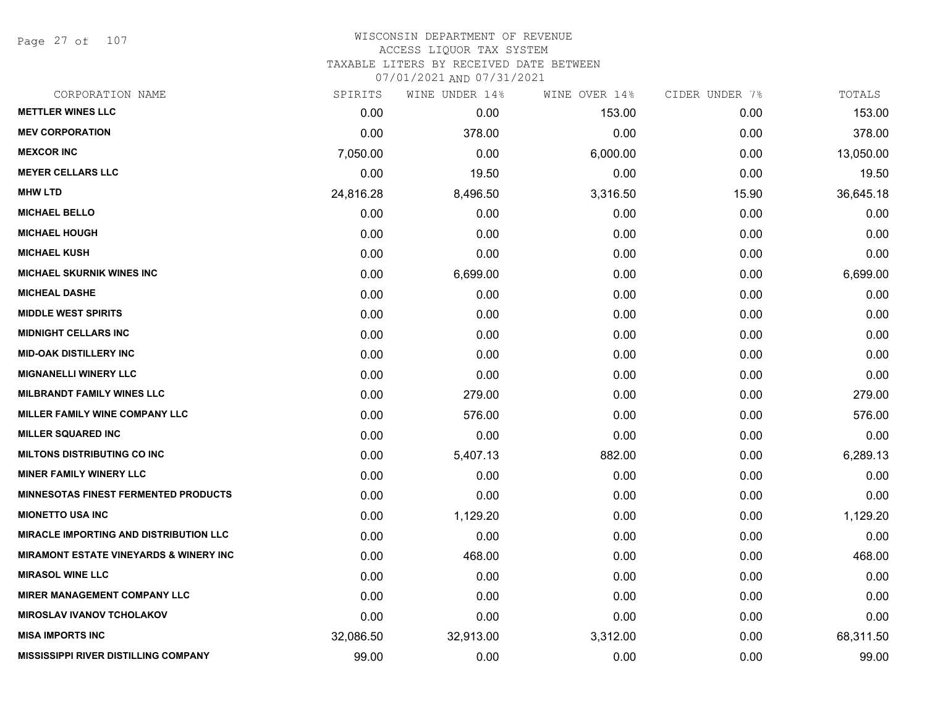Page 27 of 107

# WISCONSIN DEPARTMENT OF REVENUE ACCESS LIQUOR TAX SYSTEM

TAXABLE LITERS BY RECEIVED DATE BETWEEN

| CORPORATION NAME                              | SPIRITS   | WINE UNDER 14% | WINE OVER 14% | CIDER UNDER 7% | TOTALS    |
|-----------------------------------------------|-----------|----------------|---------------|----------------|-----------|
| <b>METTLER WINES LLC</b>                      | 0.00      | 0.00           | 153.00        | 0.00           | 153.00    |
| <b>MEV CORPORATION</b>                        | 0.00      | 378.00         | 0.00          | 0.00           | 378.00    |
| <b>MEXCOR INC</b>                             | 7,050.00  | 0.00           | 6,000.00      | 0.00           | 13,050.00 |
| <b>MEYER CELLARS LLC</b>                      | 0.00      | 19.50          | 0.00          | 0.00           | 19.50     |
| <b>MHW LTD</b>                                | 24,816.28 | 8,496.50       | 3,316.50      | 15.90          | 36,645.18 |
| <b>MICHAEL BELLO</b>                          | 0.00      | 0.00           | 0.00          | 0.00           | 0.00      |
| <b>MICHAEL HOUGH</b>                          | 0.00      | 0.00           | 0.00          | 0.00           | 0.00      |
| <b>MICHAEL KUSH</b>                           | 0.00      | 0.00           | 0.00          | 0.00           | 0.00      |
| <b>MICHAEL SKURNIK WINES INC</b>              | 0.00      | 6,699.00       | 0.00          | 0.00           | 6,699.00  |
| <b>MICHEAL DASHE</b>                          | 0.00      | 0.00           | 0.00          | 0.00           | 0.00      |
| <b>MIDDLE WEST SPIRITS</b>                    | 0.00      | 0.00           | 0.00          | 0.00           | 0.00      |
| <b>MIDNIGHT CELLARS INC</b>                   | 0.00      | 0.00           | 0.00          | 0.00           | 0.00      |
| <b>MID-OAK DISTILLERY INC</b>                 | 0.00      | 0.00           | 0.00          | 0.00           | 0.00      |
| <b>MIGNANELLI WINERY LLC</b>                  | 0.00      | 0.00           | 0.00          | 0.00           | 0.00      |
| <b>MILBRANDT FAMILY WINES LLC</b>             | 0.00      | 279.00         | 0.00          | 0.00           | 279.00    |
| MILLER FAMILY WINE COMPANY LLC                | 0.00      | 576.00         | 0.00          | 0.00           | 576.00    |
| <b>MILLER SQUARED INC</b>                     | 0.00      | 0.00           | 0.00          | 0.00           | 0.00      |
| <b>MILTONS DISTRIBUTING CO INC</b>            | 0.00      | 5,407.13       | 882.00        | 0.00           | 6,289.13  |
| <b>MINER FAMILY WINERY LLC</b>                | 0.00      | 0.00           | 0.00          | 0.00           | 0.00      |
| <b>MINNESOTAS FINEST FERMENTED PRODUCTS</b>   | 0.00      | 0.00           | 0.00          | 0.00           | 0.00      |
| <b>MIONETTO USA INC</b>                       | 0.00      | 1,129.20       | 0.00          | 0.00           | 1,129.20  |
| <b>MIRACLE IMPORTING AND DISTRIBUTION LLC</b> | 0.00      | 0.00           | 0.00          | 0.00           | 0.00      |
| MIRAMONT ESTATE VINEYARDS & WINERY INC        | 0.00      | 468.00         | 0.00          | 0.00           | 468.00    |
| <b>MIRASOL WINE LLC</b>                       | 0.00      | 0.00           | 0.00          | 0.00           | 0.00      |
| <b>MIRER MANAGEMENT COMPANY LLC</b>           | 0.00      | 0.00           | 0.00          | 0.00           | 0.00      |
| <b>MIROSLAV IVANOV TCHOLAKOV</b>              | 0.00      | 0.00           | 0.00          | 0.00           | 0.00      |
| <b>MISA IMPORTS INC</b>                       | 32,086.50 | 32,913.00      | 3,312.00      | 0.00           | 68,311.50 |
| <b>MISSISSIPPI RIVER DISTILLING COMPANY</b>   | 99.00     | 0.00           | 0.00          | 0.00           | 99.00     |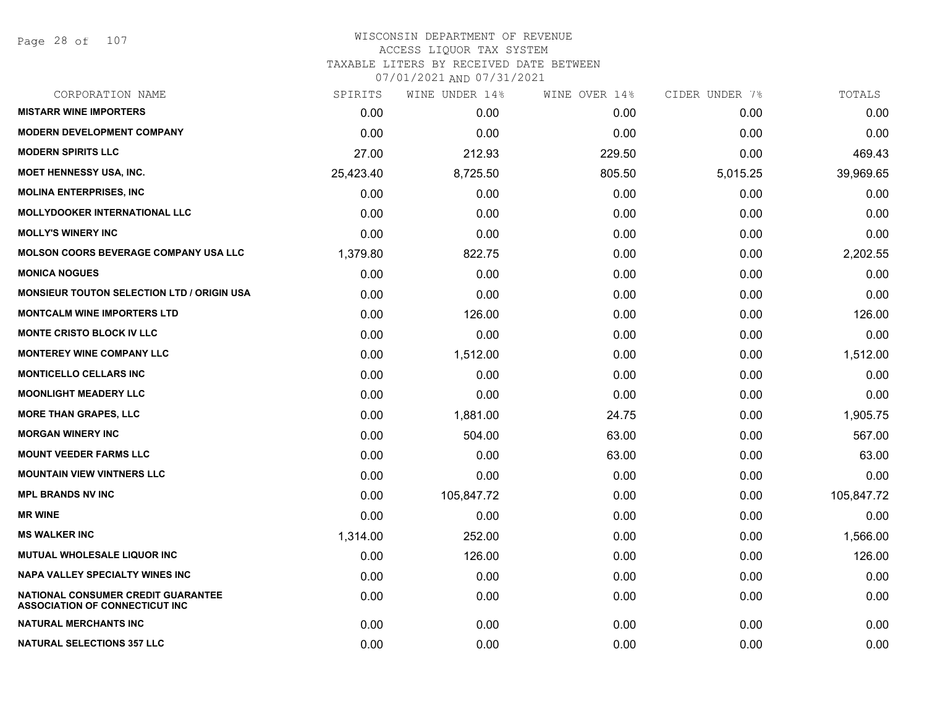| CORPORATION NAME                                                            | SPIRITS   | WINE UNDER 14% | WINE OVER 14% | CIDER UNDER 7% | TOTALS     |
|-----------------------------------------------------------------------------|-----------|----------------|---------------|----------------|------------|
| <b>MISTARR WINE IMPORTERS</b>                                               | 0.00      | 0.00           | 0.00          | 0.00           | 0.00       |
| <b>MODERN DEVELOPMENT COMPANY</b>                                           | 0.00      | 0.00           | 0.00          | 0.00           | 0.00       |
| <b>MODERN SPIRITS LLC</b>                                                   | 27.00     | 212.93         | 229.50        | 0.00           | 469.43     |
| <b>MOET HENNESSY USA, INC.</b>                                              | 25,423.40 | 8,725.50       | 805.50        | 5,015.25       | 39,969.65  |
| <b>MOLINA ENTERPRISES, INC</b>                                              | 0.00      | 0.00           | 0.00          | 0.00           | 0.00       |
| <b>MOLLYDOOKER INTERNATIONAL LLC</b>                                        | 0.00      | 0.00           | 0.00          | 0.00           | 0.00       |
| <b>MOLLY'S WINERY INC</b>                                                   | 0.00      | 0.00           | 0.00          | 0.00           | 0.00       |
| <b>MOLSON COORS BEVERAGE COMPANY USA LLC</b>                                | 1,379.80  | 822.75         | 0.00          | 0.00           | 2,202.55   |
| <b>MONICA NOGUES</b>                                                        | 0.00      | 0.00           | 0.00          | 0.00           | 0.00       |
| <b>MONSIEUR TOUTON SELECTION LTD / ORIGIN USA</b>                           | 0.00      | 0.00           | 0.00          | 0.00           | 0.00       |
| <b>MONTCALM WINE IMPORTERS LTD</b>                                          | 0.00      | 126.00         | 0.00          | 0.00           | 126.00     |
| <b>MONTE CRISTO BLOCK IV LLC</b>                                            | 0.00      | 0.00           | 0.00          | 0.00           | 0.00       |
| <b>MONTEREY WINE COMPANY LLC</b>                                            | 0.00      | 1,512.00       | 0.00          | 0.00           | 1,512.00   |
| <b>MONTICELLO CELLARS INC</b>                                               | 0.00      | 0.00           | 0.00          | 0.00           | 0.00       |
| <b>MOONLIGHT MEADERY LLC</b>                                                | 0.00      | 0.00           | 0.00          | 0.00           | 0.00       |
| <b>MORE THAN GRAPES, LLC</b>                                                | 0.00      | 1,881.00       | 24.75         | 0.00           | 1,905.75   |
| <b>MORGAN WINERY INC</b>                                                    | 0.00      | 504.00         | 63.00         | 0.00           | 567.00     |
| <b>MOUNT VEEDER FARMS LLC</b>                                               | 0.00      | 0.00           | 63.00         | 0.00           | 63.00      |
| <b>MOUNTAIN VIEW VINTNERS LLC</b>                                           | 0.00      | 0.00           | 0.00          | 0.00           | 0.00       |
| <b>MPL BRANDS NV INC</b>                                                    | 0.00      | 105,847.72     | 0.00          | 0.00           | 105,847.72 |
| <b>MR WINE</b>                                                              | 0.00      | 0.00           | 0.00          | 0.00           | 0.00       |
| <b>MS WALKER INC</b>                                                        | 1,314.00  | 252.00         | 0.00          | 0.00           | 1,566.00   |
| MUTUAL WHOLESALE LIQUOR INC                                                 | 0.00      | 126.00         | 0.00          | 0.00           | 126.00     |
| <b>NAPA VALLEY SPECIALTY WINES INC</b>                                      | 0.00      | 0.00           | 0.00          | 0.00           | 0.00       |
| NATIONAL CONSUMER CREDIT GUARANTEE<br><b>ASSOCIATION OF CONNECTICUT INC</b> | 0.00      | 0.00           | 0.00          | 0.00           | 0.00       |
| <b>NATURAL MERCHANTS INC</b>                                                | 0.00      | 0.00           | 0.00          | 0.00           | 0.00       |
| <b>NATURAL SELECTIONS 357 LLC</b>                                           | 0.00      | 0.00           | 0.00          | 0.00           | 0.00       |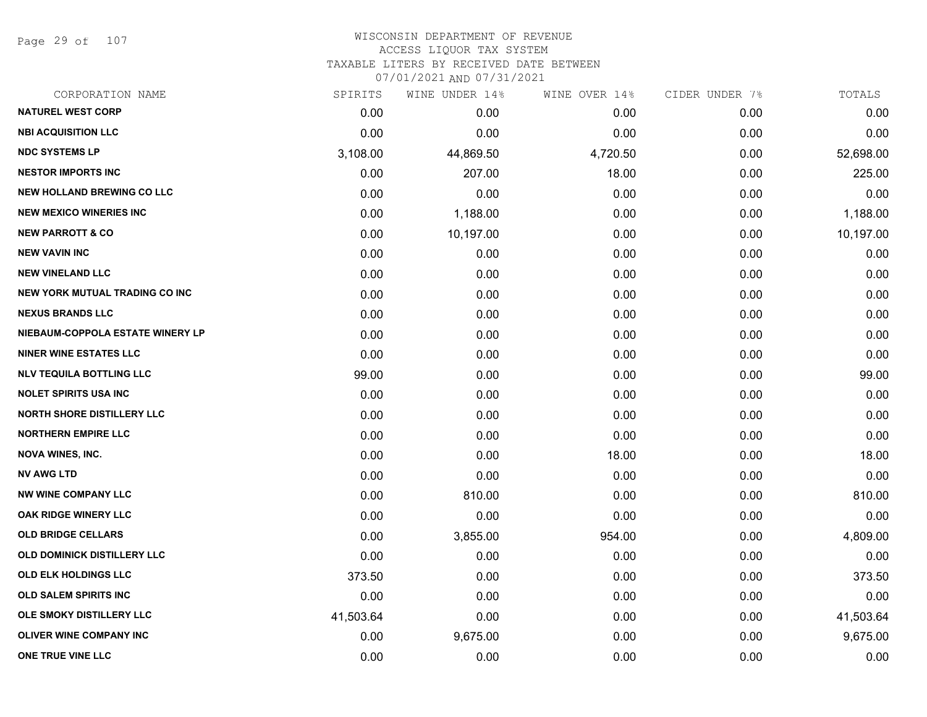Page 29 of 107

| CORPORATION NAME                      | SPIRITS   | WINE UNDER 14% | WINE OVER 14% | CIDER UNDER 7% | TOTALS    |
|---------------------------------------|-----------|----------------|---------------|----------------|-----------|
| <b>NATUREL WEST CORP</b>              | 0.00      | 0.00           | 0.00          | 0.00           | 0.00      |
| <b>NBI ACQUISITION LLC</b>            | 0.00      | 0.00           | 0.00          | 0.00           | 0.00      |
| <b>NDC SYSTEMS LP</b>                 | 3,108.00  | 44,869.50      | 4,720.50      | 0.00           | 52,698.00 |
| <b>NESTOR IMPORTS INC</b>             | 0.00      | 207.00         | 18.00         | 0.00           | 225.00    |
| <b>NEW HOLLAND BREWING CO LLC</b>     | 0.00      | 0.00           | 0.00          | 0.00           | 0.00      |
| <b>NEW MEXICO WINERIES INC</b>        | 0.00      | 1,188.00       | 0.00          | 0.00           | 1,188.00  |
| <b>NEW PARROTT &amp; CO</b>           | 0.00      | 10,197.00      | 0.00          | 0.00           | 10,197.00 |
| <b>NEW VAVIN INC</b>                  | 0.00      | 0.00           | 0.00          | 0.00           | 0.00      |
| <b>NEW VINELAND LLC</b>               | 0.00      | 0.00           | 0.00          | 0.00           | 0.00      |
| <b>NEW YORK MUTUAL TRADING CO INC</b> | 0.00      | 0.00           | 0.00          | 0.00           | 0.00      |
| <b>NEXUS BRANDS LLC</b>               | 0.00      | 0.00           | 0.00          | 0.00           | 0.00      |
| NIEBAUM-COPPOLA ESTATE WINERY LP      | 0.00      | 0.00           | 0.00          | 0.00           | 0.00      |
| <b>NINER WINE ESTATES LLC</b>         | 0.00      | 0.00           | 0.00          | 0.00           | 0.00      |
| <b>NLV TEQUILA BOTTLING LLC</b>       | 99.00     | 0.00           | 0.00          | 0.00           | 99.00     |
| <b>NOLET SPIRITS USA INC</b>          | 0.00      | 0.00           | 0.00          | 0.00           | 0.00      |
| <b>NORTH SHORE DISTILLERY LLC</b>     | 0.00      | 0.00           | 0.00          | 0.00           | 0.00      |
| <b>NORTHERN EMPIRE LLC</b>            | 0.00      | 0.00           | 0.00          | 0.00           | 0.00      |
| <b>NOVA WINES, INC.</b>               | 0.00      | 0.00           | 18.00         | 0.00           | 18.00     |
| <b>NV AWG LTD</b>                     | 0.00      | 0.00           | 0.00          | 0.00           | 0.00      |
| <b>NW WINE COMPANY LLC</b>            | 0.00      | 810.00         | 0.00          | 0.00           | 810.00    |
| <b>OAK RIDGE WINERY LLC</b>           | 0.00      | 0.00           | 0.00          | 0.00           | 0.00      |
| <b>OLD BRIDGE CELLARS</b>             | 0.00      | 3,855.00       | 954.00        | 0.00           | 4,809.00  |
| OLD DOMINICK DISTILLERY LLC           | 0.00      | 0.00           | 0.00          | 0.00           | 0.00      |
| <b>OLD ELK HOLDINGS LLC</b>           | 373.50    | 0.00           | 0.00          | 0.00           | 373.50    |
| <b>OLD SALEM SPIRITS INC</b>          | 0.00      | 0.00           | 0.00          | 0.00           | 0.00      |
| OLE SMOKY DISTILLERY LLC              | 41,503.64 | 0.00           | 0.00          | 0.00           | 41,503.64 |
| OLIVER WINE COMPANY INC               | 0.00      | 9,675.00       | 0.00          | 0.00           | 9,675.00  |
| ONE TRUE VINE LLC                     | 0.00      | 0.00           | 0.00          | 0.00           | 0.00      |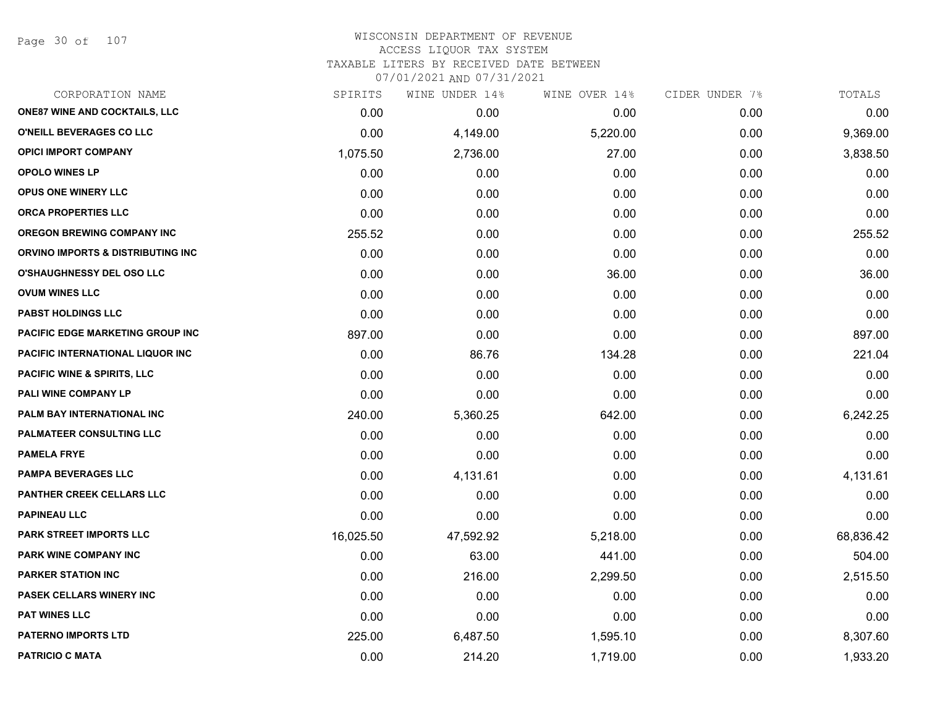Page 30 of 107

| CORPORATION NAME                             | SPIRITS   | WINE UNDER 14% | WINE OVER 14% | CIDER UNDER 7% | TOTALS    |
|----------------------------------------------|-----------|----------------|---------------|----------------|-----------|
| <b>ONE87 WINE AND COCKTAILS, LLC</b>         | 0.00      | 0.00           | 0.00          | 0.00           | 0.00      |
| O'NEILL BEVERAGES CO LLC                     | 0.00      | 4,149.00       | 5,220.00      | 0.00           | 9,369.00  |
| <b>OPICI IMPORT COMPANY</b>                  | 1,075.50  | 2,736.00       | 27.00         | 0.00           | 3,838.50  |
| <b>OPOLO WINES LP</b>                        | 0.00      | 0.00           | 0.00          | 0.00           | 0.00      |
| <b>OPUS ONE WINERY LLC</b>                   | 0.00      | 0.00           | 0.00          | 0.00           | 0.00      |
| ORCA PROPERTIES LLC                          | 0.00      | 0.00           | 0.00          | 0.00           | 0.00      |
| <b>OREGON BREWING COMPANY INC</b>            | 255.52    | 0.00           | 0.00          | 0.00           | 255.52    |
| <b>ORVINO IMPORTS &amp; DISTRIBUTING INC</b> | 0.00      | 0.00           | 0.00          | 0.00           | 0.00      |
| <b>O'SHAUGHNESSY DEL OSO LLC</b>             | 0.00      | 0.00           | 36.00         | 0.00           | 36.00     |
| <b>OVUM WINES LLC</b>                        | 0.00      | 0.00           | 0.00          | 0.00           | 0.00      |
| <b>PABST HOLDINGS LLC</b>                    | 0.00      | 0.00           | 0.00          | 0.00           | 0.00      |
| PACIFIC EDGE MARKETING GROUP INC             | 897.00    | 0.00           | 0.00          | 0.00           | 897.00    |
| PACIFIC INTERNATIONAL LIQUOR INC             | 0.00      | 86.76          | 134.28        | 0.00           | 221.04    |
| <b>PACIFIC WINE &amp; SPIRITS, LLC</b>       | 0.00      | 0.00           | 0.00          | 0.00           | 0.00      |
| PALI WINE COMPANY LP                         | 0.00      | 0.00           | 0.00          | 0.00           | 0.00      |
| PALM BAY INTERNATIONAL INC                   | 240.00    | 5,360.25       | 642.00        | 0.00           | 6,242.25  |
| <b>PALMATEER CONSULTING LLC</b>              | 0.00      | 0.00           | 0.00          | 0.00           | 0.00      |
| <b>PAMELA FRYE</b>                           | 0.00      | 0.00           | 0.00          | 0.00           | 0.00      |
| <b>PAMPA BEVERAGES LLC</b>                   | 0.00      | 4,131.61       | 0.00          | 0.00           | 4,131.61  |
| PANTHER CREEK CELLARS LLC                    | 0.00      | 0.00           | 0.00          | 0.00           | 0.00      |
| <b>PAPINEAU LLC</b>                          | 0.00      | 0.00           | 0.00          | 0.00           | 0.00      |
| PARK STREET IMPORTS LLC                      | 16,025.50 | 47,592.92      | 5,218.00      | 0.00           | 68,836.42 |
| <b>PARK WINE COMPANY INC</b>                 | 0.00      | 63.00          | 441.00        | 0.00           | 504.00    |
| <b>PARKER STATION INC</b>                    | 0.00      | 216.00         | 2,299.50      | 0.00           | 2,515.50  |
| PASEK CELLARS WINERY INC                     | 0.00      | 0.00           | 0.00          | 0.00           | 0.00      |
| <b>PAT WINES LLC</b>                         | 0.00      | 0.00           | 0.00          | 0.00           | 0.00      |
| <b>PATERNO IMPORTS LTD</b>                   | 225.00    | 6,487.50       | 1,595.10      | 0.00           | 8,307.60  |
| <b>PATRICIO C MATA</b>                       | 0.00      | 214.20         | 1,719.00      | 0.00           | 1,933.20  |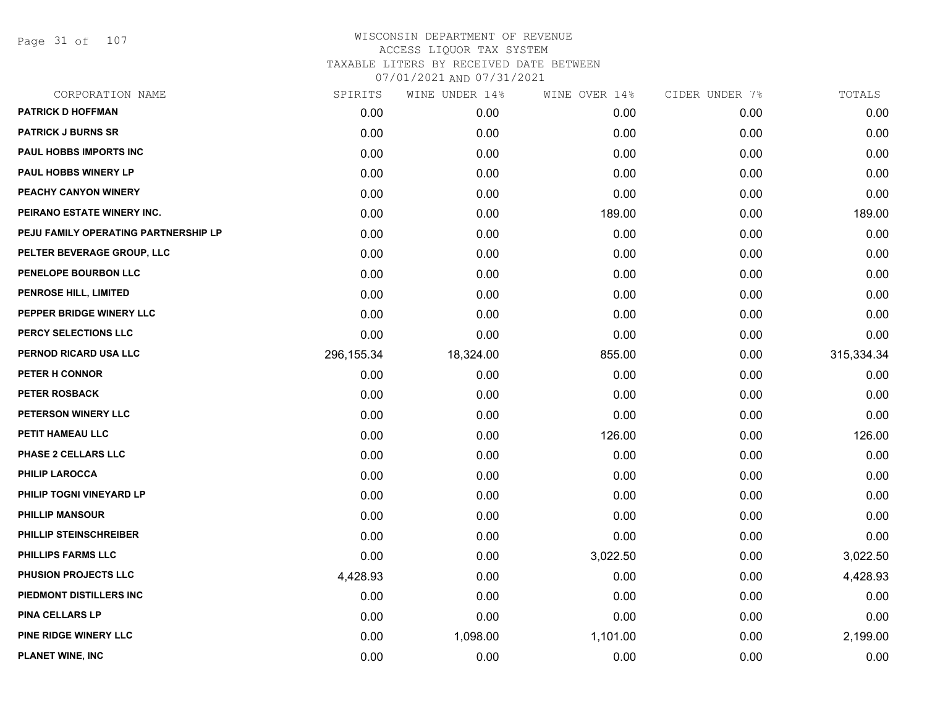Page 31 of 107

| CORPORATION NAME                     | SPIRITS     | WINE UNDER 14% | WINE OVER 14% | CIDER UNDER 7% | TOTALS     |
|--------------------------------------|-------------|----------------|---------------|----------------|------------|
| <b>PATRICK D HOFFMAN</b>             | 0.00        | 0.00           | 0.00          | 0.00           | 0.00       |
| <b>PATRICK J BURNS SR</b>            | 0.00        | 0.00           | 0.00          | 0.00           | 0.00       |
| <b>PAUL HOBBS IMPORTS INC</b>        | 0.00        | 0.00           | 0.00          | 0.00           | 0.00       |
| <b>PAUL HOBBS WINERY LP</b>          | 0.00        | 0.00           | 0.00          | 0.00           | 0.00       |
| PEACHY CANYON WINERY                 | 0.00        | 0.00           | 0.00          | 0.00           | 0.00       |
| PEIRANO ESTATE WINERY INC.           | 0.00        | 0.00           | 189.00        | 0.00           | 189.00     |
| PEJU FAMILY OPERATING PARTNERSHIP LP | 0.00        | 0.00           | 0.00          | 0.00           | 0.00       |
| PELTER BEVERAGE GROUP, LLC           | 0.00        | 0.00           | 0.00          | 0.00           | 0.00       |
| PENELOPE BOURBON LLC                 | 0.00        | 0.00           | 0.00          | 0.00           | 0.00       |
| PENROSE HILL, LIMITED                | 0.00        | 0.00           | 0.00          | 0.00           | 0.00       |
| PEPPER BRIDGE WINERY LLC             | 0.00        | 0.00           | 0.00          | 0.00           | 0.00       |
| PERCY SELECTIONS LLC                 | 0.00        | 0.00           | 0.00          | 0.00           | 0.00       |
| PERNOD RICARD USA LLC                | 296, 155.34 | 18,324.00      | 855.00        | 0.00           | 315,334.34 |
| PETER H CONNOR                       | 0.00        | 0.00           | 0.00          | 0.00           | 0.00       |
| <b>PETER ROSBACK</b>                 | 0.00        | 0.00           | 0.00          | 0.00           | 0.00       |
| PETERSON WINERY LLC                  | 0.00        | 0.00           | 0.00          | 0.00           | 0.00       |
| PETIT HAMEAU LLC                     | 0.00        | 0.00           | 126.00        | 0.00           | 126.00     |
| <b>PHASE 2 CELLARS LLC</b>           | 0.00        | 0.00           | 0.00          | 0.00           | 0.00       |
| PHILIP LAROCCA                       | 0.00        | 0.00           | 0.00          | 0.00           | 0.00       |
| PHILIP TOGNI VINEYARD LP             | 0.00        | 0.00           | 0.00          | 0.00           | 0.00       |
| <b>PHILLIP MANSOUR</b>               | 0.00        | 0.00           | 0.00          | 0.00           | 0.00       |
| PHILLIP STEINSCHREIBER               | 0.00        | 0.00           | 0.00          | 0.00           | 0.00       |
| <b>PHILLIPS FARMS LLC</b>            | 0.00        | 0.00           | 3,022.50      | 0.00           | 3,022.50   |
| PHUSION PROJECTS LLC                 | 4,428.93    | 0.00           | 0.00          | 0.00           | 4,428.93   |
| PIEDMONT DISTILLERS INC              | 0.00        | 0.00           | 0.00          | 0.00           | 0.00       |
| PINA CELLARS LP                      | 0.00        | 0.00           | 0.00          | 0.00           | 0.00       |
| PINE RIDGE WINERY LLC                | 0.00        | 1,098.00       | 1,101.00      | 0.00           | 2,199.00   |
| PLANET WINE, INC                     | 0.00        | 0.00           | 0.00          | 0.00           | 0.00       |
|                                      |             |                |               |                |            |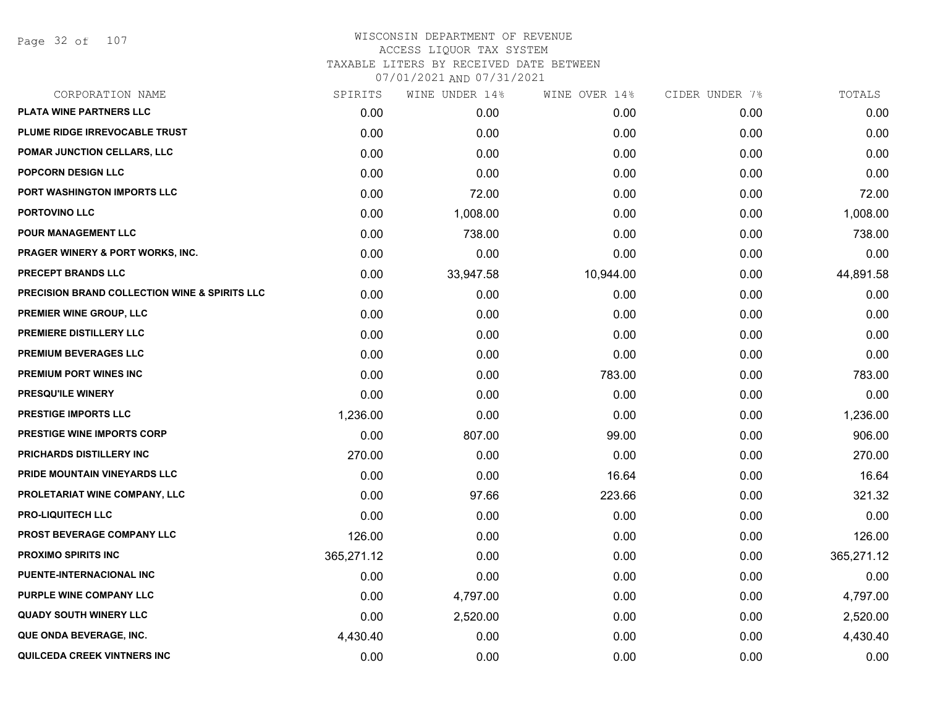Page 32 of 107

| CORPORATION NAME                                         | SPIRITS    | WINE UNDER 14% | WINE OVER 14% | CIDER UNDER 7% | TOTALS     |
|----------------------------------------------------------|------------|----------------|---------------|----------------|------------|
| PLATA WINE PARTNERS LLC                                  | 0.00       | 0.00           | 0.00          | 0.00           | 0.00       |
| PLUME RIDGE IRREVOCABLE TRUST                            | 0.00       | 0.00           | 0.00          | 0.00           | 0.00       |
| POMAR JUNCTION CELLARS, LLC                              | 0.00       | 0.00           | 0.00          | 0.00           | 0.00       |
| POPCORN DESIGN LLC                                       | 0.00       | 0.00           | 0.00          | 0.00           | 0.00       |
| PORT WASHINGTON IMPORTS LLC                              | 0.00       | 72.00          | 0.00          | 0.00           | 72.00      |
| PORTOVINO LLC                                            | 0.00       | 1,008.00       | 0.00          | 0.00           | 1,008.00   |
| POUR MANAGEMENT LLC                                      | 0.00       | 738.00         | 0.00          | 0.00           | 738.00     |
| <b>PRAGER WINERY &amp; PORT WORKS, INC.</b>              | 0.00       | 0.00           | 0.00          | 0.00           | 0.00       |
| <b>PRECEPT BRANDS LLC</b>                                | 0.00       | 33,947.58      | 10,944.00     | 0.00           | 44,891.58  |
| <b>PRECISION BRAND COLLECTION WINE &amp; SPIRITS LLC</b> | 0.00       | 0.00           | 0.00          | 0.00           | 0.00       |
| PREMIER WINE GROUP, LLC                                  | 0.00       | 0.00           | 0.00          | 0.00           | 0.00       |
| PREMIERE DISTILLERY LLC                                  | 0.00       | 0.00           | 0.00          | 0.00           | 0.00       |
| PREMIUM BEVERAGES LLC                                    | 0.00       | 0.00           | 0.00          | 0.00           | 0.00       |
| PREMIUM PORT WINES INC                                   | 0.00       | 0.00           | 783.00        | 0.00           | 783.00     |
| PRESQU'ILE WINERY                                        | 0.00       | 0.00           | 0.00          | 0.00           | 0.00       |
| <b>PRESTIGE IMPORTS LLC</b>                              | 1,236.00   | 0.00           | 0.00          | 0.00           | 1,236.00   |
| <b>PRESTIGE WINE IMPORTS CORP</b>                        | 0.00       | 807.00         | 99.00         | 0.00           | 906.00     |
| PRICHARDS DISTILLERY INC                                 | 270.00     | 0.00           | 0.00          | 0.00           | 270.00     |
| PRIDE MOUNTAIN VINEYARDS LLC                             | 0.00       | 0.00           | 16.64         | 0.00           | 16.64      |
| PROLETARIAT WINE COMPANY, LLC                            | 0.00       | 97.66          | 223.66        | 0.00           | 321.32     |
| <b>PRO-LIQUITECH LLC</b>                                 | 0.00       | 0.00           | 0.00          | 0.00           | 0.00       |
| PROST BEVERAGE COMPANY LLC                               | 126.00     | 0.00           | 0.00          | 0.00           | 126.00     |
| <b>PROXIMO SPIRITS INC</b>                               | 365,271.12 | 0.00           | 0.00          | 0.00           | 365,271.12 |
| PUENTE-INTERNACIONAL INC                                 | 0.00       | 0.00           | 0.00          | 0.00           | 0.00       |
| PURPLE WINE COMPANY LLC                                  | 0.00       | 4,797.00       | 0.00          | 0.00           | 4,797.00   |
| <b>QUADY SOUTH WINERY LLC</b>                            | 0.00       | 2,520.00       | 0.00          | 0.00           | 2,520.00   |
| QUE ONDA BEVERAGE, INC.                                  | 4,430.40   | 0.00           | 0.00          | 0.00           | 4,430.40   |
| QUILCEDA CREEK VINTNERS INC                              | 0.00       | 0.00           | 0.00          | 0.00           | 0.00       |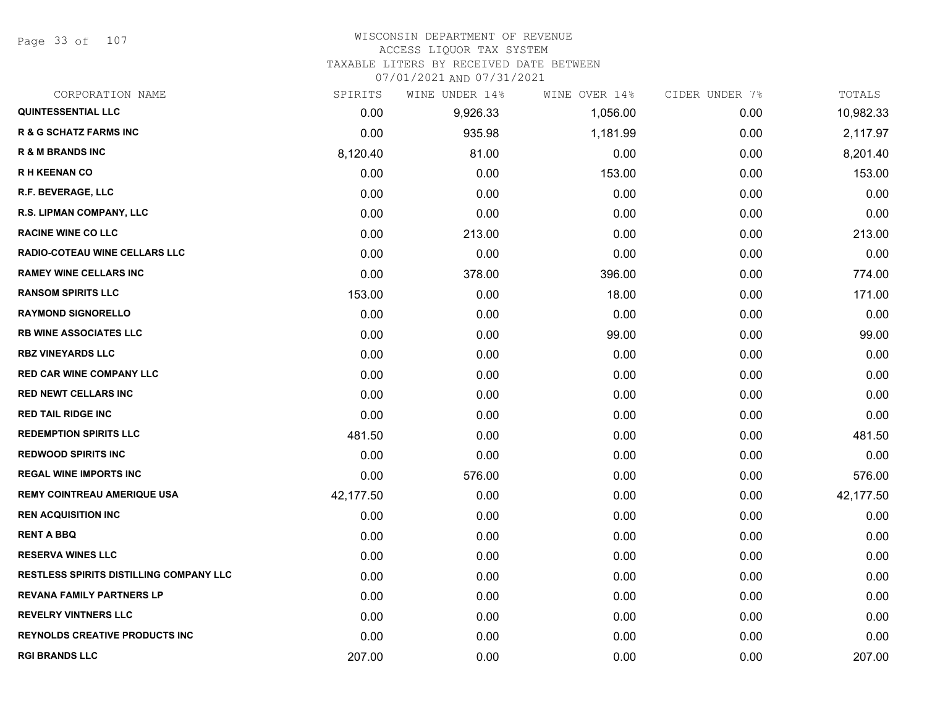Page 33 of 107

#### WISCONSIN DEPARTMENT OF REVENUE ACCESS LIQUOR TAX SYSTEM

TAXABLE LITERS BY RECEIVED DATE BETWEEN

| CORPORATION NAME                               | SPIRITS   | WINE UNDER 14% | WINE OVER 14% | CIDER UNDER 7% | TOTALS    |
|------------------------------------------------|-----------|----------------|---------------|----------------|-----------|
| <b>QUINTESSENTIAL LLC</b>                      | 0.00      | 9,926.33       | 1,056.00      | 0.00           | 10,982.33 |
| <b>R &amp; G SCHATZ FARMS INC</b>              | 0.00      | 935.98         | 1,181.99      | 0.00           | 2,117.97  |
| <b>R &amp; M BRANDS INC</b>                    | 8,120.40  | 81.00          | 0.00          | 0.00           | 8,201.40  |
| <b>RH KEENAN CO</b>                            | 0.00      | 0.00           | 153.00        | 0.00           | 153.00    |
| <b>R.F. BEVERAGE, LLC</b>                      | 0.00      | 0.00           | 0.00          | 0.00           | 0.00      |
| R.S. LIPMAN COMPANY, LLC                       | 0.00      | 0.00           | 0.00          | 0.00           | 0.00      |
| <b>RACINE WINE CO LLC</b>                      | 0.00      | 213.00         | 0.00          | 0.00           | 213.00    |
| <b>RADIO-COTEAU WINE CELLARS LLC</b>           | 0.00      | 0.00           | 0.00          | 0.00           | 0.00      |
| <b>RAMEY WINE CELLARS INC</b>                  | 0.00      | 378.00         | 396.00        | 0.00           | 774.00    |
| <b>RANSOM SPIRITS LLC</b>                      | 153.00    | 0.00           | 18.00         | 0.00           | 171.00    |
| <b>RAYMOND SIGNORELLO</b>                      | 0.00      | 0.00           | 0.00          | 0.00           | 0.00      |
| <b>RB WINE ASSOCIATES LLC</b>                  | 0.00      | 0.00           | 99.00         | 0.00           | 99.00     |
| <b>RBZ VINEYARDS LLC</b>                       | 0.00      | 0.00           | 0.00          | 0.00           | 0.00      |
| <b>RED CAR WINE COMPANY LLC</b>                | 0.00      | 0.00           | 0.00          | 0.00           | 0.00      |
| <b>RED NEWT CELLARS INC</b>                    | 0.00      | 0.00           | 0.00          | 0.00           | 0.00      |
| <b>RED TAIL RIDGE INC</b>                      | 0.00      | 0.00           | 0.00          | 0.00           | 0.00      |
| <b>REDEMPTION SPIRITS LLC</b>                  | 481.50    | 0.00           | 0.00          | 0.00           | 481.50    |
| <b>REDWOOD SPIRITS INC</b>                     | 0.00      | 0.00           | 0.00          | 0.00           | 0.00      |
| <b>REGAL WINE IMPORTS INC</b>                  | 0.00      | 576.00         | 0.00          | 0.00           | 576.00    |
| <b>REMY COINTREAU AMERIQUE USA</b>             | 42,177.50 | 0.00           | 0.00          | 0.00           | 42,177.50 |
| <b>REN ACQUISITION INC</b>                     | 0.00      | 0.00           | 0.00          | 0.00           | 0.00      |
| <b>RENT A BBQ</b>                              | 0.00      | 0.00           | 0.00          | 0.00           | 0.00      |
| <b>RESERVA WINES LLC</b>                       | 0.00      | 0.00           | 0.00          | 0.00           | 0.00      |
| <b>RESTLESS SPIRITS DISTILLING COMPANY LLC</b> | 0.00      | 0.00           | 0.00          | 0.00           | 0.00      |
| <b>REVANA FAMILY PARTNERS LP</b>               | 0.00      | 0.00           | 0.00          | 0.00           | 0.00      |
| <b>REVELRY VINTNERS LLC</b>                    | 0.00      | 0.00           | 0.00          | 0.00           | 0.00      |
| <b>REYNOLDS CREATIVE PRODUCTS INC</b>          | 0.00      | 0.00           | 0.00          | 0.00           | 0.00      |
| <b>RGI BRANDS LLC</b>                          | 207.00    | 0.00           | 0.00          | 0.00           | 207.00    |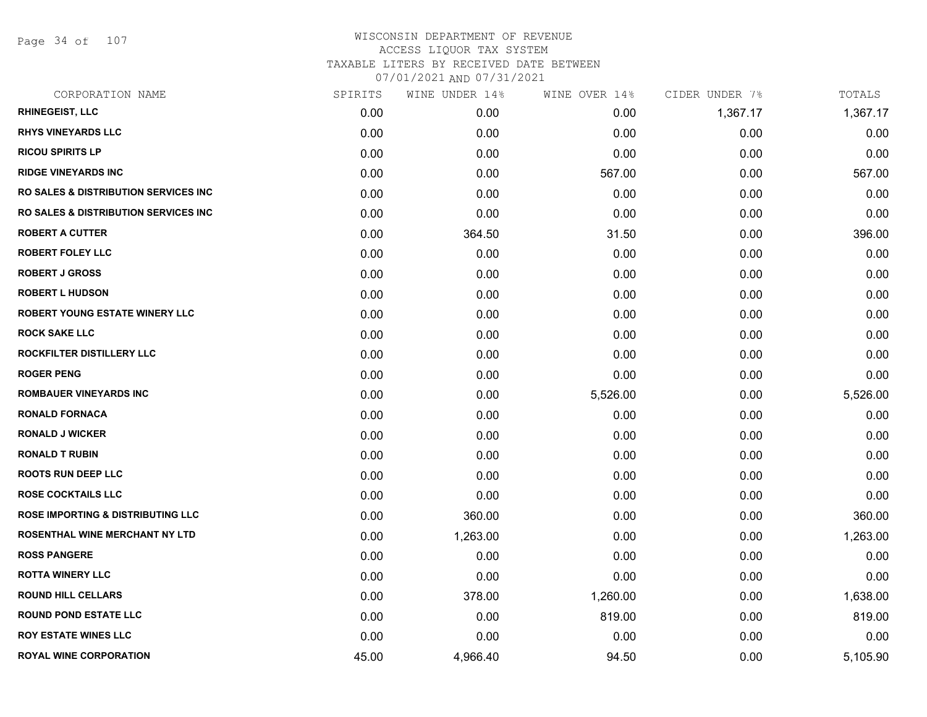Page 34 of 107

| CORPORATION NAME                                | SPIRITS | WINE UNDER 14% | WINE OVER 14% | CIDER UNDER 7% | TOTALS   |
|-------------------------------------------------|---------|----------------|---------------|----------------|----------|
| <b>RHINEGEIST, LLC</b>                          | 0.00    | 0.00           | 0.00          | 1,367.17       | 1,367.17 |
| <b>RHYS VINEYARDS LLC</b>                       | 0.00    | 0.00           | 0.00          | 0.00           | 0.00     |
| <b>RICOU SPIRITS LP</b>                         | 0.00    | 0.00           | 0.00          | 0.00           | 0.00     |
| <b>RIDGE VINEYARDS INC</b>                      | 0.00    | 0.00           | 567.00        | 0.00           | 567.00   |
| <b>RO SALES &amp; DISTRIBUTION SERVICES INC</b> | 0.00    | 0.00           | 0.00          | 0.00           | 0.00     |
| <b>RO SALES &amp; DISTRIBUTION SERVICES INC</b> | 0.00    | 0.00           | 0.00          | 0.00           | 0.00     |
| <b>ROBERT A CUTTER</b>                          | 0.00    | 364.50         | 31.50         | 0.00           | 396.00   |
| <b>ROBERT FOLEY LLC</b>                         | 0.00    | 0.00           | 0.00          | 0.00           | 0.00     |
| <b>ROBERT J GROSS</b>                           | 0.00    | 0.00           | 0.00          | 0.00           | 0.00     |
| <b>ROBERT L HUDSON</b>                          | 0.00    | 0.00           | 0.00          | 0.00           | 0.00     |
| ROBERT YOUNG ESTATE WINERY LLC                  | 0.00    | 0.00           | 0.00          | 0.00           | 0.00     |
| <b>ROCK SAKE LLC</b>                            | 0.00    | 0.00           | 0.00          | 0.00           | 0.00     |
| ROCKFILTER DISTILLERY LLC                       | 0.00    | 0.00           | 0.00          | 0.00           | 0.00     |
| <b>ROGER PENG</b>                               | 0.00    | 0.00           | 0.00          | 0.00           | 0.00     |
| <b>ROMBAUER VINEYARDS INC</b>                   | 0.00    | 0.00           | 5,526.00      | 0.00           | 5,526.00 |
| <b>RONALD FORNACA</b>                           | 0.00    | 0.00           | 0.00          | 0.00           | 0.00     |
| <b>RONALD J WICKER</b>                          | 0.00    | 0.00           | 0.00          | 0.00           | 0.00     |
| <b>RONALD T RUBIN</b>                           | 0.00    | 0.00           | 0.00          | 0.00           | 0.00     |
| <b>ROOTS RUN DEEP LLC</b>                       | 0.00    | 0.00           | 0.00          | 0.00           | 0.00     |
| <b>ROSE COCKTAILS LLC</b>                       | 0.00    | 0.00           | 0.00          | 0.00           | 0.00     |
| <b>ROSE IMPORTING &amp; DISTRIBUTING LLC</b>    | 0.00    | 360.00         | 0.00          | 0.00           | 360.00   |
| ROSENTHAL WINE MERCHANT NY LTD                  | 0.00    | 1,263.00       | 0.00          | 0.00           | 1,263.00 |
| <b>ROSS PANGERE</b>                             | 0.00    | 0.00           | 0.00          | 0.00           | 0.00     |
| <b>ROTTA WINERY LLC</b>                         | 0.00    | 0.00           | 0.00          | 0.00           | 0.00     |
| <b>ROUND HILL CELLARS</b>                       | 0.00    | 378.00         | 1,260.00      | 0.00           | 1,638.00 |
| <b>ROUND POND ESTATE LLC</b>                    | 0.00    | 0.00           | 819.00        | 0.00           | 819.00   |
| <b>ROY ESTATE WINES LLC</b>                     | 0.00    | 0.00           | 0.00          | 0.00           | 0.00     |
| <b>ROYAL WINE CORPORATION</b>                   | 45.00   | 4,966.40       | 94.50         | 0.00           | 5,105.90 |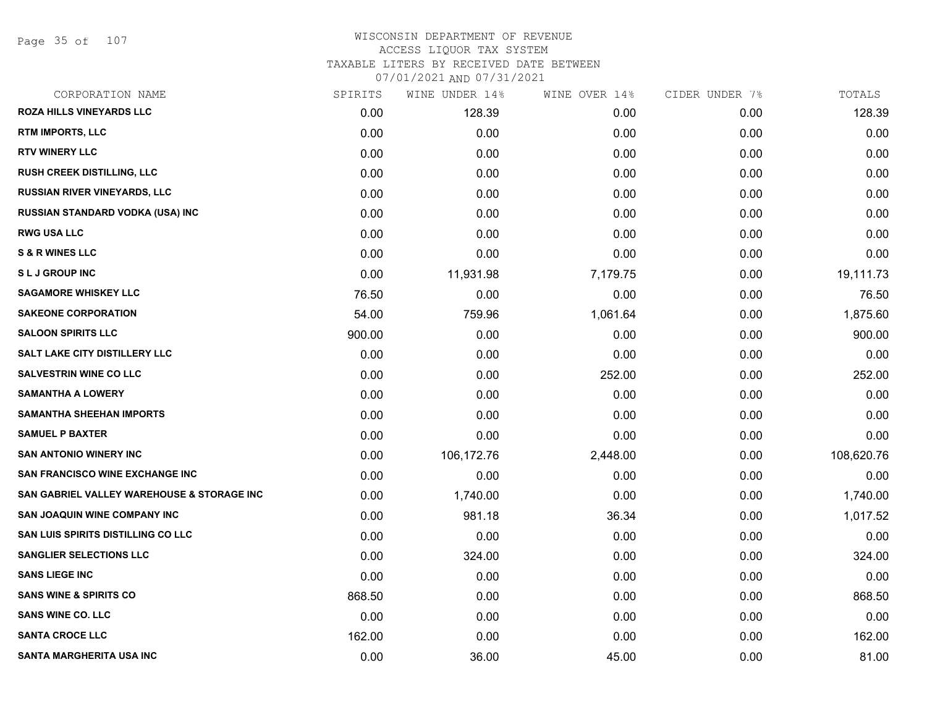# WISCONSIN DEPARTMENT OF REVENUE ACCESS LIQUOR TAX SYSTEM

TAXABLE LITERS BY RECEIVED DATE BETWEEN

| CORPORATION NAME                           | SPIRITS | WINE UNDER 14% | WINE OVER 14% | CIDER UNDER 7% | TOTALS     |
|--------------------------------------------|---------|----------------|---------------|----------------|------------|
| <b>ROZA HILLS VINEYARDS LLC</b>            | 0.00    | 128.39         | 0.00          | 0.00           | 128.39     |
| RTM IMPORTS, LLC                           | 0.00    | 0.00           | 0.00          | 0.00           | 0.00       |
| <b>RTV WINERY LLC</b>                      | 0.00    | 0.00           | 0.00          | 0.00           | 0.00       |
| <b>RUSH CREEK DISTILLING, LLC</b>          | 0.00    | 0.00           | 0.00          | 0.00           | 0.00       |
| <b>RUSSIAN RIVER VINEYARDS, LLC</b>        | 0.00    | 0.00           | 0.00          | 0.00           | 0.00       |
| RUSSIAN STANDARD VODKA (USA) INC           | 0.00    | 0.00           | 0.00          | 0.00           | 0.00       |
| <b>RWG USA LLC</b>                         | 0.00    | 0.00           | 0.00          | 0.00           | 0.00       |
| <b>S &amp; R WINES LLC</b>                 | 0.00    | 0.00           | 0.00          | 0.00           | 0.00       |
| <b>SLJ GROUP INC</b>                       | 0.00    | 11,931.98      | 7,179.75      | 0.00           | 19,111.73  |
| <b>SAGAMORE WHISKEY LLC</b>                | 76.50   | 0.00           | 0.00          | 0.00           | 76.50      |
| <b>SAKEONE CORPORATION</b>                 | 54.00   | 759.96         | 1,061.64      | 0.00           | 1,875.60   |
| <b>SALOON SPIRITS LLC</b>                  | 900.00  | 0.00           | 0.00          | 0.00           | 900.00     |
| <b>SALT LAKE CITY DISTILLERY LLC</b>       | 0.00    | 0.00           | 0.00          | 0.00           | 0.00       |
| <b>SALVESTRIN WINE CO LLC</b>              | 0.00    | 0.00           | 252.00        | 0.00           | 252.00     |
| <b>SAMANTHA A LOWERY</b>                   | 0.00    | 0.00           | 0.00          | 0.00           | 0.00       |
| <b>SAMANTHA SHEEHAN IMPORTS</b>            | 0.00    | 0.00           | 0.00          | 0.00           | 0.00       |
| <b>SAMUEL P BAXTER</b>                     | 0.00    | 0.00           | 0.00          | 0.00           | 0.00       |
| <b>SAN ANTONIO WINERY INC</b>              | 0.00    | 106,172.76     | 2,448.00      | 0.00           | 108,620.76 |
| <b>SAN FRANCISCO WINE EXCHANGE INC</b>     | 0.00    | 0.00           | 0.00          | 0.00           | 0.00       |
| SAN GABRIEL VALLEY WAREHOUSE & STORAGE INC | 0.00    | 1,740.00       | 0.00          | 0.00           | 1,740.00   |
| <b>SAN JOAQUIN WINE COMPANY INC</b>        | 0.00    | 981.18         | 36.34         | 0.00           | 1,017.52   |
| SAN LUIS SPIRITS DISTILLING CO LLC         | 0.00    | 0.00           | 0.00          | 0.00           | 0.00       |
| <b>SANGLIER SELECTIONS LLC</b>             | 0.00    | 324.00         | 0.00          | 0.00           | 324.00     |
| <b>SANS LIEGE INC</b>                      | 0.00    | 0.00           | 0.00          | 0.00           | 0.00       |
| <b>SANS WINE &amp; SPIRITS CO</b>          | 868.50  | 0.00           | 0.00          | 0.00           | 868.50     |
| <b>SANS WINE CO. LLC</b>                   | 0.00    | 0.00           | 0.00          | 0.00           | 0.00       |
| <b>SANTA CROCE LLC</b>                     | 162.00  | 0.00           | 0.00          | 0.00           | 162.00     |
| SANTA MARGHERITA USA INC                   | 0.00    | 36.00          | 45.00         | 0.00           | 81.00      |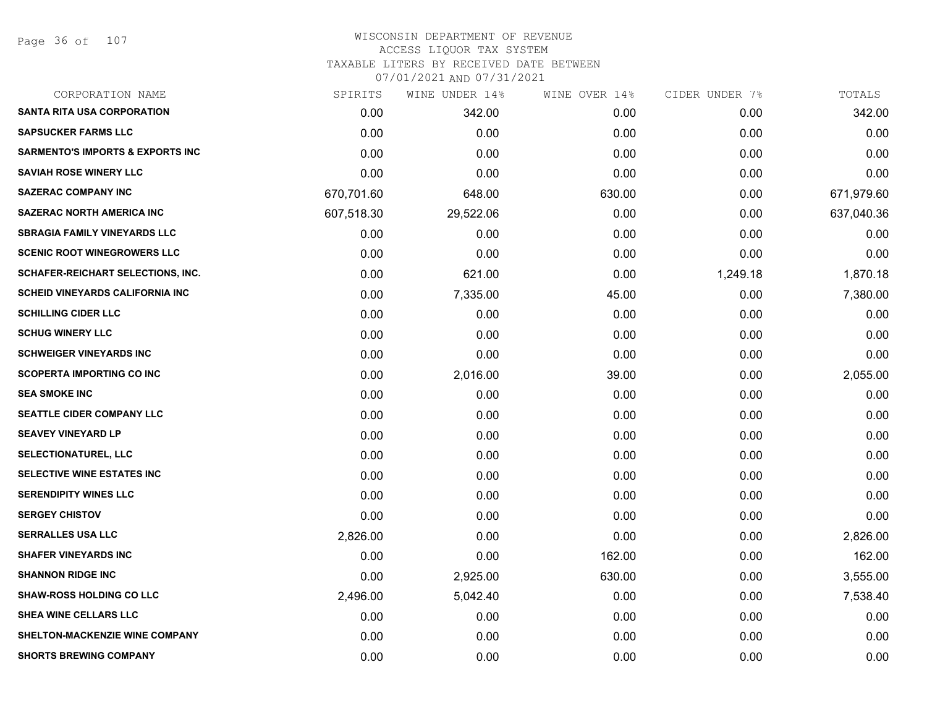Page 36 of 107

| CORPORATION NAME                            | SPIRITS    | WINE UNDER 14% | WINE OVER 14% | CIDER UNDER 7% | TOTALS     |
|---------------------------------------------|------------|----------------|---------------|----------------|------------|
| <b>SANTA RITA USA CORPORATION</b>           | 0.00       | 342.00         | 0.00          | 0.00           | 342.00     |
| <b>SAPSUCKER FARMS LLC</b>                  | 0.00       | 0.00           | 0.00          | 0.00           | 0.00       |
| <b>SARMENTO'S IMPORTS &amp; EXPORTS INC</b> | 0.00       | 0.00           | 0.00          | 0.00           | 0.00       |
| <b>SAVIAH ROSE WINERY LLC</b>               | 0.00       | 0.00           | 0.00          | 0.00           | 0.00       |
| <b>SAZERAC COMPANY INC</b>                  | 670,701.60 | 648.00         | 630.00        | 0.00           | 671,979.60 |
| <b>SAZERAC NORTH AMERICA INC</b>            | 607,518.30 | 29,522.06      | 0.00          | 0.00           | 637,040.36 |
| <b>SBRAGIA FAMILY VINEYARDS LLC</b>         | 0.00       | 0.00           | 0.00          | 0.00           | 0.00       |
| <b>SCENIC ROOT WINEGROWERS LLC</b>          | 0.00       | 0.00           | 0.00          | 0.00           | 0.00       |
| SCHAFER-REICHART SELECTIONS, INC.           | 0.00       | 621.00         | 0.00          | 1,249.18       | 1,870.18   |
| <b>SCHEID VINEYARDS CALIFORNIA INC</b>      | 0.00       | 7,335.00       | 45.00         | 0.00           | 7,380.00   |
| <b>SCHILLING CIDER LLC</b>                  | 0.00       | 0.00           | 0.00          | 0.00           | 0.00       |
| <b>SCHUG WINERY LLC</b>                     | 0.00       | 0.00           | 0.00          | 0.00           | 0.00       |
| <b>SCHWEIGER VINEYARDS INC</b>              | 0.00       | 0.00           | 0.00          | 0.00           | 0.00       |
| <b>SCOPERTA IMPORTING CO INC</b>            | 0.00       | 2,016.00       | 39.00         | 0.00           | 2,055.00   |
| <b>SEA SMOKE INC</b>                        | 0.00       | 0.00           | 0.00          | 0.00           | 0.00       |
| SEATTLE CIDER COMPANY LLC                   | 0.00       | 0.00           | 0.00          | 0.00           | 0.00       |
| <b>SEAVEY VINEYARD LP</b>                   | 0.00       | 0.00           | 0.00          | 0.00           | 0.00       |
| <b>SELECTIONATUREL, LLC</b>                 | 0.00       | 0.00           | 0.00          | 0.00           | 0.00       |
| <b>SELECTIVE WINE ESTATES INC</b>           | 0.00       | 0.00           | 0.00          | 0.00           | 0.00       |
| <b>SERENDIPITY WINES LLC</b>                | 0.00       | 0.00           | 0.00          | 0.00           | 0.00       |
| <b>SERGEY CHISTOV</b>                       | 0.00       | 0.00           | 0.00          | 0.00           | 0.00       |
| <b>SERRALLES USA LLC</b>                    | 2,826.00   | 0.00           | 0.00          | 0.00           | 2,826.00   |
| <b>SHAFER VINEYARDS INC</b>                 | 0.00       | 0.00           | 162.00        | 0.00           | 162.00     |
| <b>SHANNON RIDGE INC</b>                    | 0.00       | 2,925.00       | 630.00        | 0.00           | 3,555.00   |
| <b>SHAW-ROSS HOLDING CO LLC</b>             | 2,496.00   | 5,042.40       | 0.00          | 0.00           | 7,538.40   |
| <b>SHEA WINE CELLARS LLC</b>                | 0.00       | 0.00           | 0.00          | 0.00           | 0.00       |
| SHELTON-MACKENZIE WINE COMPANY              | 0.00       | 0.00           | 0.00          | 0.00           | 0.00       |
| <b>SHORTS BREWING COMPANY</b>               | 0.00       | 0.00           | 0.00          | 0.00           | 0.00       |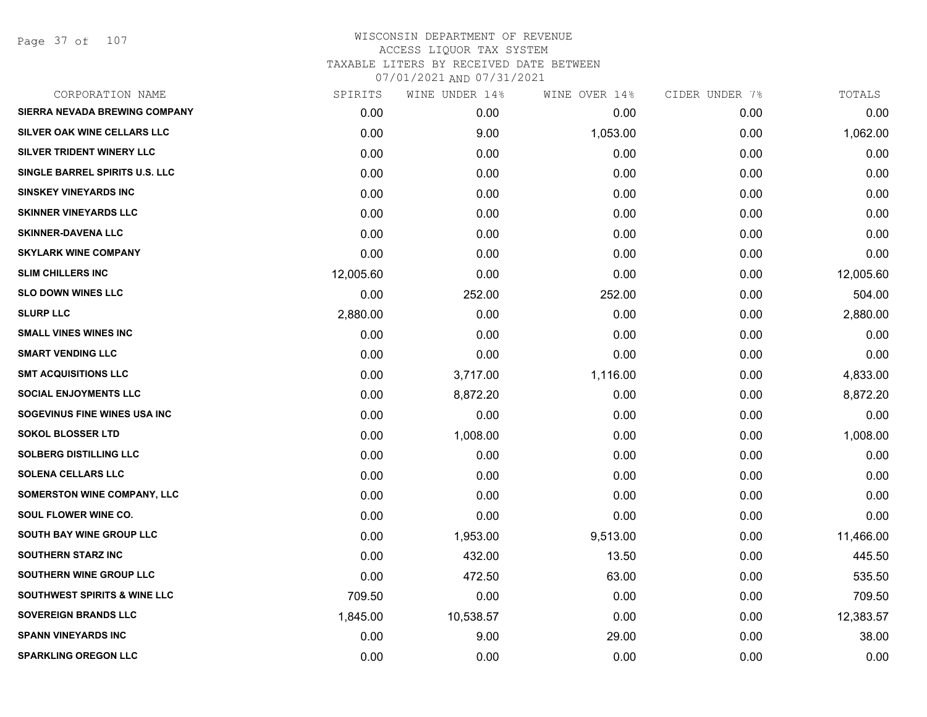Page 37 of 107

| CORPORATION NAME                        | SPIRITS   | WINE UNDER 14% | WINE OVER 14% | CIDER UNDER 7% | TOTALS    |
|-----------------------------------------|-----------|----------------|---------------|----------------|-----------|
| SIERRA NEVADA BREWING COMPANY           | 0.00      | 0.00           | 0.00          | 0.00           | 0.00      |
| SILVER OAK WINE CELLARS LLC             | 0.00      | 9.00           | 1,053.00      | 0.00           | 1,062.00  |
| SILVER TRIDENT WINERY LLC               | 0.00      | 0.00           | 0.00          | 0.00           | 0.00      |
| SINGLE BARREL SPIRITS U.S. LLC          | 0.00      | 0.00           | 0.00          | 0.00           | 0.00      |
| <b>SINSKEY VINEYARDS INC</b>            | 0.00      | 0.00           | 0.00          | 0.00           | 0.00      |
| <b>SKINNER VINEYARDS LLC</b>            | 0.00      | 0.00           | 0.00          | 0.00           | 0.00      |
| <b>SKINNER-DAVENA LLC</b>               | 0.00      | 0.00           | 0.00          | 0.00           | 0.00      |
| <b>SKYLARK WINE COMPANY</b>             | 0.00      | 0.00           | 0.00          | 0.00           | 0.00      |
| <b>SLIM CHILLERS INC</b>                | 12,005.60 | 0.00           | 0.00          | 0.00           | 12,005.60 |
| <b>SLO DOWN WINES LLC</b>               | 0.00      | 252.00         | 252.00        | 0.00           | 504.00    |
| <b>SLURP LLC</b>                        | 2,880.00  | 0.00           | 0.00          | 0.00           | 2,880.00  |
| <b>SMALL VINES WINES INC</b>            | 0.00      | 0.00           | 0.00          | 0.00           | 0.00      |
| <b>SMART VENDING LLC</b>                | 0.00      | 0.00           | 0.00          | 0.00           | 0.00      |
| <b>SMT ACQUISITIONS LLC</b>             | 0.00      | 3,717.00       | 1,116.00      | 0.00           | 4,833.00  |
| <b>SOCIAL ENJOYMENTS LLC</b>            | 0.00      | 8,872.20       | 0.00          | 0.00           | 8,872.20  |
| SOGEVINUS FINE WINES USA INC            | 0.00      | 0.00           | 0.00          | 0.00           | 0.00      |
| <b>SOKOL BLOSSER LTD</b>                | 0.00      | 1,008.00       | 0.00          | 0.00           | 1,008.00  |
| <b>SOLBERG DISTILLING LLC</b>           | 0.00      | 0.00           | 0.00          | 0.00           | 0.00      |
| <b>SOLENA CELLARS LLC</b>               | 0.00      | 0.00           | 0.00          | 0.00           | 0.00      |
| <b>SOMERSTON WINE COMPANY, LLC</b>      | 0.00      | 0.00           | 0.00          | 0.00           | 0.00      |
| SOUL FLOWER WINE CO.                    | 0.00      | 0.00           | 0.00          | 0.00           | 0.00      |
| SOUTH BAY WINE GROUP LLC                | 0.00      | 1,953.00       | 9,513.00      | 0.00           | 11,466.00 |
| <b>SOUTHERN STARZ INC</b>               | 0.00      | 432.00         | 13.50         | 0.00           | 445.50    |
| SOUTHERN WINE GROUP LLC                 | 0.00      | 472.50         | 63.00         | 0.00           | 535.50    |
| <b>SOUTHWEST SPIRITS &amp; WINE LLC</b> | 709.50    | 0.00           | 0.00          | 0.00           | 709.50    |
| <b>SOVEREIGN BRANDS LLC</b>             | 1,845.00  | 10,538.57      | 0.00          | 0.00           | 12,383.57 |
| <b>SPANN VINEYARDS INC</b>              | 0.00      | 9.00           | 29.00         | 0.00           | 38.00     |
| <b>SPARKLING OREGON LLC</b>             | 0.00      | 0.00           | 0.00          | 0.00           | 0.00      |
|                                         |           |                |               |                |           |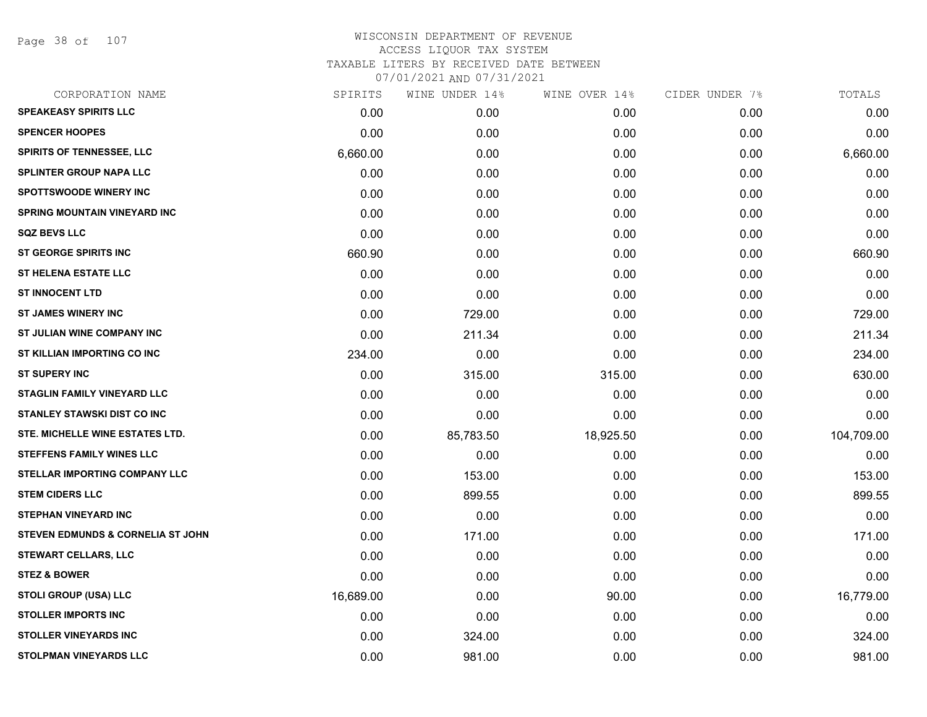Page 38 of 107

| CORPORATION NAME                             | SPIRITS   | WINE UNDER 14% | WINE OVER 14% | CIDER UNDER 7% | TOTALS     |
|----------------------------------------------|-----------|----------------|---------------|----------------|------------|
| <b>SPEAKEASY SPIRITS LLC</b>                 | 0.00      | 0.00           | 0.00          | 0.00           | 0.00       |
| <b>SPENCER HOOPES</b>                        | 0.00      | 0.00           | 0.00          | 0.00           | 0.00       |
| <b>SPIRITS OF TENNESSEE, LLC</b>             | 6,660.00  | 0.00           | 0.00          | 0.00           | 6,660.00   |
| <b>SPLINTER GROUP NAPA LLC</b>               | 0.00      | 0.00           | 0.00          | 0.00           | 0.00       |
| <b>SPOTTSWOODE WINERY INC</b>                | 0.00      | 0.00           | 0.00          | 0.00           | 0.00       |
| <b>SPRING MOUNTAIN VINEYARD INC</b>          | 0.00      | 0.00           | 0.00          | 0.00           | 0.00       |
| <b>SQZ BEVS LLC</b>                          | 0.00      | 0.00           | 0.00          | 0.00           | 0.00       |
| <b>ST GEORGE SPIRITS INC</b>                 | 660.90    | 0.00           | 0.00          | 0.00           | 660.90     |
| <b>ST HELENA ESTATE LLC</b>                  | 0.00      | 0.00           | 0.00          | 0.00           | 0.00       |
| <b>ST INNOCENT LTD</b>                       | 0.00      | 0.00           | 0.00          | 0.00           | 0.00       |
| <b>ST JAMES WINERY INC</b>                   | 0.00      | 729.00         | 0.00          | 0.00           | 729.00     |
| ST JULIAN WINE COMPANY INC                   | 0.00      | 211.34         | 0.00          | 0.00           | 211.34     |
| ST KILLIAN IMPORTING CO INC                  | 234.00    | 0.00           | 0.00          | 0.00           | 234.00     |
| <b>ST SUPERY INC</b>                         | 0.00      | 315.00         | 315.00        | 0.00           | 630.00     |
| <b>STAGLIN FAMILY VINEYARD LLC</b>           | 0.00      | 0.00           | 0.00          | 0.00           | 0.00       |
| <b>STANLEY STAWSKI DIST CO INC</b>           | 0.00      | 0.00           | 0.00          | 0.00           | 0.00       |
| STE. MICHELLE WINE ESTATES LTD.              | 0.00      | 85,783.50      | 18,925.50     | 0.00           | 104,709.00 |
| <b>STEFFENS FAMILY WINES LLC</b>             | 0.00      | 0.00           | 0.00          | 0.00           | 0.00       |
| STELLAR IMPORTING COMPANY LLC                | 0.00      | 153.00         | 0.00          | 0.00           | 153.00     |
| <b>STEM CIDERS LLC</b>                       | 0.00      | 899.55         | 0.00          | 0.00           | 899.55     |
| <b>STEPHAN VINEYARD INC</b>                  | 0.00      | 0.00           | 0.00          | 0.00           | 0.00       |
| <b>STEVEN EDMUNDS &amp; CORNELIA ST JOHN</b> | 0.00      | 171.00         | 0.00          | 0.00           | 171.00     |
| <b>STEWART CELLARS, LLC</b>                  | 0.00      | 0.00           | 0.00          | 0.00           | 0.00       |
| <b>STEZ &amp; BOWER</b>                      | 0.00      | 0.00           | 0.00          | 0.00           | 0.00       |
| <b>STOLI GROUP (USA) LLC</b>                 | 16,689.00 | 0.00           | 90.00         | 0.00           | 16,779.00  |
| <b>STOLLER IMPORTS INC</b>                   | 0.00      | 0.00           | 0.00          | 0.00           | 0.00       |
| <b>STOLLER VINEYARDS INC</b>                 | 0.00      | 324.00         | 0.00          | 0.00           | 324.00     |
| STOLPMAN VINEYARDS LLC                       | 0.00      | 981.00         | 0.00          | 0.00           | 981.00     |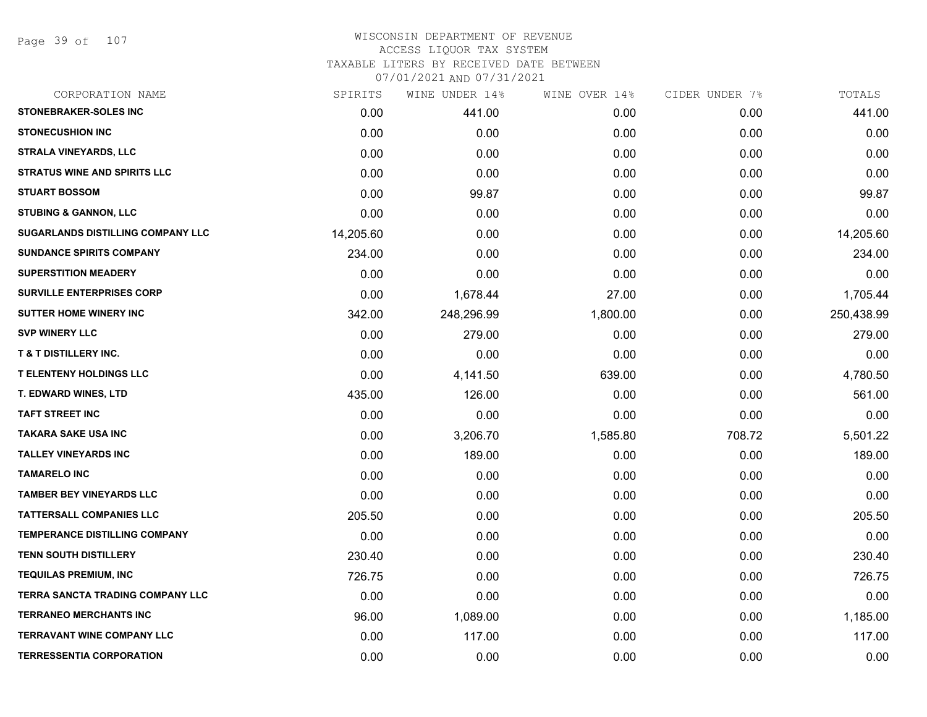## WISCONSIN DEPARTMENT OF REVENUE ACCESS LIQUOR TAX SYSTEM TAXABLE LITERS BY RECEIVED DATE BETWEEN

| CORPORATION NAME                     | SPIRITS   | WINE UNDER 14% | WINE OVER 14% | CIDER UNDER 7% | TOTALS     |
|--------------------------------------|-----------|----------------|---------------|----------------|------------|
| STONEBRAKER-SOLES INC                | 0.00      | 441.00         | 0.00          | 0.00           | 441.00     |
| <b>STONECUSHION INC</b>              | 0.00      | 0.00           | 0.00          | 0.00           | 0.00       |
| <b>STRALA VINEYARDS, LLC</b>         | 0.00      | 0.00           | 0.00          | 0.00           | 0.00       |
| <b>STRATUS WINE AND SPIRITS LLC</b>  | 0.00      | 0.00           | 0.00          | 0.00           | 0.00       |
| <b>STUART BOSSOM</b>                 | 0.00      | 99.87          | 0.00          | 0.00           | 99.87      |
| <b>STUBING &amp; GANNON, LLC</b>     | 0.00      | 0.00           | 0.00          | 0.00           | 0.00       |
| SUGARLANDS DISTILLING COMPANY LLC    | 14,205.60 | 0.00           | 0.00          | 0.00           | 14,205.60  |
| <b>SUNDANCE SPIRITS COMPANY</b>      | 234.00    | 0.00           | 0.00          | 0.00           | 234.00     |
| <b>SUPERSTITION MEADERY</b>          | 0.00      | 0.00           | 0.00          | 0.00           | 0.00       |
| <b>SURVILLE ENTERPRISES CORP</b>     | 0.00      | 1,678.44       | 27.00         | 0.00           | 1,705.44   |
| <b>SUTTER HOME WINERY INC</b>        | 342.00    | 248,296.99     | 1,800.00      | 0.00           | 250,438.99 |
| <b>SVP WINERY LLC</b>                | 0.00      | 279.00         | 0.00          | 0.00           | 279.00     |
| <b>T &amp; T DISTILLERY INC.</b>     | 0.00      | 0.00           | 0.00          | 0.00           | 0.00       |
| <b>T ELENTENY HOLDINGS LLC</b>       | 0.00      | 4,141.50       | 639.00        | 0.00           | 4,780.50   |
| <b>T. EDWARD WINES, LTD</b>          | 435.00    | 126.00         | 0.00          | 0.00           | 561.00     |
| <b>TAFT STREET INC</b>               | 0.00      | 0.00           | 0.00          | 0.00           | 0.00       |
| <b>TAKARA SAKE USA INC</b>           | 0.00      | 3,206.70       | 1,585.80      | 708.72         | 5,501.22   |
| <b>TALLEY VINEYARDS INC</b>          | 0.00      | 189.00         | 0.00          | 0.00           | 189.00     |
| <b>TAMARELO INC</b>                  | 0.00      | 0.00           | 0.00          | 0.00           | 0.00       |
| <b>TAMBER BEY VINEYARDS LLC</b>      | 0.00      | 0.00           | 0.00          | 0.00           | 0.00       |
| <b>TATTERSALL COMPANIES LLC</b>      | 205.50    | 0.00           | 0.00          | 0.00           | 205.50     |
| <b>TEMPERANCE DISTILLING COMPANY</b> | 0.00      | 0.00           | 0.00          | 0.00           | 0.00       |
| <b>TENN SOUTH DISTILLERY</b>         | 230.40    | 0.00           | 0.00          | 0.00           | 230.40     |
| <b>TEQUILAS PREMIUM, INC</b>         | 726.75    | 0.00           | 0.00          | 0.00           | 726.75     |
| TERRA SANCTA TRADING COMPANY LLC     | 0.00      | 0.00           | 0.00          | 0.00           | 0.00       |
| <b>TERRANEO MERCHANTS INC</b>        | 96.00     | 1,089.00       | 0.00          | 0.00           | 1,185.00   |
| <b>TERRAVANT WINE COMPANY LLC</b>    | 0.00      | 117.00         | 0.00          | 0.00           | 117.00     |
| <b>TERRESSENTIA CORPORATION</b>      | 0.00      | 0.00           | 0.00          | 0.00           | 0.00       |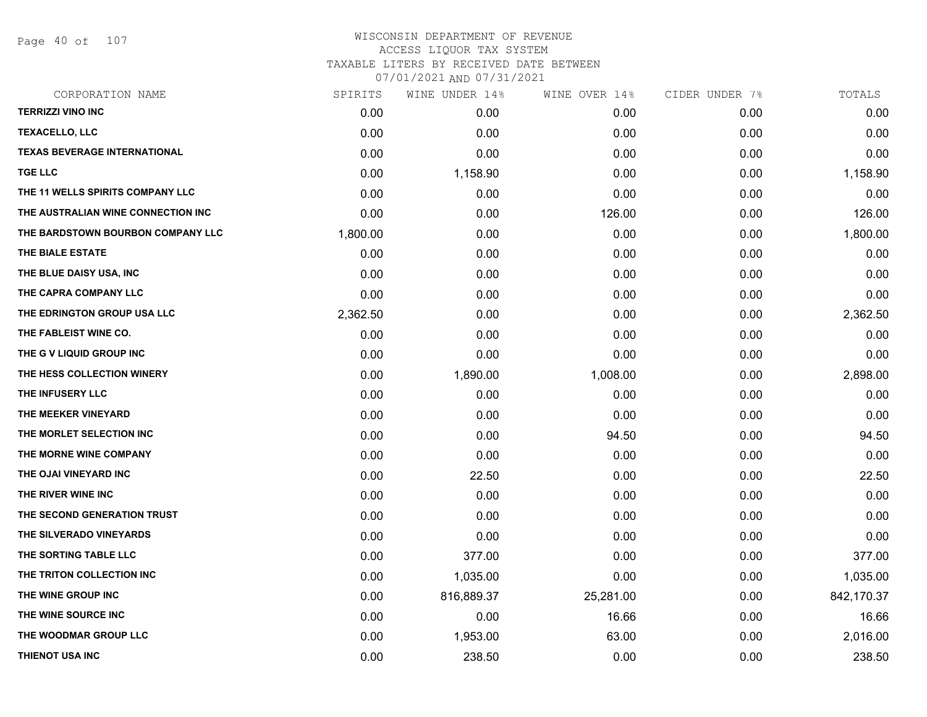Page 40 of 107

# WISCONSIN DEPARTMENT OF REVENUE ACCESS LIQUOR TAX SYSTEM TAXABLE LITERS BY RECEIVED DATE BETWEEN

| CORPORATION NAME                    | SPIRITS  | WINE UNDER 14% | WINE OVER 14% | CIDER UNDER 7% | TOTALS     |
|-------------------------------------|----------|----------------|---------------|----------------|------------|
| <b>TERRIZZI VINO INC</b>            | 0.00     | 0.00           | 0.00          | 0.00           | 0.00       |
| <b>TEXACELLO, LLC</b>               | 0.00     | 0.00           | 0.00          | 0.00           | 0.00       |
| <b>TEXAS BEVERAGE INTERNATIONAL</b> | 0.00     | 0.00           | 0.00          | 0.00           | 0.00       |
| <b>TGE LLC</b>                      | 0.00     | 1,158.90       | 0.00          | 0.00           | 1,158.90   |
| THE 11 WELLS SPIRITS COMPANY LLC    | 0.00     | 0.00           | 0.00          | 0.00           | 0.00       |
| THE AUSTRALIAN WINE CONNECTION INC  | 0.00     | 0.00           | 126.00        | 0.00           | 126.00     |
| THE BARDSTOWN BOURBON COMPANY LLC   | 1,800.00 | 0.00           | 0.00          | 0.00           | 1,800.00   |
| THE BIALE ESTATE                    | 0.00     | 0.00           | 0.00          | 0.00           | 0.00       |
| THE BLUE DAISY USA, INC             | 0.00     | 0.00           | 0.00          | 0.00           | 0.00       |
| THE CAPRA COMPANY LLC               | 0.00     | 0.00           | 0.00          | 0.00           | 0.00       |
| THE EDRINGTON GROUP USA LLC         | 2,362.50 | 0.00           | 0.00          | 0.00           | 2,362.50   |
| THE FABLEIST WINE CO.               | 0.00     | 0.00           | 0.00          | 0.00           | 0.00       |
| THE G V LIQUID GROUP INC            | 0.00     | 0.00           | 0.00          | 0.00           | 0.00       |
| THE HESS COLLECTION WINERY          | 0.00     | 1,890.00       | 1,008.00      | 0.00           | 2,898.00   |
| THE INFUSERY LLC                    | 0.00     | 0.00           | 0.00          | 0.00           | 0.00       |
| THE MEEKER VINEYARD                 | 0.00     | 0.00           | 0.00          | 0.00           | 0.00       |
| THE MORLET SELECTION INC            | 0.00     | 0.00           | 94.50         | 0.00           | 94.50      |
| THE MORNE WINE COMPANY              | 0.00     | 0.00           | 0.00          | 0.00           | 0.00       |
| THE OJAI VINEYARD INC               | 0.00     | 22.50          | 0.00          | 0.00           | 22.50      |
| THE RIVER WINE INC                  | 0.00     | 0.00           | 0.00          | 0.00           | 0.00       |
| THE SECOND GENERATION TRUST         | 0.00     | 0.00           | 0.00          | 0.00           | 0.00       |
| THE SILVERADO VINEYARDS             | 0.00     | 0.00           | 0.00          | 0.00           | 0.00       |
| THE SORTING TABLE LLC               | 0.00     | 377.00         | 0.00          | 0.00           | 377.00     |
| THE TRITON COLLECTION INC           | 0.00     | 1,035.00       | 0.00          | 0.00           | 1,035.00   |
| THE WINE GROUP INC                  | 0.00     | 816,889.37     | 25,281.00     | 0.00           | 842,170.37 |
| THE WINE SOURCE INC                 | 0.00     | 0.00           | 16.66         | 0.00           | 16.66      |
| THE WOODMAR GROUP LLC               | 0.00     | 1,953.00       | 63.00         | 0.00           | 2,016.00   |
| THIENOT USA INC                     | 0.00     | 238.50         | 0.00          | 0.00           | 238.50     |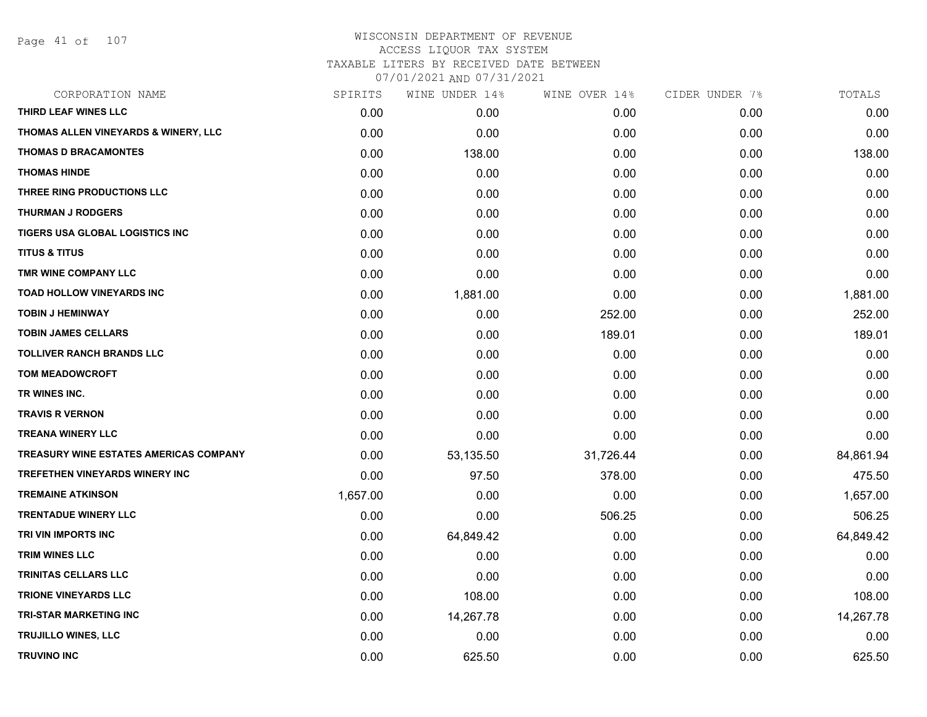Page 41 of 107

| CORPORATION NAME                              | SPIRITS  | WINE UNDER 14% | WINE OVER 14% | CIDER UNDER 7% | TOTALS    |
|-----------------------------------------------|----------|----------------|---------------|----------------|-----------|
| THIRD LEAF WINES LLC                          | 0.00     | 0.00           | 0.00          | 0.00           | 0.00      |
| THOMAS ALLEN VINEYARDS & WINERY, LLC          | 0.00     | 0.00           | 0.00          | 0.00           | 0.00      |
| <b>THOMAS D BRACAMONTES</b>                   | 0.00     | 138.00         | 0.00          | 0.00           | 138.00    |
| <b>THOMAS HINDE</b>                           | 0.00     | 0.00           | 0.00          | 0.00           | 0.00      |
| THREE RING PRODUCTIONS LLC                    | 0.00     | 0.00           | 0.00          | 0.00           | 0.00      |
| <b>THURMAN J RODGERS</b>                      | 0.00     | 0.00           | 0.00          | 0.00           | 0.00      |
| TIGERS USA GLOBAL LOGISTICS INC               | 0.00     | 0.00           | 0.00          | 0.00           | 0.00      |
| <b>TITUS &amp; TITUS</b>                      | 0.00     | 0.00           | 0.00          | 0.00           | 0.00      |
| TMR WINE COMPANY LLC                          | 0.00     | 0.00           | 0.00          | 0.00           | 0.00      |
| <b>TOAD HOLLOW VINEYARDS INC</b>              | 0.00     | 1,881.00       | 0.00          | 0.00           | 1,881.00  |
| <b>TOBIN J HEMINWAY</b>                       | 0.00     | 0.00           | 252.00        | 0.00           | 252.00    |
| <b>TOBIN JAMES CELLARS</b>                    | 0.00     | 0.00           | 189.01        | 0.00           | 189.01    |
| <b>TOLLIVER RANCH BRANDS LLC</b>              | 0.00     | 0.00           | 0.00          | 0.00           | 0.00      |
| <b>TOM MEADOWCROFT</b>                        | 0.00     | 0.00           | 0.00          | 0.00           | 0.00      |
| TR WINES INC.                                 | 0.00     | 0.00           | 0.00          | 0.00           | 0.00      |
| <b>TRAVIS R VERNON</b>                        | 0.00     | 0.00           | 0.00          | 0.00           | 0.00      |
| <b>TREANA WINERY LLC</b>                      | 0.00     | 0.00           | 0.00          | 0.00           | 0.00      |
| <b>TREASURY WINE ESTATES AMERICAS COMPANY</b> | 0.00     | 53,135.50      | 31,726.44     | 0.00           | 84,861.94 |
| <b>TREFETHEN VINEYARDS WINERY INC</b>         | 0.00     | 97.50          | 378.00        | 0.00           | 475.50    |
| <b>TREMAINE ATKINSON</b>                      | 1,657.00 | 0.00           | 0.00          | 0.00           | 1,657.00  |
| <b>TRENTADUE WINERY LLC</b>                   | 0.00     | 0.00           | 506.25        | 0.00           | 506.25    |
| TRI VIN IMPORTS INC                           | 0.00     | 64,849.42      | 0.00          | 0.00           | 64,849.42 |
| <b>TRIM WINES LLC</b>                         | 0.00     | 0.00           | 0.00          | 0.00           | 0.00      |
| <b>TRINITAS CELLARS LLC</b>                   | 0.00     | 0.00           | 0.00          | 0.00           | 0.00      |
| <b>TRIONE VINEYARDS LLC</b>                   | 0.00     | 108.00         | 0.00          | 0.00           | 108.00    |
| <b>TRI-STAR MARKETING INC</b>                 | 0.00     | 14,267.78      | 0.00          | 0.00           | 14,267.78 |
| <b>TRUJILLO WINES, LLC</b>                    | 0.00     | 0.00           | 0.00          | 0.00           | 0.00      |
| <b>TRUVINO INC</b>                            | 0.00     | 625.50         | 0.00          | 0.00           | 625.50    |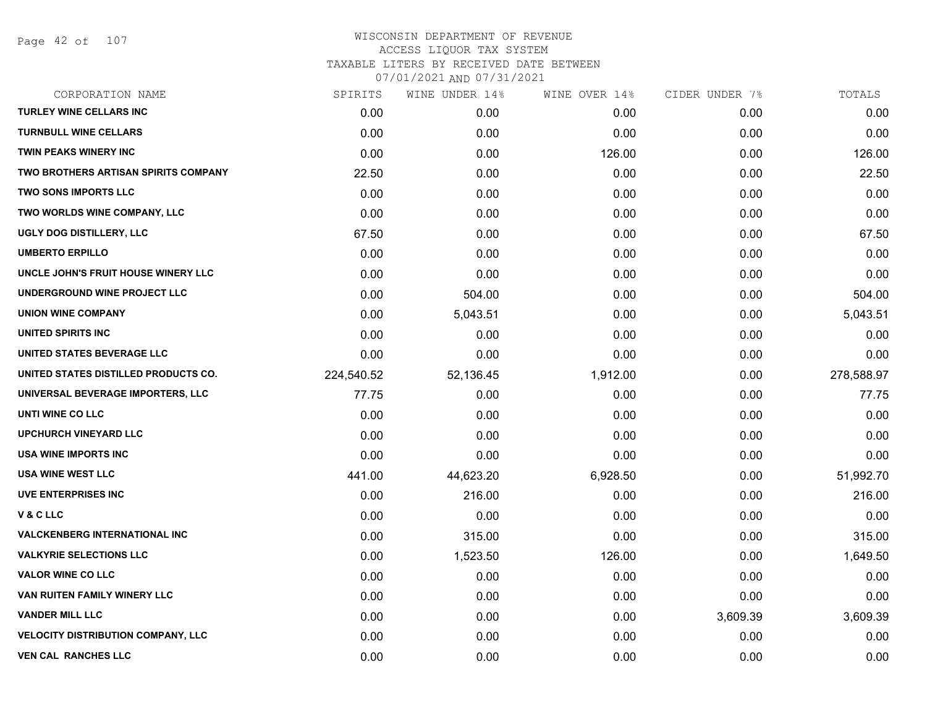Page 42 of 107

| CORPORATION NAME                            | SPIRITS    | WINE UNDER 14% | WINE OVER 14% | CIDER UNDER 7% | TOTALS     |
|---------------------------------------------|------------|----------------|---------------|----------------|------------|
| <b>TURLEY WINE CELLARS INC</b>              | 0.00       | 0.00           | 0.00          | 0.00           | 0.00       |
| <b>TURNBULL WINE CELLARS</b>                | 0.00       | 0.00           | 0.00          | 0.00           | 0.00       |
| TWIN PEAKS WINERY INC                       | 0.00       | 0.00           | 126.00        | 0.00           | 126.00     |
| <b>TWO BROTHERS ARTISAN SPIRITS COMPANY</b> | 22.50      | 0.00           | 0.00          | 0.00           | 22.50      |
| <b>TWO SONS IMPORTS LLC</b>                 | 0.00       | 0.00           | 0.00          | 0.00           | 0.00       |
| TWO WORLDS WINE COMPANY, LLC                | 0.00       | 0.00           | 0.00          | 0.00           | 0.00       |
| UGLY DOG DISTILLERY, LLC                    | 67.50      | 0.00           | 0.00          | 0.00           | 67.50      |
| <b>UMBERTO ERPILLO</b>                      | 0.00       | 0.00           | 0.00          | 0.00           | 0.00       |
| UNCLE JOHN'S FRUIT HOUSE WINERY LLC         | 0.00       | 0.00           | 0.00          | 0.00           | 0.00       |
| UNDERGROUND WINE PROJECT LLC                | 0.00       | 504.00         | 0.00          | 0.00           | 504.00     |
| <b>UNION WINE COMPANY</b>                   | 0.00       | 5,043.51       | 0.00          | 0.00           | 5,043.51   |
| UNITED SPIRITS INC                          | 0.00       | 0.00           | 0.00          | 0.00           | 0.00       |
| UNITED STATES BEVERAGE LLC                  | 0.00       | 0.00           | 0.00          | 0.00           | 0.00       |
| UNITED STATES DISTILLED PRODUCTS CO.        | 224,540.52 | 52,136.45      | 1,912.00      | 0.00           | 278,588.97 |
| UNIVERSAL BEVERAGE IMPORTERS, LLC           | 77.75      | 0.00           | 0.00          | 0.00           | 77.75      |
| UNTI WINE CO LLC                            | 0.00       | 0.00           | 0.00          | 0.00           | 0.00       |
| UPCHURCH VINEYARD LLC                       | 0.00       | 0.00           | 0.00          | 0.00           | 0.00       |
| USA WINE IMPORTS INC                        | 0.00       | 0.00           | 0.00          | 0.00           | 0.00       |
| <b>USA WINE WEST LLC</b>                    | 441.00     | 44,623.20      | 6,928.50      | 0.00           | 51,992.70  |
| <b>UVE ENTERPRISES INC</b>                  | 0.00       | 216.00         | 0.00          | 0.00           | 216.00     |
| V&CLLC                                      | 0.00       | 0.00           | 0.00          | 0.00           | 0.00       |
| <b>VALCKENBERG INTERNATIONAL INC</b>        | 0.00       | 315.00         | 0.00          | 0.00           | 315.00     |
| <b>VALKYRIE SELECTIONS LLC</b>              | 0.00       | 1,523.50       | 126.00        | 0.00           | 1,649.50   |
| <b>VALOR WINE CO LLC</b>                    | 0.00       | 0.00           | 0.00          | 0.00           | 0.00       |
| VAN RUITEN FAMILY WINERY LLC                | 0.00       | 0.00           | 0.00          | 0.00           | 0.00       |
| <b>VANDER MILL LLC</b>                      | 0.00       | 0.00           | 0.00          | 3,609.39       | 3,609.39   |
| <b>VELOCITY DISTRIBUTION COMPANY, LLC</b>   | 0.00       | 0.00           | 0.00          | 0.00           | 0.00       |
| <b>VEN CAL RANCHES LLC</b>                  | 0.00       | 0.00           | 0.00          | 0.00           | 0.00       |
|                                             |            |                |               |                |            |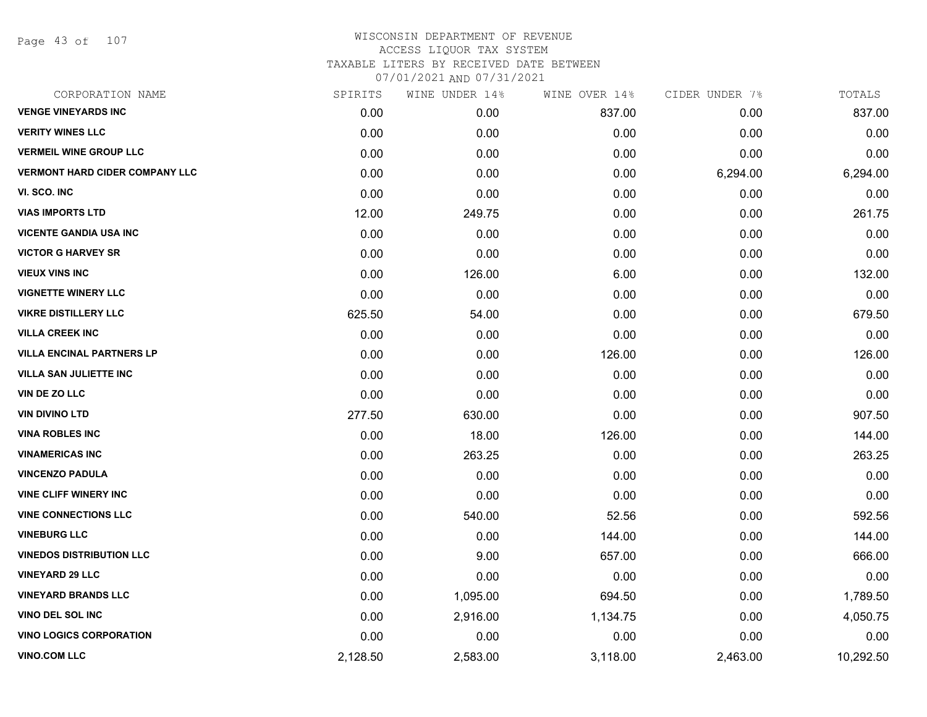Page 43 of 107

| CORPORATION NAME                      | SPIRITS  | WINE UNDER 14% | WINE OVER 14% | CIDER UNDER 7% | TOTALS    |
|---------------------------------------|----------|----------------|---------------|----------------|-----------|
| <b>VENGE VINEYARDS INC</b>            | 0.00     | 0.00           | 837.00        | 0.00           | 837.00    |
| <b>VERITY WINES LLC</b>               | 0.00     | 0.00           | 0.00          | 0.00           | 0.00      |
| <b>VERMEIL WINE GROUP LLC</b>         | 0.00     | 0.00           | 0.00          | 0.00           | 0.00      |
| <b>VERMONT HARD CIDER COMPANY LLC</b> | 0.00     | 0.00           | 0.00          | 6,294.00       | 6,294.00  |
| VI. SCO. INC                          | 0.00     | 0.00           | 0.00          | 0.00           | 0.00      |
| <b>VIAS IMPORTS LTD</b>               | 12.00    | 249.75         | 0.00          | 0.00           | 261.75    |
| <b>VICENTE GANDIA USA INC</b>         | 0.00     | 0.00           | 0.00          | 0.00           | 0.00      |
| <b>VICTOR G HARVEY SR</b>             | 0.00     | 0.00           | 0.00          | 0.00           | 0.00      |
| <b>VIEUX VINS INC</b>                 | 0.00     | 126.00         | 6.00          | 0.00           | 132.00    |
| <b>VIGNETTE WINERY LLC</b>            | 0.00     | 0.00           | 0.00          | 0.00           | 0.00      |
| <b>VIKRE DISTILLERY LLC</b>           | 625.50   | 54.00          | 0.00          | 0.00           | 679.50    |
| <b>VILLA CREEK INC</b>                | 0.00     | 0.00           | 0.00          | 0.00           | 0.00      |
| <b>VILLA ENCINAL PARTNERS LP</b>      | 0.00     | 0.00           | 126.00        | 0.00           | 126.00    |
| VILLA SAN JULIETTE INC                | 0.00     | 0.00           | 0.00          | 0.00           | 0.00      |
| VIN DE ZO LLC                         | 0.00     | 0.00           | 0.00          | 0.00           | 0.00      |
| <b>VIN DIVINO LTD</b>                 | 277.50   | 630.00         | 0.00          | 0.00           | 907.50    |
| <b>VINA ROBLES INC</b>                | 0.00     | 18.00          | 126.00        | 0.00           | 144.00    |
| <b>VINAMERICAS INC</b>                | 0.00     | 263.25         | 0.00          | 0.00           | 263.25    |
| <b>VINCENZO PADULA</b>                | 0.00     | 0.00           | 0.00          | 0.00           | 0.00      |
| <b>VINE CLIFF WINERY INC</b>          | 0.00     | 0.00           | 0.00          | 0.00           | 0.00      |
| <b>VINE CONNECTIONS LLC</b>           | 0.00     | 540.00         | 52.56         | 0.00           | 592.56    |
| <b>VINEBURG LLC</b>                   | 0.00     | 0.00           | 144.00        | 0.00           | 144.00    |
| <b>VINEDOS DISTRIBUTION LLC</b>       | 0.00     | 9.00           | 657.00        | 0.00           | 666.00    |
| <b>VINEYARD 29 LLC</b>                | 0.00     | 0.00           | 0.00          | 0.00           | 0.00      |
| <b>VINEYARD BRANDS LLC</b>            | 0.00     | 1,095.00       | 694.50        | 0.00           | 1,789.50  |
| <b>VINO DEL SOL INC</b>               | 0.00     | 2,916.00       | 1,134.75      | 0.00           | 4,050.75  |
| <b>VINO LOGICS CORPORATION</b>        | 0.00     | 0.00           | 0.00          | 0.00           | 0.00      |
| <b>VINO.COM LLC</b>                   | 2,128.50 | 2,583.00       | 3,118.00      | 2,463.00       | 10,292.50 |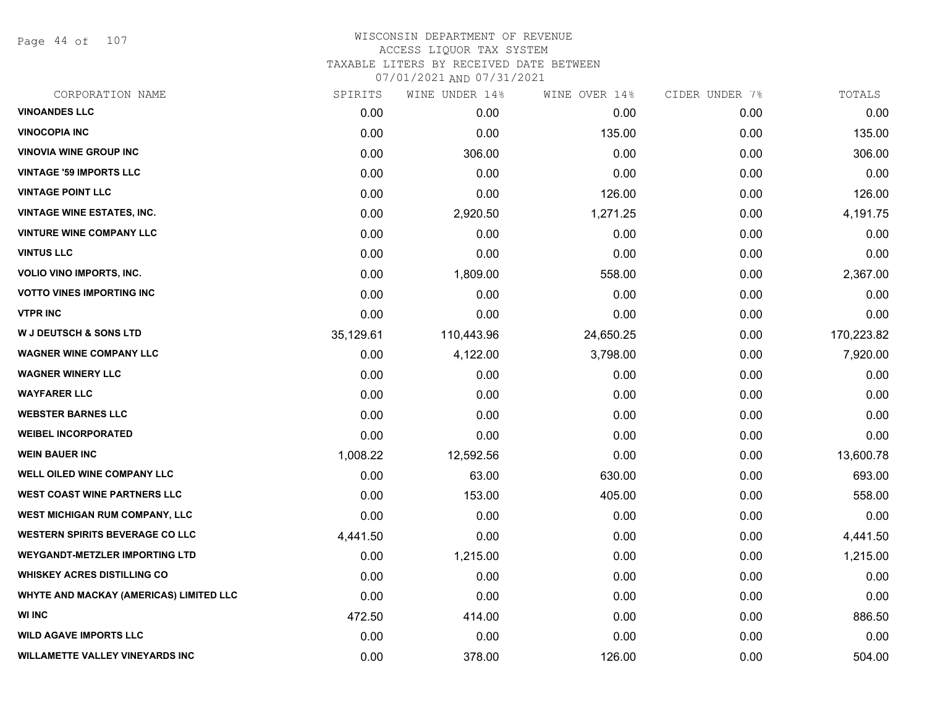Page 44 of 107

| CORPORATION NAME                        | SPIRITS   | WINE UNDER 14% | WINE OVER 14% | CIDER UNDER 7% | TOTALS     |
|-----------------------------------------|-----------|----------------|---------------|----------------|------------|
| <b>VINOANDES LLC</b>                    | 0.00      | 0.00           | 0.00          | 0.00           | 0.00       |
| <b>VINOCOPIA INC</b>                    | 0.00      | 0.00           | 135.00        | 0.00           | 135.00     |
| <b>VINOVIA WINE GROUP INC</b>           | 0.00      | 306.00         | 0.00          | 0.00           | 306.00     |
| <b>VINTAGE '59 IMPORTS LLC</b>          | 0.00      | 0.00           | 0.00          | 0.00           | 0.00       |
| <b>VINTAGE POINT LLC</b>                | 0.00      | 0.00           | 126.00        | 0.00           | 126.00     |
| <b>VINTAGE WINE ESTATES, INC.</b>       | 0.00      | 2,920.50       | 1,271.25      | 0.00           | 4,191.75   |
| <b>VINTURE WINE COMPANY LLC</b>         | 0.00      | 0.00           | 0.00          | 0.00           | 0.00       |
| <b>VINTUS LLC</b>                       | 0.00      | 0.00           | 0.00          | 0.00           | 0.00       |
| VOLIO VINO IMPORTS, INC.                | 0.00      | 1,809.00       | 558.00        | 0.00           | 2,367.00   |
| <b>VOTTO VINES IMPORTING INC</b>        | 0.00      | 0.00           | 0.00          | 0.00           | 0.00       |
| <b>VTPR INC</b>                         | 0.00      | 0.00           | 0.00          | 0.00           | 0.00       |
| <b>W J DEUTSCH &amp; SONS LTD</b>       | 35,129.61 | 110,443.96     | 24,650.25     | 0.00           | 170,223.82 |
| <b>WAGNER WINE COMPANY LLC</b>          | 0.00      | 4,122.00       | 3,798.00      | 0.00           | 7,920.00   |
| <b>WAGNER WINERY LLC</b>                | 0.00      | 0.00           | 0.00          | 0.00           | 0.00       |
| <b>WAYFARER LLC</b>                     | 0.00      | 0.00           | 0.00          | 0.00           | 0.00       |
| <b>WEBSTER BARNES LLC</b>               | 0.00      | 0.00           | 0.00          | 0.00           | 0.00       |
| <b>WEIBEL INCORPORATED</b>              | 0.00      | 0.00           | 0.00          | 0.00           | 0.00       |
| <b>WEIN BAUER INC</b>                   | 1,008.22  | 12,592.56      | 0.00          | 0.00           | 13,600.78  |
| WELL OILED WINE COMPANY LLC             | 0.00      | 63.00          | 630.00        | 0.00           | 693.00     |
| <b>WEST COAST WINE PARTNERS LLC</b>     | 0.00      | 153.00         | 405.00        | 0.00           | 558.00     |
| WEST MICHIGAN RUM COMPANY, LLC          | 0.00      | 0.00           | 0.00          | 0.00           | 0.00       |
| <b>WESTERN SPIRITS BEVERAGE CO LLC</b>  | 4,441.50  | 0.00           | 0.00          | 0.00           | 4,441.50   |
| <b>WEYGANDT-METZLER IMPORTING LTD</b>   | 0.00      | 1,215.00       | 0.00          | 0.00           | 1,215.00   |
| <b>WHISKEY ACRES DISTILLING CO</b>      | 0.00      | 0.00           | 0.00          | 0.00           | 0.00       |
| WHYTE AND MACKAY (AMERICAS) LIMITED LLC | 0.00      | 0.00           | 0.00          | 0.00           | 0.00       |
| <b>WI INC</b>                           | 472.50    | 414.00         | 0.00          | 0.00           | 886.50     |
| <b>WILD AGAVE IMPORTS LLC</b>           | 0.00      | 0.00           | 0.00          | 0.00           | 0.00       |
| <b>WILLAMETTE VALLEY VINEYARDS INC</b>  | 0.00      | 378.00         | 126.00        | 0.00           | 504.00     |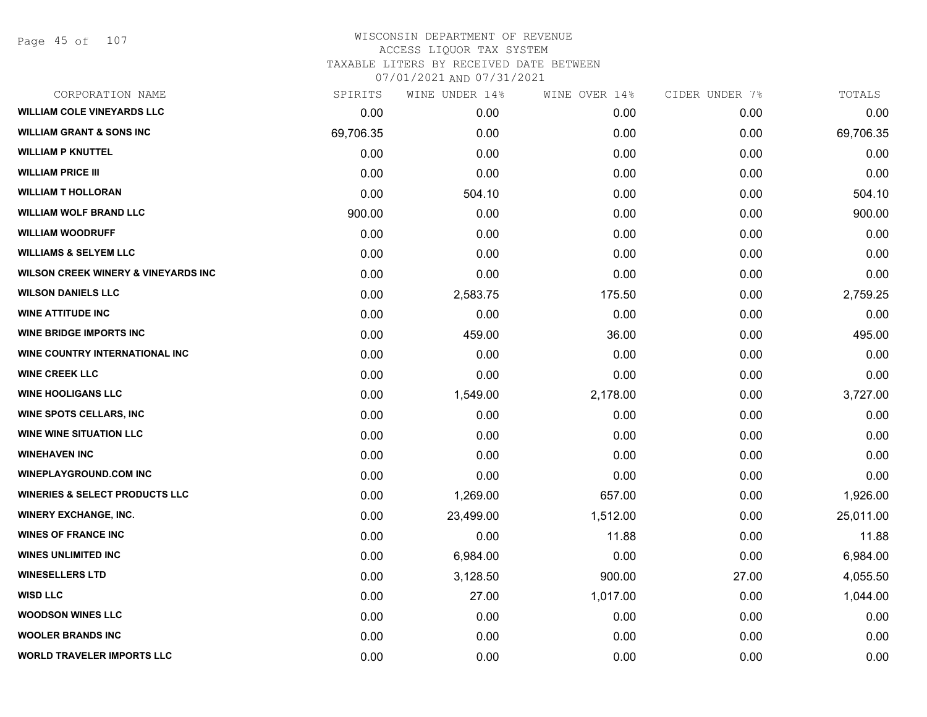Page 45 of 107

#### WISCONSIN DEPARTMENT OF REVENUE ACCESS LIQUOR TAX SYSTEM TAXABLE LITERS BY RECEIVED DATE BETWEEN

| CORPORATION NAME                               | SPIRITS   | WINE UNDER 14% | WINE OVER 14% | CIDER UNDER 7% | TOTALS    |
|------------------------------------------------|-----------|----------------|---------------|----------------|-----------|
| <b>WILLIAM COLE VINEYARDS LLC</b>              | 0.00      | 0.00           | 0.00          | 0.00           | 0.00      |
| <b>WILLIAM GRANT &amp; SONS INC</b>            | 69,706.35 | 0.00           | 0.00          | 0.00           | 69,706.35 |
| <b>WILLIAM P KNUTTEL</b>                       | 0.00      | 0.00           | 0.00          | 0.00           | 0.00      |
| <b>WILLIAM PRICE III</b>                       | 0.00      | 0.00           | 0.00          | 0.00           | 0.00      |
| <b>WILLIAM T HOLLORAN</b>                      | 0.00      | 504.10         | 0.00          | 0.00           | 504.10    |
| <b>WILLIAM WOLF BRAND LLC</b>                  | 900.00    | 0.00           | 0.00          | 0.00           | 900.00    |
| <b>WILLIAM WOODRUFF</b>                        | 0.00      | 0.00           | 0.00          | 0.00           | 0.00      |
| <b>WILLIAMS &amp; SELYEM LLC</b>               | 0.00      | 0.00           | 0.00          | 0.00           | 0.00      |
| <b>WILSON CREEK WINERY &amp; VINEYARDS INC</b> | 0.00      | 0.00           | 0.00          | 0.00           | 0.00      |
| <b>WILSON DANIELS LLC</b>                      | 0.00      | 2,583.75       | 175.50        | 0.00           | 2,759.25  |
| <b>WINE ATTITUDE INC</b>                       | 0.00      | 0.00           | 0.00          | 0.00           | 0.00      |
| <b>WINE BRIDGE IMPORTS INC</b>                 | 0.00      | 459.00         | 36.00         | 0.00           | 495.00    |
| WINE COUNTRY INTERNATIONAL INC                 | 0.00      | 0.00           | 0.00          | 0.00           | 0.00      |
| <b>WINE CREEK LLC</b>                          | 0.00      | 0.00           | 0.00          | 0.00           | 0.00      |
| <b>WINE HOOLIGANS LLC</b>                      | 0.00      | 1,549.00       | 2,178.00      | 0.00           | 3,727.00  |
| WINE SPOTS CELLARS, INC                        | 0.00      | 0.00           | 0.00          | 0.00           | 0.00      |
| <b>WINE WINE SITUATION LLC</b>                 | 0.00      | 0.00           | 0.00          | 0.00           | 0.00      |
| <b>WINEHAVEN INC</b>                           | 0.00      | 0.00           | 0.00          | 0.00           | 0.00      |
| <b>WINEPLAYGROUND.COM INC</b>                  | 0.00      | 0.00           | 0.00          | 0.00           | 0.00      |
| <b>WINERIES &amp; SELECT PRODUCTS LLC</b>      | 0.00      | 1,269.00       | 657.00        | 0.00           | 1,926.00  |
| <b>WINERY EXCHANGE, INC.</b>                   | 0.00      | 23,499.00      | 1,512.00      | 0.00           | 25,011.00 |
| <b>WINES OF FRANCE INC</b>                     | 0.00      | 0.00           | 11.88         | 0.00           | 11.88     |
| <b>WINES UNLIMITED INC</b>                     | 0.00      | 6,984.00       | 0.00          | 0.00           | 6,984.00  |
| <b>WINESELLERS LTD</b>                         | 0.00      | 3,128.50       | 900.00        | 27.00          | 4,055.50  |
| <b>WISD LLC</b>                                | 0.00      | 27.00          | 1,017.00      | 0.00           | 1,044.00  |
| <b>WOODSON WINES LLC</b>                       | 0.00      | 0.00           | 0.00          | 0.00           | 0.00      |
| <b>WOOLER BRANDS INC</b>                       | 0.00      | 0.00           | 0.00          | 0.00           | 0.00      |
| <b>WORLD TRAVELER IMPORTS LLC</b>              | 0.00      | 0.00           | 0.00          | 0.00           | 0.00      |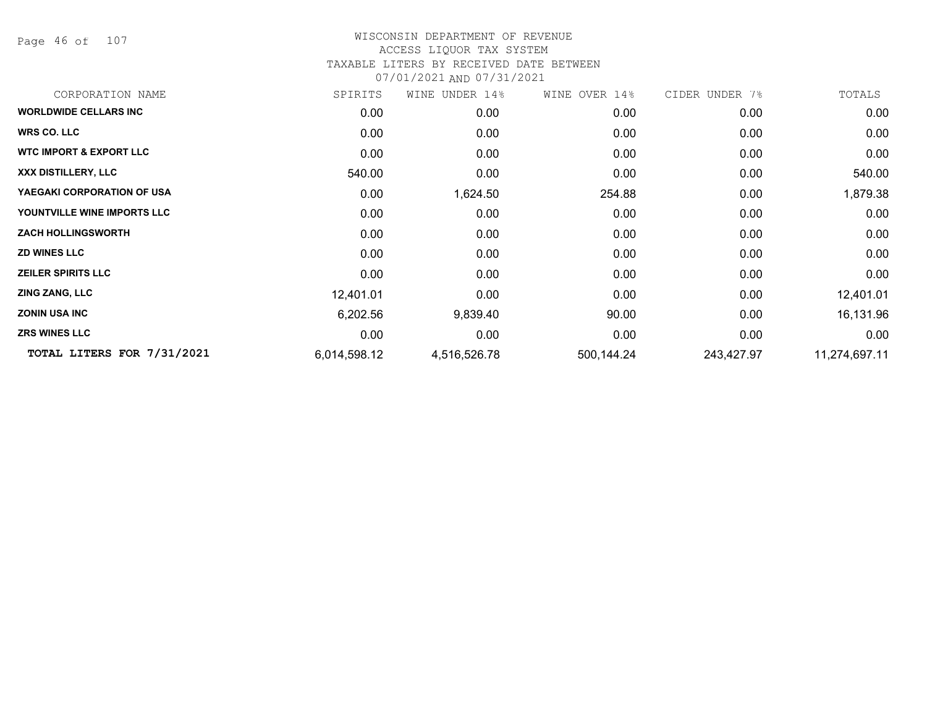Page 46 of 107

## WISCONSIN DEPARTMENT OF REVENUE ACCESS LIQUOR TAX SYSTEM TAXABLE LITERS BY RECEIVED DATE BETWEEN

| CORPORATION NAME                   | SPIRITS      | WINE UNDER 14% | WINE OVER 14% | CIDER UNDER 7% | TOTALS        |
|------------------------------------|--------------|----------------|---------------|----------------|---------------|
| <b>WORLDWIDE CELLARS INC</b>       | 0.00         | 0.00           | 0.00          | 0.00           | 0.00          |
| <b>WRS CO. LLC</b>                 | 0.00         | 0.00           | 0.00          | 0.00           | 0.00          |
| <b>WTC IMPORT &amp; EXPORT LLC</b> | 0.00         | 0.00           | 0.00          | 0.00           | 0.00          |
| XXX DISTILLERY, LLC                | 540.00       | 0.00           | 0.00          | 0.00           | 540.00        |
| YAEGAKI CORPORATION OF USA         | 0.00         | 1,624.50       | 254.88        | 0.00           | 1,879.38      |
| YOUNTVILLE WINE IMPORTS LLC        | 0.00         | 0.00           | 0.00          | 0.00           | 0.00          |
| <b>ZACH HOLLINGSWORTH</b>          | 0.00         | 0.00           | 0.00          | 0.00           | 0.00          |
| <b>ZD WINES LLC</b>                | 0.00         | 0.00           | 0.00          | 0.00           | 0.00          |
| <b>ZEILER SPIRITS LLC</b>          | 0.00         | 0.00           | 0.00          | 0.00           | 0.00          |
| <b>ZING ZANG, LLC</b>              | 12,401.01    | 0.00           | 0.00          | 0.00           | 12,401.01     |
| <b>ZONIN USA INC</b>               | 6,202.56     | 9,839.40       | 90.00         | 0.00           | 16,131.96     |
| <b>ZRS WINES LLC</b>               | 0.00         | 0.00           | 0.00          | 0.00           | 0.00          |
| TOTAL LITERS FOR 7/31/2021         | 6,014,598.12 | 4,516,526.78   | 500,144.24    | 243,427.97     | 11,274,697.11 |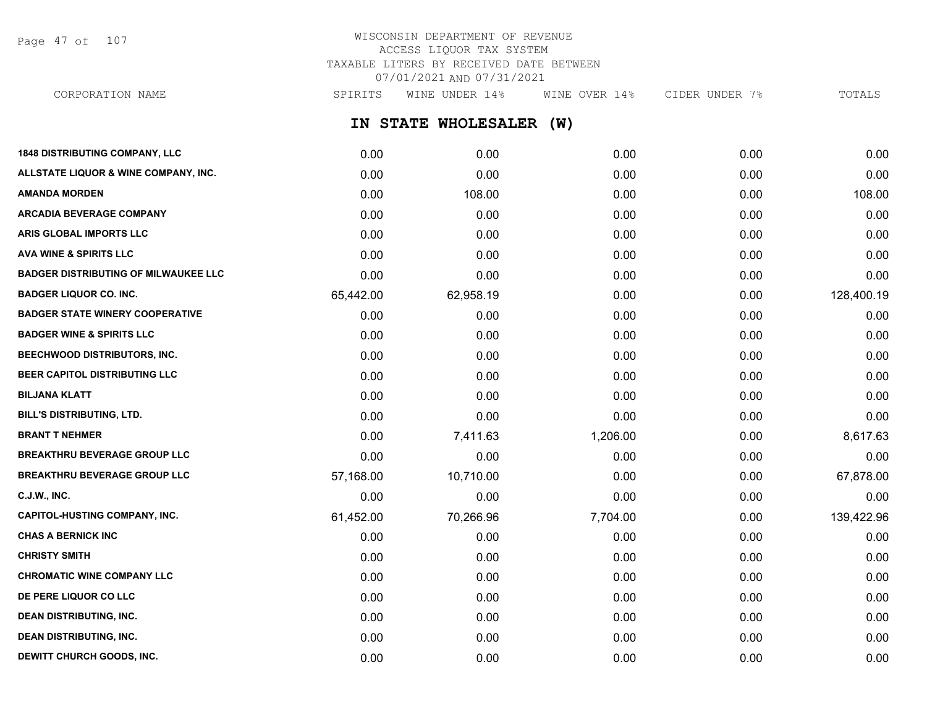Page 47 of 107

## WISCONSIN DEPARTMENT OF REVENUE ACCESS LIQUOR TAX SYSTEM TAXABLE LITERS BY RECEIVED DATE BETWEEN 07/01/2021 AND 07/31/2021

**IN STATE WHOLESALER (W) 1848 DISTRIBUTING COMPANY, LLC** 0.00 0.00 0.00 0.00 0.00 **ALLSTATE LIQUOR & WINE COMPANY, INC.** 0.00 0.00 0.00 0.00 0.00 **AMANDA MORDEN** 0.00 108.00 0.00 0.00 108.00 **ARCADIA BEVERAGE COMPANY**  $0.00$   $0.00$   $0.00$   $0.00$   $0.00$   $0.00$   $0.00$   $0.00$   $0.00$   $0.00$   $0.00$   $0.00$   $0.00$   $0.00$   $0.00$   $0.00$   $0.00$   $0.00$   $0.00$   $0.00$   $0.00$   $0.00$   $0.00$   $0.00$   $0.00$   $0.00$   $0.00$   $0.00$ **ARIS GLOBAL IMPORTS LLC** 0.00 0.00 0.00 0.00 0.00 **AVA WINE & SPIRITS LLC** 0.00 0.00 0.00 0.00 0.00 **BADGER DISTRIBUTING OF MILWAUKEE LLC** 0.00 0.00 0.00 0.00 0.00 **BADGER LIQUOR CO. INC.** 65,442.00 62,958.19 0.00 0.00 128,400.19 **BADGER STATE WINERY COOPERATIVE** 0.00 0.00 0.00 0.00 0.00 **BADGER WINE & SPIRITS LLC** 0.00 0.00 0.00 0.00 0.00 **BEECHWOOD DISTRIBUTORS, INC.** 0.00 0.00 0.00 0.00 0.00 **BEER CAPITOL DISTRIBUTING LLC** 0.00 0.00 0.00 0.00 0.00 **BILJANA KLATT** 0.00 0.00 0.00 0.00 0.00 **BILL'S DISTRIBUTING, LTD.** 0.00 0.00 0.00 0.00 0.00 **BRANT T NEHMER** 0.00 7,411.63 1,206.00 0.00 8,617.63 **BREAKTHRU BEVERAGE GROUP LLC** 0.00 0.00 0.00 0.00 0.00 **BREAKTHRU BEVERAGE GROUP LLC** 57,168.00 10,710.00 0.00 0.00 67,878.00 **C.J.W., INC.** 6.00 **0.00 0.00 0.00 0.00 0.00 0.00 0.00 0.00 0.00 0.00 0.00 0.00 0.00 CAPITOL-HUSTING COMPANY, INC.** 61,452.00 70,266.96 7,704.00 0.00 139,422.96 **CHAS A BERNICK INC** 0.00 0.00 0.00 0.00 0.00 **CHRISTY SMITH** 0.00 0.00 0.00 0.00 0.00 **CHROMATIC WINE COMPANY LLC** 0.00 0.00 0.00 0.00 0.00 **DE PERE LIQUOR CO LLC** 0.00 0.00 0.00 0.00 0.00 **DEAN DISTRIBUTING, INC.** 0.00 0.00 0.00 0.00 0.00 CORPORATION NAME SPIRITS WINE UNDER 14% WINE OVER 14% CIDER UNDER 7% TOTALS

**DEAN DISTRIBUTING, INC.** 0.00 0.00 0.00 0.00 0.00 **DEWITT CHURCH GOODS, INC.** 0.00 0.00 0.00 0.00 0.00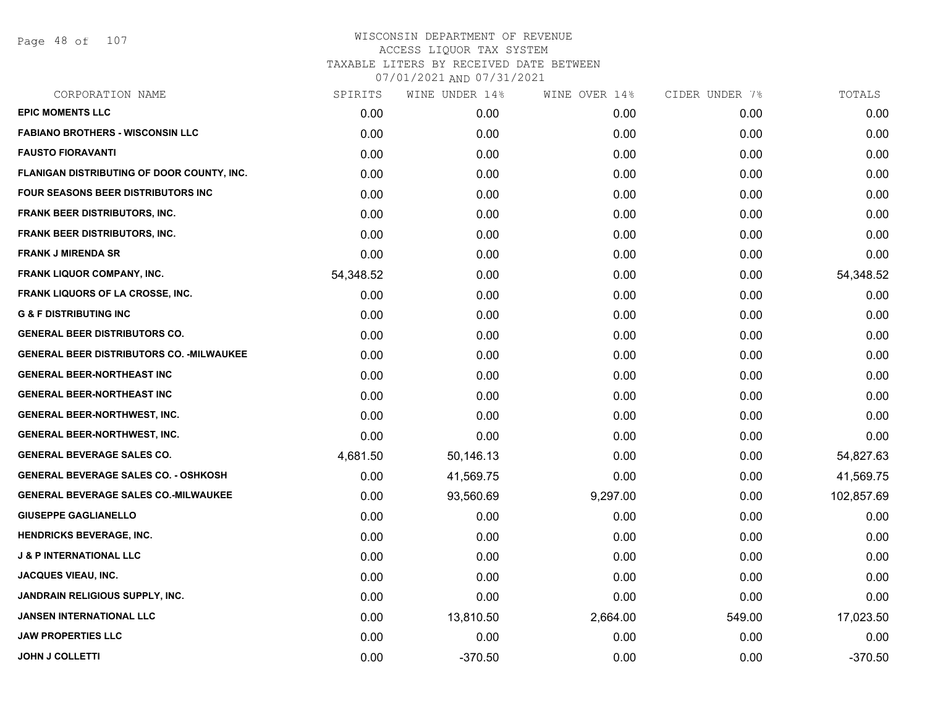Page 48 of 107

| SPIRITS   | WINE UNDER 14% | WINE OVER 14% | CIDER UNDER 7% | TOTALS     |
|-----------|----------------|---------------|----------------|------------|
| 0.00      | 0.00           | 0.00          | 0.00           | 0.00       |
| 0.00      | 0.00           | 0.00          | 0.00           | 0.00       |
| 0.00      | 0.00           | 0.00          | 0.00           | 0.00       |
| 0.00      | 0.00           | 0.00          | 0.00           | 0.00       |
| 0.00      | 0.00           | 0.00          | 0.00           | 0.00       |
| 0.00      | 0.00           | 0.00          | 0.00           | 0.00       |
| 0.00      | 0.00           | 0.00          | 0.00           | 0.00       |
| 0.00      | 0.00           | 0.00          | 0.00           | 0.00       |
| 54,348.52 | 0.00           | 0.00          | 0.00           | 54,348.52  |
| 0.00      | 0.00           | 0.00          | 0.00           | 0.00       |
| 0.00      | 0.00           | 0.00          | 0.00           | 0.00       |
| 0.00      | 0.00           | 0.00          | 0.00           | 0.00       |
| 0.00      | 0.00           | 0.00          | 0.00           | 0.00       |
| 0.00      | 0.00           | 0.00          | 0.00           | 0.00       |
| 0.00      | 0.00           | 0.00          | 0.00           | 0.00       |
| 0.00      | 0.00           | 0.00          | 0.00           | 0.00       |
| 0.00      | 0.00           | 0.00          | 0.00           | 0.00       |
| 4,681.50  | 50,146.13      | 0.00          | 0.00           | 54,827.63  |
| 0.00      | 41,569.75      | 0.00          | 0.00           | 41,569.75  |
| 0.00      | 93,560.69      | 9,297.00      | 0.00           | 102,857.69 |
| 0.00      | 0.00           | 0.00          | 0.00           | 0.00       |
| 0.00      | 0.00           | 0.00          | 0.00           | 0.00       |
| 0.00      | 0.00           | 0.00          | 0.00           | 0.00       |
| 0.00      | 0.00           | 0.00          | 0.00           | 0.00       |
| 0.00      | 0.00           | 0.00          | 0.00           | 0.00       |
| 0.00      | 13,810.50      | 2,664.00      | 549.00         | 17,023.50  |
| 0.00      | 0.00           | 0.00          | 0.00           | 0.00       |
| 0.00      | $-370.50$      | 0.00          | 0.00           | $-370.50$  |
|           |                |               |                |            |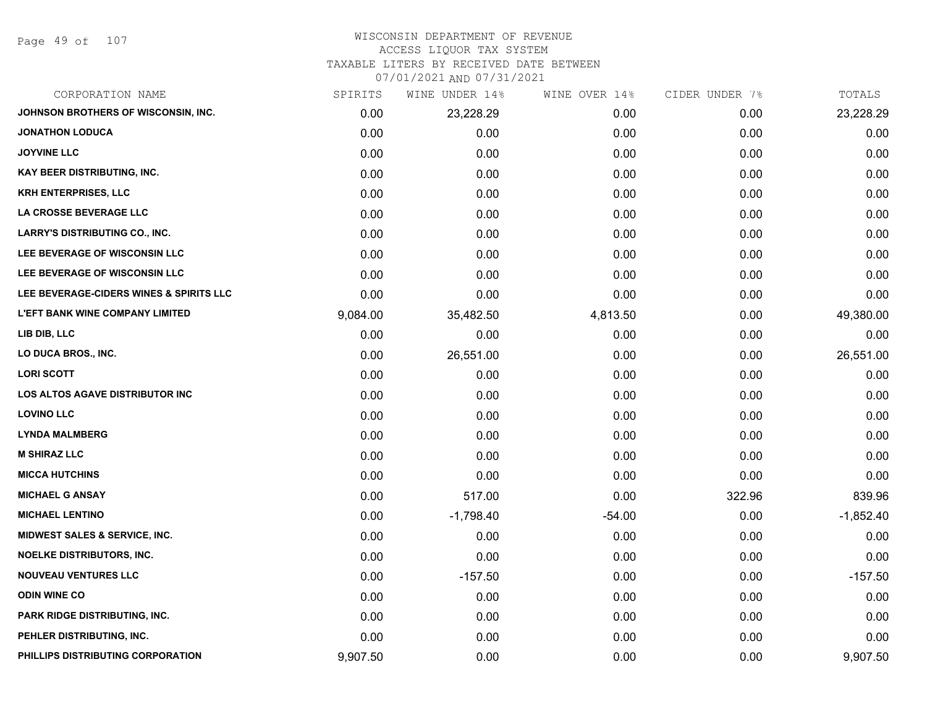Page 49 of 107

#### WISCONSIN DEPARTMENT OF REVENUE ACCESS LIQUOR TAX SYSTEM

#### TAXABLE LITERS BY RECEIVED DATE BETWEEN

| CORPORATION NAME                        | SPIRITS  | WINE UNDER 14% | WINE OVER 14% | CIDER UNDER 7% | TOTALS      |
|-----------------------------------------|----------|----------------|---------------|----------------|-------------|
| JOHNSON BROTHERS OF WISCONSIN, INC.     | 0.00     | 23,228.29      | 0.00          | 0.00           | 23,228.29   |
| <b>JONATHON LODUCA</b>                  | 0.00     | 0.00           | 0.00          | 0.00           | 0.00        |
| <b>JOYVINE LLC</b>                      | 0.00     | 0.00           | 0.00          | 0.00           | 0.00        |
| <b>KAY BEER DISTRIBUTING, INC.</b>      | 0.00     | 0.00           | 0.00          | 0.00           | 0.00        |
| <b>KRH ENTERPRISES, LLC</b>             | 0.00     | 0.00           | 0.00          | 0.00           | 0.00        |
| LA CROSSE BEVERAGE LLC                  | 0.00     | 0.00           | 0.00          | 0.00           | 0.00        |
| <b>LARRY'S DISTRIBUTING CO., INC.</b>   | 0.00     | 0.00           | 0.00          | 0.00           | 0.00        |
| LEE BEVERAGE OF WISCONSIN LLC           | 0.00     | 0.00           | 0.00          | 0.00           | 0.00        |
| LEE BEVERAGE OF WISCONSIN LLC           | 0.00     | 0.00           | 0.00          | 0.00           | 0.00        |
| LEE BEVERAGE-CIDERS WINES & SPIRITS LLC | 0.00     | 0.00           | 0.00          | 0.00           | 0.00        |
| <b>L'EFT BANK WINE COMPANY LIMITED</b>  | 9,084.00 | 35,482.50      | 4,813.50      | 0.00           | 49,380.00   |
| LIB DIB, LLC                            | 0.00     | 0.00           | 0.00          | 0.00           | 0.00        |
| LO DUCA BROS., INC.                     | 0.00     | 26,551.00      | 0.00          | 0.00           | 26,551.00   |
| <b>LORI SCOTT</b>                       | 0.00     | 0.00           | 0.00          | 0.00           | 0.00        |
| <b>LOS ALTOS AGAVE DISTRIBUTOR INC</b>  | 0.00     | 0.00           | 0.00          | 0.00           | 0.00        |
| <b>LOVINO LLC</b>                       | 0.00     | 0.00           | 0.00          | 0.00           | 0.00        |
| <b>LYNDA MALMBERG</b>                   | 0.00     | 0.00           | 0.00          | 0.00           | 0.00        |
| <b>M SHIRAZ LLC</b>                     | 0.00     | 0.00           | 0.00          | 0.00           | 0.00        |
| <b>MICCA HUTCHINS</b>                   | 0.00     | 0.00           | 0.00          | 0.00           | 0.00        |
| <b>MICHAEL G ANSAY</b>                  | 0.00     | 517.00         | 0.00          | 322.96         | 839.96      |
| <b>MICHAEL LENTINO</b>                  | 0.00     | $-1,798.40$    | $-54.00$      | 0.00           | $-1,852.40$ |
| MIDWEST SALES & SERVICE, INC.           | 0.00     | 0.00           | 0.00          | 0.00           | 0.00        |
| <b>NOELKE DISTRIBUTORS, INC.</b>        | 0.00     | 0.00           | 0.00          | 0.00           | 0.00        |
| <b>NOUVEAU VENTURES LLC</b>             | 0.00     | $-157.50$      | 0.00          | 0.00           | $-157.50$   |
| <b>ODIN WINE CO</b>                     | 0.00     | 0.00           | 0.00          | 0.00           | 0.00        |
| PARK RIDGE DISTRIBUTING, INC.           | 0.00     | 0.00           | 0.00          | 0.00           | 0.00        |
| PEHLER DISTRIBUTING, INC.               | 0.00     | 0.00           | 0.00          | 0.00           | 0.00        |
| PHILLIPS DISTRIBUTING CORPORATION       | 9,907.50 | 0.00           | 0.00          | 0.00           | 9,907.50    |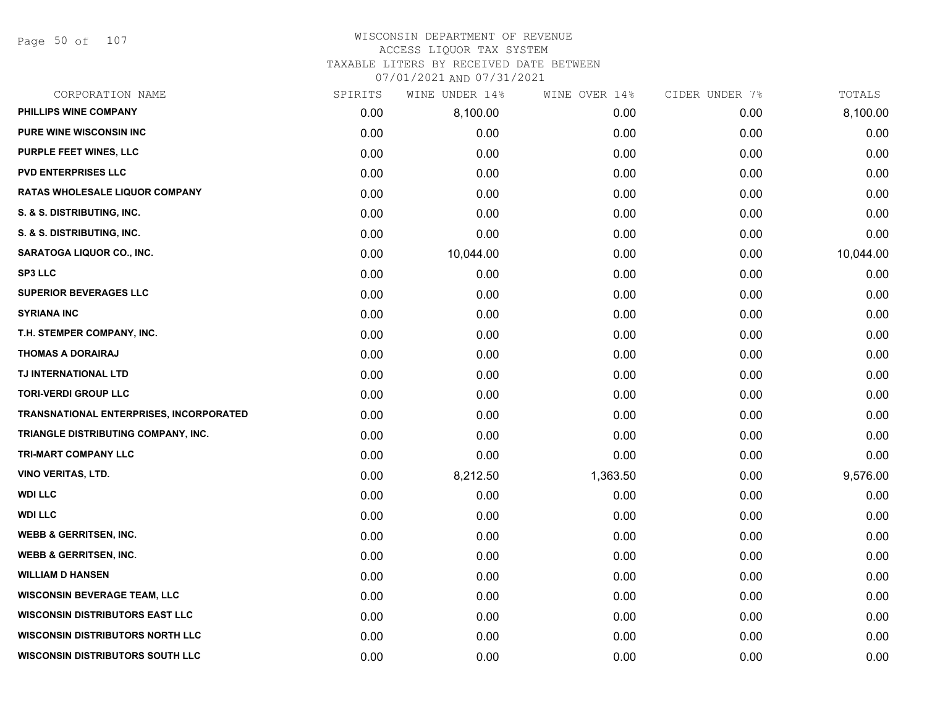Page 50 of 107

## WISCONSIN DEPARTMENT OF REVENUE ACCESS LIQUOR TAX SYSTEM

TAXABLE LITERS BY RECEIVED DATE BETWEEN

| CORPORATION NAME                        | SPIRITS | WINE UNDER 14% | WINE OVER 14% | CIDER UNDER 7% | TOTALS    |
|-----------------------------------------|---------|----------------|---------------|----------------|-----------|
| PHILLIPS WINE COMPANY                   | 0.00    | 8,100.00       | 0.00          | 0.00           | 8,100.00  |
| <b>PURE WINE WISCONSIN INC</b>          | 0.00    | 0.00           | 0.00          | 0.00           | 0.00      |
| PURPLE FEET WINES, LLC                  | 0.00    | 0.00           | 0.00          | 0.00           | 0.00      |
| <b>PVD ENTERPRISES LLC</b>              | 0.00    | 0.00           | 0.00          | 0.00           | 0.00      |
| RATAS WHOLESALE LIQUOR COMPANY          | 0.00    | 0.00           | 0.00          | 0.00           | 0.00      |
| S. & S. DISTRIBUTING, INC.              | 0.00    | 0.00           | 0.00          | 0.00           | 0.00      |
| S. & S. DISTRIBUTING, INC.              | 0.00    | 0.00           | 0.00          | 0.00           | 0.00      |
| <b>SARATOGA LIQUOR CO., INC.</b>        | 0.00    | 10,044.00      | 0.00          | 0.00           | 10,044.00 |
| <b>SP3 LLC</b>                          | 0.00    | 0.00           | 0.00          | 0.00           | 0.00      |
| <b>SUPERIOR BEVERAGES LLC</b>           | 0.00    | 0.00           | 0.00          | 0.00           | 0.00      |
| <b>SYRIANA INC</b>                      | 0.00    | 0.00           | 0.00          | 0.00           | 0.00      |
| T.H. STEMPER COMPANY, INC.              | 0.00    | 0.00           | 0.00          | 0.00           | 0.00      |
| <b>THOMAS A DORAIRAJ</b>                | 0.00    | 0.00           | 0.00          | 0.00           | 0.00      |
| TJ INTERNATIONAL LTD                    | 0.00    | 0.00           | 0.00          | 0.00           | 0.00      |
| <b>TORI-VERDI GROUP LLC</b>             | 0.00    | 0.00           | 0.00          | 0.00           | 0.00      |
| TRANSNATIONAL ENTERPRISES, INCORPORATED | 0.00    | 0.00           | 0.00          | 0.00           | 0.00      |
| TRIANGLE DISTRIBUTING COMPANY, INC.     | 0.00    | 0.00           | 0.00          | 0.00           | 0.00      |
| TRI-MART COMPANY LLC                    | 0.00    | 0.00           | 0.00          | 0.00           | 0.00      |
| <b>VINO VERITAS, LTD.</b>               | 0.00    | 8,212.50       | 1,363.50      | 0.00           | 9,576.00  |
| <b>WDI LLC</b>                          | 0.00    | 0.00           | 0.00          | 0.00           | 0.00      |
| <b>WDI LLC</b>                          | 0.00    | 0.00           | 0.00          | 0.00           | 0.00      |
| <b>WEBB &amp; GERRITSEN, INC.</b>       | 0.00    | 0.00           | 0.00          | 0.00           | 0.00      |
| <b>WEBB &amp; GERRITSEN, INC.</b>       | 0.00    | 0.00           | 0.00          | 0.00           | 0.00      |
| <b>WILLIAM D HANSEN</b>                 | 0.00    | 0.00           | 0.00          | 0.00           | 0.00      |
| <b>WISCONSIN BEVERAGE TEAM, LLC</b>     | 0.00    | 0.00           | 0.00          | 0.00           | 0.00      |
| <b>WISCONSIN DISTRIBUTORS EAST LLC</b>  | 0.00    | 0.00           | 0.00          | 0.00           | 0.00      |
| <b>WISCONSIN DISTRIBUTORS NORTH LLC</b> | 0.00    | 0.00           | 0.00          | 0.00           | 0.00      |
| <b>WISCONSIN DISTRIBUTORS SOUTH LLC</b> | 0.00    | 0.00           | 0.00          | 0.00           | 0.00      |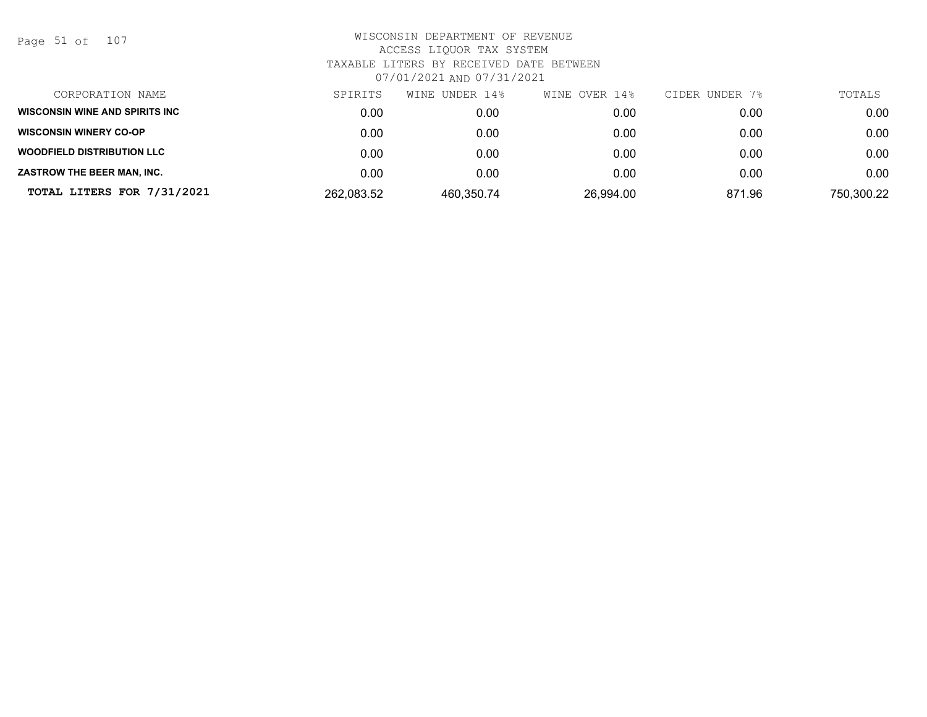Page 51 of 107

| CORPORATION NAME                  | SPIRITS    | WINE UNDER 14% | WINE OVER 14% | CIDER UNDER 7% | TOTALS     |
|-----------------------------------|------------|----------------|---------------|----------------|------------|
| WISCONSIN WINE AND SPIRITS INC    | 0.00       | 0.00           | 0.00          | 0.00           | 0.00       |
| <b>WISCONSIN WINERY CO-OP</b>     | 0.00       | 0.00           | 0.00          | 0.00           | 0.00       |
| <b>WOODFIELD DISTRIBUTION LLC</b> | 0.00       | 0.00           | 0.00          | 0.00           | 0.00       |
| ZASTROW THE BEER MAN, INC.        | 0.00       | 0.00           | 0.00          | 0.00           | 0.00       |
| TOTAL LITERS FOR 7/31/2021        | 262,083.52 | 460,350.74     | 26,994.00     | 871.96         | 750,300.22 |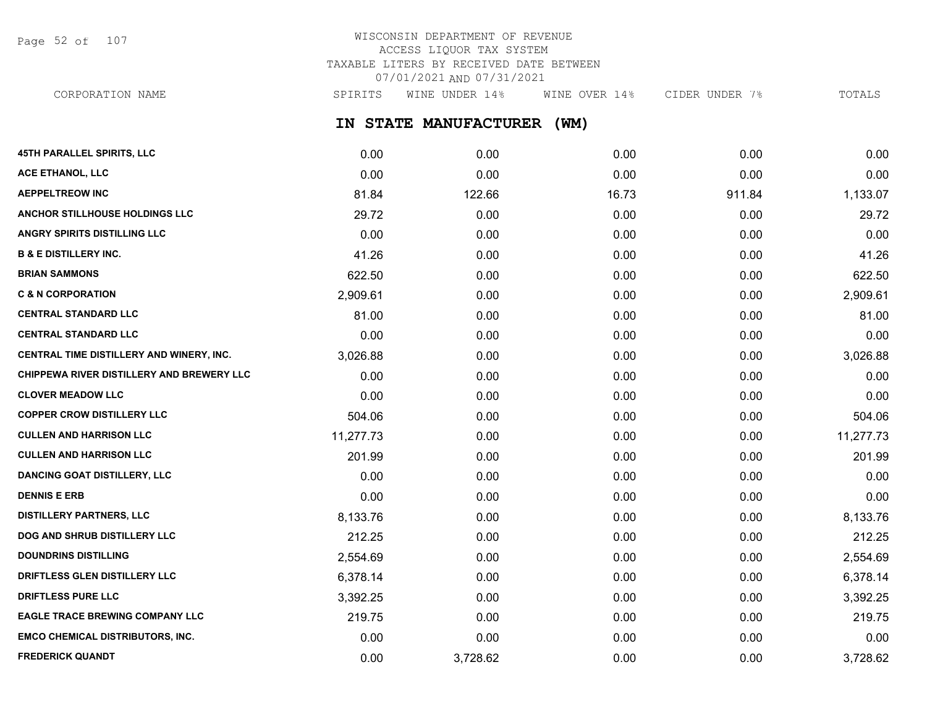Page 52 of 107

## WISCONSIN DEPARTMENT OF REVENUE ACCESS LIQUOR TAX SYSTEM TAXABLE LITERS BY RECEIVED DATE BETWEEN 07/01/2021 AND 07/31/2021

**IN STATE MANUFACTURER (WM) 45TH PARALLEL SPIRITS, LLC** 0.00 0.00 0.00 0.00 0.00 CORPORATION NAME SPIRITS WINE UNDER 14% WINE OVER 14% CIDER UNDER 7% TOTALS

| <b>ACE ETHANOL, LLC</b>                   | 0.00      | 0.00     | 0.00  | 0.00   | 0.00      |
|-------------------------------------------|-----------|----------|-------|--------|-----------|
| <b>AEPPELTREOW INC</b>                    | 81.84     | 122.66   | 16.73 | 911.84 | 1,133.07  |
| ANCHOR STILLHOUSE HOLDINGS LLC            | 29.72     | 0.00     | 0.00  | 0.00   | 29.72     |
| ANGRY SPIRITS DISTILLING LLC              | 0.00      | 0.00     | 0.00  | 0.00   | 0.00      |
| <b>B &amp; E DISTILLERY INC.</b>          | 41.26     | 0.00     | 0.00  | 0.00   | 41.26     |
| <b>BRIAN SAMMONS</b>                      | 622.50    | 0.00     | 0.00  | 0.00   | 622.50    |
| <b>C &amp; N CORPORATION</b>              | 2,909.61  | 0.00     | 0.00  | 0.00   | 2,909.61  |
| <b>CENTRAL STANDARD LLC</b>               | 81.00     | 0.00     | 0.00  | 0.00   | 81.00     |
| <b>CENTRAL STANDARD LLC</b>               | 0.00      | 0.00     | 0.00  | 0.00   | 0.00      |
| CENTRAL TIME DISTILLERY AND WINERY, INC.  | 3,026.88  | 0.00     | 0.00  | 0.00   | 3,026.88  |
| CHIPPEWA RIVER DISTILLERY AND BREWERY LLC | 0.00      | 0.00     | 0.00  | 0.00   | 0.00      |
| <b>CLOVER MEADOW LLC</b>                  | 0.00      | 0.00     | 0.00  | 0.00   | 0.00      |
| <b>COPPER CROW DISTILLERY LLC</b>         | 504.06    | 0.00     | 0.00  | 0.00   | 504.06    |
| <b>CULLEN AND HARRISON LLC</b>            | 11,277.73 | 0.00     | 0.00  | 0.00   | 11,277.73 |
| <b>CULLEN AND HARRISON LLC</b>            | 201.99    | 0.00     | 0.00  | 0.00   | 201.99    |
| <b>DANCING GOAT DISTILLERY, LLC</b>       | 0.00      | 0.00     | 0.00  | 0.00   | 0.00      |
| <b>DENNIS E ERB</b>                       | 0.00      | 0.00     | 0.00  | 0.00   | 0.00      |
| <b>DISTILLERY PARTNERS, LLC</b>           | 8,133.76  | 0.00     | 0.00  | 0.00   | 8,133.76  |
| DOG AND SHRUB DISTILLERY LLC              | 212.25    | 0.00     | 0.00  | 0.00   | 212.25    |
| <b>DOUNDRINS DISTILLING</b>               | 2,554.69  | 0.00     | 0.00  | 0.00   | 2,554.69  |
| DRIFTLESS GLEN DISTILLERY LLC             | 6,378.14  | 0.00     | 0.00  | 0.00   | 6,378.14  |
| <b>DRIFTLESS PURE LLC</b>                 | 3,392.25  | 0.00     | 0.00  | 0.00   | 3,392.25  |
| <b>EAGLE TRACE BREWING COMPANY LLC</b>    | 219.75    | 0.00     | 0.00  | 0.00   | 219.75    |
| <b>EMCO CHEMICAL DISTRIBUTORS, INC.</b>   | 0.00      | 0.00     | 0.00  | 0.00   | 0.00      |
| <b>FREDERICK QUANDT</b>                   | 0.00      | 3,728.62 | 0.00  | 0.00   | 3,728.62  |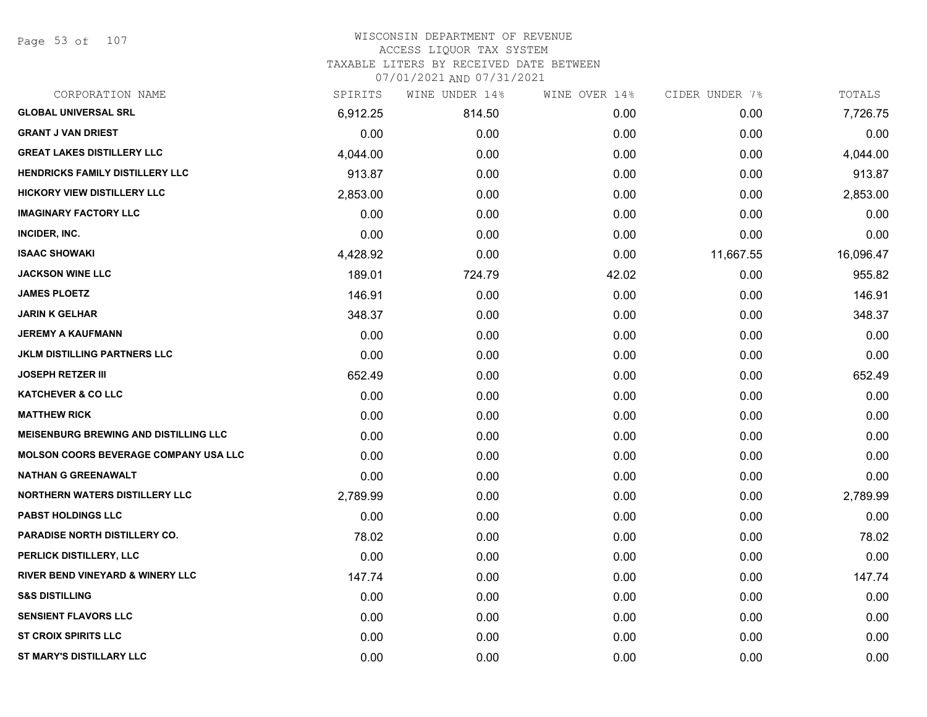Page 53 of 107

| CORPORATION NAME                             | SPIRITS  | WINE UNDER 14% | WINE OVER 14% | CIDER UNDER 7% | TOTALS    |
|----------------------------------------------|----------|----------------|---------------|----------------|-----------|
| <b>GLOBAL UNIVERSAL SRL</b>                  | 6,912.25 | 814.50         | 0.00          | 0.00           | 7,726.75  |
| <b>GRANT J VAN DRIEST</b>                    | 0.00     | 0.00           | 0.00          | 0.00           | 0.00      |
| <b>GREAT LAKES DISTILLERY LLC</b>            | 4,044.00 | 0.00           | 0.00          | 0.00           | 4,044.00  |
| <b>HENDRICKS FAMILY DISTILLERY LLC</b>       | 913.87   | 0.00           | 0.00          | 0.00           | 913.87    |
| <b>HICKORY VIEW DISTILLERY LLC</b>           | 2,853.00 | 0.00           | 0.00          | 0.00           | 2,853.00  |
| <b>IMAGINARY FACTORY LLC</b>                 | 0.00     | 0.00           | 0.00          | 0.00           | 0.00      |
| INCIDER, INC.                                | 0.00     | 0.00           | 0.00          | 0.00           | 0.00      |
| <b>ISAAC SHOWAKI</b>                         | 4,428.92 | 0.00           | 0.00          | 11,667.55      | 16,096.47 |
| <b>JACKSON WINE LLC</b>                      | 189.01   | 724.79         | 42.02         | 0.00           | 955.82    |
| <b>JAMES PLOETZ</b>                          | 146.91   | 0.00           | 0.00          | 0.00           | 146.91    |
| <b>JARIN K GELHAR</b>                        | 348.37   | 0.00           | 0.00          | 0.00           | 348.37    |
| <b>JEREMY A KAUFMANN</b>                     | 0.00     | 0.00           | 0.00          | 0.00           | 0.00      |
| <b>JKLM DISTILLING PARTNERS LLC</b>          | 0.00     | 0.00           | 0.00          | 0.00           | 0.00      |
| <b>JOSEPH RETZER III</b>                     | 652.49   | 0.00           | 0.00          | 0.00           | 652.49    |
| <b>KATCHEVER &amp; CO LLC</b>                | 0.00     | 0.00           | 0.00          | 0.00           | 0.00      |
| <b>MATTHEW RICK</b>                          | 0.00     | 0.00           | 0.00          | 0.00           | 0.00      |
| <b>MEISENBURG BREWING AND DISTILLING LLC</b> | 0.00     | 0.00           | 0.00          | 0.00           | 0.00      |
| <b>MOLSON COORS BEVERAGE COMPANY USA LLC</b> | 0.00     | 0.00           | 0.00          | 0.00           | 0.00      |
| <b>NATHAN G GREENAWALT</b>                   | 0.00     | 0.00           | 0.00          | 0.00           | 0.00      |
| <b>NORTHERN WATERS DISTILLERY LLC</b>        | 2,789.99 | 0.00           | 0.00          | 0.00           | 2,789.99  |
| <b>PABST HOLDINGS LLC</b>                    | 0.00     | 0.00           | 0.00          | 0.00           | 0.00      |
| <b>PARADISE NORTH DISTILLERY CO.</b>         | 78.02    | 0.00           | 0.00          | 0.00           | 78.02     |
| PERLICK DISTILLERY, LLC                      | 0.00     | 0.00           | 0.00          | 0.00           | 0.00      |
| <b>RIVER BEND VINEYARD &amp; WINERY LLC</b>  | 147.74   | 0.00           | 0.00          | 0.00           | 147.74    |
| <b>S&amp;S DISTILLING</b>                    | 0.00     | 0.00           | 0.00          | 0.00           | 0.00      |
| <b>SENSIENT FLAVORS LLC</b>                  | 0.00     | 0.00           | 0.00          | 0.00           | 0.00      |
| <b>ST CROIX SPIRITS LLC</b>                  | 0.00     | 0.00           | 0.00          | 0.00           | 0.00      |
| ST MARY'S DISTILLARY LLC                     | 0.00     | 0.00           | 0.00          | 0.00           | 0.00      |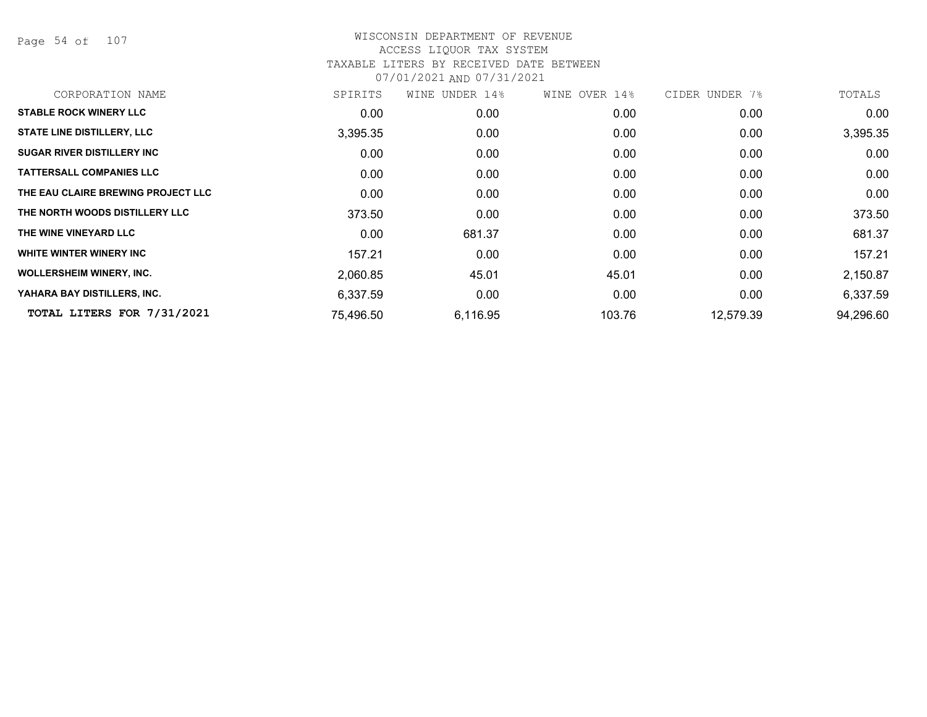Page 54 of 107

| CORPORATION NAME                   | SPIRITS           | WINE UNDER 14% | WINE OVER 14% | CIDER UNDER 7% | TOTALS    |
|------------------------------------|-------------------|----------------|---------------|----------------|-----------|
| <b>STABLE ROCK WINERY LLC</b>      | 0.00 <sub>1</sub> | 0.00           | 0.00          | 0.00           | 0.00      |
| <b>STATE LINE DISTILLERY, LLC</b>  | 3,395.35          | 0.00           | 0.00          | 0.00           | 3,395.35  |
| <b>SUGAR RIVER DISTILLERY INC</b>  | 0.00              | 0.00           | 0.00          | 0.00           | 0.00      |
| <b>TATTERSALL COMPANIES LLC</b>    | 0.00              | 0.00           | 0.00          | 0.00           | 0.00      |
| THE EAU CLAIRE BREWING PROJECT LLC | 0.00              | 0.00           | 0.00          | 0.00           | 0.00      |
| THE NORTH WOODS DISTILLERY LLC     | 373.50            | 0.00           | 0.00          | 0.00           | 373.50    |
| THE WINE VINEYARD LLC              | 0.00              | 681.37         | 0.00          | 0.00           | 681.37    |
| WHITE WINTER WINERY INC            | 157.21            | 0.00           | 0.00          | 0.00           | 157.21    |
| <b>WOLLERSHEIM WINERY, INC.</b>    | 2,060.85          | 45.01          | 45.01         | 0.00           | 2,150.87  |
| YAHARA BAY DISTILLERS, INC.        | 6,337.59          | 0.00           | 0.00          | 0.00           | 6,337.59  |
| TOTAL LITERS FOR 7/31/2021         | 75,496.50         | 6,116.95       | 103.76        | 12,579.39      | 94,296.60 |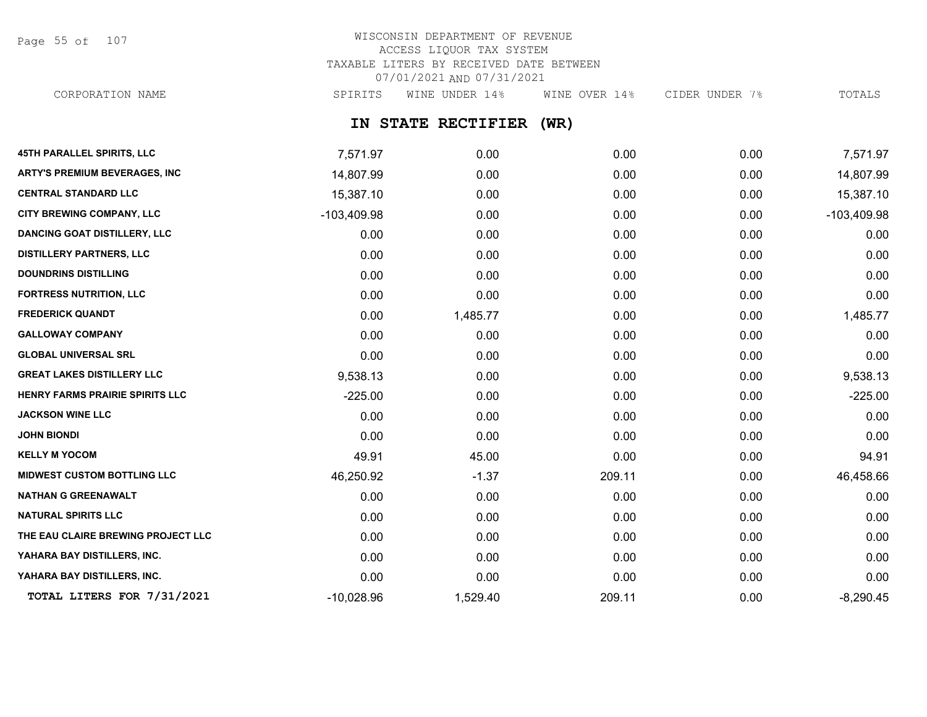Page 55 of 107

## WISCONSIN DEPARTMENT OF REVENUE ACCESS LIQUOR TAX SYSTEM TAXABLE LITERS BY RECEIVED DATE BETWEEN 07/01/2021 AND 07/31/2021

CORPORATION NAME SPIRITS WINE UNDER 14% WINE OVER 14% CIDER UNDER 7% TOTALS

## **IN STATE RECTIFIER (WR)**

| 45TH PARALLEL SPIRITS, LLC           | 7,571.97      | 0.00     | 0.00   | 0.00 | 7,571.97      |
|--------------------------------------|---------------|----------|--------|------|---------------|
| <b>ARTY'S PREMIUM BEVERAGES, INC</b> | 14,807.99     | 0.00     | 0.00   | 0.00 | 14,807.99     |
| <b>CENTRAL STANDARD LLC</b>          | 15,387.10     | 0.00     | 0.00   | 0.00 | 15,387.10     |
| CITY BREWING COMPANY, LLC            | $-103,409.98$ | 0.00     | 0.00   | 0.00 | $-103,409.98$ |
| <b>DANCING GOAT DISTILLERY, LLC</b>  | 0.00          | 0.00     | 0.00   | 0.00 | 0.00          |
| <b>DISTILLERY PARTNERS, LLC</b>      | 0.00          | 0.00     | 0.00   | 0.00 | 0.00          |
| <b>DOUNDRINS DISTILLING</b>          | 0.00          | 0.00     | 0.00   | 0.00 | 0.00          |
| <b>FORTRESS NUTRITION, LLC</b>       | 0.00          | 0.00     | 0.00   | 0.00 | 0.00          |
| <b>FREDERICK QUANDT</b>              | 0.00          | 1,485.77 | 0.00   | 0.00 | 1,485.77      |
| <b>GALLOWAY COMPANY</b>              | 0.00          | 0.00     | 0.00   | 0.00 | 0.00          |
| <b>GLOBAL UNIVERSAL SRL</b>          | 0.00          | 0.00     | 0.00   | 0.00 | 0.00          |
| <b>GREAT LAKES DISTILLERY LLC</b>    | 9,538.13      | 0.00     | 0.00   | 0.00 | 9,538.13      |
| HENRY FARMS PRAIRIE SPIRITS LLC      | $-225.00$     | 0.00     | 0.00   | 0.00 | $-225.00$     |
| <b>JACKSON WINE LLC</b>              | 0.00          | 0.00     | 0.00   | 0.00 | 0.00          |
| <b>JOHN BIONDI</b>                   | 0.00          | 0.00     | 0.00   | 0.00 | 0.00          |
| <b>KELLY M YOCOM</b>                 | 49.91         | 45.00    | 0.00   | 0.00 | 94.91         |
| <b>MIDWEST CUSTOM BOTTLING LLC</b>   | 46,250.92     | $-1.37$  | 209.11 | 0.00 | 46,458.66     |
| <b>NATHAN G GREENAWALT</b>           | 0.00          | 0.00     | 0.00   | 0.00 | 0.00          |
| <b>NATURAL SPIRITS LLC</b>           | 0.00          | 0.00     | 0.00   | 0.00 | 0.00          |
| THE EAU CLAIRE BREWING PROJECT LLC   | 0.00          | 0.00     | 0.00   | 0.00 | 0.00          |
| YAHARA BAY DISTILLERS, INC.          | 0.00          | 0.00     | 0.00   | 0.00 | 0.00          |
| YAHARA BAY DISTILLERS, INC.          | 0.00          | 0.00     | 0.00   | 0.00 | 0.00          |
| TOTAL LITERS FOR 7/31/2021           | $-10,028.96$  | 1,529.40 | 209.11 | 0.00 | $-8,290.45$   |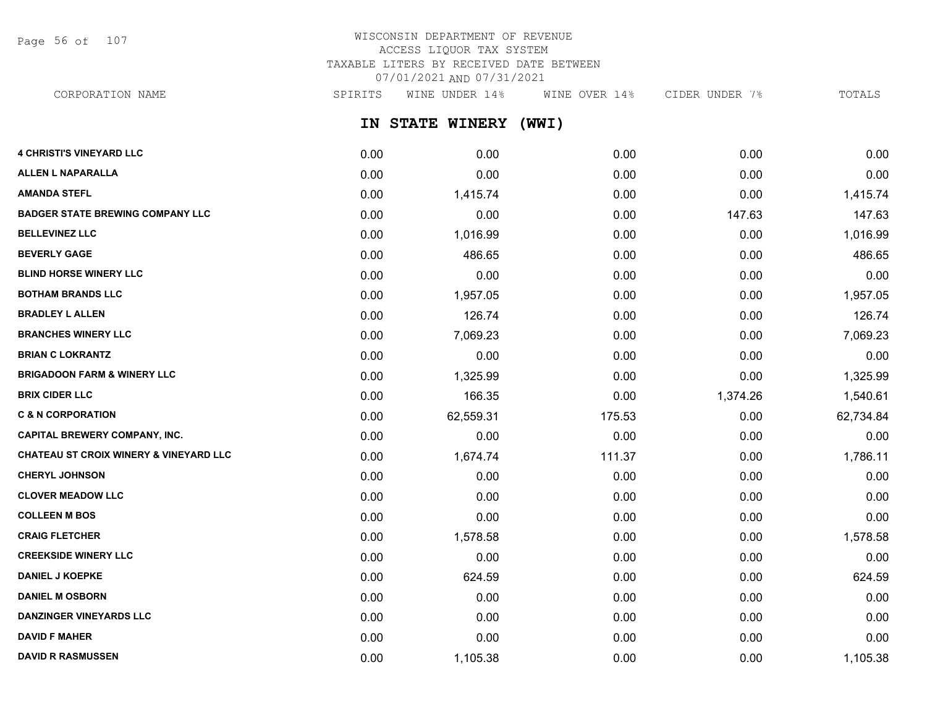Page 56 of 107

## WISCONSIN DEPARTMENT OF REVENUE ACCESS LIQUOR TAX SYSTEM TAXABLE LITERS BY RECEIVED DATE BETWEEN 07/01/2021 AND 07/31/2021

CORPORATION NAME SPIRITS WINE UNDER 14% WINE OVER 14% CIDER UNDER 7% TOTALS

**IN STATE WINERY (WWI)**

| <b>4 CHRISTI'S VINEYARD LLC</b>                   | 0.00 | 0.00      | 0.00   | 0.00     | 0.00      |
|---------------------------------------------------|------|-----------|--------|----------|-----------|
| <b>ALLEN L NAPARALLA</b>                          | 0.00 | 0.00      | 0.00   | 0.00     | 0.00      |
| <b>AMANDA STEFL</b>                               | 0.00 | 1,415.74  | 0.00   | 0.00     | 1,415.74  |
| <b>BADGER STATE BREWING COMPANY LLC</b>           | 0.00 | 0.00      | 0.00   | 147.63   | 147.63    |
| <b>BELLEVINEZ LLC</b>                             | 0.00 | 1,016.99  | 0.00   | 0.00     | 1,016.99  |
| <b>BEVERLY GAGE</b>                               | 0.00 | 486.65    | 0.00   | 0.00     | 486.65    |
| <b>BLIND HORSE WINERY LLC</b>                     | 0.00 | 0.00      | 0.00   | 0.00     | 0.00      |
| <b>BOTHAM BRANDS LLC</b>                          | 0.00 | 1,957.05  | 0.00   | 0.00     | 1,957.05  |
| <b>BRADLEY L ALLEN</b>                            | 0.00 | 126.74    | 0.00   | 0.00     | 126.74    |
| <b>BRANCHES WINERY LLC</b>                        | 0.00 | 7,069.23  | 0.00   | 0.00     | 7,069.23  |
| <b>BRIAN C LOKRANTZ</b>                           | 0.00 | 0.00      | 0.00   | 0.00     | 0.00      |
| <b>BRIGADOON FARM &amp; WINERY LLC</b>            | 0.00 | 1,325.99  | 0.00   | 0.00     | 1,325.99  |
| <b>BRIX CIDER LLC</b>                             | 0.00 | 166.35    | 0.00   | 1,374.26 | 1,540.61  |
| <b>C &amp; N CORPORATION</b>                      | 0.00 | 62,559.31 | 175.53 | 0.00     | 62,734.84 |
| <b>CAPITAL BREWERY COMPANY, INC.</b>              | 0.00 | 0.00      | 0.00   | 0.00     | 0.00      |
| <b>CHATEAU ST CROIX WINERY &amp; VINEYARD LLC</b> | 0.00 | 1,674.74  | 111.37 | 0.00     | 1,786.11  |
| <b>CHERYL JOHNSON</b>                             | 0.00 | 0.00      | 0.00   | 0.00     | 0.00      |
| <b>CLOVER MEADOW LLC</b>                          | 0.00 | 0.00      | 0.00   | 0.00     | 0.00      |
| <b>COLLEEN M BOS</b>                              | 0.00 | 0.00      | 0.00   | 0.00     | 0.00      |
| <b>CRAIG FLETCHER</b>                             | 0.00 | 1,578.58  | 0.00   | 0.00     | 1,578.58  |
| <b>CREEKSIDE WINERY LLC</b>                       | 0.00 | 0.00      | 0.00   | 0.00     | 0.00      |
| <b>DANIEL J KOEPKE</b>                            | 0.00 | 624.59    | 0.00   | 0.00     | 624.59    |
| <b>DANIEL M OSBORN</b>                            | 0.00 | 0.00      | 0.00   | 0.00     | 0.00      |
| <b>DANZINGER VINEYARDS LLC</b>                    | 0.00 | 0.00      | 0.00   | 0.00     | 0.00      |
| <b>DAVID F MAHER</b>                              | 0.00 | 0.00      | 0.00   | 0.00     | 0.00      |
| <b>DAVID R RASMUSSEN</b>                          | 0.00 | 1,105.38  | 0.00   | 0.00     | 1,105.38  |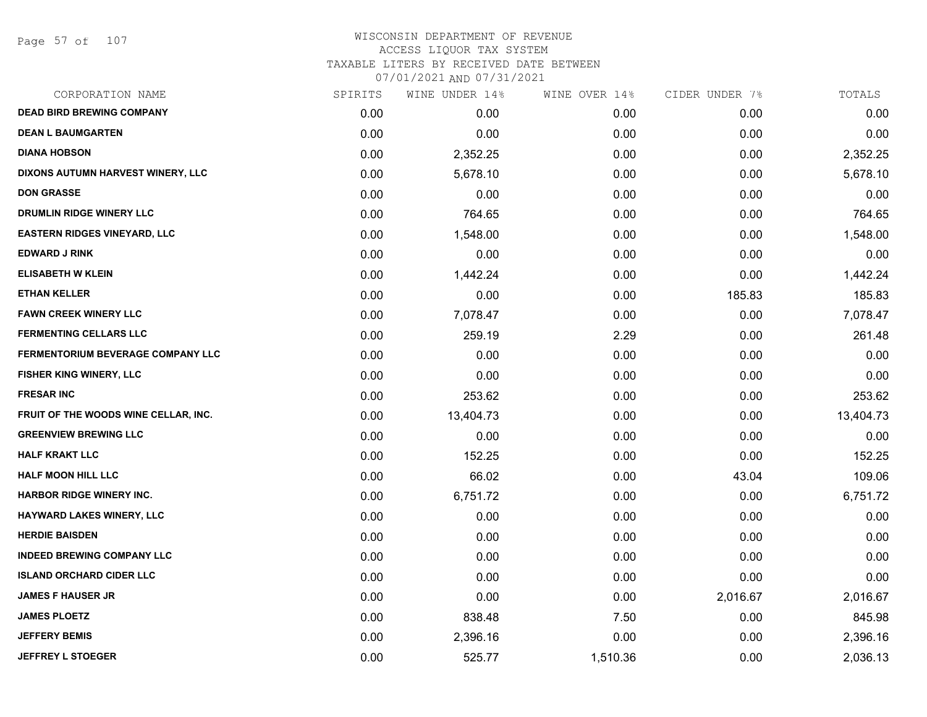## WISCONSIN DEPARTMENT OF REVENUE ACCESS LIQUOR TAX SYSTEM TAXABLE LITERS BY RECEIVED DATE BETWEEN

| CORPORATION NAME                         | SPIRITS | WINE UNDER 14% | WINE OVER 14% | CIDER UNDER 7% | TOTALS    |
|------------------------------------------|---------|----------------|---------------|----------------|-----------|
| <b>DEAD BIRD BREWING COMPANY</b>         | 0.00    | 0.00           | 0.00          | 0.00           | 0.00      |
| <b>DEAN L BAUMGARTEN</b>                 | 0.00    | 0.00           | 0.00          | 0.00           | 0.00      |
| <b>DIANA HOBSON</b>                      | 0.00    | 2,352.25       | 0.00          | 0.00           | 2,352.25  |
| DIXONS AUTUMN HARVEST WINERY, LLC        | 0.00    | 5,678.10       | 0.00          | 0.00           | 5,678.10  |
| <b>DON GRASSE</b>                        | 0.00    | 0.00           | 0.00          | 0.00           | 0.00      |
| DRUMLIN RIDGE WINERY LLC                 | 0.00    | 764.65         | 0.00          | 0.00           | 764.65    |
| <b>EASTERN RIDGES VINEYARD, LLC</b>      | 0.00    | 1,548.00       | 0.00          | 0.00           | 1,548.00  |
| <b>EDWARD J RINK</b>                     | 0.00    | 0.00           | 0.00          | 0.00           | 0.00      |
| <b>ELISABETH W KLEIN</b>                 | 0.00    | 1,442.24       | 0.00          | 0.00           | 1,442.24  |
| <b>ETHAN KELLER</b>                      | 0.00    | 0.00           | 0.00          | 185.83         | 185.83    |
| <b>FAWN CREEK WINERY LLC</b>             | 0.00    | 7,078.47       | 0.00          | 0.00           | 7,078.47  |
| <b>FERMENTING CELLARS LLC</b>            | 0.00    | 259.19         | 2.29          | 0.00           | 261.48    |
| <b>FERMENTORIUM BEVERAGE COMPANY LLC</b> | 0.00    | 0.00           | 0.00          | 0.00           | 0.00      |
| <b>FISHER KING WINERY, LLC</b>           | 0.00    | 0.00           | 0.00          | 0.00           | 0.00      |
| <b>FRESAR INC</b>                        | 0.00    | 253.62         | 0.00          | 0.00           | 253.62    |
| FRUIT OF THE WOODS WINE CELLAR, INC.     | 0.00    | 13,404.73      | 0.00          | 0.00           | 13,404.73 |
| <b>GREENVIEW BREWING LLC</b>             | 0.00    | 0.00           | 0.00          | 0.00           | 0.00      |
| <b>HALF KRAKT LLC</b>                    | 0.00    | 152.25         | 0.00          | 0.00           | 152.25    |
| <b>HALF MOON HILL LLC</b>                | 0.00    | 66.02          | 0.00          | 43.04          | 109.06    |
| <b>HARBOR RIDGE WINERY INC.</b>          | 0.00    | 6,751.72       | 0.00          | 0.00           | 6,751.72  |
| HAYWARD LAKES WINERY, LLC                | 0.00    | 0.00           | 0.00          | 0.00           | 0.00      |
| <b>HERDIE BAISDEN</b>                    | 0.00    | 0.00           | 0.00          | 0.00           | 0.00      |
| <b>INDEED BREWING COMPANY LLC</b>        | 0.00    | 0.00           | 0.00          | 0.00           | 0.00      |
| <b>ISLAND ORCHARD CIDER LLC</b>          | 0.00    | 0.00           | 0.00          | 0.00           | 0.00      |
| <b>JAMES F HAUSER JR</b>                 | 0.00    | 0.00           | 0.00          | 2,016.67       | 2,016.67  |
| <b>JAMES PLOETZ</b>                      | 0.00    | 838.48         | 7.50          | 0.00           | 845.98    |
| <b>JEFFERY BEMIS</b>                     | 0.00    | 2,396.16       | 0.00          | 0.00           | 2,396.16  |
| <b>JEFFREY L STOEGER</b>                 | 0.00    | 525.77         | 1,510.36      | 0.00           | 2,036.13  |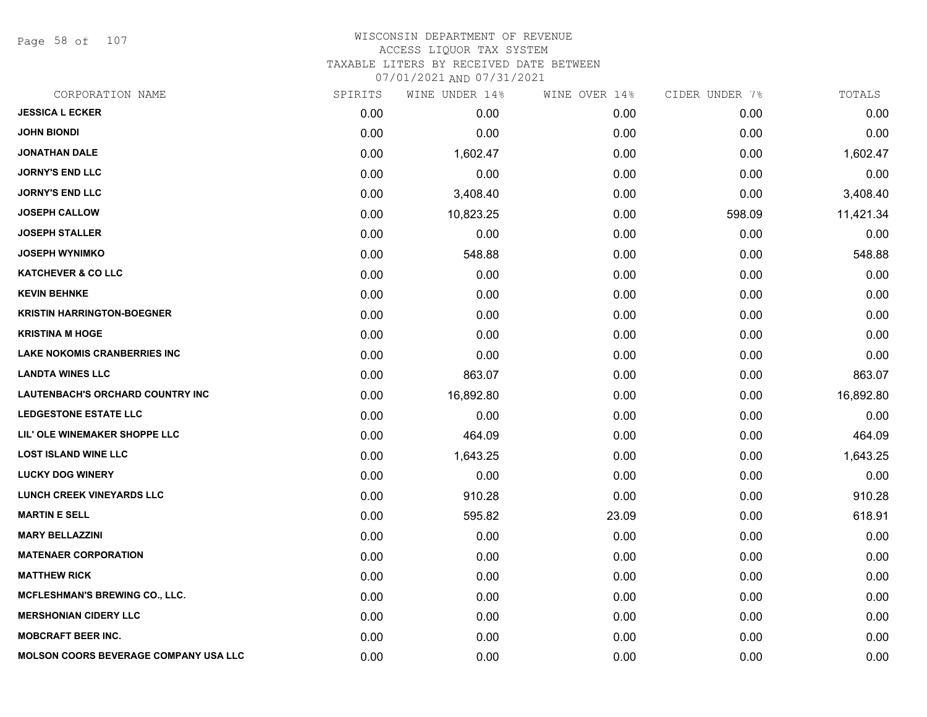Page 58 of 107

#### WISCONSIN DEPARTMENT OF REVENUE ACCESS LIQUOR TAX SYSTEM TAXABLE LITERS BY RECEIVED DATE BETWEEN

| CORPORATION NAME                             | SPIRITS | WINE UNDER 14% | WINE OVER 14% | CIDER UNDER 7% | TOTALS    |
|----------------------------------------------|---------|----------------|---------------|----------------|-----------|
| <b>JESSICA L ECKER</b>                       | 0.00    | 0.00           | 0.00          | 0.00           | 0.00      |
| <b>JOHN BIONDI</b>                           | 0.00    | 0.00           | 0.00          | 0.00           | 0.00      |
| <b>JONATHAN DALE</b>                         | 0.00    | 1,602.47       | 0.00          | 0.00           | 1,602.47  |
| <b>JORNY'S END LLC</b>                       | 0.00    | 0.00           | 0.00          | 0.00           | 0.00      |
| <b>JORNY'S END LLC</b>                       | 0.00    | 3,408.40       | 0.00          | 0.00           | 3,408.40  |
| <b>JOSEPH CALLOW</b>                         | 0.00    | 10,823.25      | 0.00          | 598.09         | 11,421.34 |
| <b>JOSEPH STALLER</b>                        | 0.00    | 0.00           | 0.00          | 0.00           | 0.00      |
| <b>JOSEPH WYNIMKO</b>                        | 0.00    | 548.88         | 0.00          | 0.00           | 548.88    |
| <b>KATCHEVER &amp; CO LLC</b>                | 0.00    | 0.00           | 0.00          | 0.00           | 0.00      |
| <b>KEVIN BEHNKE</b>                          | 0.00    | 0.00           | 0.00          | 0.00           | 0.00      |
| <b>KRISTIN HARRINGTON-BOEGNER</b>            | 0.00    | 0.00           | 0.00          | 0.00           | 0.00      |
| <b>KRISTINA M HOGE</b>                       | 0.00    | 0.00           | 0.00          | 0.00           | 0.00      |
| <b>LAKE NOKOMIS CRANBERRIES INC</b>          | 0.00    | 0.00           | 0.00          | 0.00           | 0.00      |
| <b>LANDTA WINES LLC</b>                      | 0.00    | 863.07         | 0.00          | 0.00           | 863.07    |
| <b>LAUTENBACH'S ORCHARD COUNTRY INC</b>      | 0.00    | 16,892.80      | 0.00          | 0.00           | 16,892.80 |
| <b>LEDGESTONE ESTATE LLC</b>                 | 0.00    | 0.00           | 0.00          | 0.00           | 0.00      |
| LIL' OLE WINEMAKER SHOPPE LLC                | 0.00    | 464.09         | 0.00          | 0.00           | 464.09    |
| <b>LOST ISLAND WINE LLC</b>                  | 0.00    | 1,643.25       | 0.00          | 0.00           | 1,643.25  |
| <b>LUCKY DOG WINERY</b>                      | 0.00    | 0.00           | 0.00          | 0.00           | 0.00      |
| <b>LUNCH CREEK VINEYARDS LLC</b>             | 0.00    | 910.28         | 0.00          | 0.00           | 910.28    |
| <b>MARTIN E SELL</b>                         | 0.00    | 595.82         | 23.09         | 0.00           | 618.91    |
| <b>MARY BELLAZZINI</b>                       | 0.00    | 0.00           | 0.00          | 0.00           | 0.00      |
| <b>MATENAER CORPORATION</b>                  | 0.00    | 0.00           | 0.00          | 0.00           | 0.00      |
| <b>MATTHEW RICK</b>                          | 0.00    | 0.00           | 0.00          | 0.00           | 0.00      |
| MCFLESHMAN'S BREWING CO., LLC.               | 0.00    | 0.00           | 0.00          | 0.00           | 0.00      |
| <b>MERSHONIAN CIDERY LLC</b>                 | 0.00    | 0.00           | 0.00          | 0.00           | 0.00      |
| <b>MOBCRAFT BEER INC.</b>                    | 0.00    | 0.00           | 0.00          | 0.00           | 0.00      |
| <b>MOLSON COORS BEVERAGE COMPANY USA LLC</b> | 0.00    | 0.00           | 0.00          | 0.00           | 0.00      |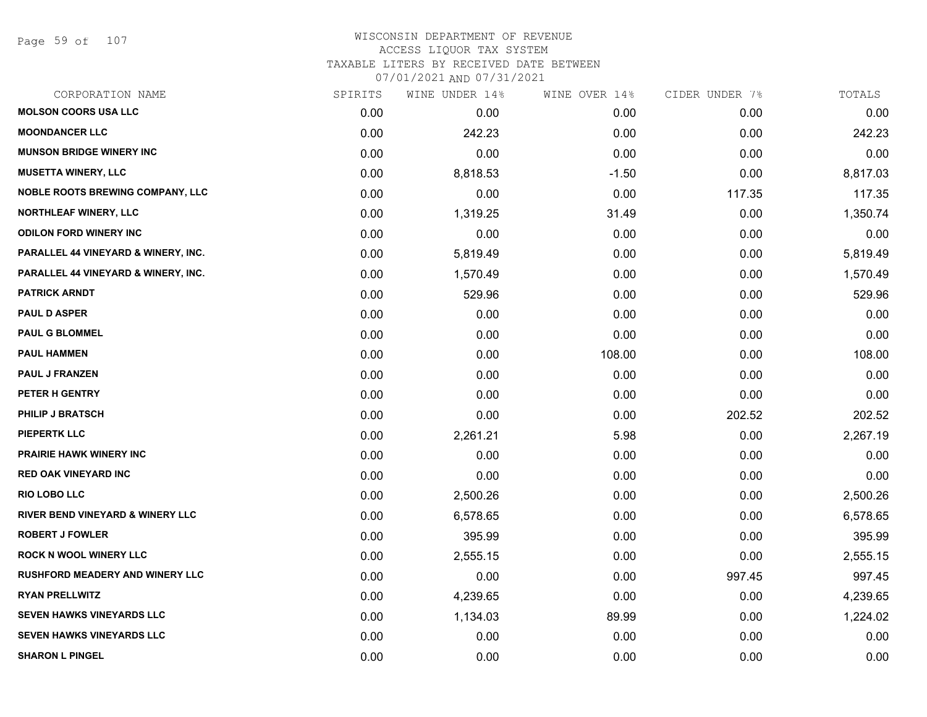Page 59 of 107

## WISCONSIN DEPARTMENT OF REVENUE ACCESS LIQUOR TAX SYSTEM TAXABLE LITERS BY RECEIVED DATE BETWEEN

| CORPORATION NAME                            | SPIRITS | WINE UNDER 14% | WINE OVER 14% | CIDER UNDER 7% | TOTALS   |
|---------------------------------------------|---------|----------------|---------------|----------------|----------|
| <b>MOLSON COORS USA LLC</b>                 | 0.00    | 0.00           | 0.00          | 0.00           | 0.00     |
| <b>MOONDANCER LLC</b>                       | 0.00    | 242.23         | 0.00          | 0.00           | 242.23   |
| <b>MUNSON BRIDGE WINERY INC</b>             | 0.00    | 0.00           | 0.00          | 0.00           | 0.00     |
| <b>MUSETTA WINERY, LLC</b>                  | 0.00    | 8,818.53       | $-1.50$       | 0.00           | 8,817.03 |
| <b>NOBLE ROOTS BREWING COMPANY, LLC</b>     | 0.00    | 0.00           | 0.00          | 117.35         | 117.35   |
| NORTHLEAF WINERY, LLC                       | 0.00    | 1,319.25       | 31.49         | 0.00           | 1,350.74 |
| <b>ODILON FORD WINERY INC</b>               | 0.00    | 0.00           | 0.00          | 0.00           | 0.00     |
| PARALLEL 44 VINEYARD & WINERY, INC.         | 0.00    | 5,819.49       | 0.00          | 0.00           | 5,819.49 |
| PARALLEL 44 VINEYARD & WINERY, INC.         | 0.00    | 1,570.49       | 0.00          | 0.00           | 1,570.49 |
| <b>PATRICK ARNDT</b>                        | 0.00    | 529.96         | 0.00          | 0.00           | 529.96   |
| <b>PAUL D ASPER</b>                         | 0.00    | 0.00           | 0.00          | 0.00           | 0.00     |
| <b>PAUL G BLOMMEL</b>                       | 0.00    | 0.00           | 0.00          | 0.00           | 0.00     |
| <b>PAUL HAMMEN</b>                          | 0.00    | 0.00           | 108.00        | 0.00           | 108.00   |
| <b>PAUL J FRANZEN</b>                       | 0.00    | 0.00           | 0.00          | 0.00           | 0.00     |
| PETER H GENTRY                              | 0.00    | 0.00           | 0.00          | 0.00           | 0.00     |
| PHILIP J BRATSCH                            | 0.00    | 0.00           | 0.00          | 202.52         | 202.52   |
| <b>PIEPERTK LLC</b>                         | 0.00    | 2,261.21       | 5.98          | 0.00           | 2,267.19 |
| <b>PRAIRIE HAWK WINERY INC</b>              | 0.00    | 0.00           | 0.00          | 0.00           | 0.00     |
| <b>RED OAK VINEYARD INC</b>                 | 0.00    | 0.00           | 0.00          | 0.00           | 0.00     |
| <b>RIO LOBO LLC</b>                         | 0.00    | 2,500.26       | 0.00          | 0.00           | 2,500.26 |
| <b>RIVER BEND VINEYARD &amp; WINERY LLC</b> | 0.00    | 6,578.65       | 0.00          | 0.00           | 6,578.65 |
| <b>ROBERT J FOWLER</b>                      | 0.00    | 395.99         | 0.00          | 0.00           | 395.99   |
| <b>ROCK N WOOL WINERY LLC</b>               | 0.00    | 2,555.15       | 0.00          | 0.00           | 2,555.15 |
| <b>RUSHFORD MEADERY AND WINERY LLC</b>      | 0.00    | 0.00           | 0.00          | 997.45         | 997.45   |
| <b>RYAN PRELLWITZ</b>                       | 0.00    | 4,239.65       | 0.00          | 0.00           | 4,239.65 |
| SEVEN HAWKS VINEYARDS LLC                   | 0.00    | 1,134.03       | 89.99         | 0.00           | 1,224.02 |
| SEVEN HAWKS VINEYARDS LLC                   | 0.00    | 0.00           | 0.00          | 0.00           | 0.00     |
| <b>SHARON L PINGEL</b>                      | 0.00    | 0.00           | 0.00          | 0.00           | 0.00     |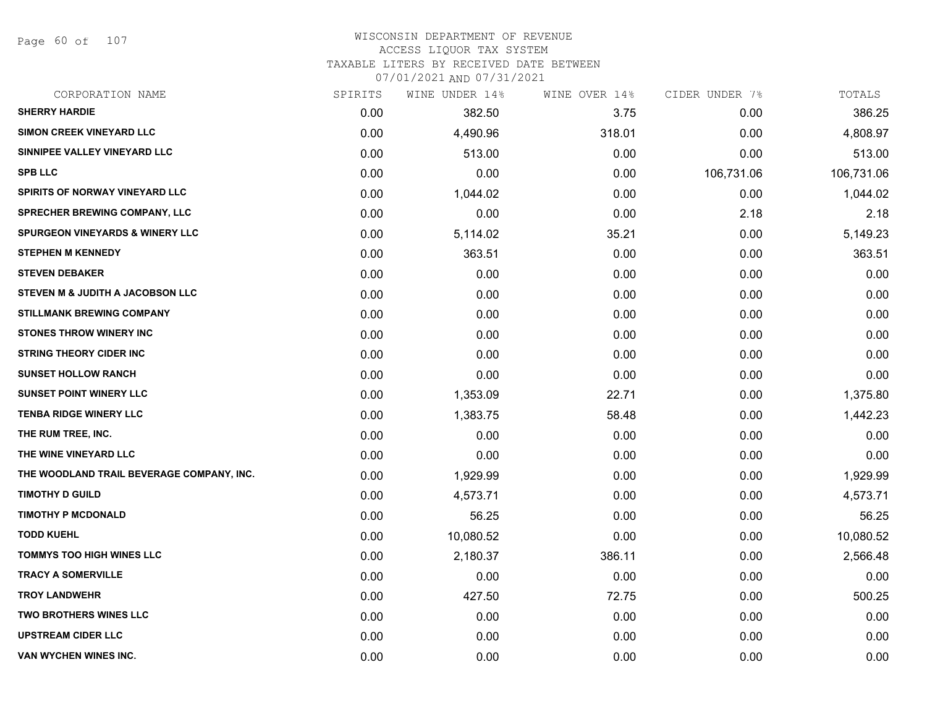Page 60 of 107

#### WISCONSIN DEPARTMENT OF REVENUE ACCESS LIQUOR TAX SYSTEM

TAXABLE LITERS BY RECEIVED DATE BETWEEN

| CORPORATION NAME                           | SPIRITS | WINE UNDER 14% | WINE OVER 14% | CIDER UNDER 7% | TOTALS     |
|--------------------------------------------|---------|----------------|---------------|----------------|------------|
| <b>SHERRY HARDIE</b>                       | 0.00    | 382.50         | 3.75          | 0.00           | 386.25     |
| SIMON CREEK VINEYARD LLC                   | 0.00    | 4,490.96       | 318.01        | 0.00           | 4,808.97   |
| SINNIPEE VALLEY VINEYARD LLC               | 0.00    | 513.00         | 0.00          | 0.00           | 513.00     |
| <b>SPB LLC</b>                             | 0.00    | 0.00           | 0.00          | 106,731.06     | 106,731.06 |
| <b>SPIRITS OF NORWAY VINEYARD LLC</b>      | 0.00    | 1,044.02       | 0.00          | 0.00           | 1,044.02   |
| <b>SPRECHER BREWING COMPANY, LLC</b>       | 0.00    | 0.00           | 0.00          | 2.18           | 2.18       |
| <b>SPURGEON VINEYARDS &amp; WINERY LLC</b> | 0.00    | 5,114.02       | 35.21         | 0.00           | 5,149.23   |
| <b>STEPHEN M KENNEDY</b>                   | 0.00    | 363.51         | 0.00          | 0.00           | 363.51     |
| <b>STEVEN DEBAKER</b>                      | 0.00    | 0.00           | 0.00          | 0.00           | 0.00       |
| STEVEN M & JUDITH A JACOBSON LLC           | 0.00    | 0.00           | 0.00          | 0.00           | 0.00       |
| <b>STILLMANK BREWING COMPANY</b>           | 0.00    | 0.00           | 0.00          | 0.00           | 0.00       |
| <b>STONES THROW WINERY INC</b>             | 0.00    | 0.00           | 0.00          | 0.00           | 0.00       |
| <b>STRING THEORY CIDER INC</b>             | 0.00    | 0.00           | 0.00          | 0.00           | 0.00       |
| <b>SUNSET HOLLOW RANCH</b>                 | 0.00    | 0.00           | 0.00          | 0.00           | 0.00       |
| <b>SUNSET POINT WINERY LLC</b>             | 0.00    | 1,353.09       | 22.71         | 0.00           | 1,375.80   |
| <b>TENBA RIDGE WINERY LLC</b>              | 0.00    | 1,383.75       | 58.48         | 0.00           | 1,442.23   |
| THE RUM TREE, INC.                         | 0.00    | 0.00           | 0.00          | 0.00           | 0.00       |
| THE WINE VINEYARD LLC                      | 0.00    | 0.00           | 0.00          | 0.00           | 0.00       |
| THE WOODLAND TRAIL BEVERAGE COMPANY, INC.  | 0.00    | 1,929.99       | 0.00          | 0.00           | 1,929.99   |
| <b>TIMOTHY D GUILD</b>                     | 0.00    | 4,573.71       | 0.00          | 0.00           | 4,573.71   |
| <b>TIMOTHY P MCDONALD</b>                  | 0.00    | 56.25          | 0.00          | 0.00           | 56.25      |
| <b>TODD KUEHL</b>                          | 0.00    | 10,080.52      | 0.00          | 0.00           | 10,080.52  |
| <b>TOMMYS TOO HIGH WINES LLC</b>           | 0.00    | 2,180.37       | 386.11        | 0.00           | 2,566.48   |
| <b>TRACY A SOMERVILLE</b>                  | 0.00    | 0.00           | 0.00          | 0.00           | 0.00       |
| <b>TROY LANDWEHR</b>                       | 0.00    | 427.50         | 72.75         | 0.00           | 500.25     |
| <b>TWO BROTHERS WINES LLC</b>              | 0.00    | 0.00           | 0.00          | 0.00           | 0.00       |
| <b>UPSTREAM CIDER LLC</b>                  | 0.00    | 0.00           | 0.00          | 0.00           | 0.00       |
| VAN WYCHEN WINES INC.                      | 0.00    | 0.00           | 0.00          | 0.00           | 0.00       |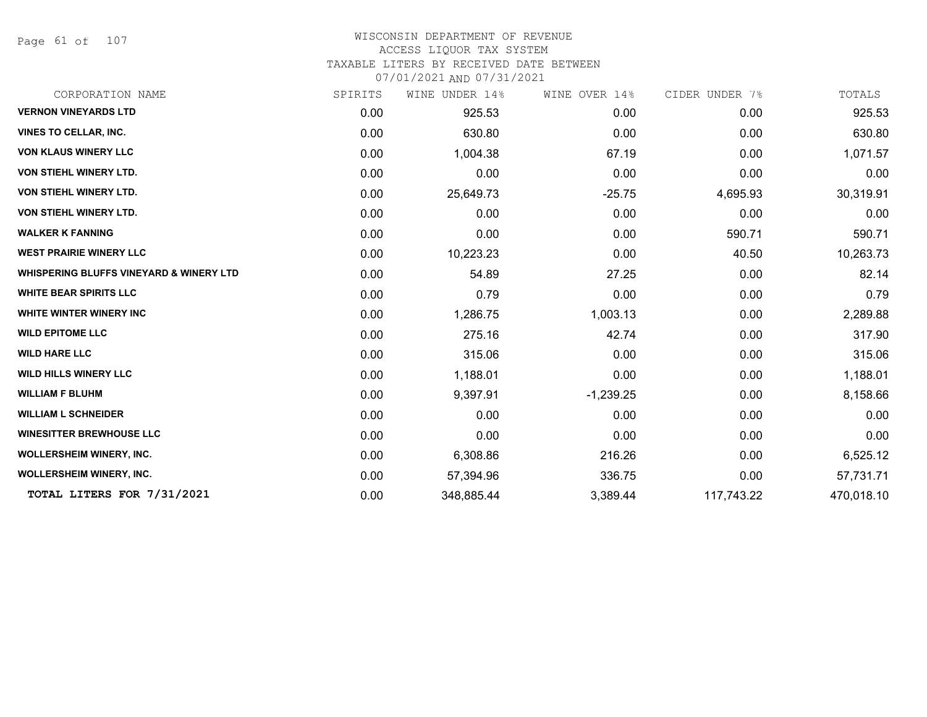Page 61 of 107

#### WISCONSIN DEPARTMENT OF REVENUE ACCESS LIQUOR TAX SYSTEM

TAXABLE LITERS BY RECEIVED DATE BETWEEN

| CORPORATION NAME                                   | SPIRITS | WINE UNDER 14% | WINE OVER 14% | CIDER UNDER 7% | TOTALS     |
|----------------------------------------------------|---------|----------------|---------------|----------------|------------|
| <b>VERNON VINEYARDS LTD</b>                        | 0.00    | 925.53         | 0.00          | 0.00           | 925.53     |
| <b>VINES TO CELLAR, INC.</b>                       | 0.00    | 630.80         | 0.00          | 0.00           | 630.80     |
| <b>VON KLAUS WINERY LLC</b>                        | 0.00    | 1,004.38       | 67.19         | 0.00           | 1,071.57   |
| <b>VON STIEHL WINERY LTD.</b>                      | 0.00    | 0.00           | 0.00          | 0.00           | 0.00       |
| VON STIEHL WINERY LTD.                             | 0.00    | 25,649.73      | $-25.75$      | 4,695.93       | 30,319.91  |
| VON STIEHL WINERY LTD.                             | 0.00    | 0.00           | 0.00          | 0.00           | 0.00       |
| <b>WALKER K FANNING</b>                            | 0.00    | 0.00           | 0.00          | 590.71         | 590.71     |
| <b>WEST PRAIRIE WINERY LLC</b>                     | 0.00    | 10,223.23      | 0.00          | 40.50          | 10,263.73  |
| <b>WHISPERING BLUFFS VINEYARD &amp; WINERY LTD</b> | 0.00    | 54.89          | 27.25         | 0.00           | 82.14      |
| <b>WHITE BEAR SPIRITS LLC</b>                      | 0.00    | 0.79           | 0.00          | 0.00           | 0.79       |
| WHITE WINTER WINERY INC                            | 0.00    | 1,286.75       | 1,003.13      | 0.00           | 2,289.88   |
| <b>WILD EPITOME LLC</b>                            | 0.00    | 275.16         | 42.74         | 0.00           | 317.90     |
| <b>WILD HARE LLC</b>                               | 0.00    | 315.06         | 0.00          | 0.00           | 315.06     |
| <b>WILD HILLS WINERY LLC</b>                       | 0.00    | 1,188.01       | 0.00          | 0.00           | 1,188.01   |
| <b>WILLIAM F BLUHM</b>                             | 0.00    | 9,397.91       | $-1,239.25$   | 0.00           | 8,158.66   |
| <b>WILLIAM L SCHNEIDER</b>                         | 0.00    | 0.00           | 0.00          | 0.00           | 0.00       |
| <b>WINESITTER BREWHOUSE LLC</b>                    | 0.00    | 0.00           | 0.00          | 0.00           | 0.00       |
| <b>WOLLERSHEIM WINERY, INC.</b>                    | 0.00    | 6,308.86       | 216.26        | 0.00           | 6,525.12   |
| <b>WOLLERSHEIM WINERY, INC.</b>                    | 0.00    | 57,394.96      | 336.75        | 0.00           | 57,731.71  |
| TOTAL LITERS FOR 7/31/2021                         | 0.00    | 348,885.44     | 3,389.44      | 117,743.22     | 470,018.10 |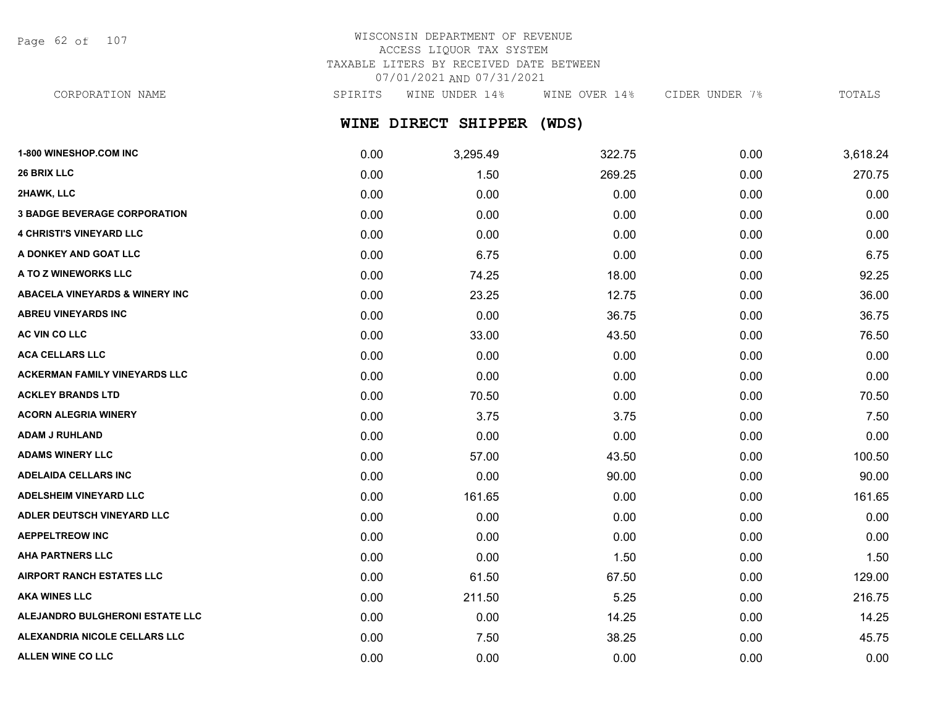Page 62 of 107

## WISCONSIN DEPARTMENT OF REVENUE ACCESS LIQUOR TAX SYSTEM TAXABLE LITERS BY RECEIVED DATE BETWEEN 07/01/2021 AND 07/31/2021

CORPORATION NAME SPIRITS WINE UNDER 14% WINE OVER 14% CIDER UNDER 7% TOTALS

## **WINE DIRECT SHIPPER (WDS)**

| 1-800 WINESHOP.COM INC                    | 0.00 | 3,295.49 | 322.75 | 0.00 | 3,618.24 |
|-------------------------------------------|------|----------|--------|------|----------|
| 26 BRIX LLC                               | 0.00 | 1.50     | 269.25 | 0.00 | 270.75   |
| 2HAWK, LLC                                | 0.00 | 0.00     | 0.00   | 0.00 | 0.00     |
| <b>3 BADGE BEVERAGE CORPORATION</b>       | 0.00 | 0.00     | 0.00   | 0.00 | 0.00     |
| <b>4 CHRISTI'S VINEYARD LLC</b>           | 0.00 | 0.00     | 0.00   | 0.00 | 0.00     |
| A DONKEY AND GOAT LLC                     | 0.00 | 6.75     | 0.00   | 0.00 | 6.75     |
| A TO Z WINEWORKS LLC                      | 0.00 | 74.25    | 18.00  | 0.00 | 92.25    |
| <b>ABACELA VINEYARDS &amp; WINERY INC</b> | 0.00 | 23.25    | 12.75  | 0.00 | 36.00    |
| <b>ABREU VINEYARDS INC</b>                | 0.00 | 0.00     | 36.75  | 0.00 | 36.75    |
| AC VIN CO LLC                             | 0.00 | 33.00    | 43.50  | 0.00 | 76.50    |
| <b>ACA CELLARS LLC</b>                    | 0.00 | 0.00     | 0.00   | 0.00 | 0.00     |
| <b>ACKERMAN FAMILY VINEYARDS LLC</b>      | 0.00 | 0.00     | 0.00   | 0.00 | 0.00     |
| <b>ACKLEY BRANDS LTD</b>                  | 0.00 | 70.50    | 0.00   | 0.00 | 70.50    |
| <b>ACORN ALEGRIA WINERY</b>               | 0.00 | 3.75     | 3.75   | 0.00 | 7.50     |
| <b>ADAM J RUHLAND</b>                     | 0.00 | 0.00     | 0.00   | 0.00 | 0.00     |
| <b>ADAMS WINERY LLC</b>                   | 0.00 | 57.00    | 43.50  | 0.00 | 100.50   |
| <b>ADELAIDA CELLARS INC</b>               | 0.00 | 0.00     | 90.00  | 0.00 | 90.00    |
| <b>ADELSHEIM VINEYARD LLC</b>             | 0.00 | 161.65   | 0.00   | 0.00 | 161.65   |
| ADLER DEUTSCH VINEYARD LLC                | 0.00 | 0.00     | 0.00   | 0.00 | 0.00     |
| <b>AEPPELTREOW INC</b>                    | 0.00 | 0.00     | 0.00   | 0.00 | 0.00     |
| <b>AHA PARTNERS LLC</b>                   | 0.00 | 0.00     | 1.50   | 0.00 | 1.50     |
| <b>AIRPORT RANCH ESTATES LLC</b>          | 0.00 | 61.50    | 67.50  | 0.00 | 129.00   |
| <b>AKA WINES LLC</b>                      | 0.00 | 211.50   | 5.25   | 0.00 | 216.75   |
| ALEJANDRO BULGHERONI ESTATE LLC           | 0.00 | 0.00     | 14.25  | 0.00 | 14.25    |
| ALEXANDRIA NICOLE CELLARS LLC             | 0.00 | 7.50     | 38.25  | 0.00 | 45.75    |
| ALLEN WINE CO LLC                         | 0.00 | 0.00     | 0.00   | 0.00 | 0.00     |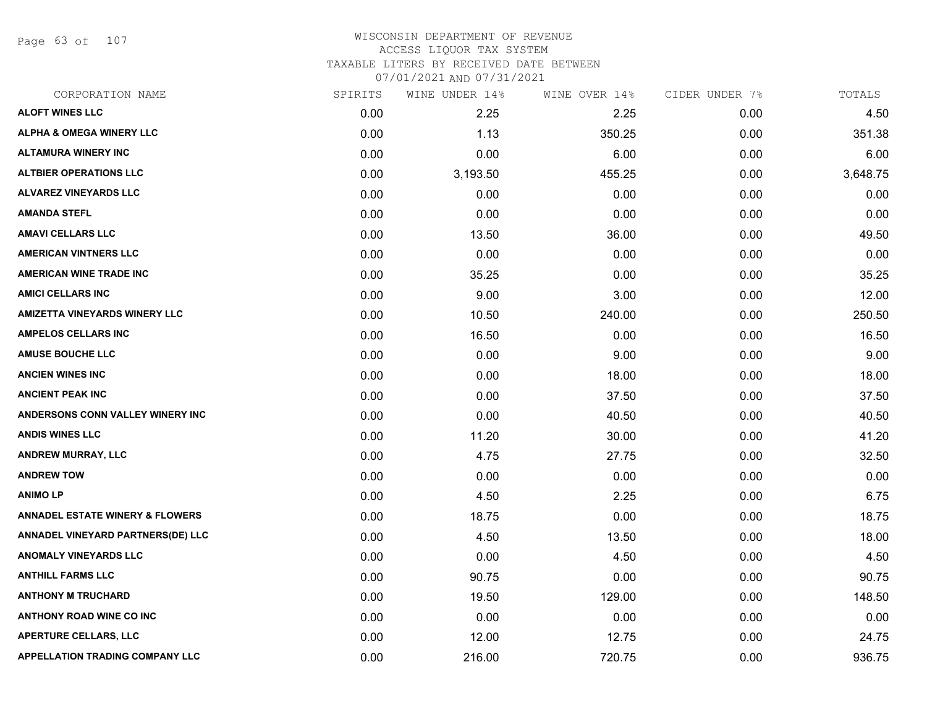Page 63 of 107

#### WISCONSIN DEPARTMENT OF REVENUE ACCESS LIQUOR TAX SYSTEM TAXABLE LITERS BY RECEIVED DATE BETWEEN

| CORPORATION NAME                           | SPIRITS | WINE UNDER 14% | WINE OVER 14% | CIDER UNDER 7% | TOTALS   |
|--------------------------------------------|---------|----------------|---------------|----------------|----------|
| <b>ALOFT WINES LLC</b>                     | 0.00    | 2.25           | 2.25          | 0.00           | 4.50     |
| <b>ALPHA &amp; OMEGA WINERY LLC</b>        | 0.00    | 1.13           | 350.25        | 0.00           | 351.38   |
| <b>ALTAMURA WINERY INC</b>                 | 0.00    | 0.00           | 6.00          | 0.00           | 6.00     |
| <b>ALTBIER OPERATIONS LLC</b>              | 0.00    | 3,193.50       | 455.25        | 0.00           | 3,648.75 |
| <b>ALVAREZ VINEYARDS LLC</b>               | 0.00    | 0.00           | 0.00          | 0.00           | 0.00     |
| <b>AMANDA STEFL</b>                        | 0.00    | 0.00           | 0.00          | 0.00           | 0.00     |
| <b>AMAVI CELLARS LLC</b>                   | 0.00    | 13.50          | 36.00         | 0.00           | 49.50    |
| <b>AMERICAN VINTNERS LLC</b>               | 0.00    | 0.00           | 0.00          | 0.00           | 0.00     |
| <b>AMERICAN WINE TRADE INC</b>             | 0.00    | 35.25          | 0.00          | 0.00           | 35.25    |
| <b>AMICI CELLARS INC</b>                   | 0.00    | 9.00           | 3.00          | 0.00           | 12.00    |
| <b>AMIZETTA VINEYARDS WINERY LLC</b>       | 0.00    | 10.50          | 240.00        | 0.00           | 250.50   |
| <b>AMPELOS CELLARS INC</b>                 | 0.00    | 16.50          | 0.00          | 0.00           | 16.50    |
| <b>AMUSE BOUCHE LLC</b>                    | 0.00    | 0.00           | 9.00          | 0.00           | 9.00     |
| <b>ANCIEN WINES INC</b>                    | 0.00    | 0.00           | 18.00         | 0.00           | 18.00    |
| <b>ANCIENT PEAK INC</b>                    | 0.00    | 0.00           | 37.50         | 0.00           | 37.50    |
| ANDERSONS CONN VALLEY WINERY INC           | 0.00    | 0.00           | 40.50         | 0.00           | 40.50    |
| <b>ANDIS WINES LLC</b>                     | 0.00    | 11.20          | 30.00         | 0.00           | 41.20    |
| ANDREW MURRAY, LLC                         | 0.00    | 4.75           | 27.75         | 0.00           | 32.50    |
| <b>ANDREW TOW</b>                          | 0.00    | 0.00           | 0.00          | 0.00           | 0.00     |
| <b>ANIMO LP</b>                            | 0.00    | 4.50           | 2.25          | 0.00           | 6.75     |
| <b>ANNADEL ESTATE WINERY &amp; FLOWERS</b> | 0.00    | 18.75          | 0.00          | 0.00           | 18.75    |
| ANNADEL VINEYARD PARTNERS(DE) LLC          | 0.00    | 4.50           | 13.50         | 0.00           | 18.00    |
| ANOMALY VINEYARDS LLC                      | 0.00    | 0.00           | 4.50          | 0.00           | 4.50     |
| <b>ANTHILL FARMS LLC</b>                   | 0.00    | 90.75          | 0.00          | 0.00           | 90.75    |
| <b>ANTHONY M TRUCHARD</b>                  | 0.00    | 19.50          | 129.00        | 0.00           | 148.50   |
| <b>ANTHONY ROAD WINE CO INC</b>            | 0.00    | 0.00           | 0.00          | 0.00           | 0.00     |
| <b>APERTURE CELLARS, LLC</b>               | 0.00    | 12.00          | 12.75         | 0.00           | 24.75    |
| <b>APPELLATION TRADING COMPANY LLC</b>     | 0.00    | 216.00         | 720.75        | 0.00           | 936.75   |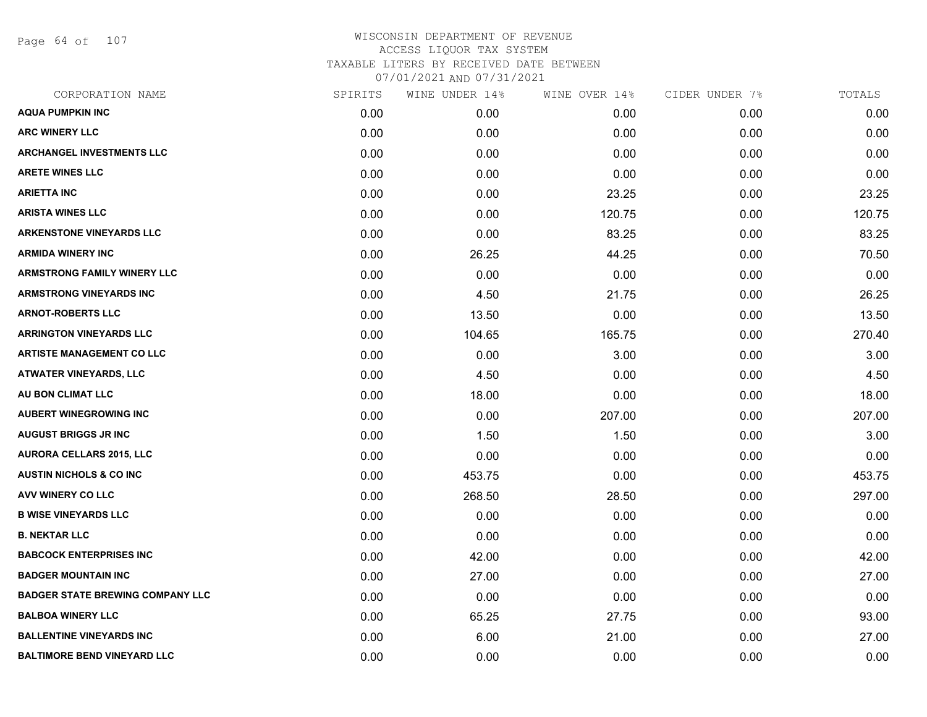Page 64 of 107

| CORPORATION NAME                        | SPIRITS | WINE UNDER 14% | WINE OVER 14% | CIDER UNDER 7% | TOTALS |
|-----------------------------------------|---------|----------------|---------------|----------------|--------|
| <b>AQUA PUMPKIN INC</b>                 | 0.00    | 0.00           | 0.00          | 0.00           | 0.00   |
| <b>ARC WINERY LLC</b>                   | 0.00    | 0.00           | 0.00          | 0.00           | 0.00   |
| <b>ARCHANGEL INVESTMENTS LLC</b>        | 0.00    | 0.00           | 0.00          | 0.00           | 0.00   |
| <b>ARETE WINES LLC</b>                  | 0.00    | 0.00           | 0.00          | 0.00           | 0.00   |
| <b>ARIETTA INC</b>                      | 0.00    | 0.00           | 23.25         | 0.00           | 23.25  |
| <b>ARISTA WINES LLC</b>                 | 0.00    | 0.00           | 120.75        | 0.00           | 120.75 |
| <b>ARKENSTONE VINEYARDS LLC</b>         | 0.00    | 0.00           | 83.25         | 0.00           | 83.25  |
| <b>ARMIDA WINERY INC</b>                | 0.00    | 26.25          | 44.25         | 0.00           | 70.50  |
| <b>ARMSTRONG FAMILY WINERY LLC</b>      | 0.00    | 0.00           | 0.00          | 0.00           | 0.00   |
| <b>ARMSTRONG VINEYARDS INC</b>          | 0.00    | 4.50           | 21.75         | 0.00           | 26.25  |
| <b>ARNOT-ROBERTS LLC</b>                | 0.00    | 13.50          | 0.00          | 0.00           | 13.50  |
| <b>ARRINGTON VINEYARDS LLC</b>          | 0.00    | 104.65         | 165.75        | 0.00           | 270.40 |
| <b>ARTISTE MANAGEMENT CO LLC</b>        | 0.00    | 0.00           | 3.00          | 0.00           | 3.00   |
| <b>ATWATER VINEYARDS, LLC</b>           | 0.00    | 4.50           | 0.00          | 0.00           | 4.50   |
| AU BON CLIMAT LLC                       | 0.00    | 18.00          | 0.00          | 0.00           | 18.00  |
| <b>AUBERT WINEGROWING INC</b>           | 0.00    | 0.00           | 207.00        | 0.00           | 207.00 |
| <b>AUGUST BRIGGS JR INC</b>             | 0.00    | 1.50           | 1.50          | 0.00           | 3.00   |
| <b>AURORA CELLARS 2015, LLC</b>         | 0.00    | 0.00           | 0.00          | 0.00           | 0.00   |
| <b>AUSTIN NICHOLS &amp; CO INC.</b>     | 0.00    | 453.75         | 0.00          | 0.00           | 453.75 |
| <b>AVV WINERY CO LLC</b>                | 0.00    | 268.50         | 28.50         | 0.00           | 297.00 |
| <b>B WISE VINEYARDS LLC</b>             | 0.00    | 0.00           | 0.00          | 0.00           | 0.00   |
| <b>B. NEKTAR LLC</b>                    | 0.00    | 0.00           | 0.00          | 0.00           | 0.00   |
| <b>BABCOCK ENTERPRISES INC</b>          | 0.00    | 42.00          | 0.00          | 0.00           | 42.00  |
| <b>BADGER MOUNTAIN INC</b>              | 0.00    | 27.00          | 0.00          | 0.00           | 27.00  |
| <b>BADGER STATE BREWING COMPANY LLC</b> | 0.00    | 0.00           | 0.00          | 0.00           | 0.00   |
| <b>BALBOA WINERY LLC</b>                | 0.00    | 65.25          | 27.75         | 0.00           | 93.00  |
| <b>BALLENTINE VINEYARDS INC</b>         | 0.00    | 6.00           | 21.00         | 0.00           | 27.00  |
| <b>BALTIMORE BEND VINEYARD LLC</b>      | 0.00    | 0.00           | 0.00          | 0.00           | 0.00   |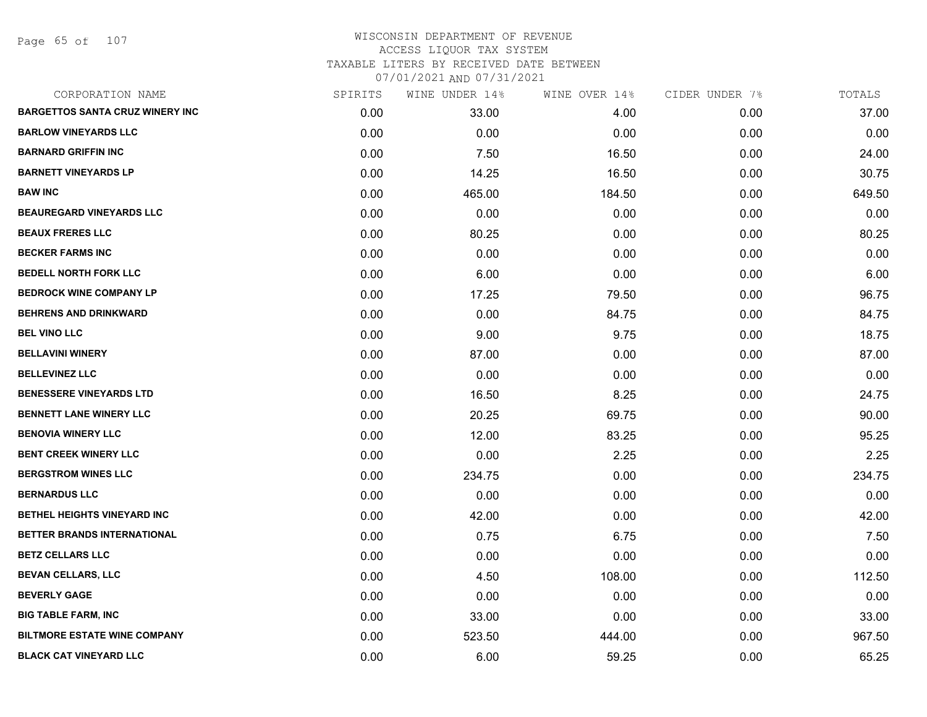Page 65 of 107

| CORPORATION NAME                       | SPIRITS | WINE UNDER 14% | WINE OVER 14% | CIDER UNDER 7% | TOTALS |
|----------------------------------------|---------|----------------|---------------|----------------|--------|
| <b>BARGETTOS SANTA CRUZ WINERY INC</b> | 0.00    | 33.00          | 4.00          | 0.00           | 37.00  |
| <b>BARLOW VINEYARDS LLC</b>            | 0.00    | 0.00           | 0.00          | 0.00           | 0.00   |
| <b>BARNARD GRIFFIN INC</b>             | 0.00    | 7.50           | 16.50         | 0.00           | 24.00  |
| <b>BARNETT VINEYARDS LP</b>            | 0.00    | 14.25          | 16.50         | 0.00           | 30.75  |
| <b>BAW INC</b>                         | 0.00    | 465.00         | 184.50        | 0.00           | 649.50 |
| <b>BEAUREGARD VINEYARDS LLC</b>        | 0.00    | 0.00           | 0.00          | 0.00           | 0.00   |
| <b>BEAUX FRERES LLC</b>                | 0.00    | 80.25          | 0.00          | 0.00           | 80.25  |
| <b>BECKER FARMS INC</b>                | 0.00    | 0.00           | 0.00          | 0.00           | 0.00   |
| <b>BEDELL NORTH FORK LLC</b>           | 0.00    | 6.00           | 0.00          | 0.00           | 6.00   |
| <b>BEDROCK WINE COMPANY LP</b>         | 0.00    | 17.25          | 79.50         | 0.00           | 96.75  |
| <b>BEHRENS AND DRINKWARD</b>           | 0.00    | 0.00           | 84.75         | 0.00           | 84.75  |
| <b>BEL VINO LLC</b>                    | 0.00    | 9.00           | 9.75          | 0.00           | 18.75  |
| <b>BELLAVINI WINERY</b>                | 0.00    | 87.00          | 0.00          | 0.00           | 87.00  |
| <b>BELLEVINEZ LLC</b>                  | 0.00    | 0.00           | 0.00          | 0.00           | 0.00   |
| <b>BENESSERE VINEYARDS LTD</b>         | 0.00    | 16.50          | 8.25          | 0.00           | 24.75  |
| <b>BENNETT LANE WINERY LLC</b>         | 0.00    | 20.25          | 69.75         | 0.00           | 90.00  |
| <b>BENOVIA WINERY LLC</b>              | 0.00    | 12.00          | 83.25         | 0.00           | 95.25  |
| <b>BENT CREEK WINERY LLC</b>           | 0.00    | 0.00           | 2.25          | 0.00           | 2.25   |
| <b>BERGSTROM WINES LLC</b>             | 0.00    | 234.75         | 0.00          | 0.00           | 234.75 |
| <b>BERNARDUS LLC</b>                   | 0.00    | 0.00           | 0.00          | 0.00           | 0.00   |
| BETHEL HEIGHTS VINEYARD INC            | 0.00    | 42.00          | 0.00          | 0.00           | 42.00  |
| BETTER BRANDS INTERNATIONAL            | 0.00    | 0.75           | 6.75          | 0.00           | 7.50   |
| <b>BETZ CELLARS LLC</b>                | 0.00    | 0.00           | 0.00          | 0.00           | 0.00   |
| <b>BEVAN CELLARS, LLC</b>              | 0.00    | 4.50           | 108.00        | 0.00           | 112.50 |
| <b>BEVERLY GAGE</b>                    | 0.00    | 0.00           | 0.00          | 0.00           | 0.00   |
| <b>BIG TABLE FARM, INC</b>             | 0.00    | 33.00          | 0.00          | 0.00           | 33.00  |
| <b>BILTMORE ESTATE WINE COMPANY</b>    | 0.00    | 523.50         | 444.00        | 0.00           | 967.50 |
| <b>BLACK CAT VINEYARD LLC</b>          | 0.00    | 6.00           | 59.25         | 0.00           | 65.25  |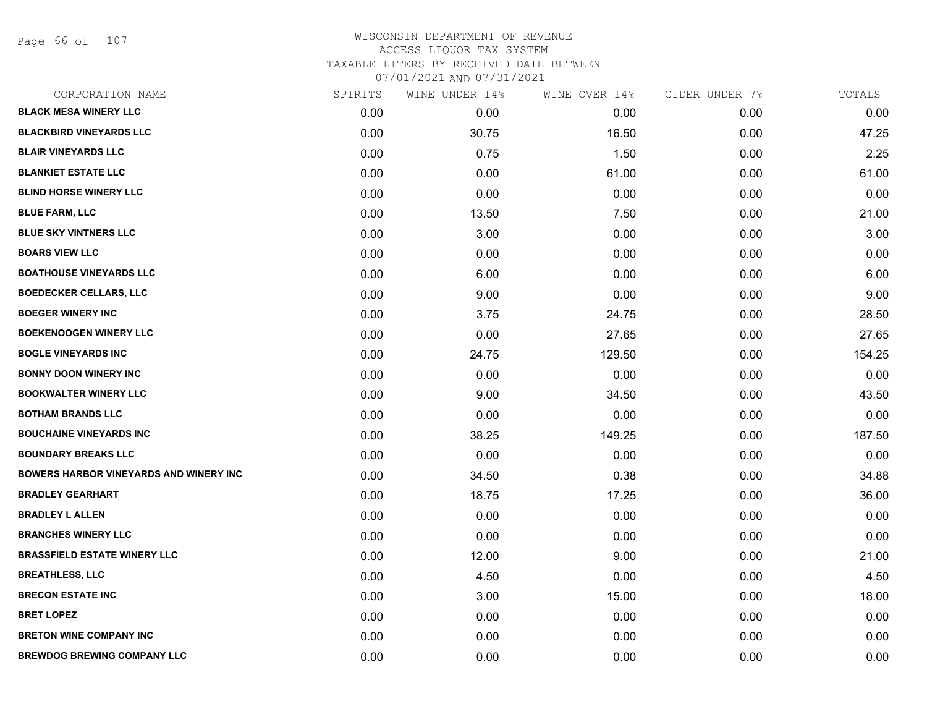Page 66 of 107

| CORPORATION NAME                              | SPIRITS | WINE UNDER 14% | WINE OVER 14% | CIDER UNDER 7% | TOTALS |
|-----------------------------------------------|---------|----------------|---------------|----------------|--------|
| <b>BLACK MESA WINERY LLC</b>                  | 0.00    | 0.00           | 0.00          | 0.00           | 0.00   |
| <b>BLACKBIRD VINEYARDS LLC</b>                | 0.00    | 30.75          | 16.50         | 0.00           | 47.25  |
| <b>BLAIR VINEYARDS LLC</b>                    | 0.00    | 0.75           | 1.50          | 0.00           | 2.25   |
| <b>BLANKIET ESTATE LLC</b>                    | 0.00    | 0.00           | 61.00         | 0.00           | 61.00  |
| <b>BLIND HORSE WINERY LLC</b>                 | 0.00    | 0.00           | 0.00          | 0.00           | 0.00   |
| <b>BLUE FARM, LLC</b>                         | 0.00    | 13.50          | 7.50          | 0.00           | 21.00  |
| <b>BLUE SKY VINTNERS LLC</b>                  | 0.00    | 3.00           | 0.00          | 0.00           | 3.00   |
| <b>BOARS VIEW LLC</b>                         | 0.00    | 0.00           | 0.00          | 0.00           | 0.00   |
| <b>BOATHOUSE VINEYARDS LLC</b>                | 0.00    | 6.00           | 0.00          | 0.00           | 6.00   |
| <b>BOEDECKER CELLARS, LLC</b>                 | 0.00    | 9.00           | 0.00          | 0.00           | 9.00   |
| <b>BOEGER WINERY INC</b>                      | 0.00    | 3.75           | 24.75         | 0.00           | 28.50  |
| <b>BOEKENOOGEN WINERY LLC</b>                 | 0.00    | 0.00           | 27.65         | 0.00           | 27.65  |
| <b>BOGLE VINEYARDS INC</b>                    | 0.00    | 24.75          | 129.50        | 0.00           | 154.25 |
| <b>BONNY DOON WINERY INC</b>                  | 0.00    | 0.00           | 0.00          | 0.00           | 0.00   |
| <b>BOOKWALTER WINERY LLC</b>                  | 0.00    | 9.00           | 34.50         | 0.00           | 43.50  |
| <b>BOTHAM BRANDS LLC</b>                      | 0.00    | 0.00           | 0.00          | 0.00           | 0.00   |
| <b>BOUCHAINE VINEYARDS INC</b>                | 0.00    | 38.25          | 149.25        | 0.00           | 187.50 |
| <b>BOUNDARY BREAKS LLC</b>                    | 0.00    | 0.00           | 0.00          | 0.00           | 0.00   |
| <b>BOWERS HARBOR VINEYARDS AND WINERY INC</b> | 0.00    | 34.50          | 0.38          | 0.00           | 34.88  |
| <b>BRADLEY GEARHART</b>                       | 0.00    | 18.75          | 17.25         | 0.00           | 36.00  |
| <b>BRADLEY L ALLEN</b>                        | 0.00    | 0.00           | 0.00          | 0.00           | 0.00   |
| <b>BRANCHES WINERY LLC</b>                    | 0.00    | 0.00           | 0.00          | 0.00           | 0.00   |
| <b>BRASSFIELD ESTATE WINERY LLC</b>           | 0.00    | 12.00          | 9.00          | 0.00           | 21.00  |
| <b>BREATHLESS, LLC</b>                        | 0.00    | 4.50           | 0.00          | 0.00           | 4.50   |
| <b>BRECON ESTATE INC</b>                      | 0.00    | 3.00           | 15.00         | 0.00           | 18.00  |
| <b>BRET LOPEZ</b>                             | 0.00    | 0.00           | 0.00          | 0.00           | 0.00   |
| <b>BRETON WINE COMPANY INC</b>                | 0.00    | 0.00           | 0.00          | 0.00           | 0.00   |
| <b>BREWDOG BREWING COMPANY LLC</b>            | 0.00    | 0.00           | 0.00          | 0.00           | 0.00   |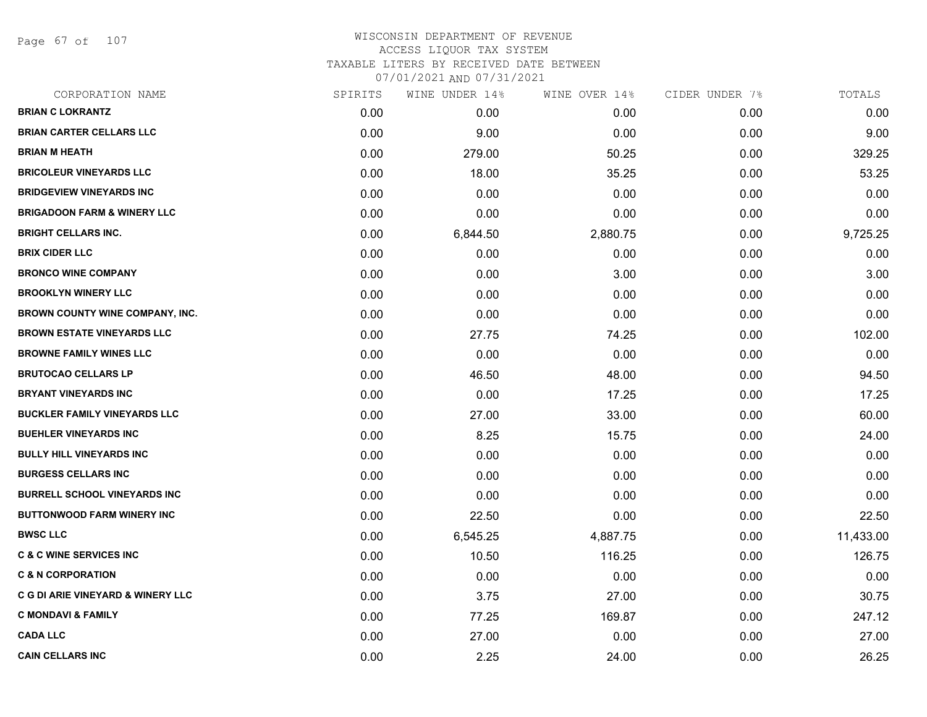Page 67 of 107

## WISCONSIN DEPARTMENT OF REVENUE ACCESS LIQUOR TAX SYSTEM TAXABLE LITERS BY RECEIVED DATE BETWEEN

| CORPORATION NAME                             | SPIRITS | WINE UNDER 14% | WINE OVER 14% | CIDER UNDER 7% | TOTALS    |
|----------------------------------------------|---------|----------------|---------------|----------------|-----------|
| <b>BRIAN C LOKRANTZ</b>                      | 0.00    | 0.00           | 0.00          | 0.00           | 0.00      |
| <b>BRIAN CARTER CELLARS LLC</b>              | 0.00    | 9.00           | 0.00          | 0.00           | 9.00      |
| <b>BRIAN M HEATH</b>                         | 0.00    | 279.00         | 50.25         | 0.00           | 329.25    |
| <b>BRICOLEUR VINEYARDS LLC</b>               | 0.00    | 18.00          | 35.25         | 0.00           | 53.25     |
| <b>BRIDGEVIEW VINEYARDS INC</b>              | 0.00    | 0.00           | 0.00          | 0.00           | 0.00      |
| <b>BRIGADOON FARM &amp; WINERY LLC</b>       | 0.00    | 0.00           | 0.00          | 0.00           | 0.00      |
| <b>BRIGHT CELLARS INC.</b>                   | 0.00    | 6,844.50       | 2,880.75      | 0.00           | 9,725.25  |
| <b>BRIX CIDER LLC</b>                        | 0.00    | 0.00           | 0.00          | 0.00           | 0.00      |
| <b>BRONCO WINE COMPANY</b>                   | 0.00    | 0.00           | 3.00          | 0.00           | 3.00      |
| <b>BROOKLYN WINERY LLC</b>                   | 0.00    | 0.00           | 0.00          | 0.00           | 0.00      |
| <b>BROWN COUNTY WINE COMPANY, INC.</b>       | 0.00    | 0.00           | 0.00          | 0.00           | 0.00      |
| <b>BROWN ESTATE VINEYARDS LLC</b>            | 0.00    | 27.75          | 74.25         | 0.00           | 102.00    |
| <b>BROWNE FAMILY WINES LLC</b>               | 0.00    | 0.00           | 0.00          | 0.00           | 0.00      |
| <b>BRUTOCAO CELLARS LP</b>                   | 0.00    | 46.50          | 48.00         | 0.00           | 94.50     |
| <b>BRYANT VINEYARDS INC</b>                  | 0.00    | 0.00           | 17.25         | 0.00           | 17.25     |
| <b>BUCKLER FAMILY VINEYARDS LLC</b>          | 0.00    | 27.00          | 33.00         | 0.00           | 60.00     |
| <b>BUEHLER VINEYARDS INC</b>                 | 0.00    | 8.25           | 15.75         | 0.00           | 24.00     |
| <b>BULLY HILL VINEYARDS INC</b>              | 0.00    | 0.00           | 0.00          | 0.00           | 0.00      |
| <b>BURGESS CELLARS INC</b>                   | 0.00    | 0.00           | 0.00          | 0.00           | 0.00      |
| <b>BURRELL SCHOOL VINEYARDS INC</b>          | 0.00    | 0.00           | 0.00          | 0.00           | 0.00      |
| <b>BUTTONWOOD FARM WINERY INC</b>            | 0.00    | 22.50          | 0.00          | 0.00           | 22.50     |
| <b>BWSC LLC</b>                              | 0.00    | 6,545.25       | 4,887.75      | 0.00           | 11,433.00 |
| <b>C &amp; C WINE SERVICES INC</b>           | 0.00    | 10.50          | 116.25        | 0.00           | 126.75    |
| <b>C &amp; N CORPORATION</b>                 | 0.00    | 0.00           | 0.00          | 0.00           | 0.00      |
| <b>C G DI ARIE VINEYARD &amp; WINERY LLC</b> | 0.00    | 3.75           | 27.00         | 0.00           | 30.75     |
| <b>C MONDAVI &amp; FAMILY</b>                | 0.00    | 77.25          | 169.87        | 0.00           | 247.12    |
| <b>CADA LLC</b>                              | 0.00    | 27.00          | 0.00          | 0.00           | 27.00     |
| <b>CAIN CELLARS INC</b>                      | 0.00    | 2.25           | 24.00         | 0.00           | 26.25     |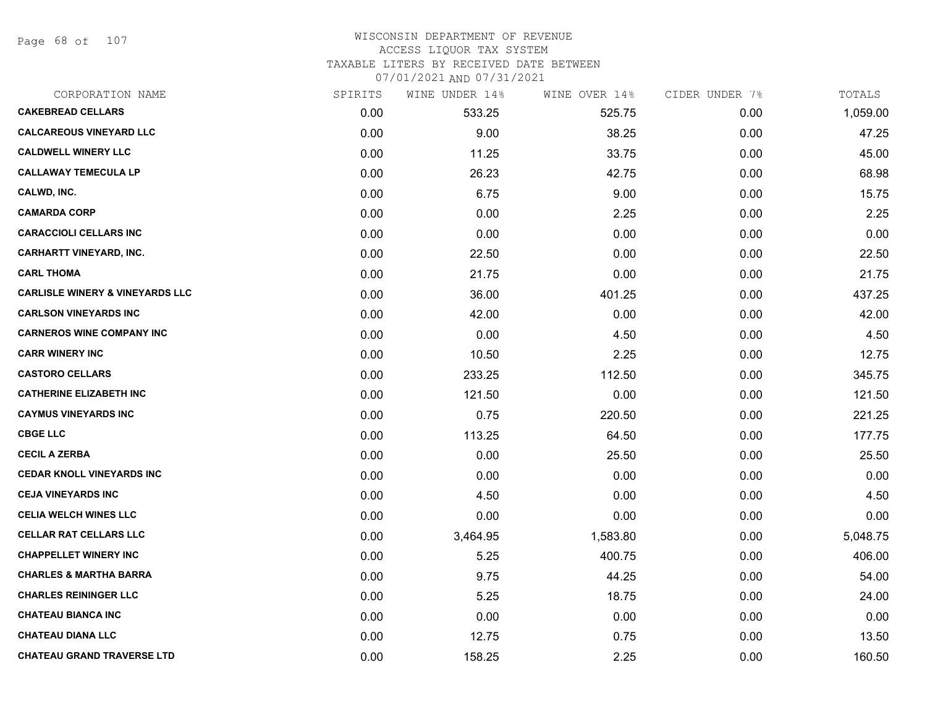Page 68 of 107

## WISCONSIN DEPARTMENT OF REVENUE ACCESS LIQUOR TAX SYSTEM

TAXABLE LITERS BY RECEIVED DATE BETWEEN

| CORPORATION NAME                           | SPIRITS | WINE UNDER 14% | WINE OVER 14% | CIDER UNDER 7% | TOTALS   |
|--------------------------------------------|---------|----------------|---------------|----------------|----------|
| <b>CAKEBREAD CELLARS</b>                   | 0.00    | 533.25         | 525.75        | 0.00           | 1,059.00 |
| <b>CALCAREOUS VINEYARD LLC</b>             | 0.00    | 9.00           | 38.25         | 0.00           | 47.25    |
| <b>CALDWELL WINERY LLC</b>                 | 0.00    | 11.25          | 33.75         | 0.00           | 45.00    |
| <b>CALLAWAY TEMECULA LP</b>                | 0.00    | 26.23          | 42.75         | 0.00           | 68.98    |
| CALWD, INC.                                | 0.00    | 6.75           | 9.00          | 0.00           | 15.75    |
| <b>CAMARDA CORP</b>                        | 0.00    | 0.00           | 2.25          | 0.00           | 2.25     |
| <b>CARACCIOLI CELLARS INC</b>              | 0.00    | 0.00           | 0.00          | 0.00           | 0.00     |
| <b>CARHARTT VINEYARD, INC.</b>             | 0.00    | 22.50          | 0.00          | 0.00           | 22.50    |
| <b>CARL THOMA</b>                          | 0.00    | 21.75          | 0.00          | 0.00           | 21.75    |
| <b>CARLISLE WINERY &amp; VINEYARDS LLC</b> | 0.00    | 36.00          | 401.25        | 0.00           | 437.25   |
| <b>CARLSON VINEYARDS INC</b>               | 0.00    | 42.00          | 0.00          | 0.00           | 42.00    |
| <b>CARNEROS WINE COMPANY INC</b>           | 0.00    | 0.00           | 4.50          | 0.00           | 4.50     |
| <b>CARR WINERY INC</b>                     | 0.00    | 10.50          | 2.25          | 0.00           | 12.75    |
| <b>CASTORO CELLARS</b>                     | 0.00    | 233.25         | 112.50        | 0.00           | 345.75   |
| <b>CATHERINE ELIZABETH INC</b>             | 0.00    | 121.50         | 0.00          | 0.00           | 121.50   |
| <b>CAYMUS VINEYARDS INC</b>                | 0.00    | 0.75           | 220.50        | 0.00           | 221.25   |
| <b>CBGE LLC</b>                            | 0.00    | 113.25         | 64.50         | 0.00           | 177.75   |
| <b>CECIL A ZERBA</b>                       | 0.00    | 0.00           | 25.50         | 0.00           | 25.50    |
| <b>CEDAR KNOLL VINEYARDS INC</b>           | 0.00    | 0.00           | 0.00          | 0.00           | 0.00     |
| <b>CEJA VINEYARDS INC</b>                  | 0.00    | 4.50           | 0.00          | 0.00           | 4.50     |
| <b>CELIA WELCH WINES LLC</b>               | 0.00    | 0.00           | 0.00          | 0.00           | 0.00     |
| <b>CELLAR RAT CELLARS LLC</b>              | 0.00    | 3,464.95       | 1,583.80      | 0.00           | 5,048.75 |
| <b>CHAPPELLET WINERY INC</b>               | 0.00    | 5.25           | 400.75        | 0.00           | 406.00   |
| <b>CHARLES &amp; MARTHA BARRA</b>          | 0.00    | 9.75           | 44.25         | 0.00           | 54.00    |
| <b>CHARLES REININGER LLC</b>               | 0.00    | 5.25           | 18.75         | 0.00           | 24.00    |
| <b>CHATEAU BIANCA INC</b>                  | 0.00    | 0.00           | 0.00          | 0.00           | 0.00     |
| <b>CHATEAU DIANA LLC</b>                   | 0.00    | 12.75          | 0.75          | 0.00           | 13.50    |
| <b>CHATEAU GRAND TRAVERSE LTD</b>          | 0.00    | 158.25         | 2.25          | 0.00           | 160.50   |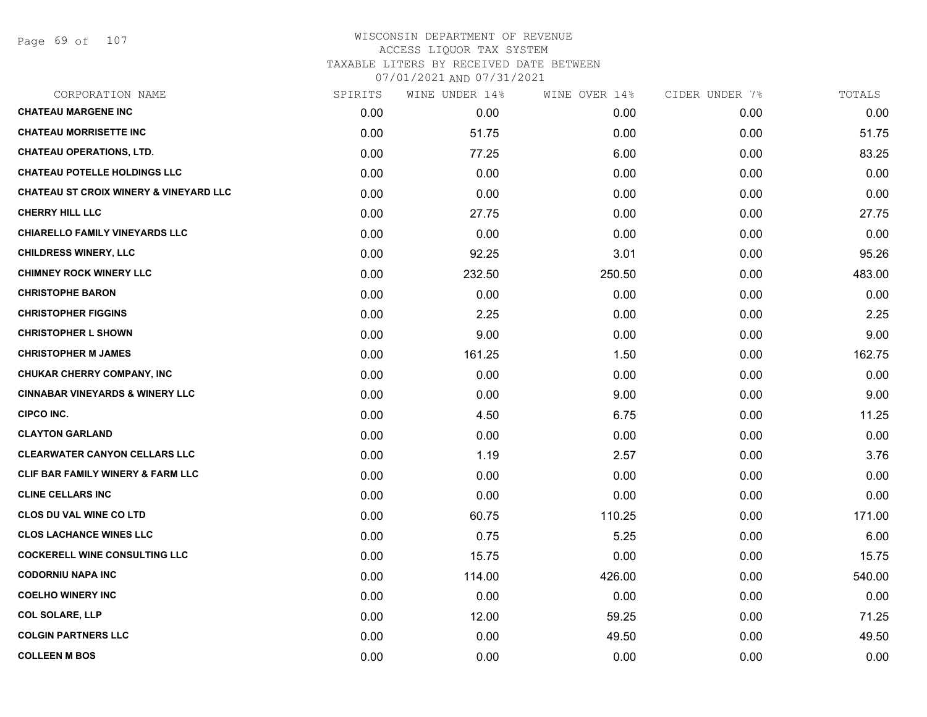Page 69 of 107

# WISCONSIN DEPARTMENT OF REVENUE ACCESS LIQUOR TAX SYSTEM TAXABLE LITERS BY RECEIVED DATE BETWEEN

| CORPORATION NAME                                  | SPIRITS | WINE UNDER 14% | WINE OVER 14% | CIDER UNDER 7% | TOTALS |
|---------------------------------------------------|---------|----------------|---------------|----------------|--------|
| <b>CHATEAU MARGENE INC</b>                        | 0.00    | 0.00           | 0.00          | 0.00           | 0.00   |
| <b>CHATEAU MORRISETTE INC</b>                     | 0.00    | 51.75          | 0.00          | 0.00           | 51.75  |
| <b>CHATEAU OPERATIONS, LTD.</b>                   | 0.00    | 77.25          | 6.00          | 0.00           | 83.25  |
| <b>CHATEAU POTELLE HOLDINGS LLC</b>               | 0.00    | 0.00           | 0.00          | 0.00           | 0.00   |
| <b>CHATEAU ST CROIX WINERY &amp; VINEYARD LLC</b> | 0.00    | 0.00           | 0.00          | 0.00           | 0.00   |
| <b>CHERRY HILL LLC</b>                            | 0.00    | 27.75          | 0.00          | 0.00           | 27.75  |
| <b>CHIARELLO FAMILY VINEYARDS LLC</b>             | 0.00    | 0.00           | 0.00          | 0.00           | 0.00   |
| <b>CHILDRESS WINERY, LLC</b>                      | 0.00    | 92.25          | 3.01          | 0.00           | 95.26  |
| <b>CHIMNEY ROCK WINERY LLC</b>                    | 0.00    | 232.50         | 250.50        | 0.00           | 483.00 |
| <b>CHRISTOPHE BARON</b>                           | 0.00    | 0.00           | 0.00          | 0.00           | 0.00   |
| <b>CHRISTOPHER FIGGINS</b>                        | 0.00    | 2.25           | 0.00          | 0.00           | 2.25   |
| <b>CHRISTOPHER L SHOWN</b>                        | 0.00    | 9.00           | 0.00          | 0.00           | 9.00   |
| <b>CHRISTOPHER M JAMES</b>                        | 0.00    | 161.25         | 1.50          | 0.00           | 162.75 |
| <b>CHUKAR CHERRY COMPANY, INC</b>                 | 0.00    | 0.00           | 0.00          | 0.00           | 0.00   |
| <b>CINNABAR VINEYARDS &amp; WINERY LLC</b>        | 0.00    | 0.00           | 9.00          | 0.00           | 9.00   |
| CIPCO INC.                                        | 0.00    | 4.50           | 6.75          | 0.00           | 11.25  |
| <b>CLAYTON GARLAND</b>                            | 0.00    | 0.00           | 0.00          | 0.00           | 0.00   |
| <b>CLEARWATER CANYON CELLARS LLC</b>              | 0.00    | 1.19           | 2.57          | 0.00           | 3.76   |
| <b>CLIF BAR FAMILY WINERY &amp; FARM LLC</b>      | 0.00    | 0.00           | 0.00          | 0.00           | 0.00   |
| <b>CLINE CELLARS INC</b>                          | 0.00    | 0.00           | 0.00          | 0.00           | 0.00   |
| <b>CLOS DU VAL WINE CO LTD</b>                    | 0.00    | 60.75          | 110.25        | 0.00           | 171.00 |
| <b>CLOS LACHANCE WINES LLC</b>                    | 0.00    | 0.75           | 5.25          | 0.00           | 6.00   |
| <b>COCKERELL WINE CONSULTING LLC</b>              | 0.00    | 15.75          | 0.00          | 0.00           | 15.75  |
| <b>CODORNIU NAPA INC</b>                          | 0.00    | 114.00         | 426.00        | 0.00           | 540.00 |
| <b>COELHO WINERY INC</b>                          | 0.00    | 0.00           | 0.00          | 0.00           | 0.00   |
| <b>COL SOLARE, LLP</b>                            | 0.00    | 12.00          | 59.25         | 0.00           | 71.25  |
| <b>COLGIN PARTNERS LLC</b>                        | 0.00    | 0.00           | 49.50         | 0.00           | 49.50  |
| <b>COLLEEN M BOS</b>                              | 0.00    | 0.00           | 0.00          | 0.00           | 0.00   |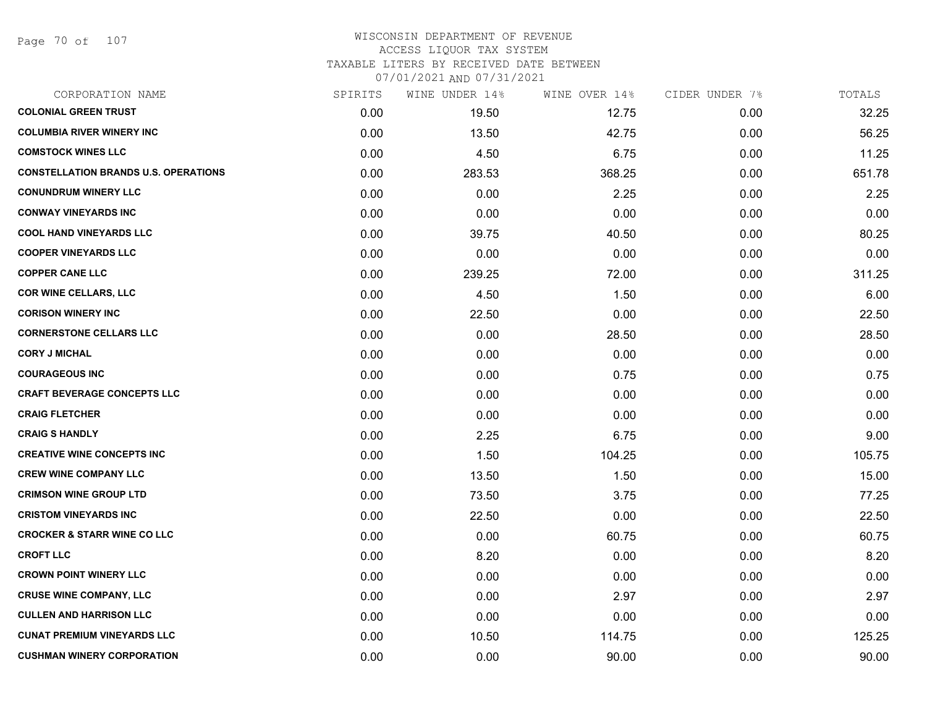Page 70 of 107

## WISCONSIN DEPARTMENT OF REVENUE ACCESS LIQUOR TAX SYSTEM TAXABLE LITERS BY RECEIVED DATE BETWEEN

| CORPORATION NAME                            | SPIRITS | WINE UNDER 14% | WINE OVER 14% | CIDER UNDER 7% | TOTALS |
|---------------------------------------------|---------|----------------|---------------|----------------|--------|
| <b>COLONIAL GREEN TRUST</b>                 | 0.00    | 19.50          | 12.75         | 0.00           | 32.25  |
| <b>COLUMBIA RIVER WINERY INC</b>            | 0.00    | 13.50          | 42.75         | 0.00           | 56.25  |
| <b>COMSTOCK WINES LLC</b>                   | 0.00    | 4.50           | 6.75          | 0.00           | 11.25  |
| <b>CONSTELLATION BRANDS U.S. OPERATIONS</b> | 0.00    | 283.53         | 368.25        | 0.00           | 651.78 |
| <b>CONUNDRUM WINERY LLC</b>                 | 0.00    | 0.00           | 2.25          | 0.00           | 2.25   |
| <b>CONWAY VINEYARDS INC</b>                 | 0.00    | 0.00           | 0.00          | 0.00           | 0.00   |
| <b>COOL HAND VINEYARDS LLC</b>              | 0.00    | 39.75          | 40.50         | 0.00           | 80.25  |
| <b>COOPER VINEYARDS LLC</b>                 | 0.00    | 0.00           | 0.00          | 0.00           | 0.00   |
| <b>COPPER CANE LLC</b>                      | 0.00    | 239.25         | 72.00         | 0.00           | 311.25 |
| <b>COR WINE CELLARS, LLC</b>                | 0.00    | 4.50           | 1.50          | 0.00           | 6.00   |
| <b>CORISON WINERY INC</b>                   | 0.00    | 22.50          | 0.00          | 0.00           | 22.50  |
| <b>CORNERSTONE CELLARS LLC</b>              | 0.00    | 0.00           | 28.50         | 0.00           | 28.50  |
| <b>CORY J MICHAL</b>                        | 0.00    | 0.00           | 0.00          | 0.00           | 0.00   |
| <b>COURAGEOUS INC</b>                       | 0.00    | 0.00           | 0.75          | 0.00           | 0.75   |
| <b>CRAFT BEVERAGE CONCEPTS LLC</b>          | 0.00    | 0.00           | 0.00          | 0.00           | 0.00   |
| <b>CRAIG FLETCHER</b>                       | 0.00    | 0.00           | 0.00          | 0.00           | 0.00   |
| <b>CRAIG S HANDLY</b>                       | 0.00    | 2.25           | 6.75          | 0.00           | 9.00   |
| <b>CREATIVE WINE CONCEPTS INC</b>           | 0.00    | 1.50           | 104.25        | 0.00           | 105.75 |
| <b>CREW WINE COMPANY LLC</b>                | 0.00    | 13.50          | 1.50          | 0.00           | 15.00  |
| <b>CRIMSON WINE GROUP LTD</b>               | 0.00    | 73.50          | 3.75          | 0.00           | 77.25  |
| <b>CRISTOM VINEYARDS INC</b>                | 0.00    | 22.50          | 0.00          | 0.00           | 22.50  |
| <b>CROCKER &amp; STARR WINE CO LLC</b>      | 0.00    | 0.00           | 60.75         | 0.00           | 60.75  |
| <b>CROFT LLC</b>                            | 0.00    | 8.20           | 0.00          | 0.00           | 8.20   |
| <b>CROWN POINT WINERY LLC</b>               | 0.00    | 0.00           | 0.00          | 0.00           | 0.00   |
| <b>CRUSE WINE COMPANY, LLC</b>              | 0.00    | 0.00           | 2.97          | 0.00           | 2.97   |
| <b>CULLEN AND HARRISON LLC</b>              | 0.00    | 0.00           | 0.00          | 0.00           | 0.00   |
| <b>CUNAT PREMIUM VINEYARDS LLC</b>          | 0.00    | 10.50          | 114.75        | 0.00           | 125.25 |
| <b>CUSHMAN WINERY CORPORATION</b>           | 0.00    | 0.00           | 90.00         | 0.00           | 90.00  |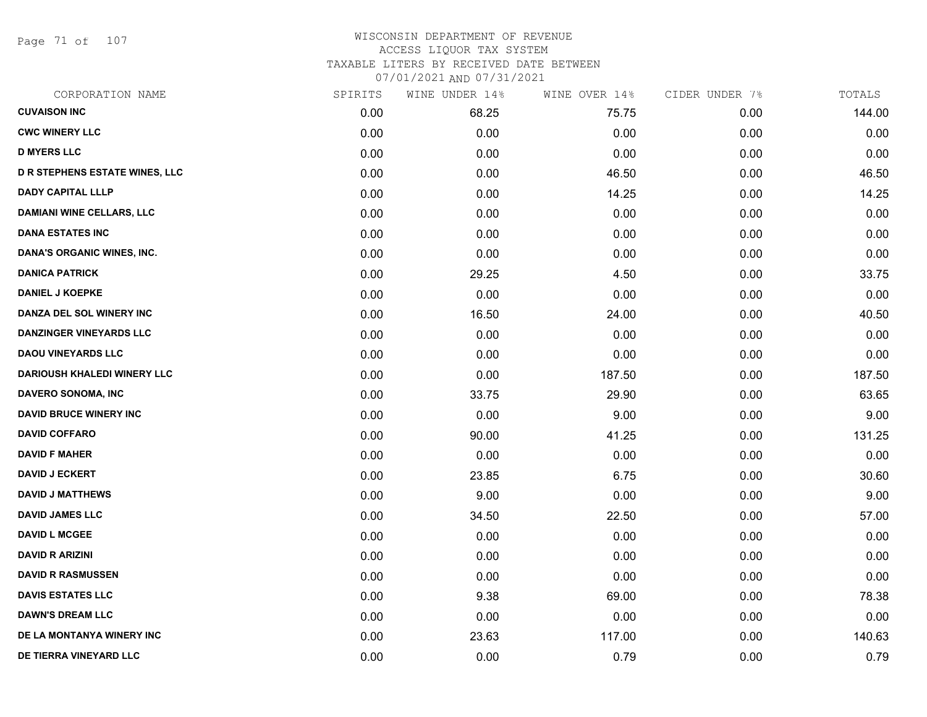Page 71 of 107

#### WISCONSIN DEPARTMENT OF REVENUE ACCESS LIQUOR TAX SYSTEM TAXABLE LITERS BY RECEIVED DATE BETWEEN

| CORPORATION NAME                      | SPIRITS | WINE UNDER 14% | WINE OVER 14% | CIDER UNDER 7% | TOTALS |
|---------------------------------------|---------|----------------|---------------|----------------|--------|
| <b>CUVAISON INC</b>                   | 0.00    | 68.25          | 75.75         | 0.00           | 144.00 |
| <b>CWC WINERY LLC</b>                 | 0.00    | 0.00           | 0.00          | 0.00           | 0.00   |
| <b>D MYERS LLC</b>                    | 0.00    | 0.00           | 0.00          | 0.00           | 0.00   |
| <b>D R STEPHENS ESTATE WINES, LLC</b> | 0.00    | 0.00           | 46.50         | 0.00           | 46.50  |
| <b>DADY CAPITAL LLLP</b>              | 0.00    | 0.00           | 14.25         | 0.00           | 14.25  |
| <b>DAMIANI WINE CELLARS, LLC</b>      | 0.00    | 0.00           | 0.00          | 0.00           | 0.00   |
| <b>DANA ESTATES INC</b>               | 0.00    | 0.00           | 0.00          | 0.00           | 0.00   |
| DANA'S ORGANIC WINES, INC.            | 0.00    | 0.00           | 0.00          | 0.00           | 0.00   |
| <b>DANICA PATRICK</b>                 | 0.00    | 29.25          | 4.50          | 0.00           | 33.75  |
| <b>DANIEL J KOEPKE</b>                | 0.00    | 0.00           | 0.00          | 0.00           | 0.00   |
| DANZA DEL SOL WINERY INC              | 0.00    | 16.50          | 24.00         | 0.00           | 40.50  |
| DANZINGER VINEYARDS LLC               | 0.00    | 0.00           | 0.00          | 0.00           | 0.00   |
| <b>DAOU VINEYARDS LLC</b>             | 0.00    | 0.00           | 0.00          | 0.00           | 0.00   |
| <b>DARIOUSH KHALEDI WINERY LLC</b>    | 0.00    | 0.00           | 187.50        | 0.00           | 187.50 |
| DAVERO SONOMA, INC                    | 0.00    | 33.75          | 29.90         | 0.00           | 63.65  |
| <b>DAVID BRUCE WINERY INC</b>         | 0.00    | 0.00           | 9.00          | 0.00           | 9.00   |
| <b>DAVID COFFARO</b>                  | 0.00    | 90.00          | 41.25         | 0.00           | 131.25 |
| <b>DAVID F MAHER</b>                  | 0.00    | 0.00           | 0.00          | 0.00           | 0.00   |
| <b>DAVID J ECKERT</b>                 | 0.00    | 23.85          | 6.75          | 0.00           | 30.60  |
| <b>DAVID J MATTHEWS</b>               | 0.00    | 9.00           | 0.00          | 0.00           | 9.00   |
| <b>DAVID JAMES LLC</b>                | 0.00    | 34.50          | 22.50         | 0.00           | 57.00  |
| <b>DAVID L MCGEE</b>                  | 0.00    | 0.00           | 0.00          | 0.00           | 0.00   |
| <b>DAVID R ARIZINI</b>                | 0.00    | 0.00           | 0.00          | 0.00           | 0.00   |
| <b>DAVID R RASMUSSEN</b>              | 0.00    | 0.00           | 0.00          | 0.00           | 0.00   |
| <b>DAVIS ESTATES LLC</b>              | 0.00    | 9.38           | 69.00         | 0.00           | 78.38  |
| <b>DAWN'S DREAM LLC</b>               | 0.00    | 0.00           | 0.00          | 0.00           | 0.00   |
| DE LA MONTANYA WINERY INC             | 0.00    | 23.63          | 117.00        | 0.00           | 140.63 |
| DE TIERRA VINEYARD LLC                | 0.00    | 0.00           | 0.79          | 0.00           | 0.79   |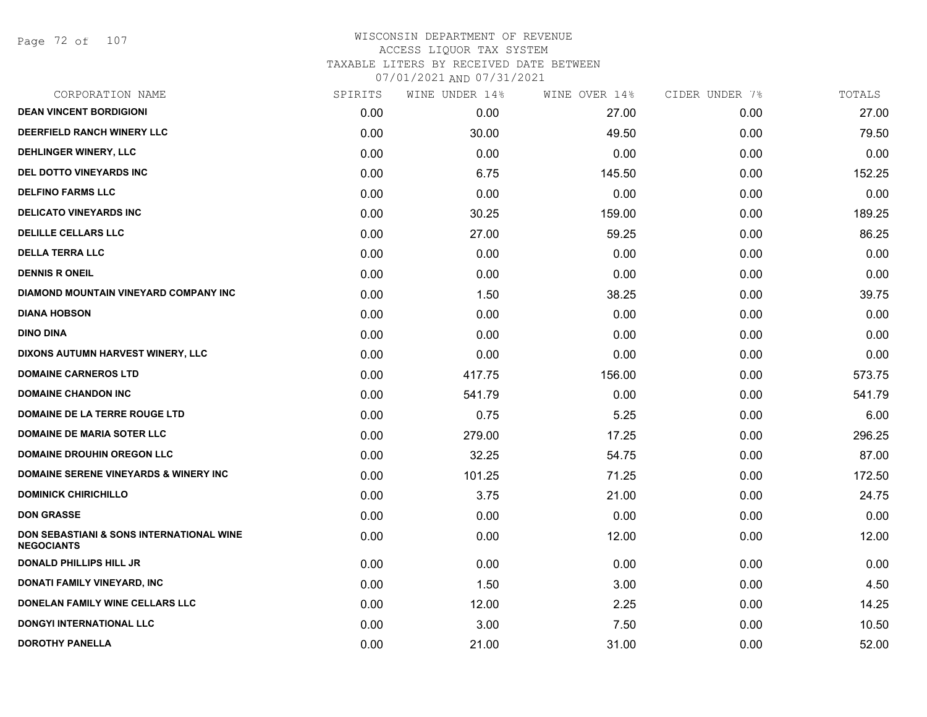Page 72 of 107

| CORPORATION NAME                                                         | SPIRITS | WINE UNDER 14% | WINE OVER 14% | CIDER UNDER 7% | TOTALS |
|--------------------------------------------------------------------------|---------|----------------|---------------|----------------|--------|
| <b>DEAN VINCENT BORDIGIONI</b>                                           | 0.00    | 0.00           | 27.00         | 0.00           | 27.00  |
| DEERFIELD RANCH WINERY LLC                                               | 0.00    | 30.00          | 49.50         | 0.00           | 79.50  |
| DEHLINGER WINERY, LLC                                                    | 0.00    | 0.00           | 0.00          | 0.00           | 0.00   |
| DEL DOTTO VINEYARDS INC                                                  | 0.00    | 6.75           | 145.50        | 0.00           | 152.25 |
| <b>DELFINO FARMS LLC</b>                                                 | 0.00    | 0.00           | 0.00          | 0.00           | 0.00   |
| <b>DELICATO VINEYARDS INC</b>                                            | 0.00    | 30.25          | 159.00        | 0.00           | 189.25 |
| <b>DELILLE CELLARS LLC</b>                                               | 0.00    | 27.00          | 59.25         | 0.00           | 86.25  |
| <b>DELLA TERRA LLC</b>                                                   | 0.00    | 0.00           | 0.00          | 0.00           | 0.00   |
| <b>DENNIS R ONEIL</b>                                                    | 0.00    | 0.00           | 0.00          | 0.00           | 0.00   |
| <b>DIAMOND MOUNTAIN VINEYARD COMPANY INC</b>                             | 0.00    | 1.50           | 38.25         | 0.00           | 39.75  |
| <b>DIANA HOBSON</b>                                                      | 0.00    | 0.00           | 0.00          | 0.00           | 0.00   |
| <b>DINO DINA</b>                                                         | 0.00    | 0.00           | 0.00          | 0.00           | 0.00   |
| DIXONS AUTUMN HARVEST WINERY, LLC                                        | 0.00    | 0.00           | 0.00          | 0.00           | 0.00   |
| <b>DOMAINE CARNEROS LTD</b>                                              | 0.00    | 417.75         | 156.00        | 0.00           | 573.75 |
| <b>DOMAINE CHANDON INC</b>                                               | 0.00    | 541.79         | 0.00          | 0.00           | 541.79 |
| DOMAINE DE LA TERRE ROUGE LTD                                            | 0.00    | 0.75           | 5.25          | 0.00           | 6.00   |
| <b>DOMAINE DE MARIA SOTER LLC</b>                                        | 0.00    | 279.00         | 17.25         | 0.00           | 296.25 |
| <b>DOMAINE DROUHIN OREGON LLC</b>                                        | 0.00    | 32.25          | 54.75         | 0.00           | 87.00  |
| <b>DOMAINE SERENE VINEYARDS &amp; WINERY INC</b>                         | 0.00    | 101.25         | 71.25         | 0.00           | 172.50 |
| <b>DOMINICK CHIRICHILLO</b>                                              | 0.00    | 3.75           | 21.00         | 0.00           | 24.75  |
| <b>DON GRASSE</b>                                                        | 0.00    | 0.00           | 0.00          | 0.00           | 0.00   |
| <b>DON SEBASTIANI &amp; SONS INTERNATIONAL WINE</b><br><b>NEGOCIANTS</b> | 0.00    | 0.00           | 12.00         | 0.00           | 12.00  |
| <b>DONALD PHILLIPS HILL JR</b>                                           | 0.00    | 0.00           | 0.00          | 0.00           | 0.00   |
| DONATI FAMILY VINEYARD, INC                                              | 0.00    | 1.50           | 3.00          | 0.00           | 4.50   |
| DONELAN FAMILY WINE CELLARS LLC                                          | 0.00    | 12.00          | 2.25          | 0.00           | 14.25  |
| <b>DONGYI INTERNATIONAL LLC</b>                                          | 0.00    | 3.00           | 7.50          | 0.00           | 10.50  |
| <b>DOROTHY PANELLA</b>                                                   | 0.00    | 21.00          | 31.00         | 0.00           | 52.00  |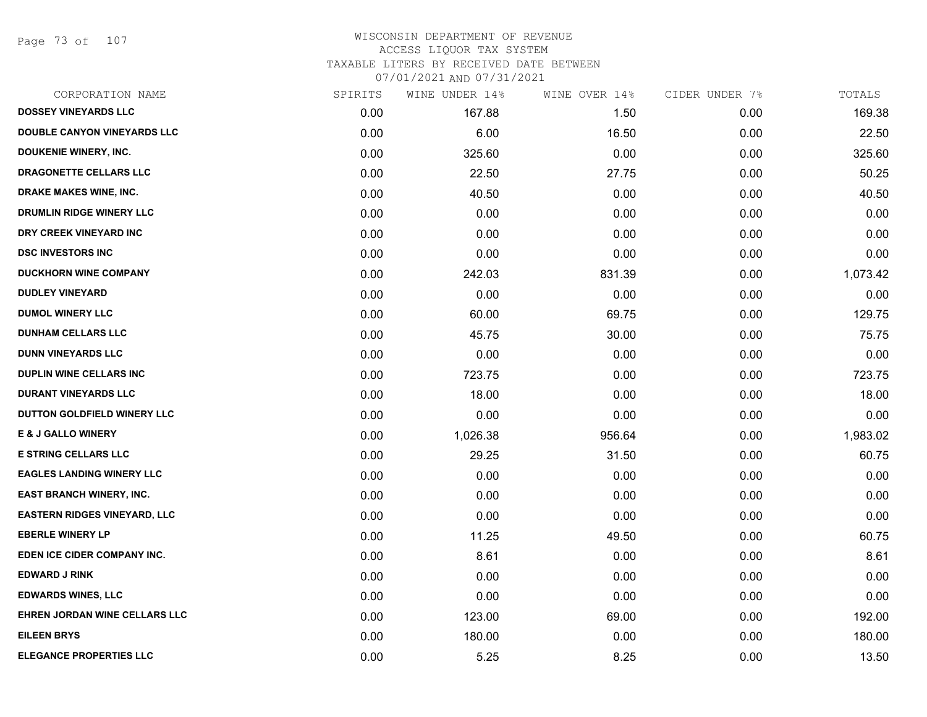Page 73 of 107

# WISCONSIN DEPARTMENT OF REVENUE ACCESS LIQUOR TAX SYSTEM TAXABLE LITERS BY RECEIVED DATE BETWEEN

| CORPORATION NAME                    | SPIRITS | WINE UNDER 14% | WINE OVER 14% | CIDER UNDER 7% | TOTALS   |
|-------------------------------------|---------|----------------|---------------|----------------|----------|
| <b>DOSSEY VINEYARDS LLC</b>         | 0.00    | 167.88         | 1.50          | 0.00           | 169.38   |
| <b>DOUBLE CANYON VINEYARDS LLC</b>  | 0.00    | 6.00           | 16.50         | 0.00           | 22.50    |
| <b>DOUKENIE WINERY, INC.</b>        | 0.00    | 325.60         | 0.00          | 0.00           | 325.60   |
| DRAGONETTE CELLARS LLC              | 0.00    | 22.50          | 27.75         | 0.00           | 50.25    |
| DRAKE MAKES WINE, INC.              | 0.00    | 40.50          | 0.00          | 0.00           | 40.50    |
| DRUMLIN RIDGE WINERY LLC            | 0.00    | 0.00           | 0.00          | 0.00           | 0.00     |
| DRY CREEK VINEYARD INC              | 0.00    | 0.00           | 0.00          | 0.00           | 0.00     |
| <b>DSC INVESTORS INC</b>            | 0.00    | 0.00           | 0.00          | 0.00           | 0.00     |
| <b>DUCKHORN WINE COMPANY</b>        | 0.00    | 242.03         | 831.39        | 0.00           | 1,073.42 |
| <b>DUDLEY VINEYARD</b>              | 0.00    | 0.00           | 0.00          | 0.00           | 0.00     |
| <b>DUMOL WINERY LLC</b>             | 0.00    | 60.00          | 69.75         | 0.00           | 129.75   |
| <b>DUNHAM CELLARS LLC</b>           | 0.00    | 45.75          | 30.00         | 0.00           | 75.75    |
| <b>DUNN VINEYARDS LLC</b>           | 0.00    | 0.00           | 0.00          | 0.00           | 0.00     |
| DUPLIN WINE CELLARS INC             | 0.00    | 723.75         | 0.00          | 0.00           | 723.75   |
| <b>DURANT VINEYARDS LLC</b>         | 0.00    | 18.00          | 0.00          | 0.00           | 18.00    |
| DUTTON GOLDFIELD WINERY LLC         | 0.00    | 0.00           | 0.00          | 0.00           | 0.00     |
| <b>E &amp; J GALLO WINERY</b>       | 0.00    | 1,026.38       | 956.64        | 0.00           | 1,983.02 |
| <b>E STRING CELLARS LLC</b>         | 0.00    | 29.25          | 31.50         | 0.00           | 60.75    |
| <b>EAGLES LANDING WINERY LLC</b>    | 0.00    | 0.00           | 0.00          | 0.00           | 0.00     |
| <b>EAST BRANCH WINERY, INC.</b>     | 0.00    | 0.00           | 0.00          | 0.00           | 0.00     |
| <b>EASTERN RIDGES VINEYARD, LLC</b> | 0.00    | 0.00           | 0.00          | 0.00           | 0.00     |
| <b>EBERLE WINERY LP</b>             | 0.00    | 11.25          | 49.50         | 0.00           | 60.75    |
| EDEN ICE CIDER COMPANY INC.         | 0.00    | 8.61           | 0.00          | 0.00           | 8.61     |
| <b>EDWARD J RINK</b>                | 0.00    | 0.00           | 0.00          | 0.00           | 0.00     |
| <b>EDWARDS WINES, LLC</b>           | 0.00    | 0.00           | 0.00          | 0.00           | 0.00     |
| EHREN JORDAN WINE CELLARS LLC       | 0.00    | 123.00         | 69.00         | 0.00           | 192.00   |
| <b>EILEEN BRYS</b>                  | 0.00    | 180.00         | 0.00          | 0.00           | 180.00   |
| <b>ELEGANCE PROPERTIES LLC</b>      | 0.00    | 5.25           | 8.25          | 0.00           | 13.50    |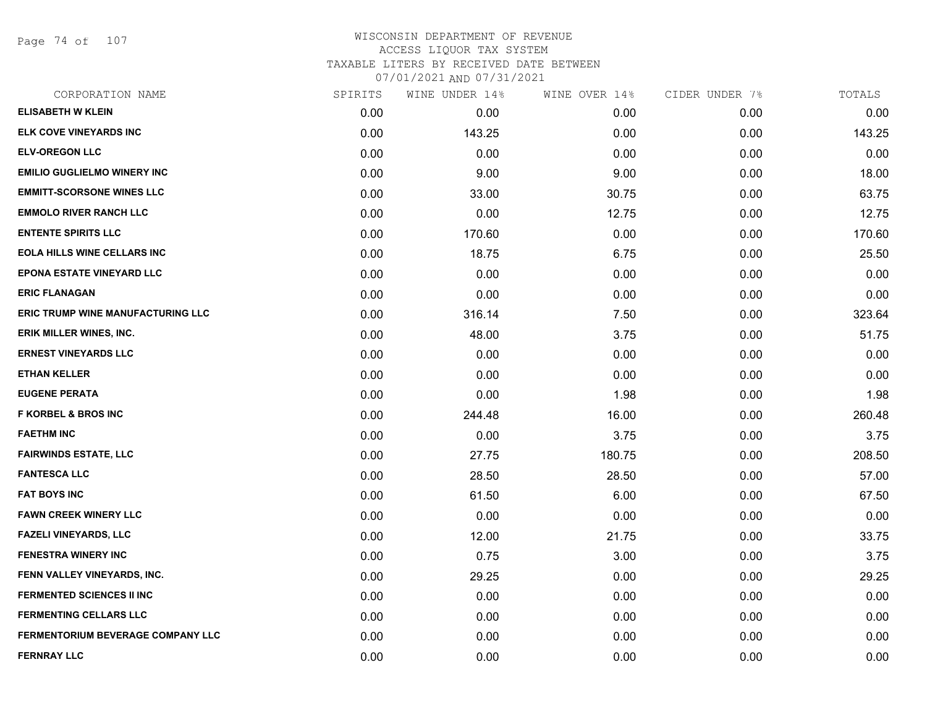Page 74 of 107

| SPIRITS | WINE UNDER 14% | WINE OVER 14% | CIDER UNDER 7% | TOTALS |
|---------|----------------|---------------|----------------|--------|
| 0.00    | 0.00           | 0.00          | 0.00           | 0.00   |
| 0.00    | 143.25         | 0.00          | 0.00           | 143.25 |
| 0.00    | 0.00           | 0.00          | 0.00           | 0.00   |
| 0.00    | 9.00           | 9.00          | 0.00           | 18.00  |
| 0.00    | 33.00          | 30.75         | 0.00           | 63.75  |
| 0.00    | 0.00           | 12.75         | 0.00           | 12.75  |
| 0.00    | 170.60         | 0.00          | 0.00           | 170.60 |
| 0.00    | 18.75          | 6.75          | 0.00           | 25.50  |
| 0.00    | 0.00           | 0.00          | 0.00           | 0.00   |
| 0.00    | 0.00           | 0.00          | 0.00           | 0.00   |
| 0.00    | 316.14         | 7.50          | 0.00           | 323.64 |
| 0.00    | 48.00          | 3.75          | 0.00           | 51.75  |
| 0.00    | 0.00           | 0.00          | 0.00           | 0.00   |
| 0.00    | 0.00           | 0.00          | 0.00           | 0.00   |
| 0.00    | 0.00           | 1.98          | 0.00           | 1.98   |
| 0.00    | 244.48         | 16.00         | 0.00           | 260.48 |
| 0.00    | 0.00           | 3.75          | 0.00           | 3.75   |
| 0.00    | 27.75          | 180.75        | 0.00           | 208.50 |
| 0.00    | 28.50          | 28.50         | 0.00           | 57.00  |
| 0.00    | 61.50          | 6.00          | 0.00           | 67.50  |
| 0.00    | 0.00           | 0.00          | 0.00           | 0.00   |
| 0.00    | 12.00          | 21.75         | 0.00           | 33.75  |
| 0.00    | 0.75           | 3.00          | 0.00           | 3.75   |
| 0.00    | 29.25          | 0.00          | 0.00           | 29.25  |
| 0.00    | 0.00           | 0.00          | 0.00           | 0.00   |
| 0.00    | 0.00           | 0.00          | 0.00           | 0.00   |
| 0.00    | 0.00           | 0.00          | 0.00           | 0.00   |
| 0.00    | 0.00           | 0.00          | 0.00           | 0.00   |
|         |                |               |                |        |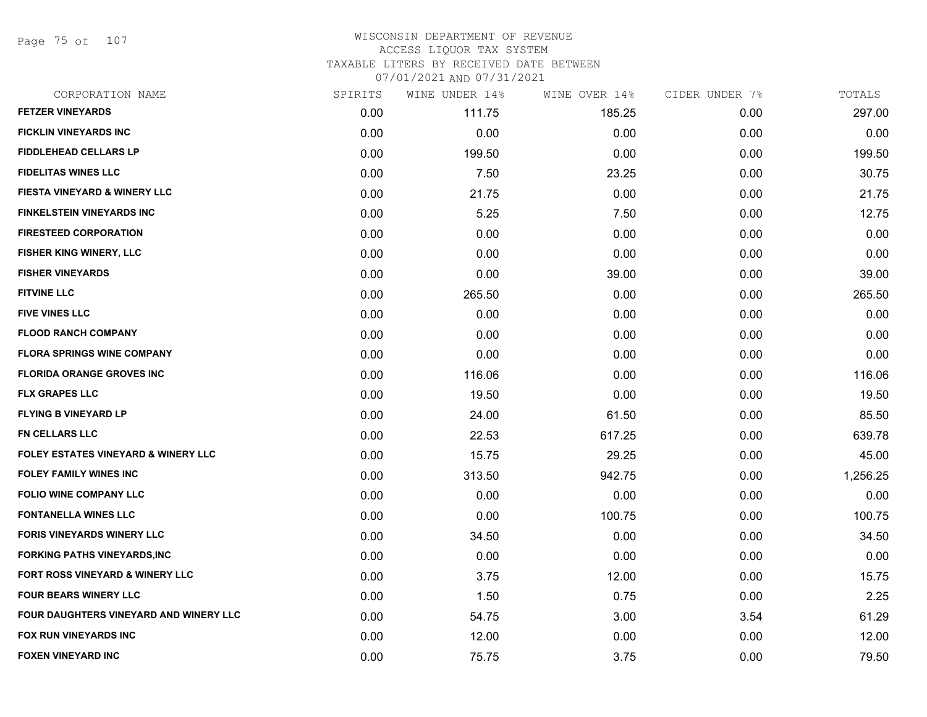Page 75 of 107

# WISCONSIN DEPARTMENT OF REVENUE ACCESS LIQUOR TAX SYSTEM TAXABLE LITERS BY RECEIVED DATE BETWEEN

| CORPORATION NAME                               | SPIRITS | WINE UNDER 14% | WINE OVER 14% | CIDER UNDER 7% | TOTALS   |
|------------------------------------------------|---------|----------------|---------------|----------------|----------|
| <b>FETZER VINEYARDS</b>                        | 0.00    | 111.75         | 185.25        | 0.00           | 297.00   |
| <b>FICKLIN VINEYARDS INC</b>                   | 0.00    | 0.00           | 0.00          | 0.00           | 0.00     |
| <b>FIDDLEHEAD CELLARS LP</b>                   | 0.00    | 199.50         | 0.00          | 0.00           | 199.50   |
| <b>FIDELITAS WINES LLC</b>                     | 0.00    | 7.50           | 23.25         | 0.00           | 30.75    |
| <b>FIESTA VINEYARD &amp; WINERY LLC</b>        | 0.00    | 21.75          | 0.00          | 0.00           | 21.75    |
| <b>FINKELSTEIN VINEYARDS INC</b>               | 0.00    | 5.25           | 7.50          | 0.00           | 12.75    |
| <b>FIRESTEED CORPORATION</b>                   | 0.00    | 0.00           | 0.00          | 0.00           | 0.00     |
| FISHER KING WINERY, LLC                        | 0.00    | 0.00           | 0.00          | 0.00           | 0.00     |
| <b>FISHER VINEYARDS</b>                        | 0.00    | 0.00           | 39.00         | 0.00           | 39.00    |
| <b>FITVINE LLC</b>                             | 0.00    | 265.50         | 0.00          | 0.00           | 265.50   |
| <b>FIVE VINES LLC</b>                          | 0.00    | 0.00           | 0.00          | 0.00           | 0.00     |
| <b>FLOOD RANCH COMPANY</b>                     | 0.00    | 0.00           | 0.00          | 0.00           | 0.00     |
| <b>FLORA SPRINGS WINE COMPANY</b>              | 0.00    | 0.00           | 0.00          | 0.00           | 0.00     |
| <b>FLORIDA ORANGE GROVES INC</b>               | 0.00    | 116.06         | 0.00          | 0.00           | 116.06   |
| <b>FLX GRAPES LLC</b>                          | 0.00    | 19.50          | 0.00          | 0.00           | 19.50    |
| <b>FLYING B VINEYARD LP</b>                    | 0.00    | 24.00          | 61.50         | 0.00           | 85.50    |
| <b>FN CELLARS LLC</b>                          | 0.00    | 22.53          | 617.25        | 0.00           | 639.78   |
| <b>FOLEY ESTATES VINEYARD &amp; WINERY LLC</b> | 0.00    | 15.75          | 29.25         | 0.00           | 45.00    |
| <b>FOLEY FAMILY WINES INC</b>                  | 0.00    | 313.50         | 942.75        | 0.00           | 1,256.25 |
| <b>FOLIO WINE COMPANY LLC</b>                  | 0.00    | 0.00           | 0.00          | 0.00           | 0.00     |
| <b>FONTANELLA WINES LLC</b>                    | 0.00    | 0.00           | 100.75        | 0.00           | 100.75   |
| <b>FORIS VINEYARDS WINERY LLC</b>              | 0.00    | 34.50          | 0.00          | 0.00           | 34.50    |
| <b>FORKING PATHS VINEYARDS, INC</b>            | 0.00    | 0.00           | 0.00          | 0.00           | 0.00     |
| <b>FORT ROSS VINEYARD &amp; WINERY LLC</b>     | 0.00    | 3.75           | 12.00         | 0.00           | 15.75    |
| <b>FOUR BEARS WINERY LLC</b>                   | 0.00    | 1.50           | 0.75          | 0.00           | 2.25     |
| FOUR DAUGHTERS VINEYARD AND WINERY LLC         | 0.00    | 54.75          | 3.00          | 3.54           | 61.29    |
| FOX RUN VINEYARDS INC                          | 0.00    | 12.00          | 0.00          | 0.00           | 12.00    |
| <b>FOXEN VINEYARD INC</b>                      | 0.00    | 75.75          | 3.75          | 0.00           | 79.50    |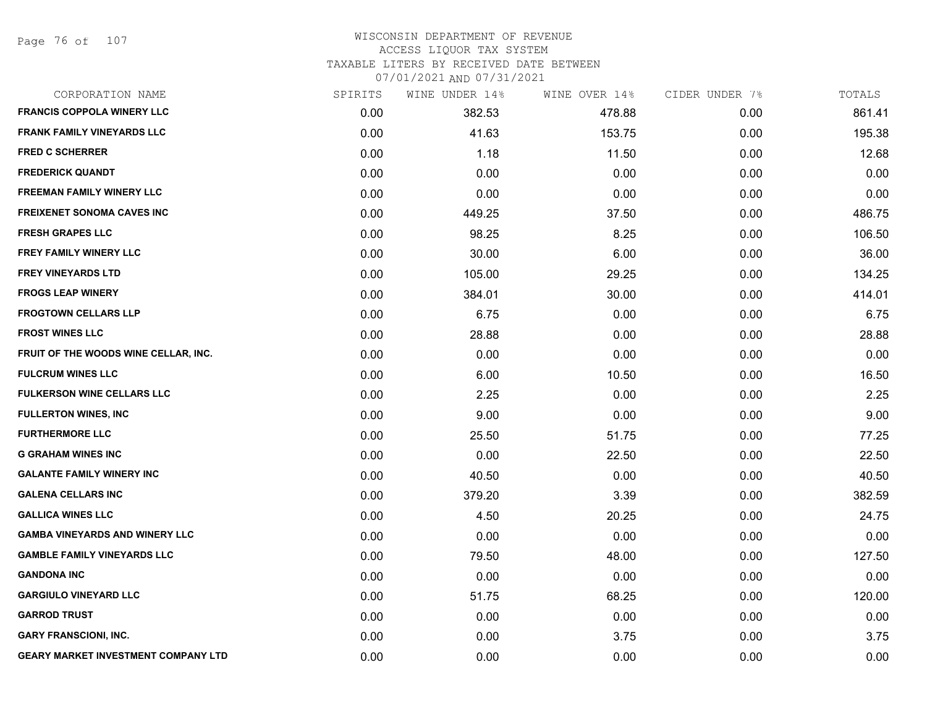# WISCONSIN DEPARTMENT OF REVENUE ACCESS LIQUOR TAX SYSTEM

TAXABLE LITERS BY RECEIVED DATE BETWEEN

| CORPORATION NAME                           | SPIRITS | WINE UNDER 14% | WINE OVER 14% | CIDER UNDER 7% | TOTALS |
|--------------------------------------------|---------|----------------|---------------|----------------|--------|
| <b>FRANCIS COPPOLA WINERY LLC</b>          | 0.00    | 382.53         | 478.88        | 0.00           | 861.41 |
| <b>FRANK FAMILY VINEYARDS LLC</b>          | 0.00    | 41.63          | 153.75        | 0.00           | 195.38 |
| <b>FRED C SCHERRER</b>                     | 0.00    | 1.18           | 11.50         | 0.00           | 12.68  |
| <b>FREDERICK QUANDT</b>                    | 0.00    | 0.00           | 0.00          | 0.00           | 0.00   |
| <b>FREEMAN FAMILY WINERY LLC</b>           | 0.00    | 0.00           | 0.00          | 0.00           | 0.00   |
| <b>FREIXENET SONOMA CAVES INC</b>          | 0.00    | 449.25         | 37.50         | 0.00           | 486.75 |
| <b>FRESH GRAPES LLC</b>                    | 0.00    | 98.25          | 8.25          | 0.00           | 106.50 |
| <b>FREY FAMILY WINERY LLC</b>              | 0.00    | 30.00          | 6.00          | 0.00           | 36.00  |
| FREY VINEYARDS LTD                         | 0.00    | 105.00         | 29.25         | 0.00           | 134.25 |
| <b>FROGS LEAP WINERY</b>                   | 0.00    | 384.01         | 30.00         | 0.00           | 414.01 |
| <b>FROGTOWN CELLARS LLP</b>                | 0.00    | 6.75           | 0.00          | 0.00           | 6.75   |
| <b>FROST WINES LLC</b>                     | 0.00    | 28.88          | 0.00          | 0.00           | 28.88  |
| FRUIT OF THE WOODS WINE CELLAR, INC.       | 0.00    | 0.00           | 0.00          | 0.00           | 0.00   |
| <b>FULCRUM WINES LLC</b>                   | 0.00    | 6.00           | 10.50         | 0.00           | 16.50  |
| <b>FULKERSON WINE CELLARS LLC</b>          | 0.00    | 2.25           | 0.00          | 0.00           | 2.25   |
| <b>FULLERTON WINES, INC</b>                | 0.00    | 9.00           | 0.00          | 0.00           | 9.00   |
| <b>FURTHERMORE LLC</b>                     | 0.00    | 25.50          | 51.75         | 0.00           | 77.25  |
| <b>G GRAHAM WINES INC</b>                  | 0.00    | 0.00           | 22.50         | 0.00           | 22.50  |
| <b>GALANTE FAMILY WINERY INC</b>           | 0.00    | 40.50          | 0.00          | 0.00           | 40.50  |
| <b>GALENA CELLARS INC</b>                  | 0.00    | 379.20         | 3.39          | 0.00           | 382.59 |
| <b>GALLICA WINES LLC</b>                   | 0.00    | 4.50           | 20.25         | 0.00           | 24.75  |
| <b>GAMBA VINEYARDS AND WINERY LLC</b>      | 0.00    | 0.00           | 0.00          | 0.00           | 0.00   |
| <b>GAMBLE FAMILY VINEYARDS LLC</b>         | 0.00    | 79.50          | 48.00         | 0.00           | 127.50 |
| <b>GANDONA INC</b>                         | 0.00    | 0.00           | 0.00          | 0.00           | 0.00   |
| <b>GARGIULO VINEYARD LLC</b>               | 0.00    | 51.75          | 68.25         | 0.00           | 120.00 |
| <b>GARROD TRUST</b>                        | 0.00    | 0.00           | 0.00          | 0.00           | 0.00   |
| <b>GARY FRANSCIONI, INC.</b>               | 0.00    | 0.00           | 3.75          | 0.00           | 3.75   |
| <b>GEARY MARKET INVESTMENT COMPANY LTD</b> | 0.00    | 0.00           | 0.00          | 0.00           | 0.00   |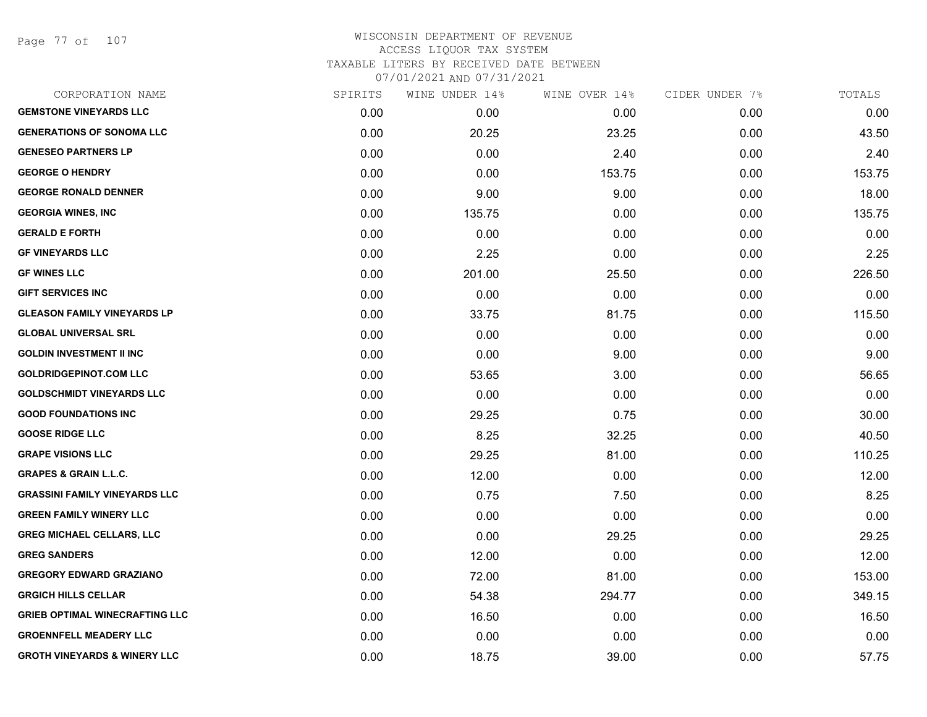Page 77 of 107

| CORPORATION NAME                        | SPIRITS | WINE UNDER 14% | WINE OVER 14% | CIDER UNDER 7% | TOTALS |
|-----------------------------------------|---------|----------------|---------------|----------------|--------|
| <b>GEMSTONE VINEYARDS LLC</b>           | 0.00    | 0.00           | 0.00          | 0.00           | 0.00   |
| <b>GENERATIONS OF SONOMA LLC</b>        | 0.00    | 20.25          | 23.25         | 0.00           | 43.50  |
| <b>GENESEO PARTNERS LP</b>              | 0.00    | 0.00           | 2.40          | 0.00           | 2.40   |
| <b>GEORGE O HENDRY</b>                  | 0.00    | 0.00           | 153.75        | 0.00           | 153.75 |
| <b>GEORGE RONALD DENNER</b>             | 0.00    | 9.00           | 9.00          | 0.00           | 18.00  |
| <b>GEORGIA WINES, INC</b>               | 0.00    | 135.75         | 0.00          | 0.00           | 135.75 |
| <b>GERALD E FORTH</b>                   | 0.00    | 0.00           | 0.00          | 0.00           | 0.00   |
| <b>GF VINEYARDS LLC</b>                 | 0.00    | 2.25           | 0.00          | 0.00           | 2.25   |
| <b>GF WINES LLC</b>                     | 0.00    | 201.00         | 25.50         | 0.00           | 226.50 |
| <b>GIFT SERVICES INC</b>                | 0.00    | 0.00           | 0.00          | 0.00           | 0.00   |
| <b>GLEASON FAMILY VINEYARDS LP</b>      | 0.00    | 33.75          | 81.75         | 0.00           | 115.50 |
| <b>GLOBAL UNIVERSAL SRL</b>             | 0.00    | 0.00           | 0.00          | 0.00           | 0.00   |
| <b>GOLDIN INVESTMENT II INC</b>         | 0.00    | 0.00           | 9.00          | 0.00           | 9.00   |
| <b>GOLDRIDGEPINOT.COM LLC</b>           | 0.00    | 53.65          | 3.00          | 0.00           | 56.65  |
| <b>GOLDSCHMIDT VINEYARDS LLC</b>        | 0.00    | 0.00           | 0.00          | 0.00           | 0.00   |
| <b>GOOD FOUNDATIONS INC</b>             | 0.00    | 29.25          | 0.75          | 0.00           | 30.00  |
| <b>GOOSE RIDGE LLC</b>                  | 0.00    | 8.25           | 32.25         | 0.00           | 40.50  |
| <b>GRAPE VISIONS LLC</b>                | 0.00    | 29.25          | 81.00         | 0.00           | 110.25 |
| <b>GRAPES &amp; GRAIN L.L.C.</b>        | 0.00    | 12.00          | 0.00          | 0.00           | 12.00  |
| <b>GRASSINI FAMILY VINEYARDS LLC</b>    | 0.00    | 0.75           | 7.50          | 0.00           | 8.25   |
| <b>GREEN FAMILY WINERY LLC</b>          | 0.00    | 0.00           | 0.00          | 0.00           | 0.00   |
| <b>GREG MICHAEL CELLARS, LLC</b>        | 0.00    | 0.00           | 29.25         | 0.00           | 29.25  |
| <b>GREG SANDERS</b>                     | 0.00    | 12.00          | 0.00          | 0.00           | 12.00  |
| <b>GREGORY EDWARD GRAZIANO</b>          | 0.00    | 72.00          | 81.00         | 0.00           | 153.00 |
| <b>GRGICH HILLS CELLAR</b>              | 0.00    | 54.38          | 294.77        | 0.00           | 349.15 |
| <b>GRIEB OPTIMAL WINECRAFTING LLC</b>   | 0.00    | 16.50          | 0.00          | 0.00           | 16.50  |
| <b>GROENNFELL MEADERY LLC</b>           | 0.00    | 0.00           | 0.00          | 0.00           | 0.00   |
| <b>GROTH VINEYARDS &amp; WINERY LLC</b> | 0.00    | 18.75          | 39.00         | 0.00           | 57.75  |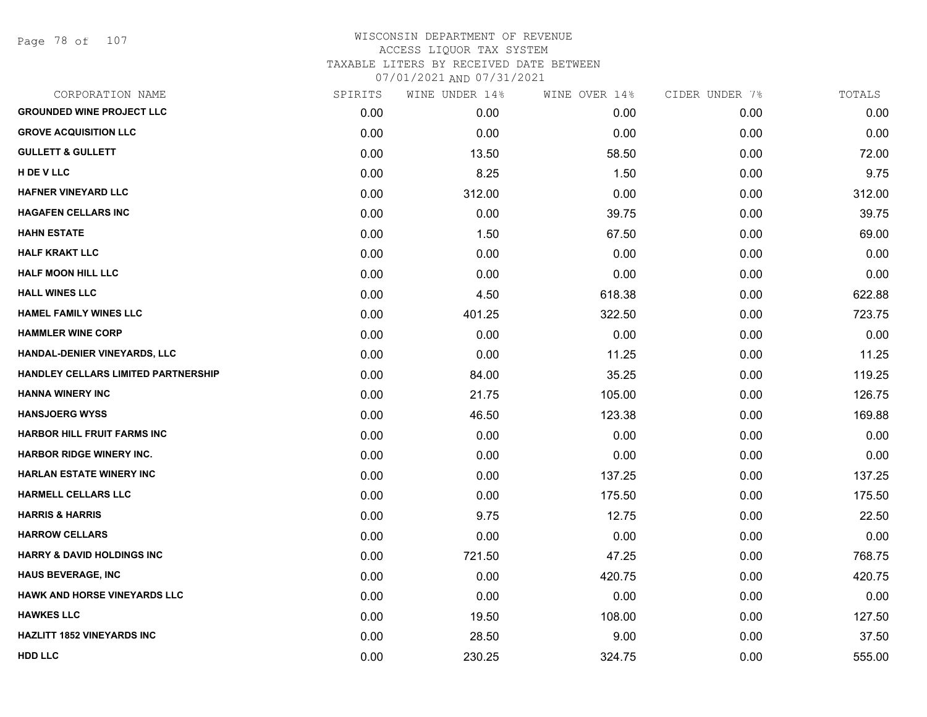Page 78 of 107

# WISCONSIN DEPARTMENT OF REVENUE ACCESS LIQUOR TAX SYSTEM TAXABLE LITERS BY RECEIVED DATE BETWEEN

| CORPORATION NAME                           | SPIRITS | WINE UNDER 14% | WINE OVER 14% | CIDER UNDER 7% | TOTALS |
|--------------------------------------------|---------|----------------|---------------|----------------|--------|
| <b>GROUNDED WINE PROJECT LLC</b>           | 0.00    | 0.00           | 0.00          | 0.00           | 0.00   |
| <b>GROVE ACQUISITION LLC</b>               | 0.00    | 0.00           | 0.00          | 0.00           | 0.00   |
| <b>GULLETT &amp; GULLETT</b>               | 0.00    | 13.50          | 58.50         | 0.00           | 72.00  |
| H DE V LLC                                 | 0.00    | 8.25           | 1.50          | 0.00           | 9.75   |
| <b>HAFNER VINEYARD LLC</b>                 | 0.00    | 312.00         | 0.00          | 0.00           | 312.00 |
| <b>HAGAFEN CELLARS INC</b>                 | 0.00    | 0.00           | 39.75         | 0.00           | 39.75  |
| <b>HAHN ESTATE</b>                         | 0.00    | 1.50           | 67.50         | 0.00           | 69.00  |
| <b>HALF KRAKT LLC</b>                      | 0.00    | 0.00           | 0.00          | 0.00           | 0.00   |
| HALF MOON HILL LLC                         | 0.00    | 0.00           | 0.00          | 0.00           | 0.00   |
| <b>HALL WINES LLC</b>                      | 0.00    | 4.50           | 618.38        | 0.00           | 622.88 |
| <b>HAMEL FAMILY WINES LLC</b>              | 0.00    | 401.25         | 322.50        | 0.00           | 723.75 |
| <b>HAMMLER WINE CORP</b>                   | 0.00    | 0.00           | 0.00          | 0.00           | 0.00   |
| HANDAL-DENIER VINEYARDS, LLC               | 0.00    | 0.00           | 11.25         | 0.00           | 11.25  |
| <b>HANDLEY CELLARS LIMITED PARTNERSHIP</b> | 0.00    | 84.00          | 35.25         | 0.00           | 119.25 |
| <b>HANNA WINERY INC</b>                    | 0.00    | 21.75          | 105.00        | 0.00           | 126.75 |
| <b>HANSJOERG WYSS</b>                      | 0.00    | 46.50          | 123.38        | 0.00           | 169.88 |
| <b>HARBOR HILL FRUIT FARMS INC</b>         | 0.00    | 0.00           | 0.00          | 0.00           | 0.00   |
| <b>HARBOR RIDGE WINERY INC.</b>            | 0.00    | 0.00           | 0.00          | 0.00           | 0.00   |
| <b>HARLAN ESTATE WINERY INC</b>            | 0.00    | 0.00           | 137.25        | 0.00           | 137.25 |
| <b>HARMELL CELLARS LLC</b>                 | 0.00    | 0.00           | 175.50        | 0.00           | 175.50 |
| <b>HARRIS &amp; HARRIS</b>                 | 0.00    | 9.75           | 12.75         | 0.00           | 22.50  |
| <b>HARROW CELLARS</b>                      | 0.00    | 0.00           | 0.00          | 0.00           | 0.00   |
| <b>HARRY &amp; DAVID HOLDINGS INC</b>      | 0.00    | 721.50         | 47.25         | 0.00           | 768.75 |
| <b>HAUS BEVERAGE, INC</b>                  | 0.00    | 0.00           | 420.75        | 0.00           | 420.75 |
| <b>HAWK AND HORSE VINEYARDS LLC</b>        | 0.00    | 0.00           | 0.00          | 0.00           | 0.00   |
| <b>HAWKES LLC</b>                          | 0.00    | 19.50          | 108.00        | 0.00           | 127.50 |
| <b>HAZLITT 1852 VINEYARDS INC</b>          | 0.00    | 28.50          | 9.00          | 0.00           | 37.50  |
| <b>HDD LLC</b>                             | 0.00    | 230.25         | 324.75        | 0.00           | 555.00 |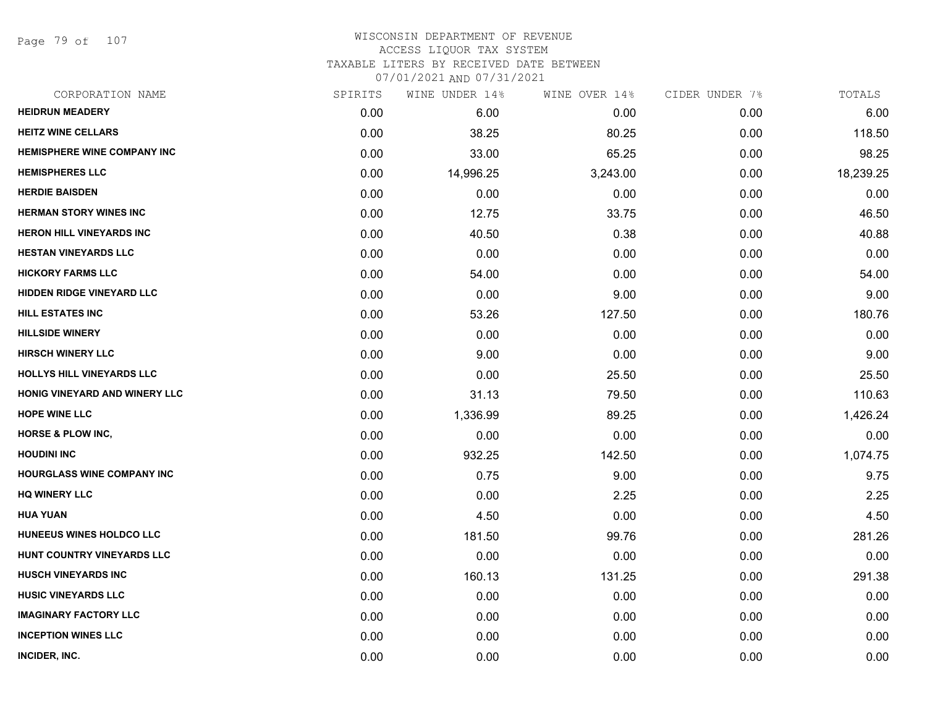Page 79 of 107

| CORPORATION NAME                  | SPIRITS | WINE UNDER 14% | WINE OVER 14% | CIDER UNDER 7% | TOTALS    |
|-----------------------------------|---------|----------------|---------------|----------------|-----------|
| <b>HEIDRUN MEADERY</b>            | 0.00    | 6.00           | 0.00          | 0.00           | 6.00      |
| <b>HEITZ WINE CELLARS</b>         | 0.00    | 38.25          | 80.25         | 0.00           | 118.50    |
| HEMISPHERE WINE COMPANY INC       | 0.00    | 33.00          | 65.25         | 0.00           | 98.25     |
| <b>HEMISPHERES LLC</b>            | 0.00    | 14,996.25      | 3,243.00      | 0.00           | 18,239.25 |
| <b>HERDIE BAISDEN</b>             | 0.00    | 0.00           | 0.00          | 0.00           | 0.00      |
| <b>HERMAN STORY WINES INC</b>     | 0.00    | 12.75          | 33.75         | 0.00           | 46.50     |
| <b>HERON HILL VINEYARDS INC</b>   | 0.00    | 40.50          | 0.38          | 0.00           | 40.88     |
| <b>HESTAN VINEYARDS LLC</b>       | 0.00    | 0.00           | 0.00          | 0.00           | 0.00      |
| <b>HICKORY FARMS LLC</b>          | 0.00    | 54.00          | 0.00          | 0.00           | 54.00     |
| <b>HIDDEN RIDGE VINEYARD LLC</b>  | 0.00    | 0.00           | 9.00          | 0.00           | 9.00      |
| HILL ESTATES INC                  | 0.00    | 53.26          | 127.50        | 0.00           | 180.76    |
| <b>HILLSIDE WINERY</b>            | 0.00    | 0.00           | 0.00          | 0.00           | 0.00      |
| <b>HIRSCH WINERY LLC</b>          | 0.00    | 9.00           | 0.00          | 0.00           | 9.00      |
| HOLLYS HILL VINEYARDS LLC         | 0.00    | 0.00           | 25.50         | 0.00           | 25.50     |
| HONIG VINEYARD AND WINERY LLC     | 0.00    | 31.13          | 79.50         | 0.00           | 110.63    |
| <b>HOPE WINE LLC</b>              | 0.00    | 1,336.99       | 89.25         | 0.00           | 1,426.24  |
| <b>HORSE &amp; PLOW INC,</b>      | 0.00    | 0.00           | 0.00          | 0.00           | 0.00      |
| <b>HOUDINI INC</b>                | 0.00    | 932.25         | 142.50        | 0.00           | 1,074.75  |
| <b>HOURGLASS WINE COMPANY INC</b> | 0.00    | 0.75           | 9.00          | 0.00           | 9.75      |
| <b>HQ WINERY LLC</b>              | 0.00    | 0.00           | 2.25          | 0.00           | 2.25      |
| <b>HUA YUAN</b>                   | 0.00    | 4.50           | 0.00          | 0.00           | 4.50      |
| HUNEEUS WINES HOLDCO LLC          | 0.00    | 181.50         | 99.76         | 0.00           | 281.26    |
| HUNT COUNTRY VINEYARDS LLC        | 0.00    | 0.00           | 0.00          | 0.00           | 0.00      |
| <b>HUSCH VINEYARDS INC</b>        | 0.00    | 160.13         | 131.25        | 0.00           | 291.38    |
| <b>HUSIC VINEYARDS LLC</b>        | 0.00    | 0.00           | 0.00          | 0.00           | 0.00      |
| <b>IMAGINARY FACTORY LLC</b>      | 0.00    | 0.00           | 0.00          | 0.00           | 0.00      |
| <b>INCEPTION WINES LLC</b>        | 0.00    | 0.00           | 0.00          | 0.00           | 0.00      |
| INCIDER, INC.                     | 0.00    | 0.00           | 0.00          | 0.00           | 0.00      |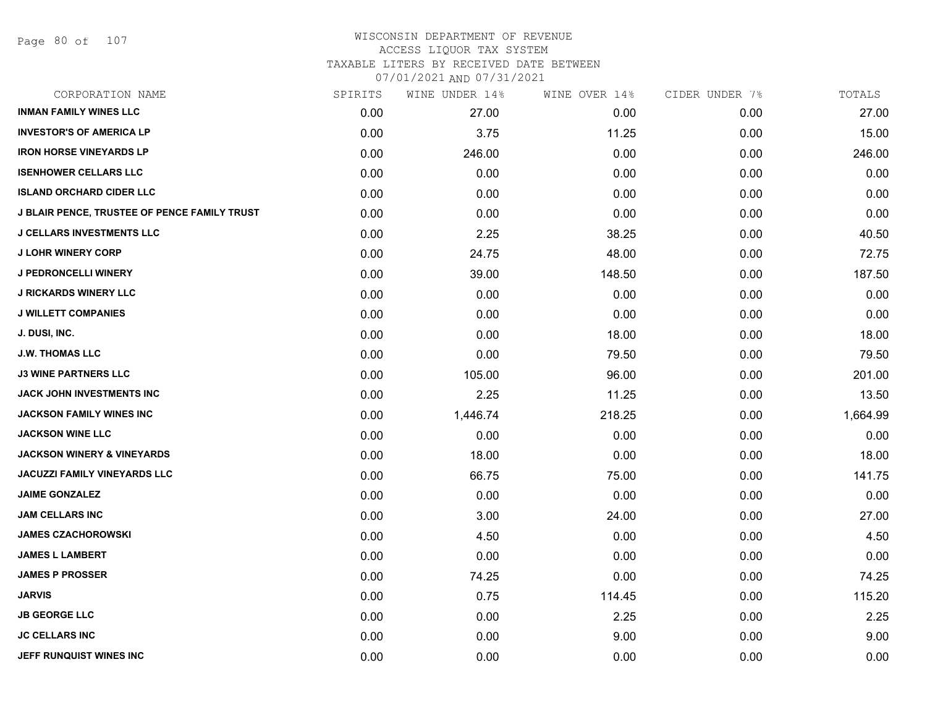Page 80 of 107

#### WISCONSIN DEPARTMENT OF REVENUE ACCESS LIQUOR TAX SYSTEM

TAXABLE LITERS BY RECEIVED DATE BETWEEN

| CORPORATION NAME                                    | SPIRITS | WINE UNDER 14% | WINE OVER 14% | CIDER UNDER 7% | TOTALS   |
|-----------------------------------------------------|---------|----------------|---------------|----------------|----------|
| <b>INMAN FAMILY WINES LLC</b>                       | 0.00    | 27.00          | 0.00          | 0.00           | 27.00    |
| <b>INVESTOR'S OF AMERICA LP</b>                     | 0.00    | 3.75           | 11.25         | 0.00           | 15.00    |
| <b>IRON HORSE VINEYARDS LP</b>                      | 0.00    | 246.00         | 0.00          | 0.00           | 246.00   |
| <b>ISENHOWER CELLARS LLC</b>                        | 0.00    | 0.00           | 0.00          | 0.00           | 0.00     |
| <b>ISLAND ORCHARD CIDER LLC</b>                     | 0.00    | 0.00           | 0.00          | 0.00           | 0.00     |
| <b>J BLAIR PENCE, TRUSTEE OF PENCE FAMILY TRUST</b> | 0.00    | 0.00           | 0.00          | 0.00           | 0.00     |
| <b>J CELLARS INVESTMENTS LLC</b>                    | 0.00    | 2.25           | 38.25         | 0.00           | 40.50    |
| <b>J LOHR WINERY CORP</b>                           | 0.00    | 24.75          | 48.00         | 0.00           | 72.75    |
| <b>J PEDRONCELLI WINERY</b>                         | 0.00    | 39.00          | 148.50        | 0.00           | 187.50   |
| <b>J RICKARDS WINERY LLC</b>                        | 0.00    | 0.00           | 0.00          | 0.00           | 0.00     |
| <b>J WILLETT COMPANIES</b>                          | 0.00    | 0.00           | 0.00          | 0.00           | 0.00     |
| J. DUSI, INC.                                       | 0.00    | 0.00           | 18.00         | 0.00           | 18.00    |
| <b>J.W. THOMAS LLC</b>                              | 0.00    | 0.00           | 79.50         | 0.00           | 79.50    |
| <b>J3 WINE PARTNERS LLC</b>                         | 0.00    | 105.00         | 96.00         | 0.00           | 201.00   |
| JACK JOHN INVESTMENTS INC                           | 0.00    | 2.25           | 11.25         | 0.00           | 13.50    |
| JACKSON FAMILY WINES INC                            | 0.00    | 1,446.74       | 218.25        | 0.00           | 1,664.99 |
| <b>JACKSON WINE LLC</b>                             | 0.00    | 0.00           | 0.00          | 0.00           | 0.00     |
| <b>JACKSON WINERY &amp; VINEYARDS</b>               | 0.00    | 18.00          | 0.00          | 0.00           | 18.00    |
| JACUZZI FAMILY VINEYARDS LLC                        | 0.00    | 66.75          | 75.00         | 0.00           | 141.75   |
| <b>JAIME GONZALEZ</b>                               | 0.00    | 0.00           | 0.00          | 0.00           | 0.00     |
| JAM CELLARS INC                                     | 0.00    | 3.00           | 24.00         | 0.00           | 27.00    |
| <b>JAMES CZACHOROWSKI</b>                           | 0.00    | 4.50           | 0.00          | 0.00           | 4.50     |
| <b>JAMES L LAMBERT</b>                              | 0.00    | 0.00           | 0.00          | 0.00           | 0.00     |
| <b>JAMES P PROSSER</b>                              | 0.00    | 74.25          | 0.00          | 0.00           | 74.25    |
| <b>JARVIS</b>                                       | 0.00    | 0.75           | 114.45        | 0.00           | 115.20   |
| <b>JB GEORGE LLC</b>                                | 0.00    | 0.00           | 2.25          | 0.00           | 2.25     |
| <b>JC CELLARS INC</b>                               | 0.00    | 0.00           | 9.00          | 0.00           | 9.00     |
| JEFF RUNQUIST WINES INC                             | 0.00    | 0.00           | 0.00          | 0.00           | 0.00     |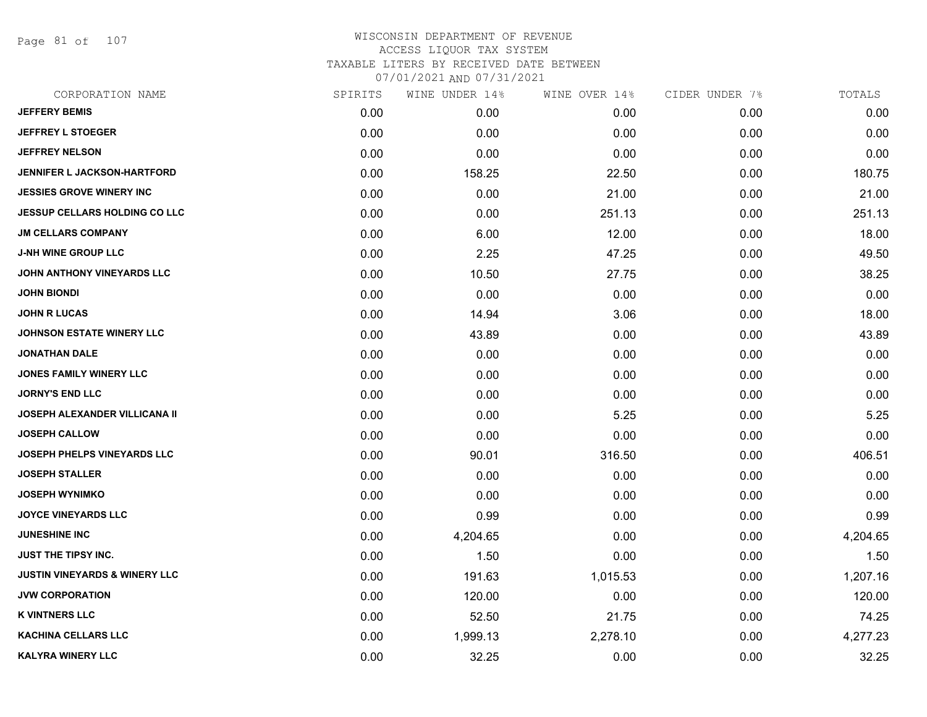Page 81 of 107

| CORPORATION NAME                         | SPIRITS | WINE UNDER 14% | WINE OVER 14% | CIDER UNDER 7% | TOTALS   |
|------------------------------------------|---------|----------------|---------------|----------------|----------|
| <b>JEFFERY BEMIS</b>                     | 0.00    | 0.00           | 0.00          | 0.00           | 0.00     |
| <b>JEFFREY L STOEGER</b>                 | 0.00    | 0.00           | 0.00          | 0.00           | 0.00     |
| <b>JEFFREY NELSON</b>                    | 0.00    | 0.00           | 0.00          | 0.00           | 0.00     |
| <b>JENNIFER L JACKSON-HARTFORD</b>       | 0.00    | 158.25         | 22.50         | 0.00           | 180.75   |
| <b>JESSIES GROVE WINERY INC</b>          | 0.00    | 0.00           | 21.00         | 0.00           | 21.00    |
| <b>JESSUP CELLARS HOLDING CO LLC</b>     | 0.00    | 0.00           | 251.13        | 0.00           | 251.13   |
| <b>JM CELLARS COMPANY</b>                | 0.00    | 6.00           | 12.00         | 0.00           | 18.00    |
| <b>J-NH WINE GROUP LLC</b>               | 0.00    | 2.25           | 47.25         | 0.00           | 49.50    |
| JOHN ANTHONY VINEYARDS LLC               | 0.00    | 10.50          | 27.75         | 0.00           | 38.25    |
| JOHN BIONDI                              | 0.00    | 0.00           | 0.00          | 0.00           | 0.00     |
| <b>JOHN R LUCAS</b>                      | 0.00    | 14.94          | 3.06          | 0.00           | 18.00    |
| <b>JOHNSON ESTATE WINERY LLC</b>         | 0.00    | 43.89          | 0.00          | 0.00           | 43.89    |
| JONATHAN DALE                            | 0.00    | 0.00           | 0.00          | 0.00           | 0.00     |
| <b>JONES FAMILY WINERY LLC</b>           | 0.00    | 0.00           | 0.00          | 0.00           | 0.00     |
| <b>JORNY'S END LLC</b>                   | 0.00    | 0.00           | 0.00          | 0.00           | 0.00     |
| JOSEPH ALEXANDER VILLICANA II            | 0.00    | 0.00           | 5.25          | 0.00           | 5.25     |
| <b>JOSEPH CALLOW</b>                     | 0.00    | 0.00           | 0.00          | 0.00           | 0.00     |
| <b>JOSEPH PHELPS VINEYARDS LLC</b>       | 0.00    | 90.01          | 316.50        | 0.00           | 406.51   |
| <b>JOSEPH STALLER</b>                    | 0.00    | 0.00           | 0.00          | 0.00           | 0.00     |
| <b>JOSEPH WYNIMKO</b>                    | 0.00    | 0.00           | 0.00          | 0.00           | 0.00     |
| <b>JOYCE VINEYARDS LLC</b>               | 0.00    | 0.99           | 0.00          | 0.00           | 0.99     |
| <b>JUNESHINE INC</b>                     | 0.00    | 4,204.65       | 0.00          | 0.00           | 4,204.65 |
| JUST THE TIPSY INC.                      | 0.00    | 1.50           | 0.00          | 0.00           | 1.50     |
| <b>JUSTIN VINEYARDS &amp; WINERY LLC</b> | 0.00    | 191.63         | 1,015.53      | 0.00           | 1,207.16 |
| <b>JVW CORPORATION</b>                   | 0.00    | 120.00         | 0.00          | 0.00           | 120.00   |
| <b>K VINTNERS LLC</b>                    | 0.00    | 52.50          | 21.75         | 0.00           | 74.25    |
| <b>KACHINA CELLARS LLC</b>               | 0.00    | 1,999.13       | 2,278.10      | 0.00           | 4,277.23 |
| <b>KALYRA WINERY LLC</b>                 | 0.00    | 32.25          | 0.00          | 0.00           | 32.25    |
|                                          |         |                |               |                |          |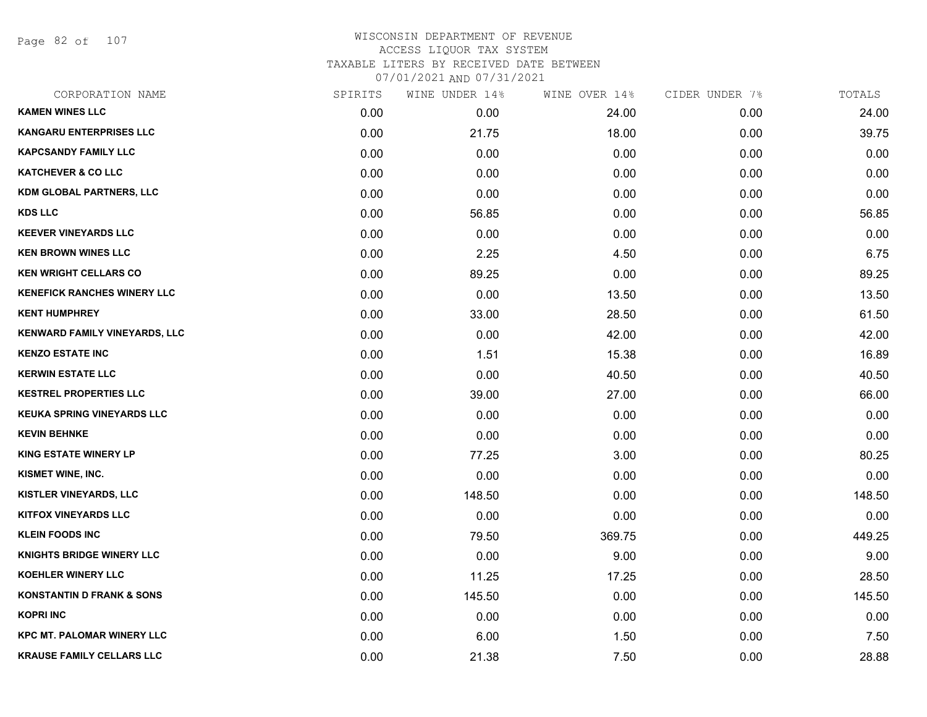Page 82 of 107

## WISCONSIN DEPARTMENT OF REVENUE ACCESS LIQUOR TAX SYSTEM TAXABLE LITERS BY RECEIVED DATE BETWEEN

| CORPORATION NAME                     | SPIRITS | WINE UNDER 14% | WINE OVER 14% | CIDER UNDER 7% | TOTALS |
|--------------------------------------|---------|----------------|---------------|----------------|--------|
| <b>KAMEN WINES LLC</b>               | 0.00    | 0.00           | 24.00         | 0.00           | 24.00  |
| <b>KANGARU ENTERPRISES LLC</b>       | 0.00    | 21.75          | 18.00         | 0.00           | 39.75  |
| <b>KAPCSANDY FAMILY LLC</b>          | 0.00    | 0.00           | 0.00          | 0.00           | 0.00   |
| <b>KATCHEVER &amp; CO LLC</b>        | 0.00    | 0.00           | 0.00          | 0.00           | 0.00   |
| <b>KDM GLOBAL PARTNERS, LLC</b>      | 0.00    | 0.00           | 0.00          | 0.00           | 0.00   |
| <b>KDS LLC</b>                       | 0.00    | 56.85          | 0.00          | 0.00           | 56.85  |
| <b>KEEVER VINEYARDS LLC</b>          | 0.00    | 0.00           | 0.00          | 0.00           | 0.00   |
| <b>KEN BROWN WINES LLC</b>           | 0.00    | 2.25           | 4.50          | 0.00           | 6.75   |
| <b>KEN WRIGHT CELLARS CO</b>         | 0.00    | 89.25          | 0.00          | 0.00           | 89.25  |
| <b>KENEFICK RANCHES WINERY LLC</b>   | 0.00    | 0.00           | 13.50         | 0.00           | 13.50  |
| <b>KENT HUMPHREY</b>                 | 0.00    | 33.00          | 28.50         | 0.00           | 61.50  |
| KENWARD FAMILY VINEYARDS, LLC        | 0.00    | 0.00           | 42.00         | 0.00           | 42.00  |
| <b>KENZO ESTATE INC</b>              | 0.00    | 1.51           | 15.38         | 0.00           | 16.89  |
| <b>KERWIN ESTATE LLC</b>             | 0.00    | 0.00           | 40.50         | 0.00           | 40.50  |
| <b>KESTREL PROPERTIES LLC</b>        | 0.00    | 39.00          | 27.00         | 0.00           | 66.00  |
| KEUKA SPRING VINEYARDS LLC           | 0.00    | 0.00           | 0.00          | 0.00           | 0.00   |
| <b>KEVIN BEHNKE</b>                  | 0.00    | 0.00           | 0.00          | 0.00           | 0.00   |
| <b>KING ESTATE WINERY LP</b>         | 0.00    | 77.25          | 3.00          | 0.00           | 80.25  |
| KISMET WINE, INC.                    | 0.00    | 0.00           | 0.00          | 0.00           | 0.00   |
| <b>KISTLER VINEYARDS, LLC</b>        | 0.00    | 148.50         | 0.00          | 0.00           | 148.50 |
| <b>KITFOX VINEYARDS LLC</b>          | 0.00    | 0.00           | 0.00          | 0.00           | 0.00   |
| <b>KLEIN FOODS INC</b>               | 0.00    | 79.50          | 369.75        | 0.00           | 449.25 |
| <b>KNIGHTS BRIDGE WINERY LLC</b>     | 0.00    | 0.00           | 9.00          | 0.00           | 9.00   |
| <b>KOEHLER WINERY LLC</b>            | 0.00    | 11.25          | 17.25         | 0.00           | 28.50  |
| <b>KONSTANTIN D FRANK &amp; SONS</b> | 0.00    | 145.50         | 0.00          | 0.00           | 145.50 |
| <b>KOPRI INC</b>                     | 0.00    | 0.00           | 0.00          | 0.00           | 0.00   |
| <b>KPC MT. PALOMAR WINERY LLC</b>    | 0.00    | 6.00           | 1.50          | 0.00           | 7.50   |
| <b>KRAUSE FAMILY CELLARS LLC</b>     | 0.00    | 21.38          | 7.50          | 0.00           | 28.88  |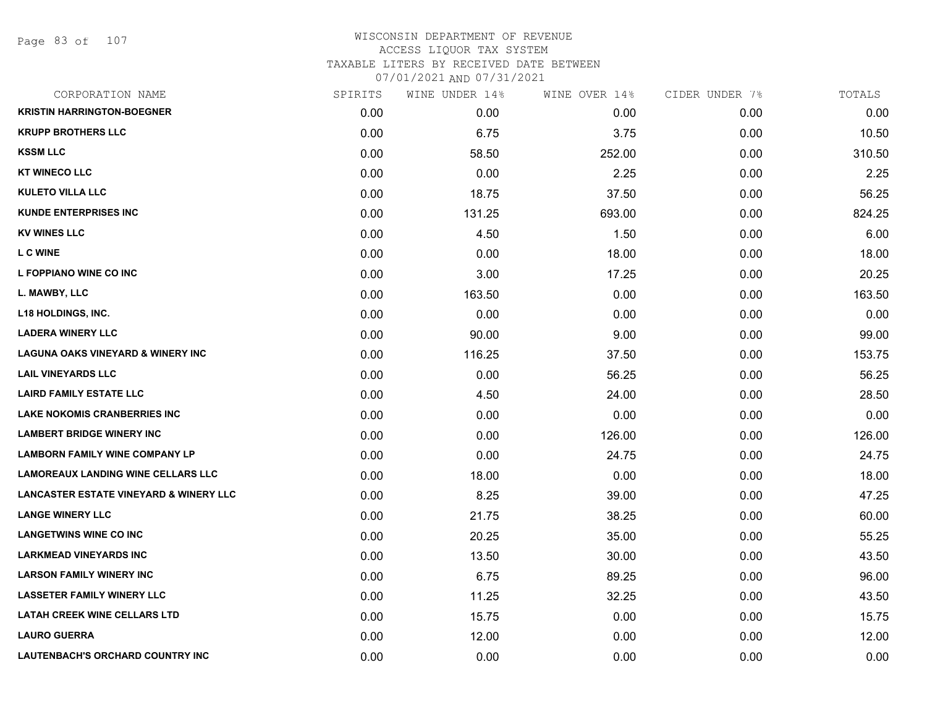### WISCONSIN DEPARTMENT OF REVENUE ACCESS LIQUOR TAX SYSTEM TAXABLE LITERS BY RECEIVED DATE BETWEEN

| CORPORATION NAME                                  | SPIRITS | WINE UNDER 14% | WINE OVER 14% | CIDER UNDER 7% | TOTALS |
|---------------------------------------------------|---------|----------------|---------------|----------------|--------|
| <b>KRISTIN HARRINGTON-BOEGNER</b>                 | 0.00    | 0.00           | 0.00          | 0.00           | 0.00   |
| <b>KRUPP BROTHERS LLC</b>                         | 0.00    | 6.75           | 3.75          | 0.00           | 10.50  |
| <b>KSSM LLC</b>                                   | 0.00    | 58.50          | 252.00        | 0.00           | 310.50 |
| <b>KT WINECO LLC</b>                              | 0.00    | 0.00           | 2.25          | 0.00           | 2.25   |
| <b>KULETO VILLA LLC</b>                           | 0.00    | 18.75          | 37.50         | 0.00           | 56.25  |
| <b>KUNDE ENTERPRISES INC</b>                      | 0.00    | 131.25         | 693.00        | 0.00           | 824.25 |
| <b>KV WINES LLC</b>                               | 0.00    | 4.50           | 1.50          | 0.00           | 6.00   |
| <b>L C WINE</b>                                   | 0.00    | 0.00           | 18.00         | 0.00           | 18.00  |
| L FOPPIANO WINE CO INC                            | 0.00    | 3.00           | 17.25         | 0.00           | 20.25  |
| L. MAWBY, LLC                                     | 0.00    | 163.50         | 0.00          | 0.00           | 163.50 |
| <b>L18 HOLDINGS, INC.</b>                         | 0.00    | 0.00           | 0.00          | 0.00           | 0.00   |
| <b>LADERA WINERY LLC</b>                          | 0.00    | 90.00          | 9.00          | 0.00           | 99.00  |
| <b>LAGUNA OAKS VINEYARD &amp; WINERY INC</b>      | 0.00    | 116.25         | 37.50         | 0.00           | 153.75 |
| <b>LAIL VINEYARDS LLC</b>                         | 0.00    | 0.00           | 56.25         | 0.00           | 56.25  |
| <b>LAIRD FAMILY ESTATE LLC</b>                    | 0.00    | 4.50           | 24.00         | 0.00           | 28.50  |
| <b>LAKE NOKOMIS CRANBERRIES INC</b>               | 0.00    | 0.00           | 0.00          | 0.00           | 0.00   |
| <b>LAMBERT BRIDGE WINERY INC</b>                  | 0.00    | 0.00           | 126.00        | 0.00           | 126.00 |
| <b>LAMBORN FAMILY WINE COMPANY LP</b>             | 0.00    | 0.00           | 24.75         | 0.00           | 24.75  |
| <b>LAMOREAUX LANDING WINE CELLARS LLC</b>         | 0.00    | 18.00          | 0.00          | 0.00           | 18.00  |
| <b>LANCASTER ESTATE VINEYARD &amp; WINERY LLC</b> | 0.00    | 8.25           | 39.00         | 0.00           | 47.25  |
| <b>LANGE WINERY LLC</b>                           | 0.00    | 21.75          | 38.25         | 0.00           | 60.00  |
| <b>LANGETWINS WINE CO INC</b>                     | 0.00    | 20.25          | 35.00         | 0.00           | 55.25  |
| <b>LARKMEAD VINEYARDS INC</b>                     | 0.00    | 13.50          | 30.00         | 0.00           | 43.50  |
| <b>LARSON FAMILY WINERY INC</b>                   | 0.00    | 6.75           | 89.25         | 0.00           | 96.00  |
| <b>LASSETER FAMILY WINERY LLC</b>                 | 0.00    | 11.25          | 32.25         | 0.00           | 43.50  |
| <b>LATAH CREEK WINE CELLARS LTD</b>               | 0.00    | 15.75          | 0.00          | 0.00           | 15.75  |
| <b>LAURO GUERRA</b>                               | 0.00    | 12.00          | 0.00          | 0.00           | 12.00  |
| <b>LAUTENBACH'S ORCHARD COUNTRY INC</b>           | 0.00    | 0.00           | 0.00          | 0.00           | 0.00   |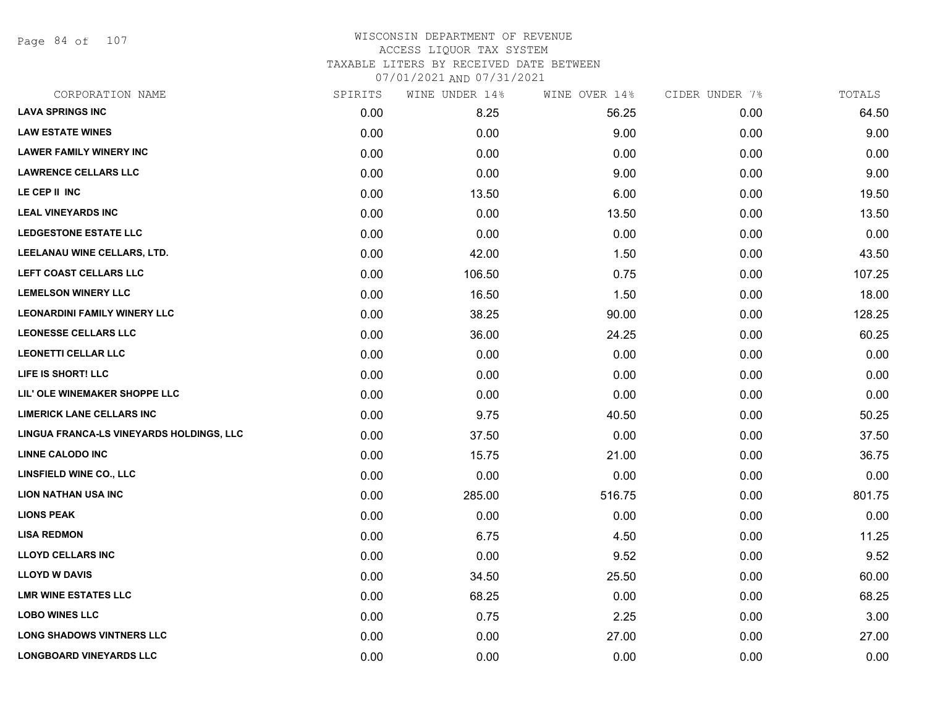Page 84 of 107

### WISCONSIN DEPARTMENT OF REVENUE ACCESS LIQUOR TAX SYSTEM TAXABLE LITERS BY RECEIVED DATE BETWEEN

| CORPORATION NAME                         | SPIRITS | WINE UNDER 14% | WINE OVER 14% | CIDER UNDER 7% | TOTALS |
|------------------------------------------|---------|----------------|---------------|----------------|--------|
| <b>LAVA SPRINGS INC</b>                  | 0.00    | 8.25           | 56.25         | 0.00           | 64.50  |
| <b>LAW ESTATE WINES</b>                  | 0.00    | 0.00           | 9.00          | 0.00           | 9.00   |
| <b>LAWER FAMILY WINERY INC</b>           | 0.00    | 0.00           | 0.00          | 0.00           | 0.00   |
| <b>LAWRENCE CELLARS LLC</b>              | 0.00    | 0.00           | 9.00          | 0.00           | 9.00   |
| LE CEP II INC                            | 0.00    | 13.50          | 6.00          | 0.00           | 19.50  |
| <b>LEAL VINEYARDS INC</b>                | 0.00    | 0.00           | 13.50         | 0.00           | 13.50  |
| <b>LEDGESTONE ESTATE LLC</b>             | 0.00    | 0.00           | 0.00          | 0.00           | 0.00   |
| LEELANAU WINE CELLARS, LTD.              | 0.00    | 42.00          | 1.50          | 0.00           | 43.50  |
| LEFT COAST CELLARS LLC                   | 0.00    | 106.50         | 0.75          | 0.00           | 107.25 |
| <b>LEMELSON WINERY LLC</b>               | 0.00    | 16.50          | 1.50          | 0.00           | 18.00  |
| <b>LEONARDINI FAMILY WINERY LLC</b>      | 0.00    | 38.25          | 90.00         | 0.00           | 128.25 |
| <b>LEONESSE CELLARS LLC</b>              | 0.00    | 36.00          | 24.25         | 0.00           | 60.25  |
| <b>LEONETTI CELLAR LLC</b>               | 0.00    | 0.00           | 0.00          | 0.00           | 0.00   |
| LIFE IS SHORT! LLC                       | 0.00    | 0.00           | 0.00          | 0.00           | 0.00   |
| LIL' OLE WINEMAKER SHOPPE LLC            | 0.00    | 0.00           | 0.00          | 0.00           | 0.00   |
| <b>LIMERICK LANE CELLARS INC</b>         | 0.00    | 9.75           | 40.50         | 0.00           | 50.25  |
| LINGUA FRANCA-LS VINEYARDS HOLDINGS, LLC | 0.00    | 37.50          | 0.00          | 0.00           | 37.50  |
| <b>LINNE CALODO INC</b>                  | 0.00    | 15.75          | 21.00         | 0.00           | 36.75  |
| <b>LINSFIELD WINE CO., LLC</b>           | 0.00    | 0.00           | 0.00          | 0.00           | 0.00   |
| <b>LION NATHAN USA INC</b>               | 0.00    | 285.00         | 516.75        | 0.00           | 801.75 |
| <b>LIONS PEAK</b>                        | 0.00    | 0.00           | 0.00          | 0.00           | 0.00   |
| <b>LISA REDMON</b>                       | 0.00    | 6.75           | 4.50          | 0.00           | 11.25  |
| <b>LLOYD CELLARS INC</b>                 | 0.00    | 0.00           | 9.52          | 0.00           | 9.52   |
| <b>LLOYD W DAVIS</b>                     | 0.00    | 34.50          | 25.50         | 0.00           | 60.00  |
| <b>LMR WINE ESTATES LLC</b>              | 0.00    | 68.25          | 0.00          | 0.00           | 68.25  |
| <b>LOBO WINES LLC</b>                    | 0.00    | 0.75           | 2.25          | 0.00           | 3.00   |
| <b>LONG SHADOWS VINTNERS LLC</b>         | 0.00    | 0.00           | 27.00         | 0.00           | 27.00  |
| <b>LONGBOARD VINEYARDS LLC</b>           | 0.00    | 0.00           | 0.00          | 0.00           | 0.00   |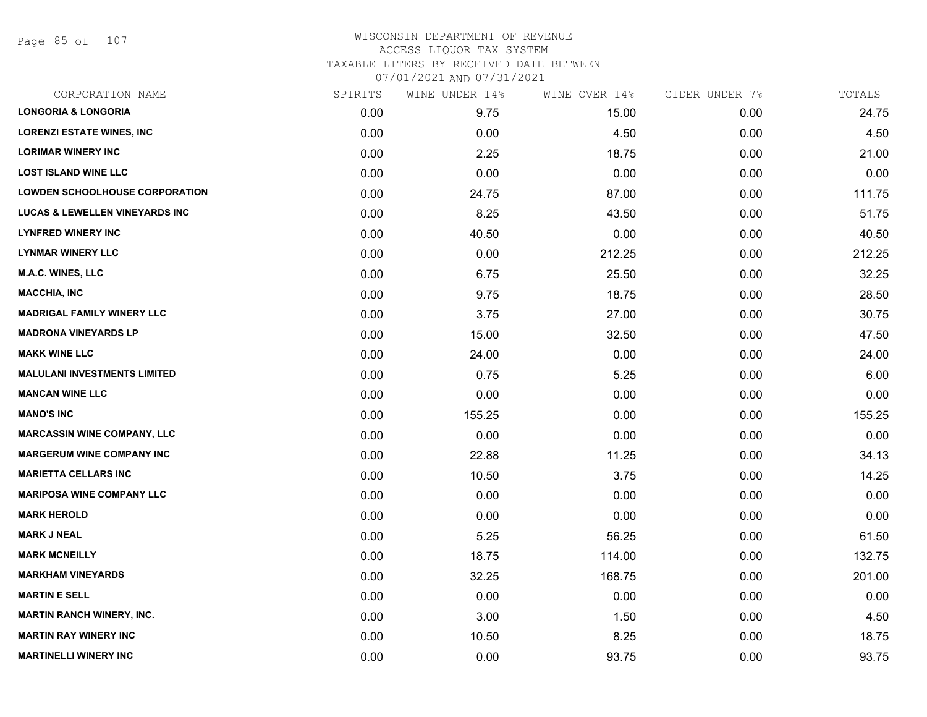Page 85 of 107

# WISCONSIN DEPARTMENT OF REVENUE ACCESS LIQUOR TAX SYSTEM TAXABLE LITERS BY RECEIVED DATE BETWEEN

| CORPORATION NAME                          | SPIRITS | WINE UNDER 14% | WINE OVER 14% | CIDER UNDER 7% | TOTALS |
|-------------------------------------------|---------|----------------|---------------|----------------|--------|
| <b>LONGORIA &amp; LONGORIA</b>            | 0.00    | 9.75           | 15.00         | 0.00           | 24.75  |
| <b>LORENZI ESTATE WINES, INC.</b>         | 0.00    | 0.00           | 4.50          | 0.00           | 4.50   |
| <b>LORIMAR WINERY INC</b>                 | 0.00    | 2.25           | 18.75         | 0.00           | 21.00  |
| <b>LOST ISLAND WINE LLC</b>               | 0.00    | 0.00           | 0.00          | 0.00           | 0.00   |
| <b>LOWDEN SCHOOLHOUSE CORPORATION</b>     | 0.00    | 24.75          | 87.00         | 0.00           | 111.75 |
| <b>LUCAS &amp; LEWELLEN VINEYARDS INC</b> | 0.00    | 8.25           | 43.50         | 0.00           | 51.75  |
| <b>LYNFRED WINERY INC</b>                 | 0.00    | 40.50          | 0.00          | 0.00           | 40.50  |
| <b>LYNMAR WINERY LLC</b>                  | 0.00    | 0.00           | 212.25        | 0.00           | 212.25 |
| <b>M.A.C. WINES, LLC</b>                  | 0.00    | 6.75           | 25.50         | 0.00           | 32.25  |
| <b>MACCHIA, INC</b>                       | 0.00    | 9.75           | 18.75         | 0.00           | 28.50  |
| <b>MADRIGAL FAMILY WINERY LLC</b>         | 0.00    | 3.75           | 27.00         | 0.00           | 30.75  |
| <b>MADRONA VINEYARDS LP</b>               | 0.00    | 15.00          | 32.50         | 0.00           | 47.50  |
| <b>MAKK WINE LLC</b>                      | 0.00    | 24.00          | 0.00          | 0.00           | 24.00  |
| <b>MALULANI INVESTMENTS LIMITED</b>       | 0.00    | 0.75           | 5.25          | 0.00           | 6.00   |
| <b>MANCAN WINE LLC</b>                    | 0.00    | 0.00           | 0.00          | 0.00           | 0.00   |
| <b>MANO'S INC</b>                         | 0.00    | 155.25         | 0.00          | 0.00           | 155.25 |
| <b>MARCASSIN WINE COMPANY, LLC</b>        | 0.00    | 0.00           | 0.00          | 0.00           | 0.00   |
| <b>MARGERUM WINE COMPANY INC</b>          | 0.00    | 22.88          | 11.25         | 0.00           | 34.13  |
| <b>MARIETTA CELLARS INC</b>               | 0.00    | 10.50          | 3.75          | 0.00           | 14.25  |
| <b>MARIPOSA WINE COMPANY LLC</b>          | 0.00    | 0.00           | 0.00          | 0.00           | 0.00   |
| <b>MARK HEROLD</b>                        | 0.00    | 0.00           | 0.00          | 0.00           | 0.00   |
| <b>MARK J NEAL</b>                        | 0.00    | 5.25           | 56.25         | 0.00           | 61.50  |
| <b>MARK MCNEILLY</b>                      | 0.00    | 18.75          | 114.00        | 0.00           | 132.75 |
| <b>MARKHAM VINEYARDS</b>                  | 0.00    | 32.25          | 168.75        | 0.00           | 201.00 |
| <b>MARTIN E SELL</b>                      | 0.00    | 0.00           | 0.00          | 0.00           | 0.00   |
| <b>MARTIN RANCH WINERY, INC.</b>          | 0.00    | 3.00           | 1.50          | 0.00           | 4.50   |
| <b>MARTIN RAY WINERY INC</b>              | 0.00    | 10.50          | 8.25          | 0.00           | 18.75  |
| <b>MARTINELLI WINERY INC</b>              | 0.00    | 0.00           | 93.75         | 0.00           | 93.75  |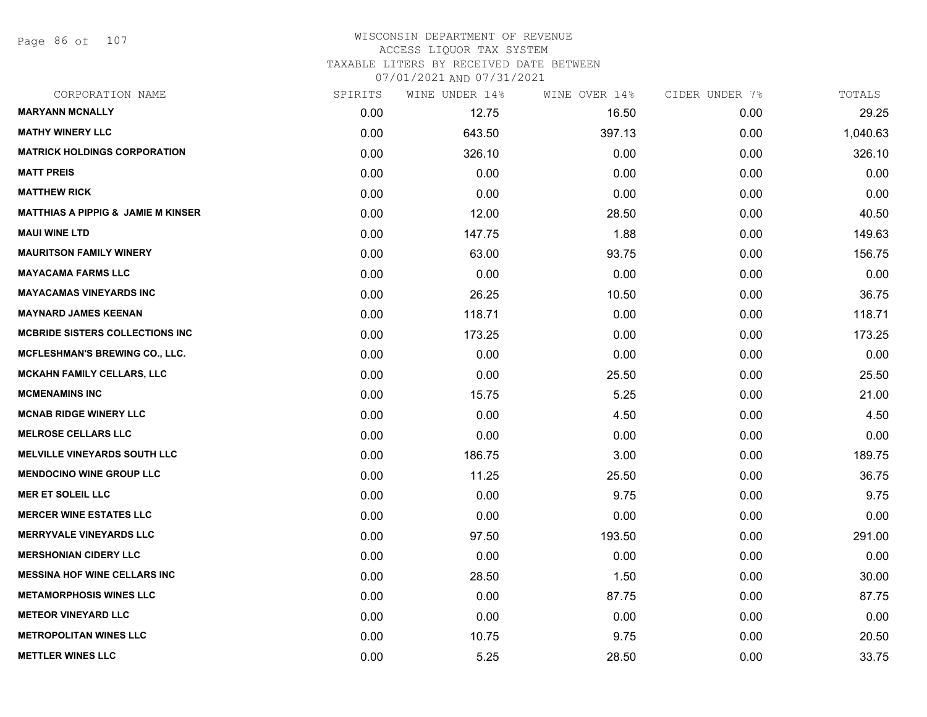Page 86 of 107

#### WISCONSIN DEPARTMENT OF REVENUE ACCESS LIQUOR TAX SYSTEM TAXABLE LITERS BY RECEIVED DATE BETWEEN

| CORPORATION NAME                              | SPIRITS | WINE UNDER 14% | WINE OVER 14% | CIDER UNDER 7% | TOTALS   |
|-----------------------------------------------|---------|----------------|---------------|----------------|----------|
| <b>MARYANN MCNALLY</b>                        | 0.00    | 12.75          | 16.50         | 0.00           | 29.25    |
| <b>MATHY WINERY LLC</b>                       | 0.00    | 643.50         | 397.13        | 0.00           | 1,040.63 |
| <b>MATRICK HOLDINGS CORPORATION</b>           | 0.00    | 326.10         | 0.00          | 0.00           | 326.10   |
| <b>MATT PREIS</b>                             | 0.00    | 0.00           | 0.00          | 0.00           | 0.00     |
| <b>MATTHEW RICK</b>                           | 0.00    | 0.00           | 0.00          | 0.00           | 0.00     |
| <b>MATTHIAS A PIPPIG &amp; JAMIE M KINSER</b> | 0.00    | 12.00          | 28.50         | 0.00           | 40.50    |
| <b>MAUI WINE LTD</b>                          | 0.00    | 147.75         | 1.88          | 0.00           | 149.63   |
| <b>MAURITSON FAMILY WINERY</b>                | 0.00    | 63.00          | 93.75         | 0.00           | 156.75   |
| <b>MAYACAMA FARMS LLC</b>                     | 0.00    | 0.00           | 0.00          | 0.00           | 0.00     |
| <b>MAYACAMAS VINEYARDS INC</b>                | 0.00    | 26.25          | 10.50         | 0.00           | 36.75    |
| <b>MAYNARD JAMES KEENAN</b>                   | 0.00    | 118.71         | 0.00          | 0.00           | 118.71   |
| <b>MCBRIDE SISTERS COLLECTIONS INC</b>        | 0.00    | 173.25         | 0.00          | 0.00           | 173.25   |
| <b>MCFLESHMAN'S BREWING CO., LLC.</b>         | 0.00    | 0.00           | 0.00          | 0.00           | 0.00     |
| <b>MCKAHN FAMILY CELLARS, LLC</b>             | 0.00    | 0.00           | 25.50         | 0.00           | 25.50    |
| <b>MCMENAMINS INC</b>                         | 0.00    | 15.75          | 5.25          | 0.00           | 21.00    |
| <b>MCNAB RIDGE WINERY LLC</b>                 | 0.00    | 0.00           | 4.50          | 0.00           | 4.50     |
| <b>MELROSE CELLARS LLC</b>                    | 0.00    | 0.00           | 0.00          | 0.00           | 0.00     |
| <b>MELVILLE VINEYARDS SOUTH LLC</b>           | 0.00    | 186.75         | 3.00          | 0.00           | 189.75   |
| <b>MENDOCINO WINE GROUP LLC</b>               | 0.00    | 11.25          | 25.50         | 0.00           | 36.75    |
| <b>MER ET SOLEIL LLC</b>                      | 0.00    | 0.00           | 9.75          | 0.00           | 9.75     |
| <b>MERCER WINE ESTATES LLC</b>                | 0.00    | 0.00           | 0.00          | 0.00           | 0.00     |
| <b>MERRYVALE VINEYARDS LLC</b>                | 0.00    | 97.50          | 193.50        | 0.00           | 291.00   |
| <b>MERSHONIAN CIDERY LLC</b>                  | 0.00    | 0.00           | 0.00          | 0.00           | 0.00     |
| <b>MESSINA HOF WINE CELLARS INC</b>           | 0.00    | 28.50          | 1.50          | 0.00           | 30.00    |
| <b>METAMORPHOSIS WINES LLC</b>                | 0.00    | 0.00           | 87.75         | 0.00           | 87.75    |
| <b>METEOR VINEYARD LLC</b>                    | 0.00    | 0.00           | 0.00          | 0.00           | 0.00     |
| <b>METROPOLITAN WINES LLC</b>                 | 0.00    | 10.75          | 9.75          | 0.00           | 20.50    |
| <b>METTLER WINES LLC</b>                      | 0.00    | 5.25           | 28.50         | 0.00           | 33.75    |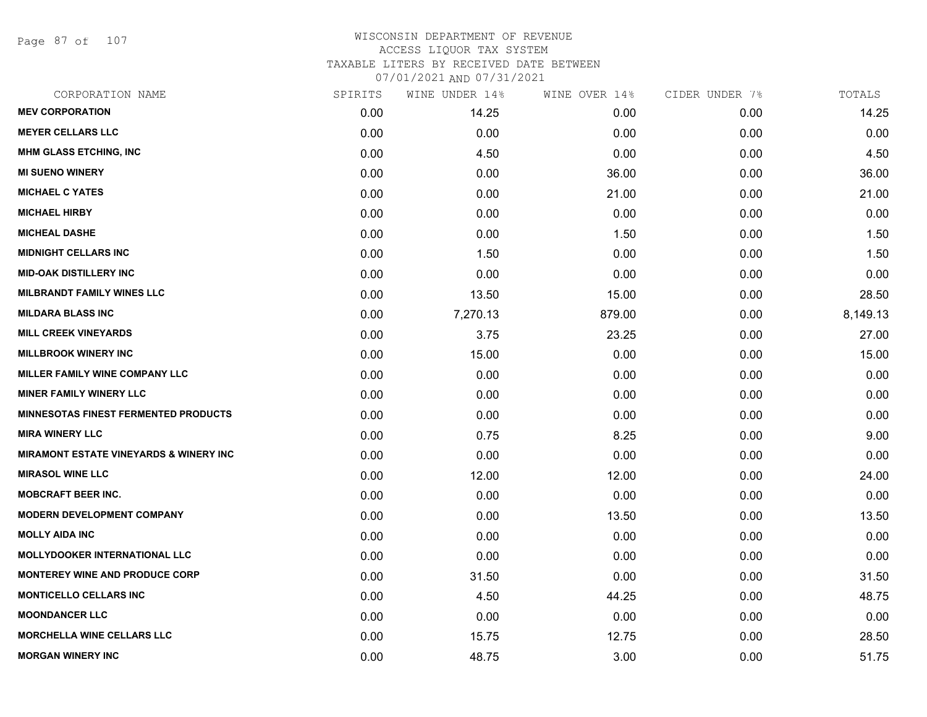Page 87 of 107

### WISCONSIN DEPARTMENT OF REVENUE ACCESS LIQUOR TAX SYSTEM TAXABLE LITERS BY RECEIVED DATE BETWEEN

| CORPORATION NAME                                  | SPIRITS | WINE UNDER 14% | WINE OVER 14% | CIDER UNDER 7% | TOTALS   |
|---------------------------------------------------|---------|----------------|---------------|----------------|----------|
| <b>MEV CORPORATION</b>                            | 0.00    | 14.25          | 0.00          | 0.00           | 14.25    |
| <b>MEYER CELLARS LLC</b>                          | 0.00    | 0.00           | 0.00          | 0.00           | 0.00     |
| <b>MHM GLASS ETCHING, INC</b>                     | 0.00    | 4.50           | 0.00          | 0.00           | 4.50     |
| <b>MI SUENO WINERY</b>                            | 0.00    | 0.00           | 36.00         | 0.00           | 36.00    |
| <b>MICHAEL C YATES</b>                            | 0.00    | 0.00           | 21.00         | 0.00           | 21.00    |
| <b>MICHAEL HIRBY</b>                              | 0.00    | 0.00           | 0.00          | 0.00           | 0.00     |
| <b>MICHEAL DASHE</b>                              | 0.00    | 0.00           | 1.50          | 0.00           | 1.50     |
| <b>MIDNIGHT CELLARS INC</b>                       | 0.00    | 1.50           | 0.00          | 0.00           | 1.50     |
| <b>MID-OAK DISTILLERY INC</b>                     | 0.00    | 0.00           | 0.00          | 0.00           | 0.00     |
| <b>MILBRANDT FAMILY WINES LLC</b>                 | 0.00    | 13.50          | 15.00         | 0.00           | 28.50    |
| <b>MILDARA BLASS INC</b>                          | 0.00    | 7,270.13       | 879.00        | 0.00           | 8,149.13 |
| <b>MILL CREEK VINEYARDS</b>                       | 0.00    | 3.75           | 23.25         | 0.00           | 27.00    |
| <b>MILLBROOK WINERY INC</b>                       | 0.00    | 15.00          | 0.00          | 0.00           | 15.00    |
| MILLER FAMILY WINE COMPANY LLC                    | 0.00    | 0.00           | 0.00          | 0.00           | 0.00     |
| <b>MINER FAMILY WINERY LLC</b>                    | 0.00    | 0.00           | 0.00          | 0.00           | 0.00     |
| <b>MINNESOTAS FINEST FERMENTED PRODUCTS</b>       | 0.00    | 0.00           | 0.00          | 0.00           | 0.00     |
| <b>MIRA WINERY LLC</b>                            | 0.00    | 0.75           | 8.25          | 0.00           | 9.00     |
| <b>MIRAMONT ESTATE VINEYARDS &amp; WINERY INC</b> | 0.00    | 0.00           | 0.00          | 0.00           | 0.00     |
| <b>MIRASOL WINE LLC</b>                           | 0.00    | 12.00          | 12.00         | 0.00           | 24.00    |
| <b>MOBCRAFT BEER INC.</b>                         | 0.00    | 0.00           | 0.00          | 0.00           | 0.00     |
| <b>MODERN DEVELOPMENT COMPANY</b>                 | 0.00    | 0.00           | 13.50         | 0.00           | 13.50    |
| <b>MOLLY AIDA INC</b>                             | 0.00    | 0.00           | 0.00          | 0.00           | 0.00     |
| <b>MOLLYDOOKER INTERNATIONAL LLC</b>              | 0.00    | 0.00           | 0.00          | 0.00           | 0.00     |
| <b>MONTEREY WINE AND PRODUCE CORP</b>             | 0.00    | 31.50          | 0.00          | 0.00           | 31.50    |
| <b>MONTICELLO CELLARS INC</b>                     | 0.00    | 4.50           | 44.25         | 0.00           | 48.75    |
| <b>MOONDANCER LLC</b>                             | 0.00    | 0.00           | 0.00          | 0.00           | 0.00     |
| <b>MORCHELLA WINE CELLARS LLC</b>                 | 0.00    | 15.75          | 12.75         | 0.00           | 28.50    |
| <b>MORGAN WINERY INC</b>                          | 0.00    | 48.75          | 3.00          | 0.00           | 51.75    |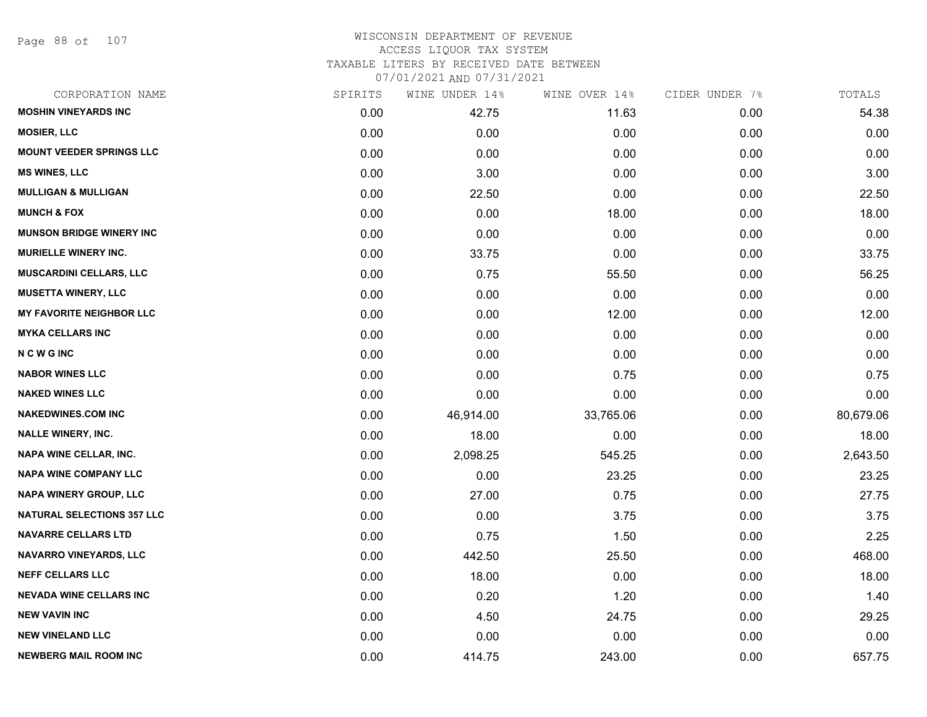Page 88 of 107

# WISCONSIN DEPARTMENT OF REVENUE ACCESS LIQUOR TAX SYSTEM TAXABLE LITERS BY RECEIVED DATE BETWEEN

| CORPORATION NAME                  | SPIRITS | WINE UNDER 14% | WINE OVER 14% | CIDER UNDER 7% | TOTALS    |
|-----------------------------------|---------|----------------|---------------|----------------|-----------|
| <b>MOSHIN VINEYARDS INC</b>       | 0.00    | 42.75          | 11.63         | 0.00           | 54.38     |
| <b>MOSIER, LLC</b>                | 0.00    | 0.00           | 0.00          | 0.00           | 0.00      |
| <b>MOUNT VEEDER SPRINGS LLC</b>   | 0.00    | 0.00           | 0.00          | 0.00           | 0.00      |
| <b>MS WINES, LLC</b>              | 0.00    | 3.00           | 0.00          | 0.00           | 3.00      |
| <b>MULLIGAN &amp; MULLIGAN</b>    | 0.00    | 22.50          | 0.00          | 0.00           | 22.50     |
| <b>MUNCH &amp; FOX</b>            | 0.00    | 0.00           | 18.00         | 0.00           | 18.00     |
| <b>MUNSON BRIDGE WINERY INC</b>   | 0.00    | 0.00           | 0.00          | 0.00           | 0.00      |
| <b>MURIELLE WINERY INC.</b>       | 0.00    | 33.75          | 0.00          | 0.00           | 33.75     |
| <b>MUSCARDINI CELLARS, LLC</b>    | 0.00    | 0.75           | 55.50         | 0.00           | 56.25     |
| <b>MUSETTA WINERY, LLC</b>        | 0.00    | 0.00           | 0.00          | 0.00           | 0.00      |
| <b>MY FAVORITE NEIGHBOR LLC</b>   | 0.00    | 0.00           | 12.00         | 0.00           | 12.00     |
| <b>MYKA CELLARS INC</b>           | 0.00    | 0.00           | 0.00          | 0.00           | 0.00      |
| <b>NCWGINC</b>                    | 0.00    | 0.00           | 0.00          | 0.00           | 0.00      |
| <b>NABOR WINES LLC</b>            | 0.00    | 0.00           | 0.75          | 0.00           | 0.75      |
| <b>NAKED WINES LLC</b>            | 0.00    | 0.00           | 0.00          | 0.00           | 0.00      |
| <b>NAKEDWINES.COM INC</b>         | 0.00    | 46,914.00      | 33,765.06     | 0.00           | 80,679.06 |
| <b>NALLE WINERY, INC.</b>         | 0.00    | 18.00          | 0.00          | 0.00           | 18.00     |
| <b>NAPA WINE CELLAR, INC.</b>     | 0.00    | 2,098.25       | 545.25        | 0.00           | 2,643.50  |
| <b>NAPA WINE COMPANY LLC</b>      | 0.00    | 0.00           | 23.25         | 0.00           | 23.25     |
| <b>NAPA WINERY GROUP, LLC</b>     | 0.00    | 27.00          | 0.75          | 0.00           | 27.75     |
| <b>NATURAL SELECTIONS 357 LLC</b> | 0.00    | 0.00           | 3.75          | 0.00           | 3.75      |
| <b>NAVARRE CELLARS LTD</b>        | 0.00    | 0.75           | 1.50          | 0.00           | 2.25      |
| <b>NAVARRO VINEYARDS, LLC</b>     | 0.00    | 442.50         | 25.50         | 0.00           | 468.00    |
| <b>NEFF CELLARS LLC</b>           | 0.00    | 18.00          | 0.00          | 0.00           | 18.00     |
| <b>NEVADA WINE CELLARS INC</b>    | 0.00    | 0.20           | 1.20          | 0.00           | 1.40      |
| <b>NEW VAVIN INC</b>              | 0.00    | 4.50           | 24.75         | 0.00           | 29.25     |
| <b>NEW VINELAND LLC</b>           | 0.00    | 0.00           | 0.00          | 0.00           | 0.00      |
| <b>NEWBERG MAIL ROOM INC</b>      | 0.00    | 414.75         | 243.00        | 0.00           | 657.75    |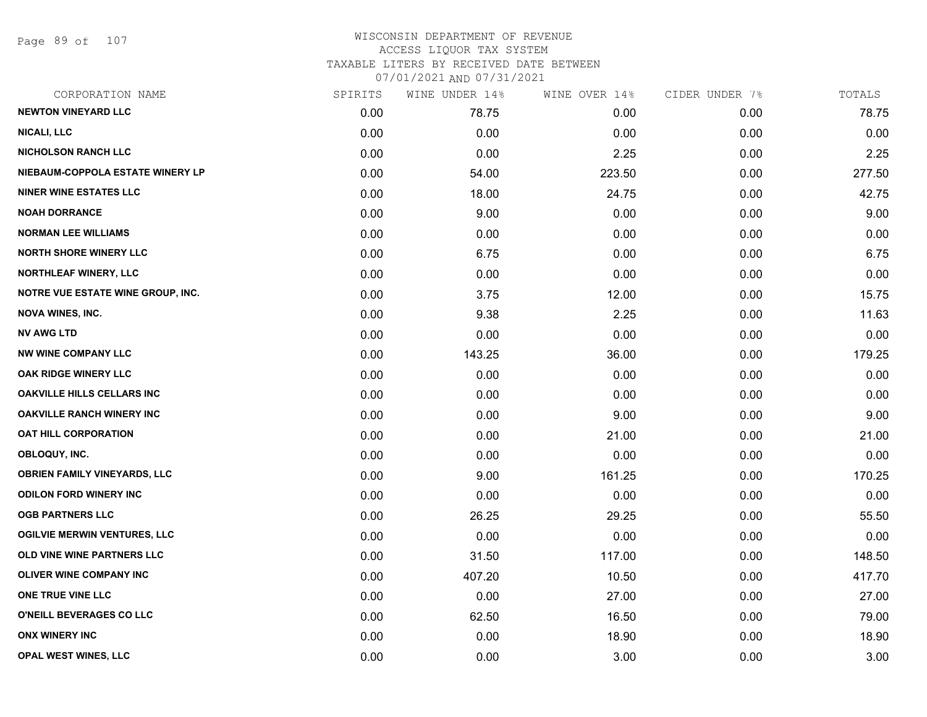Page 89 of 107

### WISCONSIN DEPARTMENT OF REVENUE ACCESS LIQUOR TAX SYSTEM TAXABLE LITERS BY RECEIVED DATE BETWEEN

| CORPORATION NAME                    | SPIRITS | WINE UNDER 14% | WINE OVER 14% | CIDER UNDER 7% | TOTALS |
|-------------------------------------|---------|----------------|---------------|----------------|--------|
| <b>NEWTON VINEYARD LLC</b>          | 0.00    | 78.75          | 0.00          | 0.00           | 78.75  |
| <b>NICALI, LLC</b>                  | 0.00    | 0.00           | 0.00          | 0.00           | 0.00   |
| <b>NICHOLSON RANCH LLC</b>          | 0.00    | 0.00           | 2.25          | 0.00           | 2.25   |
| NIEBAUM-COPPOLA ESTATE WINERY LP    | 0.00    | 54.00          | 223.50        | 0.00           | 277.50 |
| <b>NINER WINE ESTATES LLC</b>       | 0.00    | 18.00          | 24.75         | 0.00           | 42.75  |
| <b>NOAH DORRANCE</b>                | 0.00    | 9.00           | 0.00          | 0.00           | 9.00   |
| <b>NORMAN LEE WILLIAMS</b>          | 0.00    | 0.00           | 0.00          | 0.00           | 0.00   |
| <b>NORTH SHORE WINERY LLC</b>       | 0.00    | 6.75           | 0.00          | 0.00           | 6.75   |
| <b>NORTHLEAF WINERY, LLC</b>        | 0.00    | 0.00           | 0.00          | 0.00           | 0.00   |
| NOTRE VUE ESTATE WINE GROUP, INC.   | 0.00    | 3.75           | 12.00         | 0.00           | 15.75  |
| <b>NOVA WINES, INC.</b>             | 0.00    | 9.38           | 2.25          | 0.00           | 11.63  |
| <b>NV AWG LTD</b>                   | 0.00    | 0.00           | 0.00          | 0.00           | 0.00   |
| <b>NW WINE COMPANY LLC</b>          | 0.00    | 143.25         | 36.00         | 0.00           | 179.25 |
| <b>OAK RIDGE WINERY LLC</b>         | 0.00    | 0.00           | 0.00          | 0.00           | 0.00   |
| OAKVILLE HILLS CELLARS INC          | 0.00    | 0.00           | 0.00          | 0.00           | 0.00   |
| <b>OAKVILLE RANCH WINERY INC</b>    | 0.00    | 0.00           | 9.00          | 0.00           | 9.00   |
| <b>OAT HILL CORPORATION</b>         | 0.00    | 0.00           | 21.00         | 0.00           | 21.00  |
| OBLOQUY, INC.                       | 0.00    | 0.00           | 0.00          | 0.00           | 0.00   |
| <b>OBRIEN FAMILY VINEYARDS, LLC</b> | 0.00    | 9.00           | 161.25        | 0.00           | 170.25 |
| <b>ODILON FORD WINERY INC</b>       | 0.00    | 0.00           | 0.00          | 0.00           | 0.00   |
| <b>OGB PARTNERS LLC</b>             | 0.00    | 26.25          | 29.25         | 0.00           | 55.50  |
| <b>OGILVIE MERWIN VENTURES, LLC</b> | 0.00    | 0.00           | 0.00          | 0.00           | 0.00   |
| OLD VINE WINE PARTNERS LLC          | 0.00    | 31.50          | 117.00        | 0.00           | 148.50 |
| OLIVER WINE COMPANY INC             | 0.00    | 407.20         | 10.50         | 0.00           | 417.70 |
| ONE TRUE VINE LLC                   | 0.00    | 0.00           | 27.00         | 0.00           | 27.00  |
| O'NEILL BEVERAGES CO LLC            | 0.00    | 62.50          | 16.50         | 0.00           | 79.00  |
| <b>ONX WINERY INC</b>               | 0.00    | 0.00           | 18.90         | 0.00           | 18.90  |
| OPAL WEST WINES, LLC                | 0.00    | 0.00           | 3.00          | 0.00           | 3.00   |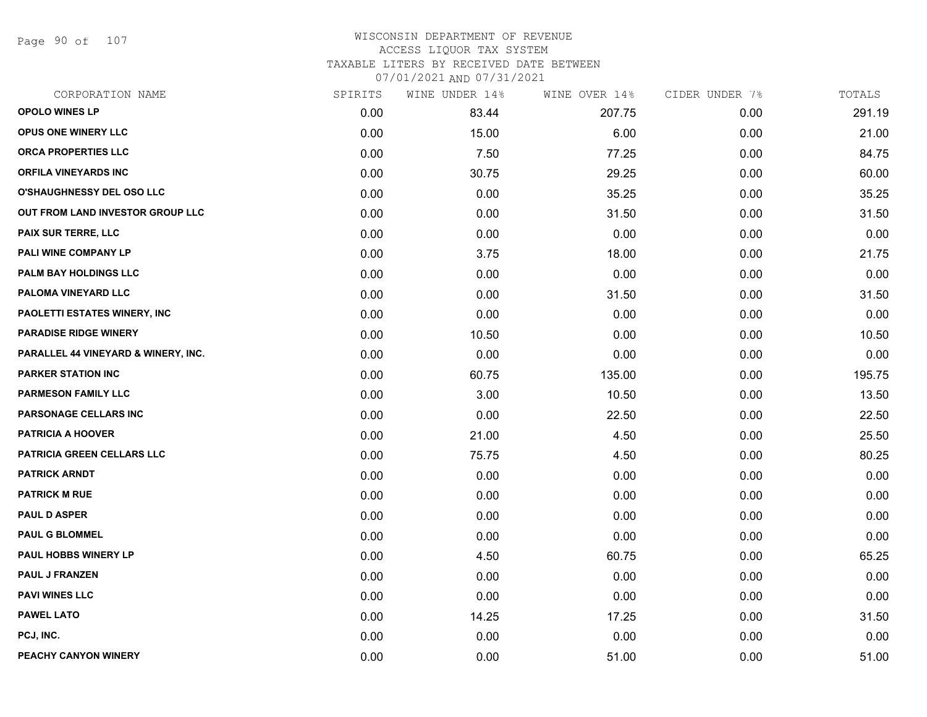Page 90 of 107

# WISCONSIN DEPARTMENT OF REVENUE ACCESS LIQUOR TAX SYSTEM

TAXABLE LITERS BY RECEIVED DATE BETWEEN

| CORPORATION NAME                    | SPIRITS | WINE UNDER 14% | WINE OVER 14% | CIDER UNDER 7% | TOTALS |
|-------------------------------------|---------|----------------|---------------|----------------|--------|
| <b>OPOLO WINES LP</b>               | 0.00    | 83.44          | 207.75        | 0.00           | 291.19 |
| <b>OPUS ONE WINERY LLC</b>          | 0.00    | 15.00          | 6.00          | 0.00           | 21.00  |
| ORCA PROPERTIES LLC                 | 0.00    | 7.50           | 77.25         | 0.00           | 84.75  |
| <b>ORFILA VINEYARDS INC</b>         | 0.00    | 30.75          | 29.25         | 0.00           | 60.00  |
| O'SHAUGHNESSY DEL OSO LLC           | 0.00    | 0.00           | 35.25         | 0.00           | 35.25  |
| OUT FROM LAND INVESTOR GROUP LLC    | 0.00    | 0.00           | 31.50         | 0.00           | 31.50  |
| PAIX SUR TERRE, LLC                 | 0.00    | 0.00           | 0.00          | 0.00           | 0.00   |
| PALI WINE COMPANY LP                | 0.00    | 3.75           | 18.00         | 0.00           | 21.75  |
| PALM BAY HOLDINGS LLC               | 0.00    | 0.00           | 0.00          | 0.00           | 0.00   |
| PALOMA VINEYARD LLC                 | 0.00    | 0.00           | 31.50         | 0.00           | 31.50  |
| PAOLETTI ESTATES WINERY, INC        | 0.00    | 0.00           | 0.00          | 0.00           | 0.00   |
| <b>PARADISE RIDGE WINERY</b>        | 0.00    | 10.50          | 0.00          | 0.00           | 10.50  |
| PARALLEL 44 VINEYARD & WINERY, INC. | 0.00    | 0.00           | 0.00          | 0.00           | 0.00   |
| <b>PARKER STATION INC</b>           | 0.00    | 60.75          | 135.00        | 0.00           | 195.75 |
| <b>PARMESON FAMILY LLC</b>          | 0.00    | 3.00           | 10.50         | 0.00           | 13.50  |
| PARSONAGE CELLARS INC               | 0.00    | 0.00           | 22.50         | 0.00           | 22.50  |
| <b>PATRICIA A HOOVER</b>            | 0.00    | 21.00          | 4.50          | 0.00           | 25.50  |
| PATRICIA GREEN CELLARS LLC          | 0.00    | 75.75          | 4.50          | 0.00           | 80.25  |
| <b>PATRICK ARNDT</b>                | 0.00    | 0.00           | 0.00          | 0.00           | 0.00   |
| <b>PATRICK M RUE</b>                | 0.00    | 0.00           | 0.00          | 0.00           | 0.00   |
| <b>PAUL D ASPER</b>                 | 0.00    | 0.00           | 0.00          | 0.00           | 0.00   |
| <b>PAUL G BLOMMEL</b>               | 0.00    | 0.00           | 0.00          | 0.00           | 0.00   |
| PAUL HOBBS WINERY LP                | 0.00    | 4.50           | 60.75         | 0.00           | 65.25  |
| <b>PAUL J FRANZEN</b>               | 0.00    | 0.00           | 0.00          | 0.00           | 0.00   |
| <b>PAVI WINES LLC</b>               | 0.00    | 0.00           | 0.00          | 0.00           | 0.00   |
| <b>PAWEL LATO</b>                   | 0.00    | 14.25          | 17.25         | 0.00           | 31.50  |
| PCJ, INC.                           | 0.00    | 0.00           | 0.00          | 0.00           | 0.00   |
| PEACHY CANYON WINERY                | 0.00    | 0.00           | 51.00         | 0.00           | 51.00  |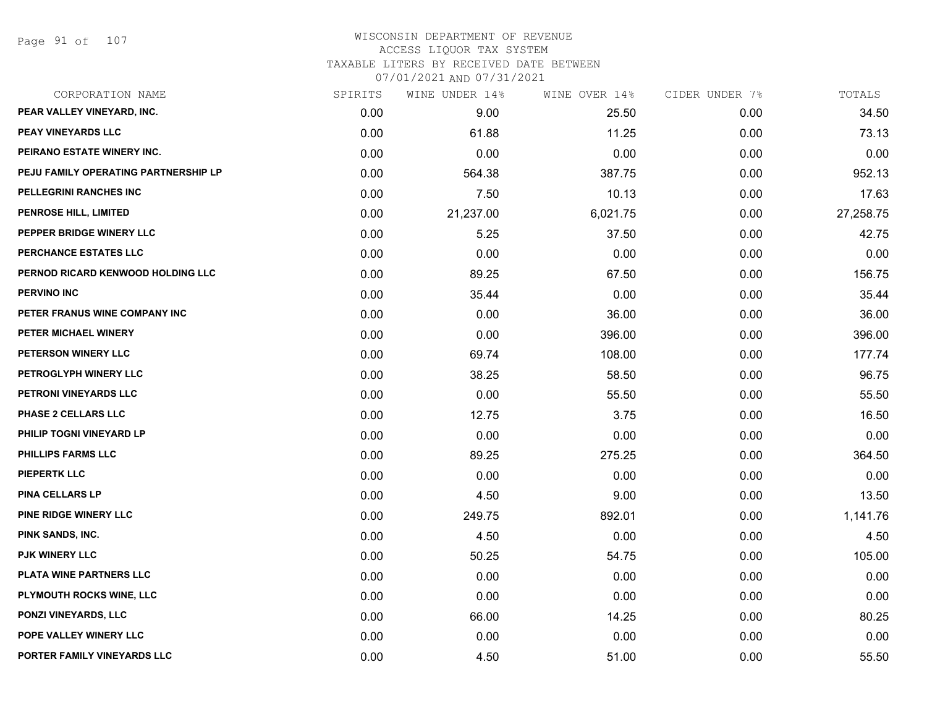#### WISCONSIN DEPARTMENT OF REVENUE ACCESS LIQUOR TAX SYSTEM

TAXABLE LITERS BY RECEIVED DATE BETWEEN

| CORPORATION NAME                     | SPIRITS | WINE UNDER 14% | WINE OVER 14% | CIDER UNDER 7% | TOTALS    |
|--------------------------------------|---------|----------------|---------------|----------------|-----------|
| PEAR VALLEY VINEYARD, INC.           | 0.00    | 9.00           | 25.50         | 0.00           | 34.50     |
| PEAY VINEYARDS LLC                   | 0.00    | 61.88          | 11.25         | 0.00           | 73.13     |
| PEIRANO ESTATE WINERY INC.           | 0.00    | 0.00           | 0.00          | 0.00           | 0.00      |
| PEJU FAMILY OPERATING PARTNERSHIP LP | 0.00    | 564.38         | 387.75        | 0.00           | 952.13    |
| PELLEGRINI RANCHES INC               | 0.00    | 7.50           | 10.13         | 0.00           | 17.63     |
| PENROSE HILL, LIMITED                | 0.00    | 21,237.00      | 6,021.75      | 0.00           | 27,258.75 |
| PEPPER BRIDGE WINERY LLC             | 0.00    | 5.25           | 37.50         | 0.00           | 42.75     |
| PERCHANCE ESTATES LLC                | 0.00    | 0.00           | 0.00          | 0.00           | 0.00      |
| PERNOD RICARD KENWOOD HOLDING LLC    | 0.00    | 89.25          | 67.50         | 0.00           | 156.75    |
| <b>PERVINO INC</b>                   | 0.00    | 35.44          | 0.00          | 0.00           | 35.44     |
| PETER FRANUS WINE COMPANY INC        | 0.00    | 0.00           | 36.00         | 0.00           | 36.00     |
| PETER MICHAEL WINERY                 | 0.00    | 0.00           | 396.00        | 0.00           | 396.00    |
| PETERSON WINERY LLC                  | 0.00    | 69.74          | 108.00        | 0.00           | 177.74    |
| PETROGLYPH WINERY LLC                | 0.00    | 38.25          | 58.50         | 0.00           | 96.75     |
| PETRONI VINEYARDS LLC                | 0.00    | 0.00           | 55.50         | 0.00           | 55.50     |
| PHASE 2 CELLARS LLC                  | 0.00    | 12.75          | 3.75          | 0.00           | 16.50     |
| PHILIP TOGNI VINEYARD LP             | 0.00    | 0.00           | 0.00          | 0.00           | 0.00      |
| PHILLIPS FARMS LLC                   | 0.00    | 89.25          | 275.25        | 0.00           | 364.50    |
| <b>PIEPERTK LLC</b>                  | 0.00    | 0.00           | 0.00          | 0.00           | 0.00      |
| <b>PINA CELLARS LP</b>               | 0.00    | 4.50           | 9.00          | 0.00           | 13.50     |
| <b>PINE RIDGE WINERY LLC</b>         | 0.00    | 249.75         | 892.01        | 0.00           | 1,141.76  |
| PINK SANDS, INC.                     | 0.00    | 4.50           | 0.00          | 0.00           | 4.50      |
| <b>PJK WINERY LLC</b>                | 0.00    | 50.25          | 54.75         | 0.00           | 105.00    |
| PLATA WINE PARTNERS LLC              | 0.00    | 0.00           | 0.00          | 0.00           | 0.00      |
| PLYMOUTH ROCKS WINE, LLC             | 0.00    | 0.00           | 0.00          | 0.00           | 0.00      |
| PONZI VINEYARDS, LLC                 | 0.00    | 66.00          | 14.25         | 0.00           | 80.25     |
| POPE VALLEY WINERY LLC               | 0.00    | 0.00           | 0.00          | 0.00           | 0.00      |
| PORTER FAMILY VINEYARDS LLC          | 0.00    | 4.50           | 51.00         | 0.00           | 55.50     |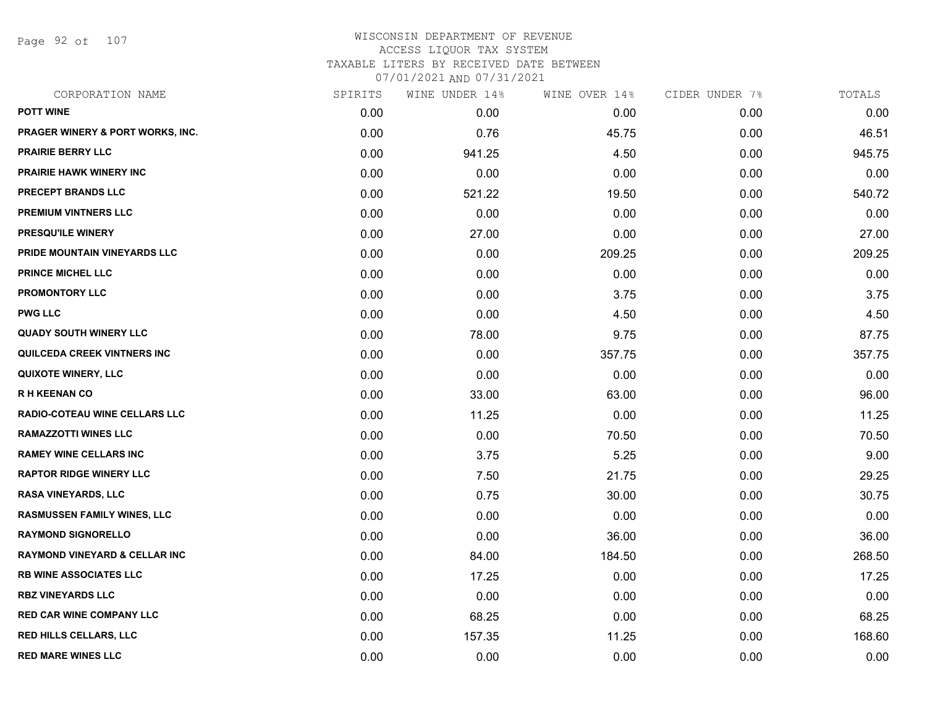Page 92 of 107

# WISCONSIN DEPARTMENT OF REVENUE ACCESS LIQUOR TAX SYSTEM TAXABLE LITERS BY RECEIVED DATE BETWEEN

| CORPORATION NAME                         | SPIRITS | WINE UNDER 14% | WINE OVER 14% | CIDER UNDER 7% | TOTALS |
|------------------------------------------|---------|----------------|---------------|----------------|--------|
| <b>POTT WINE</b>                         | 0.00    | 0.00           | 0.00          | 0.00           | 0.00   |
| PRAGER WINERY & PORT WORKS, INC.         | 0.00    | 0.76           | 45.75         | 0.00           | 46.51  |
| PRAIRIE BERRY LLC                        | 0.00    | 941.25         | 4.50          | 0.00           | 945.75 |
| PRAIRIE HAWK WINERY INC                  | 0.00    | 0.00           | 0.00          | 0.00           | 0.00   |
| PRECEPT BRANDS LLC                       | 0.00    | 521.22         | 19.50         | 0.00           | 540.72 |
| PREMIUM VINTNERS LLC                     | 0.00    | 0.00           | 0.00          | 0.00           | 0.00   |
| PRESQU'ILE WINERY                        | 0.00    | 27.00          | 0.00          | 0.00           | 27.00  |
| PRIDE MOUNTAIN VINEYARDS LLC             | 0.00    | 0.00           | 209.25        | 0.00           | 209.25 |
| <b>PRINCE MICHEL LLC</b>                 | 0.00    | 0.00           | 0.00          | 0.00           | 0.00   |
| PROMONTORY LLC                           | 0.00    | 0.00           | 3.75          | 0.00           | 3.75   |
| <b>PWG LLC</b>                           | 0.00    | 0.00           | 4.50          | 0.00           | 4.50   |
| <b>QUADY SOUTH WINERY LLC</b>            | 0.00    | 78.00          | 9.75          | 0.00           | 87.75  |
| QUILCEDA CREEK VINTNERS INC              | 0.00    | 0.00           | 357.75        | 0.00           | 357.75 |
| <b>QUIXOTE WINERY, LLC</b>               | 0.00    | 0.00           | 0.00          | 0.00           | 0.00   |
| <b>RH KEENAN CO</b>                      | 0.00    | 33.00          | 63.00         | 0.00           | 96.00  |
| RADIO-COTEAU WINE CELLARS LLC            | 0.00    | 11.25          | 0.00          | 0.00           | 11.25  |
| <b>RAMAZZOTTI WINES LLC</b>              | 0.00    | 0.00           | 70.50         | 0.00           | 70.50  |
| <b>RAMEY WINE CELLARS INC</b>            | 0.00    | 3.75           | 5.25          | 0.00           | 9.00   |
| <b>RAPTOR RIDGE WINERY LLC</b>           | 0.00    | 7.50           | 21.75         | 0.00           | 29.25  |
| <b>RASA VINEYARDS, LLC</b>               | 0.00    | 0.75           | 30.00         | 0.00           | 30.75  |
| <b>RASMUSSEN FAMILY WINES, LLC</b>       | 0.00    | 0.00           | 0.00          | 0.00           | 0.00   |
| <b>RAYMOND SIGNORELLO</b>                | 0.00    | 0.00           | 36.00         | 0.00           | 36.00  |
| <b>RAYMOND VINEYARD &amp; CELLAR INC</b> | 0.00    | 84.00          | 184.50        | 0.00           | 268.50 |
| <b>RB WINE ASSOCIATES LLC</b>            | 0.00    | 17.25          | 0.00          | 0.00           | 17.25  |
| <b>RBZ VINEYARDS LLC</b>                 | 0.00    | 0.00           | 0.00          | 0.00           | 0.00   |
| <b>RED CAR WINE COMPANY LLC</b>          | 0.00    | 68.25          | 0.00          | 0.00           | 68.25  |
| <b>RED HILLS CELLARS, LLC</b>            | 0.00    | 157.35         | 11.25         | 0.00           | 168.60 |
| <b>RED MARE WINES LLC</b>                | 0.00    | 0.00           | 0.00          | 0.00           | 0.00   |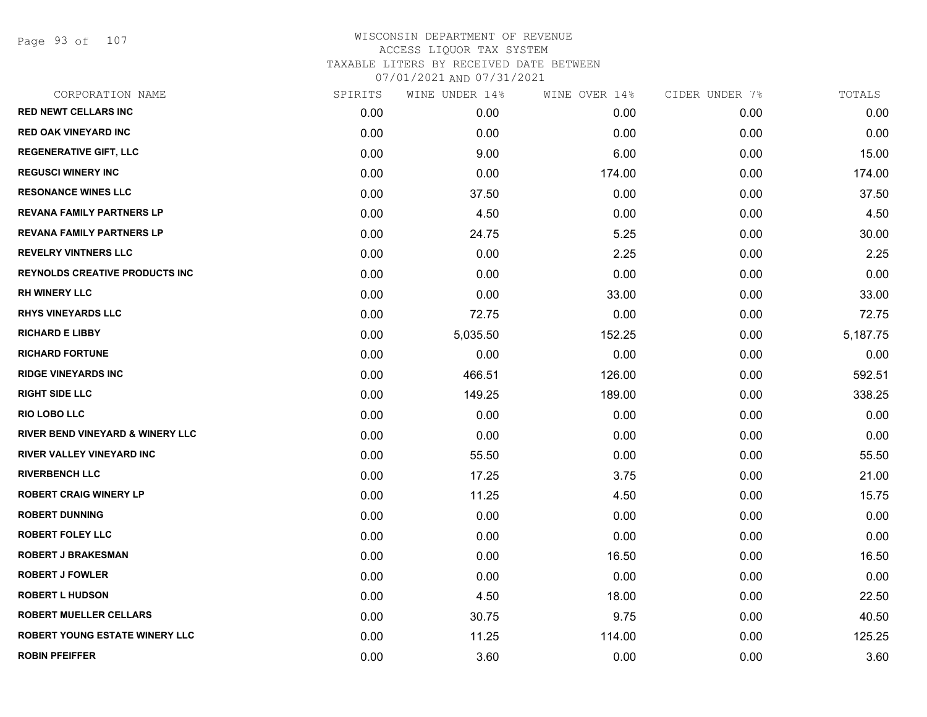Page 93 of 107

| CORPORATION NAME                      | SPIRITS | WINE UNDER 14% | WINE OVER 14% | CIDER UNDER 7% | TOTALS   |
|---------------------------------------|---------|----------------|---------------|----------------|----------|
| <b>RED NEWT CELLARS INC</b>           | 0.00    | 0.00           | 0.00          | 0.00           | 0.00     |
| <b>RED OAK VINEYARD INC</b>           | 0.00    | 0.00           | 0.00          | 0.00           | 0.00     |
| <b>REGENERATIVE GIFT, LLC</b>         | 0.00    | 9.00           | 6.00          | 0.00           | 15.00    |
| <b>REGUSCI WINERY INC</b>             | 0.00    | 0.00           | 174.00        | 0.00           | 174.00   |
| <b>RESONANCE WINES LLC</b>            | 0.00    | 37.50          | 0.00          | 0.00           | 37.50    |
| <b>REVANA FAMILY PARTNERS LP</b>      | 0.00    | 4.50           | 0.00          | 0.00           | 4.50     |
| <b>REVANA FAMILY PARTNERS LP</b>      | 0.00    | 24.75          | 5.25          | 0.00           | 30.00    |
| <b>REVELRY VINTNERS LLC</b>           | 0.00    | 0.00           | 2.25          | 0.00           | 2.25     |
| <b>REYNOLDS CREATIVE PRODUCTS INC</b> | 0.00    | 0.00           | 0.00          | 0.00           | 0.00     |
| <b>RH WINERY LLC</b>                  | 0.00    | 0.00           | 33.00         | 0.00           | 33.00    |
| <b>RHYS VINEYARDS LLC</b>             | 0.00    | 72.75          | 0.00          | 0.00           | 72.75    |
| <b>RICHARD E LIBBY</b>                | 0.00    | 5,035.50       | 152.25        | 0.00           | 5,187.75 |
| <b>RICHARD FORTUNE</b>                | 0.00    | 0.00           | 0.00          | 0.00           | 0.00     |
| <b>RIDGE VINEYARDS INC</b>            | 0.00    | 466.51         | 126.00        | 0.00           | 592.51   |
| <b>RIGHT SIDE LLC</b>                 | 0.00    | 149.25         | 189.00        | 0.00           | 338.25   |
| <b>RIO LOBO LLC</b>                   | 0.00    | 0.00           | 0.00          | 0.00           | 0.00     |
| RIVER BEND VINEYARD & WINERY LLC      | 0.00    | 0.00           | 0.00          | 0.00           | 0.00     |
| <b>RIVER VALLEY VINEYARD INC</b>      | 0.00    | 55.50          | 0.00          | 0.00           | 55.50    |
| <b>RIVERBENCH LLC</b>                 | 0.00    | 17.25          | 3.75          | 0.00           | 21.00    |
| <b>ROBERT CRAIG WINERY LP</b>         | 0.00    | 11.25          | 4.50          | 0.00           | 15.75    |
| <b>ROBERT DUNNING</b>                 | 0.00    | 0.00           | 0.00          | 0.00           | 0.00     |
| <b>ROBERT FOLEY LLC</b>               | 0.00    | 0.00           | 0.00          | 0.00           | 0.00     |
| ROBERT J BRAKESMAN                    | 0.00    | 0.00           | 16.50         | 0.00           | 16.50    |
| <b>ROBERT J FOWLER</b>                | 0.00    | 0.00           | 0.00          | 0.00           | 0.00     |
| <b>ROBERT L HUDSON</b>                | 0.00    | 4.50           | 18.00         | 0.00           | 22.50    |
| <b>ROBERT MUELLER CELLARS</b>         | 0.00    | 30.75          | 9.75          | 0.00           | 40.50    |
| <b>ROBERT YOUNG ESTATE WINERY LLC</b> | 0.00    | 11.25          | 114.00        | 0.00           | 125.25   |
| <b>ROBIN PFEIFFER</b>                 | 0.00    | 3.60           | 0.00          | 0.00           | 3.60     |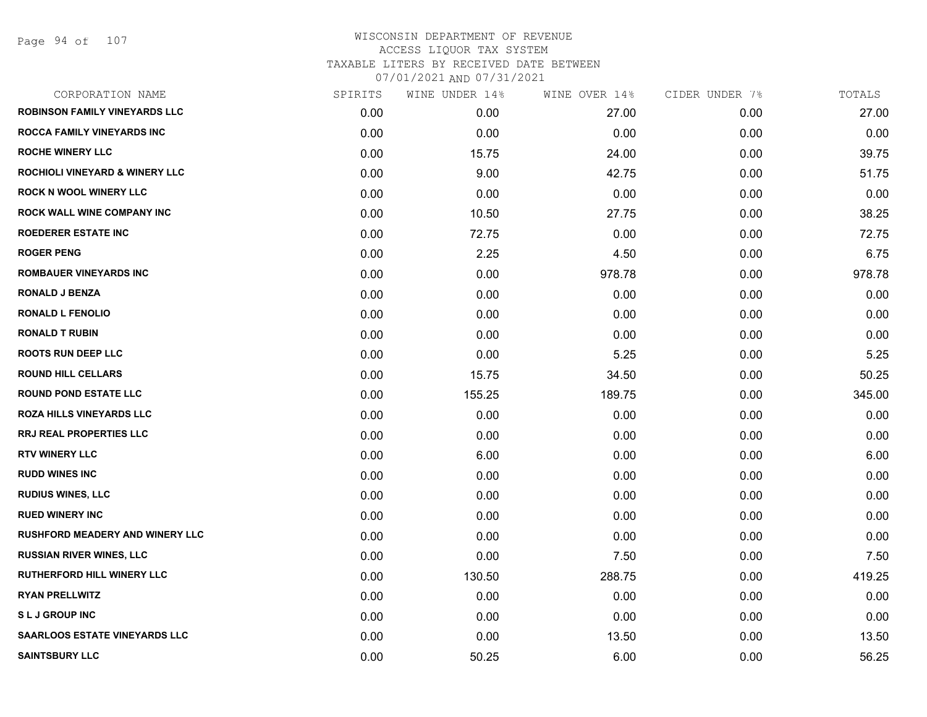| CORPORATION NAME                          | SPIRITS | WINE UNDER 14% | WINE OVER 14% | CIDER UNDER 7% | TOTALS |
|-------------------------------------------|---------|----------------|---------------|----------------|--------|
| <b>ROBINSON FAMILY VINEYARDS LLC</b>      | 0.00    | 0.00           | 27.00         | 0.00           | 27.00  |
| <b>ROCCA FAMILY VINEYARDS INC</b>         | 0.00    | 0.00           | 0.00          | 0.00           | 0.00   |
| <b>ROCHE WINERY LLC</b>                   | 0.00    | 15.75          | 24.00         | 0.00           | 39.75  |
| <b>ROCHIOLI VINEYARD &amp; WINERY LLC</b> | 0.00    | 9.00           | 42.75         | 0.00           | 51.75  |
| <b>ROCK N WOOL WINERY LLC</b>             | 0.00    | 0.00           | 0.00          | 0.00           | 0.00   |
| ROCK WALL WINE COMPANY INC                | 0.00    | 10.50          | 27.75         | 0.00           | 38.25  |
| <b>ROEDERER ESTATE INC</b>                | 0.00    | 72.75          | 0.00          | 0.00           | 72.75  |
| <b>ROGER PENG</b>                         | 0.00    | 2.25           | 4.50          | 0.00           | 6.75   |
| <b>ROMBAUER VINEYARDS INC</b>             | 0.00    | 0.00           | 978.78        | 0.00           | 978.78 |
| <b>RONALD J BENZA</b>                     | 0.00    | 0.00           | 0.00          | 0.00           | 0.00   |
| <b>RONALD L FENOLIO</b>                   | 0.00    | 0.00           | 0.00          | 0.00           | 0.00   |
| <b>RONALD T RUBIN</b>                     | 0.00    | 0.00           | 0.00          | 0.00           | 0.00   |
| <b>ROOTS RUN DEEP LLC</b>                 | 0.00    | 0.00           | 5.25          | 0.00           | 5.25   |
| <b>ROUND HILL CELLARS</b>                 | 0.00    | 15.75          | 34.50         | 0.00           | 50.25  |
| <b>ROUND POND ESTATE LLC</b>              | 0.00    | 155.25         | 189.75        | 0.00           | 345.00 |
| ROZA HILLS VINEYARDS LLC                  | 0.00    | 0.00           | 0.00          | 0.00           | 0.00   |
| <b>RRJ REAL PROPERTIES LLC</b>            | 0.00    | 0.00           | 0.00          | 0.00           | 0.00   |
| <b>RTV WINERY LLC</b>                     | 0.00    | 6.00           | 0.00          | 0.00           | 6.00   |
| <b>RUDD WINES INC</b>                     | 0.00    | 0.00           | 0.00          | 0.00           | 0.00   |
| <b>RUDIUS WINES, LLC</b>                  | 0.00    | 0.00           | 0.00          | 0.00           | 0.00   |
| <b>RUED WINERY INC</b>                    | 0.00    | 0.00           | 0.00          | 0.00           | 0.00   |
| <b>RUSHFORD MEADERY AND WINERY LLC</b>    | 0.00    | 0.00           | 0.00          | 0.00           | 0.00   |
| <b>RUSSIAN RIVER WINES, LLC</b>           | 0.00    | 0.00           | 7.50          | 0.00           | 7.50   |
| <b>RUTHERFORD HILL WINERY LLC</b>         | 0.00    | 130.50         | 288.75        | 0.00           | 419.25 |
| <b>RYAN PRELLWITZ</b>                     | 0.00    | 0.00           | 0.00          | 0.00           | 0.00   |
| <b>SLJ GROUP INC</b>                      | 0.00    | 0.00           | 0.00          | 0.00           | 0.00   |
| <b>SAARLOOS ESTATE VINEYARDS LLC</b>      | 0.00    | 0.00           | 13.50         | 0.00           | 13.50  |
| <b>SAINTSBURY LLC</b>                     | 0.00    | 50.25          | 6.00          | 0.00           | 56.25  |
|                                           |         |                |               |                |        |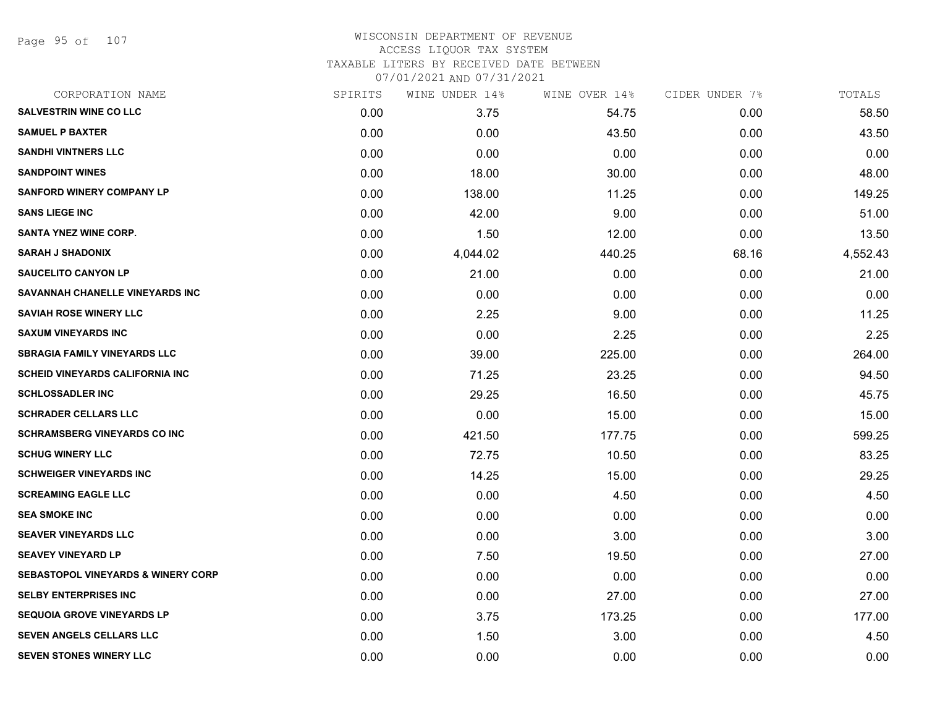Page 95 of 107

#### WISCONSIN DEPARTMENT OF REVENUE ACCESS LIQUOR TAX SYSTEM TAXABLE LITERS BY RECEIVED DATE BETWEEN

| CORPORATION NAME                              | SPIRITS | WINE UNDER 14% | WINE OVER 14% | CIDER UNDER 7% | TOTALS   |
|-----------------------------------------------|---------|----------------|---------------|----------------|----------|
| <b>SALVESTRIN WINE CO LLC</b>                 | 0.00    | 3.75           | 54.75         | 0.00           | 58.50    |
| <b>SAMUEL P BAXTER</b>                        | 0.00    | 0.00           | 43.50         | 0.00           | 43.50    |
| <b>SANDHI VINTNERS LLC</b>                    | 0.00    | 0.00           | 0.00          | 0.00           | 0.00     |
| <b>SANDPOINT WINES</b>                        | 0.00    | 18.00          | 30.00         | 0.00           | 48.00    |
| <b>SANFORD WINERY COMPANY LP</b>              | 0.00    | 138.00         | 11.25         | 0.00           | 149.25   |
| <b>SANS LIEGE INC</b>                         | 0.00    | 42.00          | 9.00          | 0.00           | 51.00    |
| <b>SANTA YNEZ WINE CORP.</b>                  | 0.00    | 1.50           | 12.00         | 0.00           | 13.50    |
| <b>SARAH J SHADONIX</b>                       | 0.00    | 4,044.02       | 440.25        | 68.16          | 4,552.43 |
| <b>SAUCELITO CANYON LP</b>                    | 0.00    | 21.00          | 0.00          | 0.00           | 21.00    |
| SAVANNAH CHANELLE VINEYARDS INC               | 0.00    | 0.00           | 0.00          | 0.00           | 0.00     |
| <b>SAVIAH ROSE WINERY LLC</b>                 | 0.00    | 2.25           | 9.00          | 0.00           | 11.25    |
| <b>SAXUM VINEYARDS INC</b>                    | 0.00    | 0.00           | 2.25          | 0.00           | 2.25     |
| <b>SBRAGIA FAMILY VINEYARDS LLC</b>           | 0.00    | 39.00          | 225.00        | 0.00           | 264.00   |
| <b>SCHEID VINEYARDS CALIFORNIA INC</b>        | 0.00    | 71.25          | 23.25         | 0.00           | 94.50    |
| <b>SCHLOSSADLER INC</b>                       | 0.00    | 29.25          | 16.50         | 0.00           | 45.75    |
| <b>SCHRADER CELLARS LLC</b>                   | 0.00    | 0.00           | 15.00         | 0.00           | 15.00    |
| <b>SCHRAMSBERG VINEYARDS CO INC</b>           | 0.00    | 421.50         | 177.75        | 0.00           | 599.25   |
| <b>SCHUG WINERY LLC</b>                       | 0.00    | 72.75          | 10.50         | 0.00           | 83.25    |
| <b>SCHWEIGER VINEYARDS INC</b>                | 0.00    | 14.25          | 15.00         | 0.00           | 29.25    |
| <b>SCREAMING EAGLE LLC</b>                    | 0.00    | 0.00           | 4.50          | 0.00           | 4.50     |
| <b>SEA SMOKE INC</b>                          | 0.00    | 0.00           | 0.00          | 0.00           | 0.00     |
| <b>SEAVER VINEYARDS LLC</b>                   | 0.00    | 0.00           | 3.00          | 0.00           | 3.00     |
| <b>SEAVEY VINEYARD LP</b>                     | 0.00    | 7.50           | 19.50         | 0.00           | 27.00    |
| <b>SEBASTOPOL VINEYARDS &amp; WINERY CORP</b> | 0.00    | 0.00           | 0.00          | 0.00           | 0.00     |
| <b>SELBY ENTERPRISES INC</b>                  | 0.00    | 0.00           | 27.00         | 0.00           | 27.00    |
| <b>SEQUOIA GROVE VINEYARDS LP</b>             | 0.00    | 3.75           | 173.25        | 0.00           | 177.00   |
| SEVEN ANGELS CELLARS LLC                      | 0.00    | 1.50           | 3.00          | 0.00           | 4.50     |
| <b>SEVEN STONES WINERY LLC</b>                | 0.00    | 0.00           | 0.00          | 0.00           | 0.00     |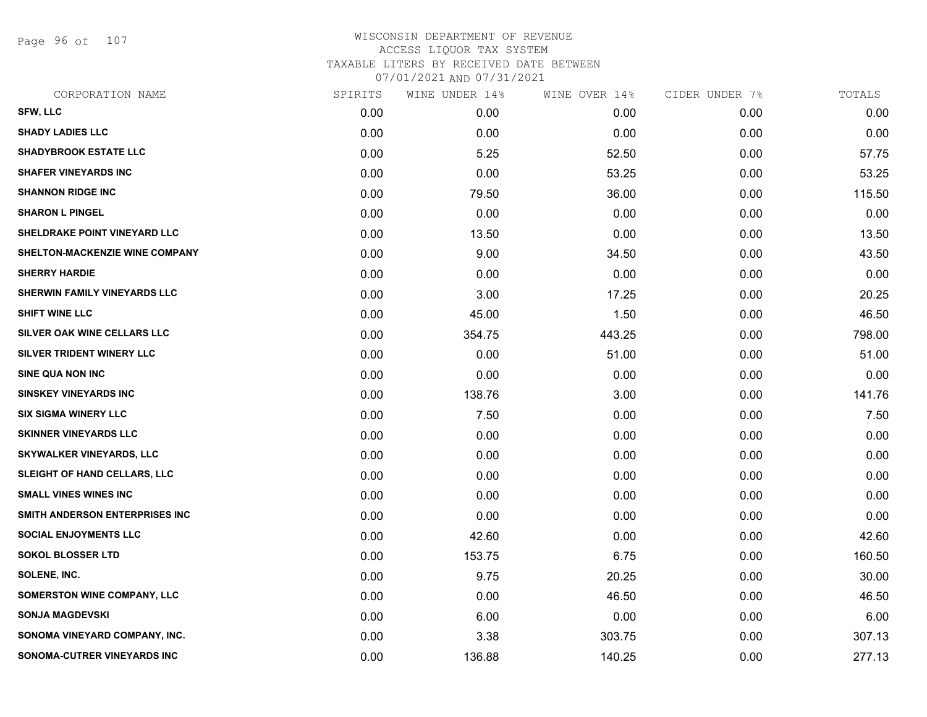Page 96 of 107

| CORPORATION NAME                    | SPIRITS | WINE UNDER 14% | WINE OVER 14% | CIDER UNDER 7% | TOTALS |
|-------------------------------------|---------|----------------|---------------|----------------|--------|
| SFW, LLC                            | 0.00    | 0.00           | 0.00          | 0.00           | 0.00   |
| <b>SHADY LADIES LLC</b>             | 0.00    | 0.00           | 0.00          | 0.00           | 0.00   |
| <b>SHADYBROOK ESTATE LLC</b>        | 0.00    | 5.25           | 52.50         | 0.00           | 57.75  |
| <b>SHAFER VINEYARDS INC</b>         | 0.00    | 0.00           | 53.25         | 0.00           | 53.25  |
| <b>SHANNON RIDGE INC</b>            | 0.00    | 79.50          | 36.00         | 0.00           | 115.50 |
| <b>SHARON L PINGEL</b>              | 0.00    | 0.00           | 0.00          | 0.00           | 0.00   |
| <b>SHELDRAKE POINT VINEYARD LLC</b> | 0.00    | 13.50          | 0.00          | 0.00           | 13.50  |
| SHELTON-MACKENZIE WINE COMPANY      | 0.00    | 9.00           | 34.50         | 0.00           | 43.50  |
| <b>SHERRY HARDIE</b>                | 0.00    | 0.00           | 0.00          | 0.00           | 0.00   |
| SHERWIN FAMILY VINEYARDS LLC        | 0.00    | 3.00           | 17.25         | 0.00           | 20.25  |
| <b>SHIFT WINE LLC</b>               | 0.00    | 45.00          | 1.50          | 0.00           | 46.50  |
| SILVER OAK WINE CELLARS LLC         | 0.00    | 354.75         | 443.25        | 0.00           | 798.00 |
| SILVER TRIDENT WINERY LLC           | 0.00    | 0.00           | 51.00         | 0.00           | 51.00  |
| SINE QUA NON INC                    | 0.00    | 0.00           | 0.00          | 0.00           | 0.00   |
| <b>SINSKEY VINEYARDS INC</b>        | 0.00    | 138.76         | 3.00          | 0.00           | 141.76 |
| <b>SIX SIGMA WINERY LLC</b>         | 0.00    | 7.50           | 0.00          | 0.00           | 7.50   |
| <b>SKINNER VINEYARDS LLC</b>        | 0.00    | 0.00           | 0.00          | 0.00           | 0.00   |
| <b>SKYWALKER VINEYARDS, LLC</b>     | 0.00    | 0.00           | 0.00          | 0.00           | 0.00   |
| SLEIGHT OF HAND CELLARS, LLC        | 0.00    | 0.00           | 0.00          | 0.00           | 0.00   |
| <b>SMALL VINES WINES INC</b>        | 0.00    | 0.00           | 0.00          | 0.00           | 0.00   |
| SMITH ANDERSON ENTERPRISES INC      | 0.00    | 0.00           | 0.00          | 0.00           | 0.00   |
| <b>SOCIAL ENJOYMENTS LLC</b>        | 0.00    | 42.60          | 0.00          | 0.00           | 42.60  |
| <b>SOKOL BLOSSER LTD</b>            | 0.00    | 153.75         | 6.75          | 0.00           | 160.50 |
| <b>SOLENE, INC.</b>                 | 0.00    | 9.75           | 20.25         | 0.00           | 30.00  |
| <b>SOMERSTON WINE COMPANY, LLC</b>  | 0.00    | 0.00           | 46.50         | 0.00           | 46.50  |
| <b>SONJA MAGDEVSKI</b>              | 0.00    | 6.00           | 0.00          | 0.00           | 6.00   |
| SONOMA VINEYARD COMPANY, INC.       | 0.00    | 3.38           | 303.75        | 0.00           | 307.13 |
| SONOMA-CUTRER VINEYARDS INC         | 0.00    | 136.88         | 140.25        | 0.00           | 277.13 |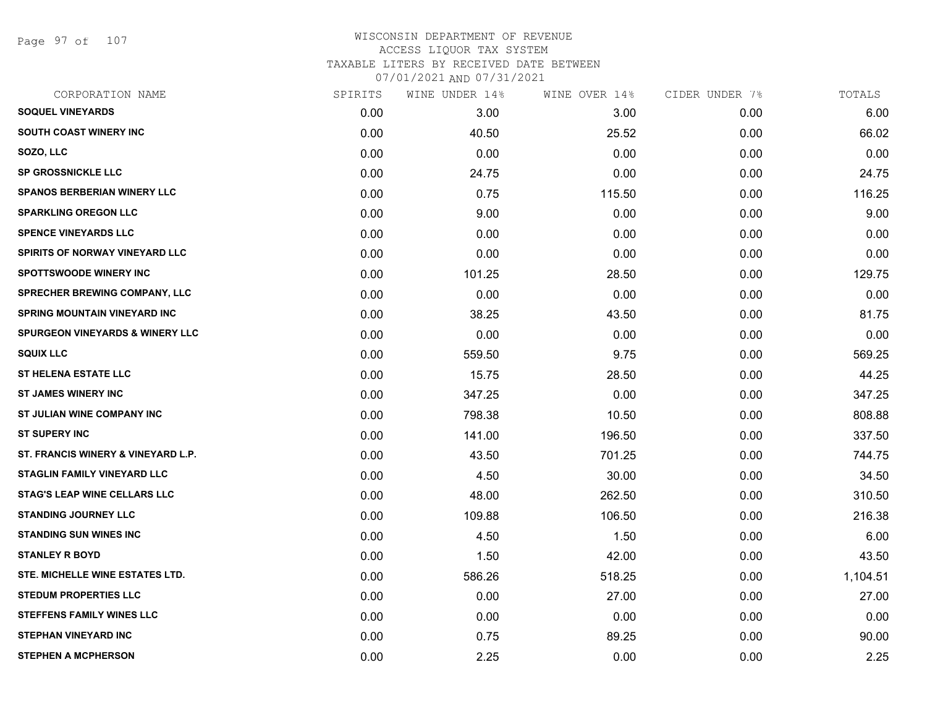Page 97 of 107

## WISCONSIN DEPARTMENT OF REVENUE ACCESS LIQUOR TAX SYSTEM TAXABLE LITERS BY RECEIVED DATE BETWEEN

| CORPORATION NAME                           | SPIRITS | WINE UNDER 14% | WINE OVER 14% | CIDER UNDER 7% | TOTALS   |
|--------------------------------------------|---------|----------------|---------------|----------------|----------|
| <b>SOQUEL VINEYARDS</b>                    | 0.00    | 3.00           | 3.00          | 0.00           | 6.00     |
| <b>SOUTH COAST WINERY INC.</b>             | 0.00    | 40.50          | 25.52         | 0.00           | 66.02    |
| SOZO, LLC                                  | 0.00    | 0.00           | 0.00          | 0.00           | 0.00     |
| <b>SP GROSSNICKLE LLC</b>                  | 0.00    | 24.75          | 0.00          | 0.00           | 24.75    |
| <b>SPANOS BERBERIAN WINERY LLC</b>         | 0.00    | 0.75           | 115.50        | 0.00           | 116.25   |
| <b>SPARKLING OREGON LLC</b>                | 0.00    | 9.00           | 0.00          | 0.00           | 9.00     |
| <b>SPENCE VINEYARDS LLC</b>                | 0.00    | 0.00           | 0.00          | 0.00           | 0.00     |
| SPIRITS OF NORWAY VINEYARD LLC             | 0.00    | 0.00           | 0.00          | 0.00           | 0.00     |
| <b>SPOTTSWOODE WINERY INC</b>              | 0.00    | 101.25         | 28.50         | 0.00           | 129.75   |
| SPRECHER BREWING COMPANY, LLC              | 0.00    | 0.00           | 0.00          | 0.00           | 0.00     |
| <b>SPRING MOUNTAIN VINEYARD INC</b>        | 0.00    | 38.25          | 43.50         | 0.00           | 81.75    |
| <b>SPURGEON VINEYARDS &amp; WINERY LLC</b> | 0.00    | 0.00           | 0.00          | 0.00           | 0.00     |
| <b>SQUIX LLC</b>                           | 0.00    | 559.50         | 9.75          | 0.00           | 569.25   |
| <b>ST HELENA ESTATE LLC</b>                | 0.00    | 15.75          | 28.50         | 0.00           | 44.25    |
| <b>ST JAMES WINERY INC</b>                 | 0.00    | 347.25         | 0.00          | 0.00           | 347.25   |
| ST JULIAN WINE COMPANY INC                 | 0.00    | 798.38         | 10.50         | 0.00           | 808.88   |
| <b>ST SUPERY INC</b>                       | 0.00    | 141.00         | 196.50        | 0.00           | 337.50   |
| ST. FRANCIS WINERY & VINEYARD L.P.         | 0.00    | 43.50          | 701.25        | 0.00           | 744.75   |
| <b>STAGLIN FAMILY VINEYARD LLC</b>         | 0.00    | 4.50           | 30.00         | 0.00           | 34.50    |
| <b>STAG'S LEAP WINE CELLARS LLC</b>        | 0.00    | 48.00          | 262.50        | 0.00           | 310.50   |
| <b>STANDING JOURNEY LLC</b>                | 0.00    | 109.88         | 106.50        | 0.00           | 216.38   |
| <b>STANDING SUN WINES INC</b>              | 0.00    | 4.50           | 1.50          | 0.00           | 6.00     |
| <b>STANLEY R BOYD</b>                      | 0.00    | 1.50           | 42.00         | 0.00           | 43.50    |
| STE. MICHELLE WINE ESTATES LTD.            | 0.00    | 586.26         | 518.25        | 0.00           | 1,104.51 |
| <b>STEDUM PROPERTIES LLC</b>               | 0.00    | 0.00           | 27.00         | 0.00           | 27.00    |
| <b>STEFFENS FAMILY WINES LLC</b>           | 0.00    | 0.00           | 0.00          | 0.00           | 0.00     |
| <b>STEPHAN VINEYARD INC</b>                | 0.00    | 0.75           | 89.25         | 0.00           | 90.00    |
| <b>STEPHEN A MCPHERSON</b>                 | 0.00    | 2.25           | 0.00          | 0.00           | 2.25     |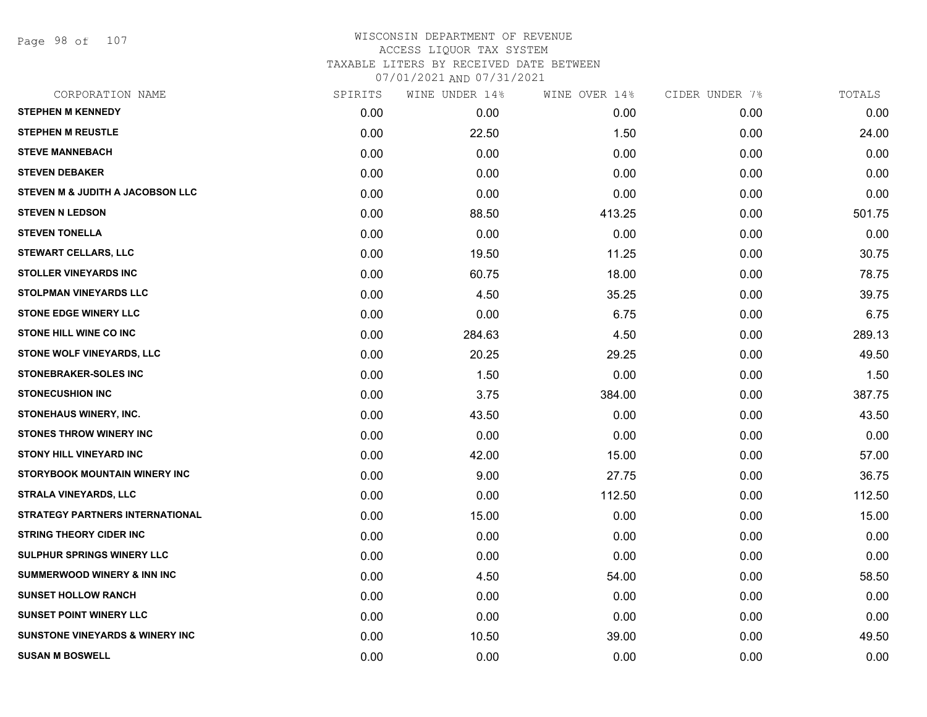Page 98 of 107

### WISCONSIN DEPARTMENT OF REVENUE ACCESS LIQUOR TAX SYSTEM TAXABLE LITERS BY RECEIVED DATE BETWEEN

| CORPORATION NAME                           | SPIRITS | WINE UNDER 14% | WINE OVER 14% | CIDER UNDER 7% | TOTALS |
|--------------------------------------------|---------|----------------|---------------|----------------|--------|
| <b>STEPHEN M KENNEDY</b>                   | 0.00    | 0.00           | 0.00          | 0.00           | 0.00   |
| <b>STEPHEN M REUSTLE</b>                   | 0.00    | 22.50          | 1.50          | 0.00           | 24.00  |
| <b>STEVE MANNEBACH</b>                     | 0.00    | 0.00           | 0.00          | 0.00           | 0.00   |
| <b>STEVEN DEBAKER</b>                      | 0.00    | 0.00           | 0.00          | 0.00           | 0.00   |
| STEVEN M & JUDITH A JACOBSON LLC           | 0.00    | 0.00           | 0.00          | 0.00           | 0.00   |
| <b>STEVEN N LEDSON</b>                     | 0.00    | 88.50          | 413.25        | 0.00           | 501.75 |
| <b>STEVEN TONELLA</b>                      | 0.00    | 0.00           | 0.00          | 0.00           | 0.00   |
| <b>STEWART CELLARS, LLC</b>                | 0.00    | 19.50          | 11.25         | 0.00           | 30.75  |
| <b>STOLLER VINEYARDS INC</b>               | 0.00    | 60.75          | 18.00         | 0.00           | 78.75  |
| <b>STOLPMAN VINEYARDS LLC</b>              | 0.00    | 4.50           | 35.25         | 0.00           | 39.75  |
| <b>STONE EDGE WINERY LLC</b>               | 0.00    | 0.00           | 6.75          | 0.00           | 6.75   |
| <b>STONE HILL WINE CO INC</b>              | 0.00    | 284.63         | 4.50          | 0.00           | 289.13 |
| STONE WOLF VINEYARDS, LLC                  | 0.00    | 20.25          | 29.25         | 0.00           | 49.50  |
| <b>STONEBRAKER-SOLES INC</b>               | 0.00    | 1.50           | 0.00          | 0.00           | 1.50   |
| <b>STONECUSHION INC</b>                    | 0.00    | 3.75           | 384.00        | 0.00           | 387.75 |
| STONEHAUS WINERY, INC.                     | 0.00    | 43.50          | 0.00          | 0.00           | 43.50  |
| <b>STONES THROW WINERY INC</b>             | 0.00    | 0.00           | 0.00          | 0.00           | 0.00   |
| STONY HILL VINEYARD INC                    | 0.00    | 42.00          | 15.00         | 0.00           | 57.00  |
| <b>STORYBOOK MOUNTAIN WINERY INC</b>       | 0.00    | 9.00           | 27.75         | 0.00           | 36.75  |
| <b>STRALA VINEYARDS, LLC</b>               | 0.00    | 0.00           | 112.50        | 0.00           | 112.50 |
| <b>STRATEGY PARTNERS INTERNATIONAL</b>     | 0.00    | 15.00          | 0.00          | 0.00           | 15.00  |
| <b>STRING THEORY CIDER INC</b>             | 0.00    | 0.00           | 0.00          | 0.00           | 0.00   |
| SULPHUR SPRINGS WINERY LLC                 | 0.00    | 0.00           | 0.00          | 0.00           | 0.00   |
| <b>SUMMERWOOD WINERY &amp; INN INC</b>     | 0.00    | 4.50           | 54.00         | 0.00           | 58.50  |
| <b>SUNSET HOLLOW RANCH</b>                 | 0.00    | 0.00           | 0.00          | 0.00           | 0.00   |
| <b>SUNSET POINT WINERY LLC</b>             | 0.00    | 0.00           | 0.00          | 0.00           | 0.00   |
| <b>SUNSTONE VINEYARDS &amp; WINERY INC</b> | 0.00    | 10.50          | 39.00         | 0.00           | 49.50  |
| <b>SUSAN M BOSWELL</b>                     | 0.00    | 0.00           | 0.00          | 0.00           | 0.00   |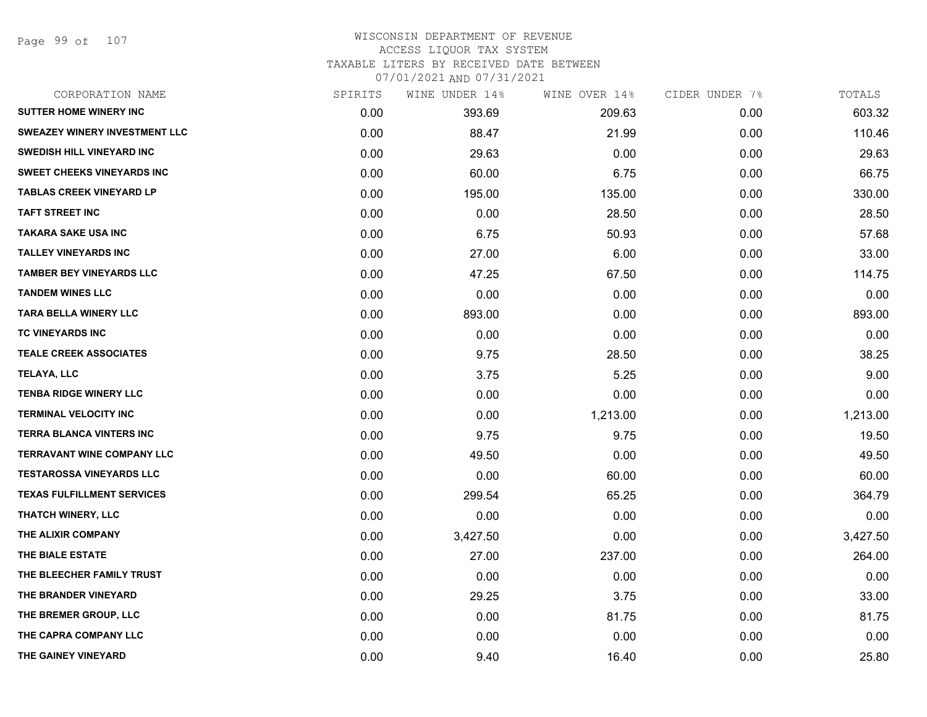Page 99 of 107

| CORPORATION NAME                     | SPIRITS | WINE UNDER 14% | WINE OVER 14% | CIDER UNDER 7% | TOTALS   |
|--------------------------------------|---------|----------------|---------------|----------------|----------|
| <b>SUTTER HOME WINERY INC</b>        | 0.00    | 393.69         | 209.63        | 0.00           | 603.32   |
| <b>SWEAZEY WINERY INVESTMENT LLC</b> | 0.00    | 88.47          | 21.99         | 0.00           | 110.46   |
| SWEDISH HILL VINEYARD INC            | 0.00    | 29.63          | 0.00          | 0.00           | 29.63    |
| <b>SWEET CHEEKS VINEYARDS INC</b>    | 0.00    | 60.00          | 6.75          | 0.00           | 66.75    |
| <b>TABLAS CREEK VINEYARD LP</b>      | 0.00    | 195.00         | 135.00        | 0.00           | 330.00   |
| <b>TAFT STREET INC</b>               | 0.00    | 0.00           | 28.50         | 0.00           | 28.50    |
| <b>TAKARA SAKE USA INC</b>           | 0.00    | 6.75           | 50.93         | 0.00           | 57.68    |
| <b>TALLEY VINEYARDS INC</b>          | 0.00    | 27.00          | 6.00          | 0.00           | 33.00    |
| <b>TAMBER BEY VINEYARDS LLC</b>      | 0.00    | 47.25          | 67.50         | 0.00           | 114.75   |
| <b>TANDEM WINES LLC</b>              | 0.00    | 0.00           | 0.00          | 0.00           | 0.00     |
| <b>TARA BELLA WINERY LLC</b>         | 0.00    | 893.00         | 0.00          | 0.00           | 893.00   |
| <b>TC VINEYARDS INC</b>              | 0.00    | 0.00           | 0.00          | 0.00           | 0.00     |
| <b>TEALE CREEK ASSOCIATES</b>        | 0.00    | 9.75           | 28.50         | 0.00           | 38.25    |
| <b>TELAYA, LLC</b>                   | 0.00    | 3.75           | 5.25          | 0.00           | 9.00     |
| <b>TENBA RIDGE WINERY LLC</b>        | 0.00    | 0.00           | 0.00          | 0.00           | 0.00     |
| <b>TERMINAL VELOCITY INC</b>         | 0.00    | 0.00           | 1,213.00      | 0.00           | 1,213.00 |
| <b>TERRA BLANCA VINTERS INC</b>      | 0.00    | 9.75           | 9.75          | 0.00           | 19.50    |
| <b>TERRAVANT WINE COMPANY LLC</b>    | 0.00    | 49.50          | 0.00          | 0.00           | 49.50    |
| <b>TESTAROSSA VINEYARDS LLC</b>      | 0.00    | 0.00           | 60.00         | 0.00           | 60.00    |
| <b>TEXAS FULFILLMENT SERVICES</b>    | 0.00    | 299.54         | 65.25         | 0.00           | 364.79   |
| THATCH WINERY, LLC                   | 0.00    | 0.00           | 0.00          | 0.00           | 0.00     |
| THE ALIXIR COMPANY                   | 0.00    | 3,427.50       | 0.00          | 0.00           | 3,427.50 |
| THE BIALE ESTATE                     | 0.00    | 27.00          | 237.00        | 0.00           | 264.00   |
| THE BLEECHER FAMILY TRUST            | 0.00    | 0.00           | 0.00          | 0.00           | 0.00     |
| THE BRANDER VINEYARD                 | 0.00    | 29.25          | 3.75          | 0.00           | 33.00    |
| THE BREMER GROUP, LLC                | 0.00    | 0.00           | 81.75         | 0.00           | 81.75    |
| THE CAPRA COMPANY LLC                | 0.00    | 0.00           | 0.00          | 0.00           | 0.00     |
| THE GAINEY VINEYARD                  | 0.00    | 9.40           | 16.40         | 0.00           | 25.80    |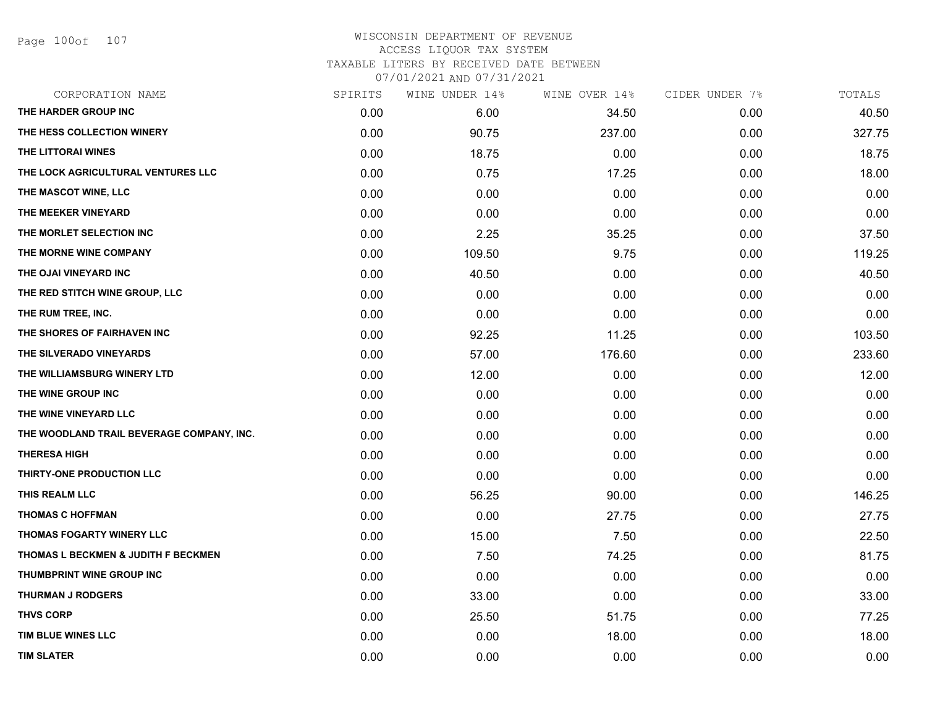Page 100of 107

| CORPORATION NAME                          | SPIRITS | WINE UNDER 14% | WINE OVER 14% | CIDER UNDER 7% | TOTALS |
|-------------------------------------------|---------|----------------|---------------|----------------|--------|
| THE HARDER GROUP INC                      | 0.00    | 6.00           | 34.50         | 0.00           | 40.50  |
| THE HESS COLLECTION WINERY                | 0.00    | 90.75          | 237.00        | 0.00           | 327.75 |
| THE LITTORAI WINES                        | 0.00    | 18.75          | 0.00          | 0.00           | 18.75  |
| THE LOCK AGRICULTURAL VENTURES LLC        | 0.00    | 0.75           | 17.25         | 0.00           | 18.00  |
| THE MASCOT WINE, LLC                      | 0.00    | 0.00           | 0.00          | 0.00           | 0.00   |
| THE MEEKER VINEYARD                       | 0.00    | 0.00           | 0.00          | 0.00           | 0.00   |
| THE MORLET SELECTION INC                  | 0.00    | 2.25           | 35.25         | 0.00           | 37.50  |
| THE MORNE WINE COMPANY                    | 0.00    | 109.50         | 9.75          | 0.00           | 119.25 |
| THE OJAI VINEYARD INC                     | 0.00    | 40.50          | 0.00          | 0.00           | 40.50  |
| THE RED STITCH WINE GROUP, LLC            | 0.00    | 0.00           | 0.00          | 0.00           | 0.00   |
| THE RUM TREE, INC.                        | 0.00    | 0.00           | 0.00          | 0.00           | 0.00   |
| THE SHORES OF FAIRHAVEN INC               | 0.00    | 92.25          | 11.25         | 0.00           | 103.50 |
| THE SILVERADO VINEYARDS                   | 0.00    | 57.00          | 176.60        | 0.00           | 233.60 |
| THE WILLIAMSBURG WINERY LTD               | 0.00    | 12.00          | 0.00          | 0.00           | 12.00  |
| THE WINE GROUP INC                        | 0.00    | 0.00           | 0.00          | 0.00           | 0.00   |
| THE WINE VINEYARD LLC                     | 0.00    | 0.00           | 0.00          | 0.00           | 0.00   |
| THE WOODLAND TRAIL BEVERAGE COMPANY, INC. | 0.00    | 0.00           | 0.00          | 0.00           | 0.00   |
| <b>THERESA HIGH</b>                       | 0.00    | 0.00           | 0.00          | 0.00           | 0.00   |
| THIRTY-ONE PRODUCTION LLC                 | 0.00    | 0.00           | 0.00          | 0.00           | 0.00   |
| THIS REALM LLC                            | 0.00    | 56.25          | 90.00         | 0.00           | 146.25 |
| <b>THOMAS C HOFFMAN</b>                   | 0.00    | 0.00           | 27.75         | 0.00           | 27.75  |
| THOMAS FOGARTY WINERY LLC                 | 0.00    | 15.00          | 7.50          | 0.00           | 22.50  |
| THOMAS L BECKMEN & JUDITH F BECKMEN       | 0.00    | 7.50           | 74.25         | 0.00           | 81.75  |
| THUMBPRINT WINE GROUP INC                 | 0.00    | 0.00           | 0.00          | 0.00           | 0.00   |
| <b>THURMAN J RODGERS</b>                  | 0.00    | 33.00          | 0.00          | 0.00           | 33.00  |
| <b>THVS CORP</b>                          | 0.00    | 25.50          | 51.75         | 0.00           | 77.25  |
| TIM BLUE WINES LLC                        | 0.00    | 0.00           | 18.00         | 0.00           | 18.00  |
| <b>TIM SLATER</b>                         | 0.00    | 0.00           | 0.00          | 0.00           | 0.00   |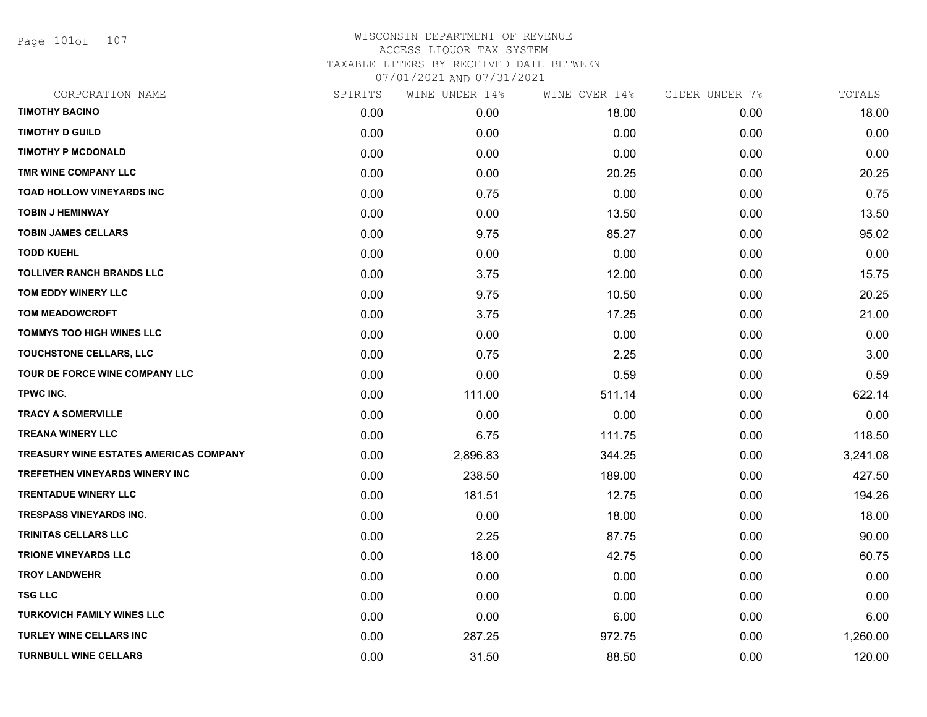Page 101of 107

| CORPORATION NAME                       | SPIRITS | WINE UNDER 14% | WINE OVER 14% | CIDER UNDER 7% | TOTALS   |
|----------------------------------------|---------|----------------|---------------|----------------|----------|
| <b>TIMOTHY BACINO</b>                  | 0.00    | 0.00           | 18.00         | 0.00           | 18.00    |
| <b>TIMOTHY D GUILD</b>                 | 0.00    | 0.00           | 0.00          | 0.00           | 0.00     |
| <b>TIMOTHY P MCDONALD</b>              | 0.00    | 0.00           | 0.00          | 0.00           | 0.00     |
| TMR WINE COMPANY LLC                   | 0.00    | 0.00           | 20.25         | 0.00           | 20.25    |
| <b>TOAD HOLLOW VINEYARDS INC</b>       | 0.00    | 0.75           | 0.00          | 0.00           | 0.75     |
| <b>TOBIN J HEMINWAY</b>                | 0.00    | 0.00           | 13.50         | 0.00           | 13.50    |
| <b>TOBIN JAMES CELLARS</b>             | 0.00    | 9.75           | 85.27         | 0.00           | 95.02    |
| <b>TODD KUEHL</b>                      | 0.00    | 0.00           | 0.00          | 0.00           | 0.00     |
| <b>TOLLIVER RANCH BRANDS LLC</b>       | 0.00    | 3.75           | 12.00         | 0.00           | 15.75    |
| TOM EDDY WINERY LLC                    | 0.00    | 9.75           | 10.50         | 0.00           | 20.25    |
| <b>TOM MEADOWCROFT</b>                 | 0.00    | 3.75           | 17.25         | 0.00           | 21.00    |
| <b>TOMMYS TOO HIGH WINES LLC</b>       | 0.00    | 0.00           | 0.00          | 0.00           | 0.00     |
| TOUCHSTONE CELLARS, LLC                | 0.00    | 0.75           | 2.25          | 0.00           | 3.00     |
| TOUR DE FORCE WINE COMPANY LLC         | 0.00    | 0.00           | 0.59          | 0.00           | 0.59     |
| TPWC INC.                              | 0.00    | 111.00         | 511.14        | 0.00           | 622.14   |
| <b>TRACY A SOMERVILLE</b>              | 0.00    | 0.00           | 0.00          | 0.00           | 0.00     |
| <b>TREANA WINERY LLC</b>               | 0.00    | 6.75           | 111.75        | 0.00           | 118.50   |
| TREASURY WINE ESTATES AMERICAS COMPANY | 0.00    | 2,896.83       | 344.25        | 0.00           | 3,241.08 |
| <b>TREFETHEN VINEYARDS WINERY INC</b>  | 0.00    | 238.50         | 189.00        | 0.00           | 427.50   |
| <b>TRENTADUE WINERY LLC</b>            | 0.00    | 181.51         | 12.75         | 0.00           | 194.26   |
| <b>TRESPASS VINEYARDS INC.</b>         | 0.00    | 0.00           | 18.00         | 0.00           | 18.00    |
| TRINITAS CELLARS LLC                   | 0.00    | 2.25           | 87.75         | 0.00           | 90.00    |
| <b>TRIONE VINEYARDS LLC</b>            | 0.00    | 18.00          | 42.75         | 0.00           | 60.75    |
| <b>TROY LANDWEHR</b>                   | 0.00    | 0.00           | 0.00          | 0.00           | 0.00     |
| <b>TSG LLC</b>                         | 0.00    | 0.00           | 0.00          | 0.00           | 0.00     |
| <b>TURKOVICH FAMILY WINES LLC</b>      | 0.00    | 0.00           | 6.00          | 0.00           | 6.00     |
| TURLEY WINE CELLARS INC                | 0.00    | 287.25         | 972.75        | 0.00           | 1,260.00 |
| <b>TURNBULL WINE CELLARS</b>           | 0.00    | 31.50          | 88.50         | 0.00           | 120.00   |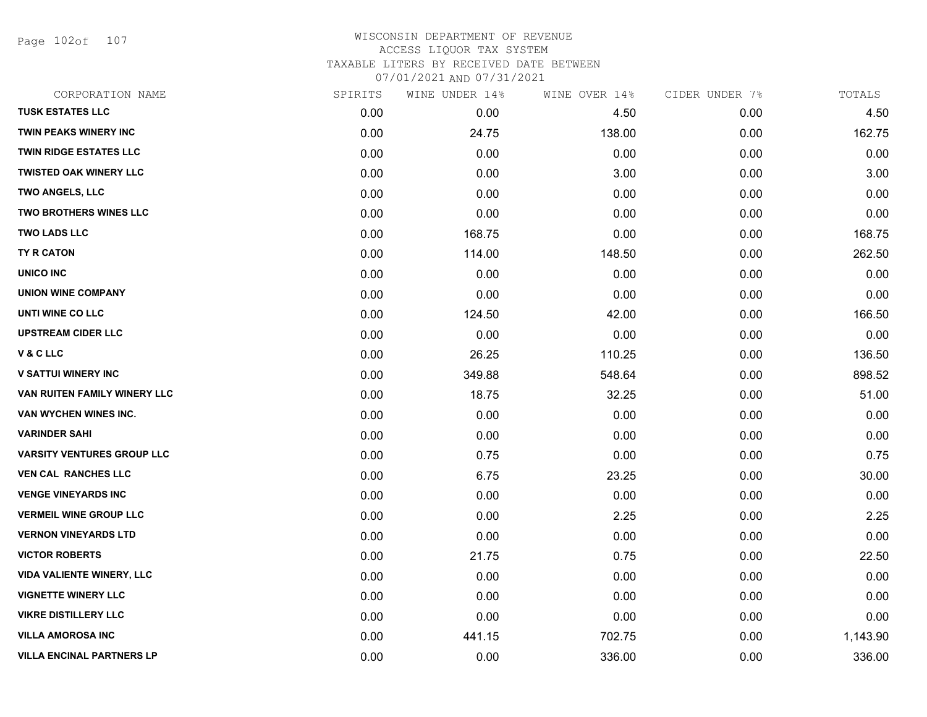Page 102of 107

### WISCONSIN DEPARTMENT OF REVENUE ACCESS LIQUOR TAX SYSTEM TAXABLE LITERS BY RECEIVED DATE BETWEEN

| CORPORATION NAME                  | SPIRITS | WINE UNDER 14% | WINE OVER 14% | CIDER UNDER 7% | TOTALS   |
|-----------------------------------|---------|----------------|---------------|----------------|----------|
| <b>TUSK ESTATES LLC</b>           | 0.00    | 0.00           | 4.50          | 0.00           | 4.50     |
| <b>TWIN PEAKS WINERY INC</b>      | 0.00    | 24.75          | 138.00        | 0.00           | 162.75   |
| <b>TWIN RIDGE ESTATES LLC</b>     | 0.00    | 0.00           | 0.00          | 0.00           | 0.00     |
| <b>TWISTED OAK WINERY LLC</b>     | 0.00    | 0.00           | 3.00          | 0.00           | 3.00     |
| <b>TWO ANGELS, LLC</b>            | 0.00    | 0.00           | 0.00          | 0.00           | 0.00     |
| <b>TWO BROTHERS WINES LLC</b>     | 0.00    | 0.00           | 0.00          | 0.00           | 0.00     |
| <b>TWO LADS LLC</b>               | 0.00    | 168.75         | 0.00          | 0.00           | 168.75   |
| <b>TY R CATON</b>                 | 0.00    | 114.00         | 148.50        | 0.00           | 262.50   |
| <b>UNICO INC</b>                  | 0.00    | 0.00           | 0.00          | 0.00           | 0.00     |
| <b>UNION WINE COMPANY</b>         | 0.00    | 0.00           | 0.00          | 0.00           | 0.00     |
| UNTI WINE CO LLC                  | 0.00    | 124.50         | 42.00         | 0.00           | 166.50   |
| <b>UPSTREAM CIDER LLC</b>         | 0.00    | 0.00           | 0.00          | 0.00           | 0.00     |
| V & C LLC                         | 0.00    | 26.25          | 110.25        | 0.00           | 136.50   |
| <b>V SATTUI WINERY INC</b>        | 0.00    | 349.88         | 548.64        | 0.00           | 898.52   |
| VAN RUITEN FAMILY WINERY LLC      | 0.00    | 18.75          | 32.25         | 0.00           | 51.00    |
| VAN WYCHEN WINES INC.             | 0.00    | 0.00           | 0.00          | 0.00           | 0.00     |
| <b>VARINDER SAHI</b>              | 0.00    | 0.00           | 0.00          | 0.00           | 0.00     |
| <b>VARSITY VENTURES GROUP LLC</b> | 0.00    | 0.75           | 0.00          | 0.00           | 0.75     |
| <b>VEN CAL RANCHES LLC</b>        | 0.00    | 6.75           | 23.25         | 0.00           | 30.00    |
| <b>VENGE VINEYARDS INC</b>        | 0.00    | 0.00           | 0.00          | 0.00           | 0.00     |
| <b>VERMEIL WINE GROUP LLC</b>     | 0.00    | 0.00           | 2.25          | 0.00           | 2.25     |
| <b>VERNON VINEYARDS LTD</b>       | 0.00    | 0.00           | 0.00          | 0.00           | 0.00     |
| <b>VICTOR ROBERTS</b>             | 0.00    | 21.75          | 0.75          | 0.00           | 22.50    |
| <b>VIDA VALIENTE WINERY, LLC</b>  | 0.00    | 0.00           | 0.00          | 0.00           | 0.00     |
| <b>VIGNETTE WINERY LLC</b>        | 0.00    | 0.00           | 0.00          | 0.00           | 0.00     |
| <b>VIKRE DISTILLERY LLC</b>       | 0.00    | 0.00           | 0.00          | 0.00           | 0.00     |
| <b>VILLA AMOROSA INC</b>          | 0.00    | 441.15         | 702.75        | 0.00           | 1,143.90 |
| <b>VILLA ENCINAL PARTNERS LP</b>  | 0.00    | 0.00           | 336.00        | 0.00           | 336.00   |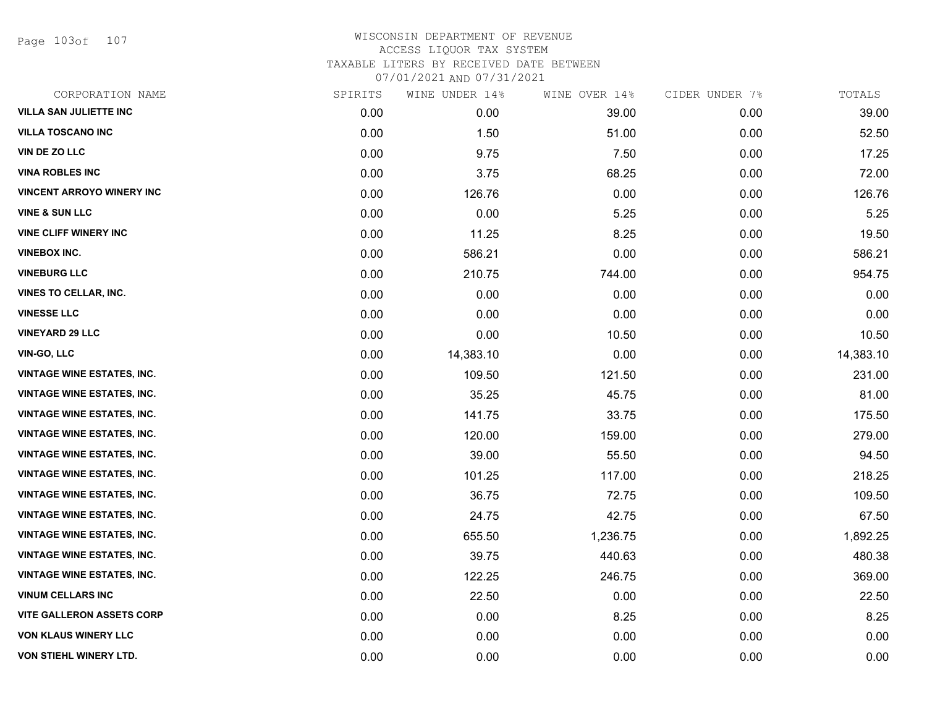Page 103of 107

| CORPORATION NAME                  | SPIRITS | WINE UNDER 14% | WINE OVER 14% | CIDER UNDER 7% | TOTALS    |
|-----------------------------------|---------|----------------|---------------|----------------|-----------|
| <b>VILLA SAN JULIETTE INC</b>     | 0.00    | 0.00           | 39.00         | 0.00           | 39.00     |
| <b>VILLA TOSCANO INC</b>          | 0.00    | 1.50           | 51.00         | 0.00           | 52.50     |
| <b>VIN DE ZO LLC</b>              | 0.00    | 9.75           | 7.50          | 0.00           | 17.25     |
| <b>VINA ROBLES INC</b>            | 0.00    | 3.75           | 68.25         | 0.00           | 72.00     |
| <b>VINCENT ARROYO WINERY INC</b>  | 0.00    | 126.76         | 0.00          | 0.00           | 126.76    |
| <b>VINE &amp; SUN LLC</b>         | 0.00    | 0.00           | 5.25          | 0.00           | 5.25      |
| <b>VINE CLIFF WINERY INC</b>      | 0.00    | 11.25          | 8.25          | 0.00           | 19.50     |
| <b>VINEBOX INC.</b>               | 0.00    | 586.21         | 0.00          | 0.00           | 586.21    |
| <b>VINEBURG LLC</b>               | 0.00    | 210.75         | 744.00        | 0.00           | 954.75    |
| <b>VINES TO CELLAR, INC.</b>      | 0.00    | 0.00           | 0.00          | 0.00           | 0.00      |
| <b>VINESSE LLC</b>                | 0.00    | 0.00           | 0.00          | 0.00           | 0.00      |
| <b>VINEYARD 29 LLC</b>            | 0.00    | 0.00           | 10.50         | 0.00           | 10.50     |
| <b>VIN-GO, LLC</b>                | 0.00    | 14,383.10      | 0.00          | 0.00           | 14,383.10 |
| <b>VINTAGE WINE ESTATES, INC.</b> | 0.00    | 109.50         | 121.50        | 0.00           | 231.00    |
| <b>VINTAGE WINE ESTATES, INC.</b> | 0.00    | 35.25          | 45.75         | 0.00           | 81.00     |
| <b>VINTAGE WINE ESTATES, INC.</b> | 0.00    | 141.75         | 33.75         | 0.00           | 175.50    |
| <b>VINTAGE WINE ESTATES, INC.</b> | 0.00    | 120.00         | 159.00        | 0.00           | 279.00    |
| <b>VINTAGE WINE ESTATES, INC.</b> | 0.00    | 39.00          | 55.50         | 0.00           | 94.50     |
| <b>VINTAGE WINE ESTATES, INC.</b> | 0.00    | 101.25         | 117.00        | 0.00           | 218.25    |
| <b>VINTAGE WINE ESTATES, INC.</b> | 0.00    | 36.75          | 72.75         | 0.00           | 109.50    |
| <b>VINTAGE WINE ESTATES, INC.</b> | 0.00    | 24.75          | 42.75         | 0.00           | 67.50     |
| <b>VINTAGE WINE ESTATES, INC.</b> | 0.00    | 655.50         | 1,236.75      | 0.00           | 1,892.25  |
| <b>VINTAGE WINE ESTATES, INC.</b> | 0.00    | 39.75          | 440.63        | 0.00           | 480.38    |
| <b>VINTAGE WINE ESTATES, INC.</b> | 0.00    | 122.25         | 246.75        | 0.00           | 369.00    |
| <b>VINUM CELLARS INC</b>          | 0.00    | 22.50          | 0.00          | 0.00           | 22.50     |
| <b>VITE GALLERON ASSETS CORP</b>  | 0.00    | 0.00           | 8.25          | 0.00           | 8.25      |
| <b>VON KLAUS WINERY LLC</b>       | 0.00    | 0.00           | 0.00          | 0.00           | 0.00      |
| VON STIEHL WINERY LTD.            | 0.00    | 0.00           | 0.00          | 0.00           | 0.00      |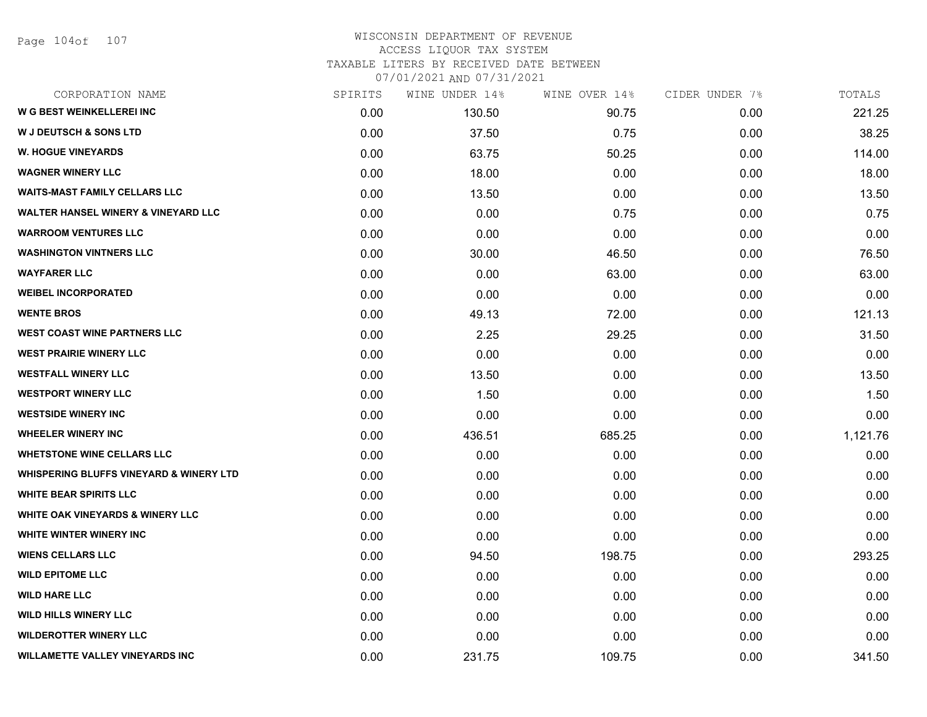Page 104of 107

#### WISCONSIN DEPARTMENT OF REVENUE ACCESS LIQUOR TAX SYSTEM TAXABLE LITERS BY RECEIVED DATE BETWEEN

| CORPORATION NAME                                   | SPIRITS | WINE UNDER 14% | WINE OVER 14% | CIDER UNDER 7% | TOTALS   |
|----------------------------------------------------|---------|----------------|---------------|----------------|----------|
| <b>W G BEST WEINKELLEREI INC</b>                   | 0.00    | 130.50         | 90.75         | 0.00           | 221.25   |
| <b>W J DEUTSCH &amp; SONS LTD</b>                  | 0.00    | 37.50          | 0.75          | 0.00           | 38.25    |
| <b>W. HOGUE VINEYARDS</b>                          | 0.00    | 63.75          | 50.25         | 0.00           | 114.00   |
| <b>WAGNER WINERY LLC</b>                           | 0.00    | 18.00          | 0.00          | 0.00           | 18.00    |
| <b>WAITS-MAST FAMILY CELLARS LLC</b>               | 0.00    | 13.50          | 0.00          | 0.00           | 13.50    |
| <b>WALTER HANSEL WINERY &amp; VINEYARD LLC</b>     | 0.00    | 0.00           | 0.75          | 0.00           | 0.75     |
| <b>WARROOM VENTURES LLC</b>                        | 0.00    | 0.00           | 0.00          | 0.00           | 0.00     |
| <b>WASHINGTON VINTNERS LLC</b>                     | 0.00    | 30.00          | 46.50         | 0.00           | 76.50    |
| <b>WAYFARER LLC</b>                                | 0.00    | 0.00           | 63.00         | 0.00           | 63.00    |
| <b>WEIBEL INCORPORATED</b>                         | 0.00    | 0.00           | 0.00          | 0.00           | 0.00     |
| <b>WENTE BROS</b>                                  | 0.00    | 49.13          | 72.00         | 0.00           | 121.13   |
| <b>WEST COAST WINE PARTNERS LLC</b>                | 0.00    | 2.25           | 29.25         | 0.00           | 31.50    |
| <b>WEST PRAIRIE WINERY LLC</b>                     | 0.00    | 0.00           | 0.00          | 0.00           | 0.00     |
| <b>WESTFALL WINERY LLC</b>                         | 0.00    | 13.50          | 0.00          | 0.00           | 13.50    |
| <b>WESTPORT WINERY LLC</b>                         | 0.00    | 1.50           | 0.00          | 0.00           | 1.50     |
| <b>WESTSIDE WINERY INC</b>                         | 0.00    | 0.00           | 0.00          | 0.00           | 0.00     |
| <b>WHEELER WINERY INC</b>                          | 0.00    | 436.51         | 685.25        | 0.00           | 1,121.76 |
| <b>WHETSTONE WINE CELLARS LLC</b>                  | 0.00    | 0.00           | 0.00          | 0.00           | 0.00     |
| <b>WHISPERING BLUFFS VINEYARD &amp; WINERY LTD</b> | 0.00    | 0.00           | 0.00          | 0.00           | 0.00     |
| <b>WHITE BEAR SPIRITS LLC</b>                      | 0.00    | 0.00           | 0.00          | 0.00           | 0.00     |
| <b>WHITE OAK VINEYARDS &amp; WINERY LLC</b>        | 0.00    | 0.00           | 0.00          | 0.00           | 0.00     |
| WHITE WINTER WINERY INC                            | 0.00    | 0.00           | 0.00          | 0.00           | 0.00     |
| <b>WIENS CELLARS LLC</b>                           | 0.00    | 94.50          | 198.75        | 0.00           | 293.25   |
| <b>WILD EPITOME LLC</b>                            | 0.00    | 0.00           | 0.00          | 0.00           | 0.00     |
| <b>WILD HARE LLC</b>                               | 0.00    | 0.00           | 0.00          | 0.00           | 0.00     |
| <b>WILD HILLS WINERY LLC</b>                       | 0.00    | 0.00           | 0.00          | 0.00           | 0.00     |
| <b>WILDEROTTER WINERY LLC</b>                      | 0.00    | 0.00           | 0.00          | 0.00           | 0.00     |
| <b>WILLAMETTE VALLEY VINEYARDS INC</b>             | 0.00    | 231.75         | 109.75        | 0.00           | 341.50   |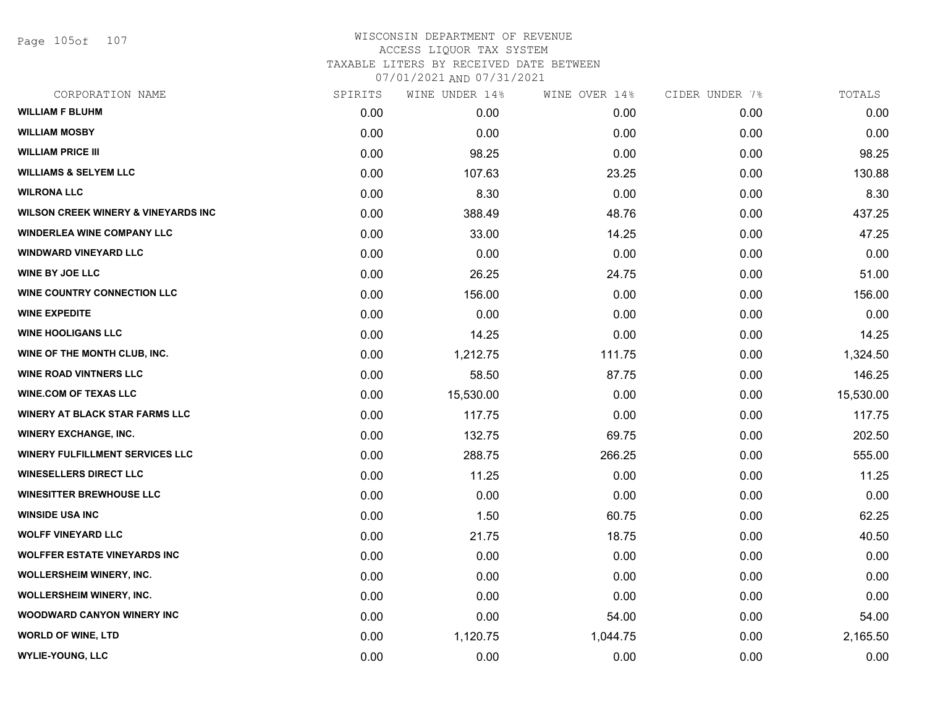Page 105of 107

### WISCONSIN DEPARTMENT OF REVENUE ACCESS LIQUOR TAX SYSTEM TAXABLE LITERS BY RECEIVED DATE BETWEEN

| CORPORATION NAME                               | SPIRITS | WINE UNDER 14% | WINE OVER 14% | CIDER UNDER 7% | TOTALS    |
|------------------------------------------------|---------|----------------|---------------|----------------|-----------|
| <b>WILLIAM F BLUHM</b>                         | 0.00    | 0.00           | 0.00          | 0.00           | 0.00      |
| <b>WILLIAM MOSBY</b>                           | 0.00    | 0.00           | 0.00          | 0.00           | 0.00      |
| <b>WILLIAM PRICE III</b>                       | 0.00    | 98.25          | 0.00          | 0.00           | 98.25     |
| <b>WILLIAMS &amp; SELYEM LLC</b>               | 0.00    | 107.63         | 23.25         | 0.00           | 130.88    |
| <b>WILRONA LLC</b>                             | 0.00    | 8.30           | 0.00          | 0.00           | 8.30      |
| <b>WILSON CREEK WINERY &amp; VINEYARDS INC</b> | 0.00    | 388.49         | 48.76         | 0.00           | 437.25    |
| <b>WINDERLEA WINE COMPANY LLC</b>              | 0.00    | 33.00          | 14.25         | 0.00           | 47.25     |
| <b>WINDWARD VINEYARD LLC</b>                   | 0.00    | 0.00           | 0.00          | 0.00           | 0.00      |
| <b>WINE BY JOE LLC</b>                         | 0.00    | 26.25          | 24.75         | 0.00           | 51.00     |
| WINE COUNTRY CONNECTION LLC                    | 0.00    | 156.00         | 0.00          | 0.00           | 156.00    |
| <b>WINE EXPEDITE</b>                           | 0.00    | 0.00           | 0.00          | 0.00           | 0.00      |
| <b>WINE HOOLIGANS LLC</b>                      | 0.00    | 14.25          | 0.00          | 0.00           | 14.25     |
| WINE OF THE MONTH CLUB, INC.                   | 0.00    | 1,212.75       | 111.75        | 0.00           | 1,324.50  |
| <b>WINE ROAD VINTNERS LLC</b>                  | 0.00    | 58.50          | 87.75         | 0.00           | 146.25    |
| <b>WINE.COM OF TEXAS LLC</b>                   | 0.00    | 15,530.00      | 0.00          | 0.00           | 15,530.00 |
| <b>WINERY AT BLACK STAR FARMS LLC</b>          | 0.00    | 117.75         | 0.00          | 0.00           | 117.75    |
| <b>WINERY EXCHANGE, INC.</b>                   | 0.00    | 132.75         | 69.75         | 0.00           | 202.50    |
| <b>WINERY FULFILLMENT SERVICES LLC</b>         | 0.00    | 288.75         | 266.25        | 0.00           | 555.00    |
| <b>WINESELLERS DIRECT LLC</b>                  | 0.00    | 11.25          | 0.00          | 0.00           | 11.25     |
| <b>WINESITTER BREWHOUSE LLC</b>                | 0.00    | 0.00           | 0.00          | 0.00           | 0.00      |
| <b>WINSIDE USA INC</b>                         | 0.00    | 1.50           | 60.75         | 0.00           | 62.25     |
| <b>WOLFF VINEYARD LLC</b>                      | 0.00    | 21.75          | 18.75         | 0.00           | 40.50     |
| <b>WOLFFER ESTATE VINEYARDS INC</b>            | 0.00    | 0.00           | 0.00          | 0.00           | 0.00      |
| WOLLERSHEIM WINERY, INC.                       | 0.00    | 0.00           | 0.00          | 0.00           | 0.00      |
| <b>WOLLERSHEIM WINERY, INC.</b>                | 0.00    | 0.00           | 0.00          | 0.00           | 0.00      |
| <b>WOODWARD CANYON WINERY INC</b>              | 0.00    | 0.00           | 54.00         | 0.00           | 54.00     |
| <b>WORLD OF WINE, LTD</b>                      | 0.00    | 1,120.75       | 1,044.75      | 0.00           | 2,165.50  |
| <b>WYLIE-YOUNG, LLC</b>                        | 0.00    | 0.00           | 0.00          | 0.00           | 0.00      |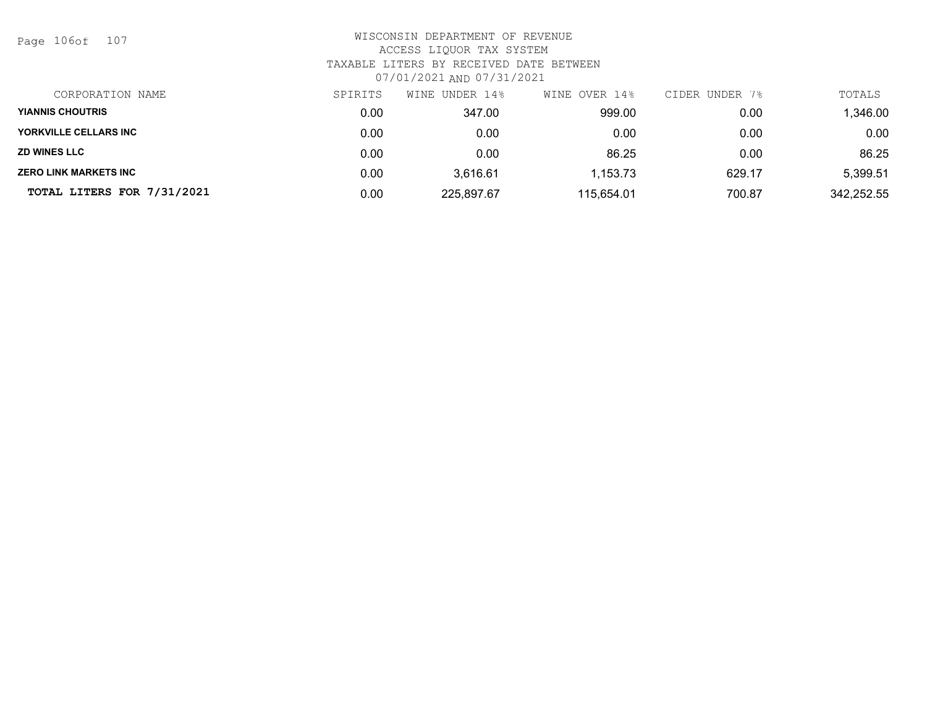Page 106of 107

| CORPORATION NAME             | SPIRITS | WINE UNDER 14% | WINE OVER 14% | CIDER UNDER 7% | TOTALS     |
|------------------------------|---------|----------------|---------------|----------------|------------|
| <b>YIANNIS CHOUTRIS</b>      | 0.00    | 347.00         | 999.00        | 0.00           | ,346.00    |
| YORKVILLE CELLARS INC        | 0.00    | 0.00           | 0.00          | 0.00           | 0.00       |
| <b>ZD WINES LLC</b>          | 0.00    | 0.00           | 86.25         | 0.00           | 86.25      |
| <b>ZERO LINK MARKETS INC</b> | 0.00    | 3.616.61       | 1,153.73      | 629.17         | 5,399.51   |
| TOTAL LITERS FOR 7/31/2021   | 0.00    | 225,897.67     | 115,654.01    | 700.87         | 342,252.55 |